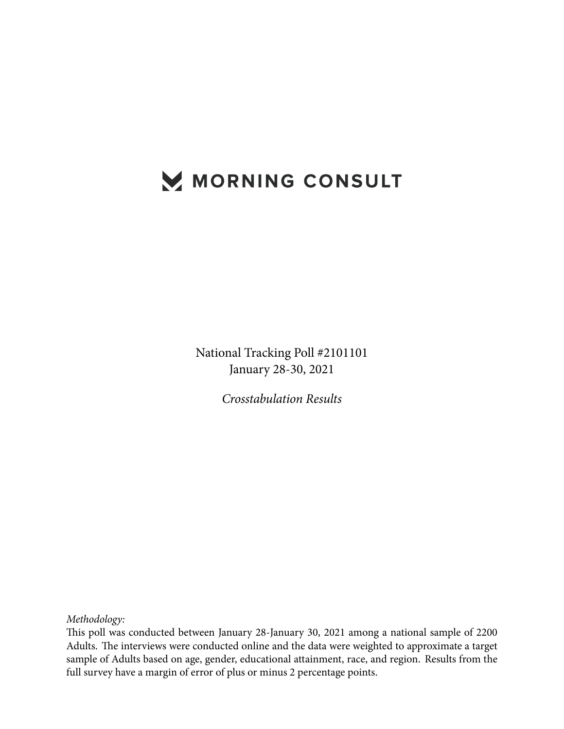# MORNING CONSULT

National Tracking Poll #2101101 January 28-30, 2021

*Crosstabulation Results*

*Methodology:*

This poll was conducted between January 28-January 30, 2021 among a national sample of 2200 Adults. The interviews were conducted online and the data were weighted to approximate a target sample of Adults based on age, gender, educational attainment, race, and region. Results from the full survey have a margin of error of plus or minus 2 percentage points.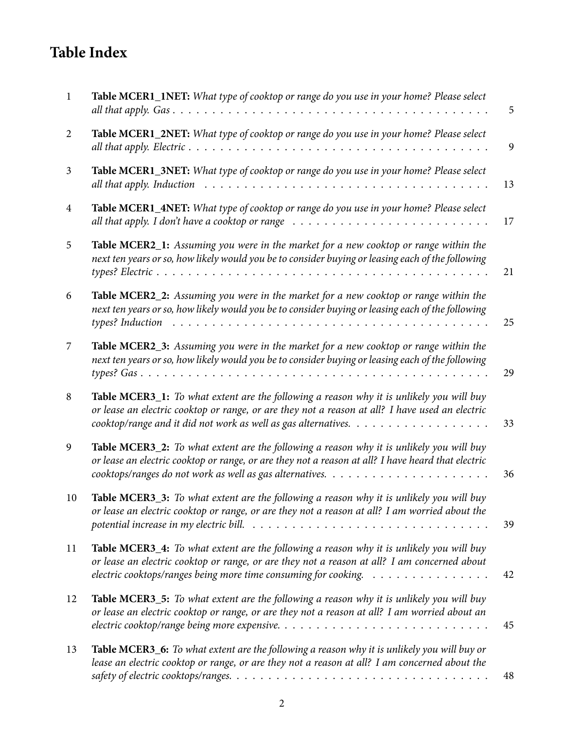# **Table Index**

| $\mathbf{1}$   | Table MCER1_1NET: What type of cooktop or range do you use in your home? Please select                                                                                                                                                                                                                               | 5  |
|----------------|----------------------------------------------------------------------------------------------------------------------------------------------------------------------------------------------------------------------------------------------------------------------------------------------------------------------|----|
| $\overline{2}$ | Table MCER1_2NET: What type of cooktop or range do you use in your home? Please select                                                                                                                                                                                                                               | 9  |
| 3              | Table MCER1_3NET: What type of cooktop or range do you use in your home? Please select                                                                                                                                                                                                                               | 13 |
| $\overline{4}$ | Table MCER1_4NET: What type of cooktop or range do you use in your home? Please select<br>all that apply. I don't have a cooktop or range $\ldots \ldots \ldots \ldots \ldots \ldots \ldots \ldots \ldots$                                                                                                           | 17 |
| 5              | Table MCER2_1: Assuming you were in the market for a new cooktop or range within the<br>next ten years or so, how likely would you be to consider buying or leasing each of the following                                                                                                                            | 21 |
| 6              | Table MCER2_2: Assuming you were in the market for a new cooktop or range within the<br>next ten years or so, how likely would you be to consider buying or leasing each of the following<br>types? Induction                                                                                                        | 25 |
| 7              | Table MCER2_3: Assuming you were in the market for a new cooktop or range within the<br>next ten years or so, how likely would you be to consider buying or leasing each of the following                                                                                                                            | 29 |
| 8              | Table MCER3_1: To what extent are the following a reason why it is unlikely you will buy<br>or lease an electric cooktop or range, or are they not a reason at all? I have used an electric<br>cooktop/range and it did not work as well as gas alternatives. $\ldots \ldots \ldots \ldots \ldots \ldots$            | 33 |
| 9              | Table MCER3_2: To what extent are the following a reason why it is unlikely you will buy<br>or lease an electric cooktop or range, or are they not a reason at all? I have heard that electric                                                                                                                       | 36 |
| 10             | Table MCER3_3: To what extent are the following a reason why it is unlikely you will buy<br>or lease an electric cooktop or range, or are they not a reason at all? I am worried about the<br>potential increase in my electric bill. $\ldots \ldots \ldots \ldots \ldots \ldots \ldots \ldots \ldots \ldots \ldots$ | 39 |
| 11             | Table MCER3_4: To what extent are the following a reason why it is unlikely you will buy<br>or lease an electric cooktop or range, or are they not a reason at all? I am concerned about<br>electric cooktops/ranges being more time consuming for cooking.                                                          | 42 |
| 12             | <b>Table MCER3_5:</b> To what extent are the following a reason why it is unlikely you will buy<br>or lease an electric cooktop or range, or are they not a reason at all? I am worried about an                                                                                                                     | 45 |
| 13             | Table MCER3_6: To what extent are the following a reason why it is unlikely you will buy or<br>lease an electric cooktop or range, or are they not a reason at all? I am concerned about the                                                                                                                         | 48 |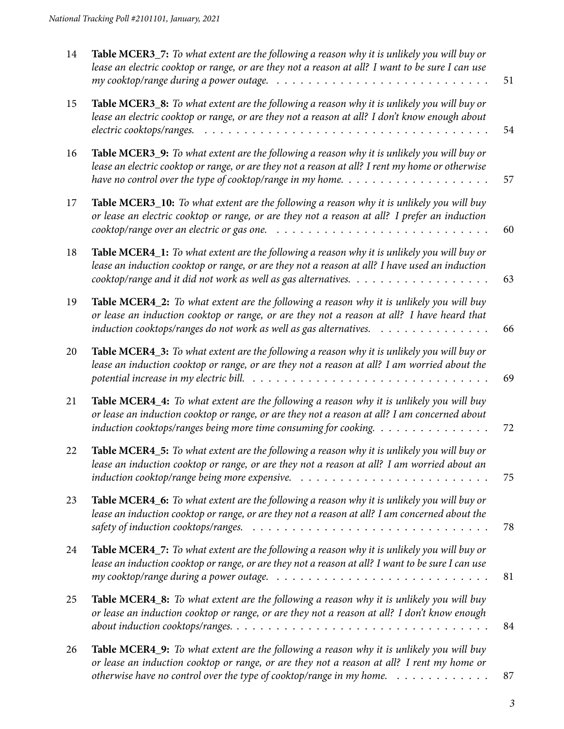| 14 | Table MCER3_7: To what extent are the following a reason why it is unlikely you will buy or<br>lease an electric cooktop or range, or are they not a reason at all? I want to be sure I can use                                                                                                                       | 51 |
|----|-----------------------------------------------------------------------------------------------------------------------------------------------------------------------------------------------------------------------------------------------------------------------------------------------------------------------|----|
| 15 | Table MCER3_8: To what extent are the following a reason why it is unlikely you will buy or<br>lease an electric cooktop or range, or are they not a reason at all? I don't know enough about                                                                                                                         | 54 |
| 16 | Table MCER3_9: To what extent are the following a reason why it is unlikely you will buy or<br>lease an electric cooktop or range, or are they not a reason at all? I rent my home or otherwise<br>have no control over the type of cooktop/range in my home. $\ldots \ldots \ldots \ldots \ldots \ldots$             | 57 |
| 17 | Table MCER3_10: To what extent are the following a reason why it is unlikely you will buy<br>or lease an electric cooktop or range, or are they not a reason at all? I prefer an induction                                                                                                                            | 60 |
| 18 | Table MCER4_1: To what extent are the following a reason why it is unlikely you will buy or<br>lease an induction cooktop or range, or are they not a reason at all? I have used an induction                                                                                                                         | 63 |
| 19 | Table MCER4_2: To what extent are the following a reason why it is unlikely you will buy<br>or lease an induction cooktop or range, or are they not a reason at all? I have heard that<br>induction cooktops/ranges do not work as well as gas alternatives.                                                          | 66 |
| 20 | Table MCER4_3: To what extent are the following a reason why it is unlikely you will buy or<br>lease an induction cooktop or range, or are they not a reason at all? I am worried about the<br>potential increase in my electric bill. $\ldots \ldots \ldots \ldots \ldots \ldots \ldots \ldots \ldots \ldots \ldots$ | 69 |
| 21 | Table MCER4_4: To what extent are the following a reason why it is unlikely you will buy<br>or lease an induction cooktop or range, or are they not a reason at all? I am concerned about<br>induction cooktops/ranges being more time consuming for cooking.                                                         | 72 |
| 22 | Table MCER4_5: To what extent are the following a reason why it is unlikely you will buy or<br>lease an induction cooktop or range, or are they not a reason at all? I am worried about an                                                                                                                            | 75 |
| 23 | Table MCER4_6: To what extent are the following a reason why it is unlikely you will buy or<br>lease an induction cooktop or range, or are they not a reason at all? I am concerned about the<br>safety of induction cooktops/ranges. $\ldots \ldots \ldots \ldots \ldots \ldots \ldots \ldots \ldots \ldots \ldots$  | 78 |
| 24 | Table MCER4_7: To what extent are the following a reason why it is unlikely you will buy or<br>lease an induction cooktop or range, or are they not a reason at all? I want to be sure I can use                                                                                                                      | 81 |
| 25 | Table MCER4_8: To what extent are the following a reason why it is unlikely you will buy<br>or lease an induction cooktop or range, or are they not a reason at all? I don't know enough                                                                                                                              | 84 |
| 26 | Table MCER4_9: To what extent are the following a reason why it is unlikely you will buy<br>or lease an induction cooktop or range, or are they not a reason at all? I rent my home or<br>otherwise have no control over the type of cooktop/range in my home. $\dots \dots \dots \dots$                              | 87 |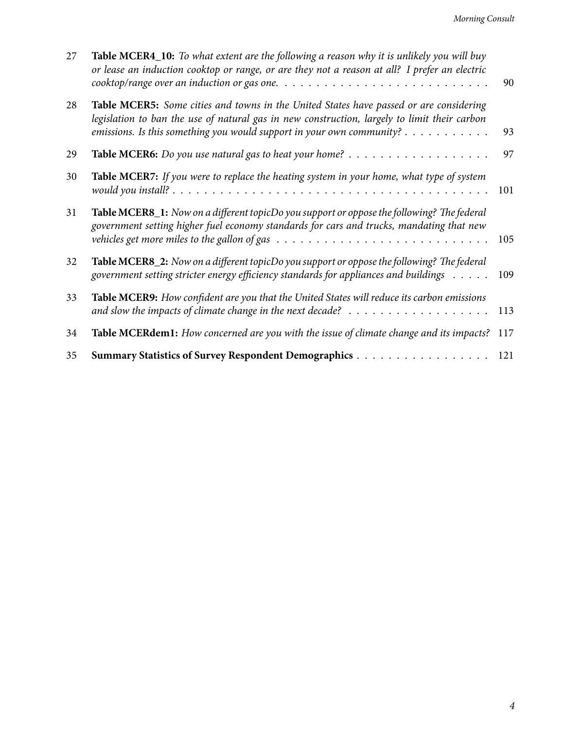| 27 | Table MCER4_10: To what extent are the following a reason why it is unlikely you will buy<br>or lease an induction cooktop or range, or are they not a reason at all? I prefer an electric<br>$\alpha$ cooktop/range over an induction or gas one. $\ldots \ldots \ldots \ldots \ldots \ldots \ldots \ldots \ldots$ | 90  |
|----|---------------------------------------------------------------------------------------------------------------------------------------------------------------------------------------------------------------------------------------------------------------------------------------------------------------------|-----|
| 28 | Table MCER5: Some cities and towns in the United States have passed or are considering<br>legislation to ban the use of natural gas in new construction, largely to limit their carbon<br>emissions. Is this something you would support in your own community? $\dots \dots \dots$                                 | 93  |
| 29 |                                                                                                                                                                                                                                                                                                                     | 97  |
| 30 | Table MCER7: If you were to replace the heating system in your home, what type of system                                                                                                                                                                                                                            | 101 |
| 31 | Table MCER8_1: Now on a different topicDo you support or oppose the following? The federal<br>government setting higher fuel economy standards for cars and trucks, mandating that new<br>vehicles get more miles to the gallon of gas $\ldots \ldots \ldots \ldots \ldots \ldots \ldots \ldots \ldots \ldots$      | 105 |
| 32 | Table MCER8_2: Now on a different topicDo you support or oppose the following? The federal<br>government setting stricter energy efficiency standards for appliances and buildings                                                                                                                                  | 109 |
| 33 | Table MCER9: How confident are you that the United States will reduce its carbon emissions<br>and slow the impacts of climate change in the next decade? $\ldots \ldots \ldots \ldots \ldots \ldots$                                                                                                                | 113 |
| 34 | Table MCERdem1: How concerned are you with the issue of climate change and its impacts?                                                                                                                                                                                                                             | 117 |
| 35 |                                                                                                                                                                                                                                                                                                                     | 121 |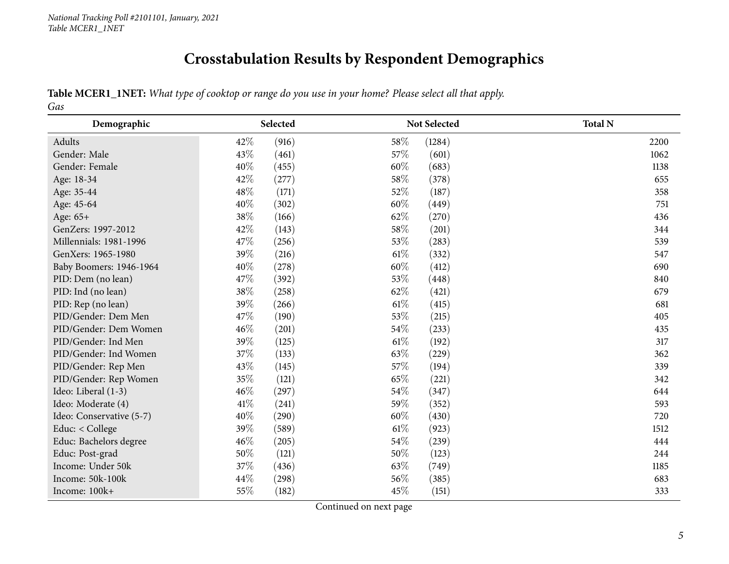# **Crosstabulation Results by Respondent Demographics**

Table MCER1\_1NET: What type of cooktop or range do you use in your home? Please select all that apply. *Gas*

<span id="page-4-0"></span>

| Demographic              | Selected      | Not Selected    | <b>Total N</b> |
|--------------------------|---------------|-----------------|----------------|
| Adults                   | 42%<br>(916)  | 58%<br>(1284)   | 2200           |
| Gender: Male             | 43%<br>(461)  | 57%<br>(601)    | 1062           |
| Gender: Female           | 40%<br>(455)  | 60%<br>(683)    | 1138           |
| Age: 18-34               | 42%<br>(277)  | 58%<br>(378)    | 655            |
| Age: 35-44               | 48%<br>(171)  | 52%<br>(187)    | 358            |
| Age: 45-64               | 40%<br>(302)  | 60%<br>(449)    | 751            |
| Age: 65+                 | 38%<br>(166)  | 62%<br>(270)    | 436            |
| GenZers: 1997-2012       | 42\%<br>(143) | 58%<br>(201)    | 344            |
| Millennials: 1981-1996   | 47\%<br>(256) | 53%<br>(283)    | 539            |
| GenXers: 1965-1980       | 39%<br>(216)  | $61\%$<br>(332) | 547            |
| Baby Boomers: 1946-1964  | 40%<br>(278)  | 60%<br>(412)    | 690            |
| PID: Dem (no lean)       | 47%<br>(392)  | 53%<br>(448)    | 840            |
| PID: Ind (no lean)       | 38%<br>(258)  | 62%<br>(421)    | 679            |
| PID: Rep (no lean)       | 39%<br>(266)  | $61\%$<br>(415) | 681            |
| PID/Gender: Dem Men      | 47\%<br>(190) | 53%<br>(215)    | 405            |
| PID/Gender: Dem Women    | 46%<br>(201)  | 54%<br>(233)    | 435            |
| PID/Gender: Ind Men      | 39%<br>(125)  | $61\%$<br>(192) | 317            |
| PID/Gender: Ind Women    | 37%<br>(133)  | 63%<br>(229)    | 362            |
| PID/Gender: Rep Men      | 43%<br>(145)  | 57\%<br>(194)   | 339            |
| PID/Gender: Rep Women    | 35%<br>(121)  | 65%<br>(221)    | 342            |
| Ideo: Liberal (1-3)      | 46%<br>(297)  | 54%<br>(347)    | 644            |
| Ideo: Moderate (4)       | 41\%<br>(241) | 59%<br>(352)    | 593            |
| Ideo: Conservative (5-7) | 40%<br>(290)  | 60%<br>(430)    | 720            |
| Educ: < College          | 39%<br>(589)  | $61\%$<br>(923) | 1512           |
| Educ: Bachelors degree   | 46%<br>(205)  | 54%<br>(239)    | 444            |
| Educ: Post-grad          | 50%<br>(121)  | 50%<br>(123)    | 244            |
| Income: Under 50k        | 37%<br>(436)  | 63%<br>(749)    | 1185           |
| Income: 50k-100k         | 44%<br>(298)  | 56%<br>(385)    | 683            |
| Income: 100k+            | 55%<br>(182)  | 45%<br>(151)    | 333            |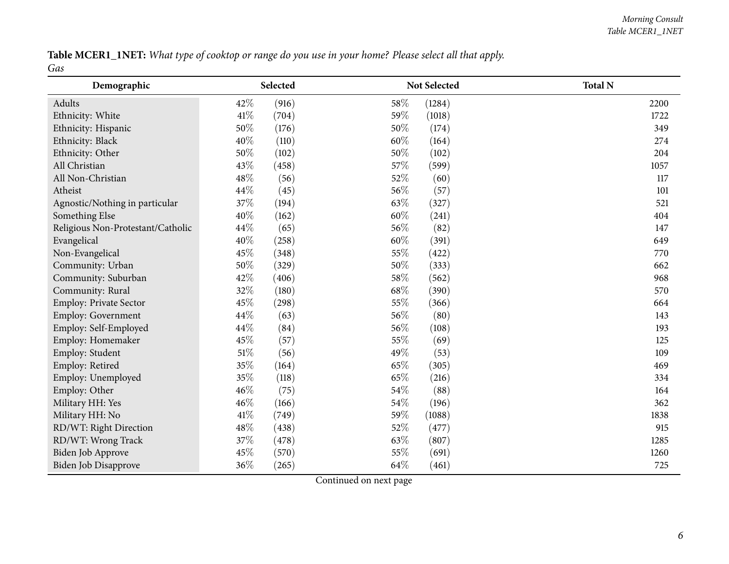Table MCER1\_1NET: What type of cooktop or range do you use in your home? Please select all that apply. *Gas*

| Demographic                       |        | Selected |      | Not Selected | <b>Total N</b> |
|-----------------------------------|--------|----------|------|--------------|----------------|
| Adults                            | 42%    | (916)    | 58\% | (1284)       | 2200           |
| Ethnicity: White                  | $41\%$ | (704)    | 59%  | (1018)       | 1722           |
| Ethnicity: Hispanic               | 50%    | (176)    | 50%  | (174)        | 349            |
| Ethnicity: Black                  | 40%    | (110)    | 60%  | (164)        | 274            |
| Ethnicity: Other                  | 50%    | (102)    | 50%  | (102)        | 204            |
| All Christian                     | 43%    | (458)    | 57%  | (599)        | 1057           |
| All Non-Christian                 | 48\%   | (56)     | 52%  | (60)         | 117            |
| Atheist                           | 44\%   | (45)     | 56%  | (57)         | 101            |
| Agnostic/Nothing in particular    | 37%    | (194)    | 63%  | (327)        | 521            |
| Something Else                    | 40%    | (162)    | 60%  | (241)        | 404            |
| Religious Non-Protestant/Catholic | 44\%   | (65)     | 56%  | (82)         | 147            |
| Evangelical                       | 40%    | (258)    | 60%  | (391)        | 649            |
| Non-Evangelical                   | 45%    | (348)    | 55%  | (422)        | 770            |
| Community: Urban                  | 50%    | (329)    | 50%  | (333)        | 662            |
| Community: Suburban               | 42%    | (406)    | 58%  | (562)        | 968            |
| Community: Rural                  | 32%    | (180)    | 68%  | (390)        | 570            |
| Employ: Private Sector            | 45%    | (298)    | 55%  | (366)        | 664            |
| <b>Employ: Government</b>         | 44%    | (63)     | 56%  | (80)         | 143            |
| Employ: Self-Employed             | 44%    | (84)     | 56%  | (108)        | 193            |
| Employ: Homemaker                 | 45%    | (57)     | 55%  | (69)         | 125            |
| Employ: Student                   | $51\%$ | (56)     | 49%  | (53)         | 109            |
| Employ: Retired                   | 35%    | (164)    | 65%  | (305)        | 469            |
| Employ: Unemployed                | 35%    | (118)    | 65%  | (216)        | 334            |
| Employ: Other                     | 46%    | (75)     | 54\% | (88)         | 164            |
| Military HH: Yes                  | 46%    | (166)    | 54%  | (196)        | 362            |
| Military HH: No                   | $41\%$ | (749)    | 59%  | (1088)       | 1838           |
| RD/WT: Right Direction            | 48\%   | (438)    | 52%  | (477)        | 915            |
| RD/WT: Wrong Track                | 37%    | (478)    | 63%  | (807)        | 1285           |
| Biden Job Approve                 | 45%    | (570)    | 55%  | (691)        | 1260           |
| <b>Biden Job Disapprove</b>       | 36%    | (265)    | 64%  | (461)        | 725            |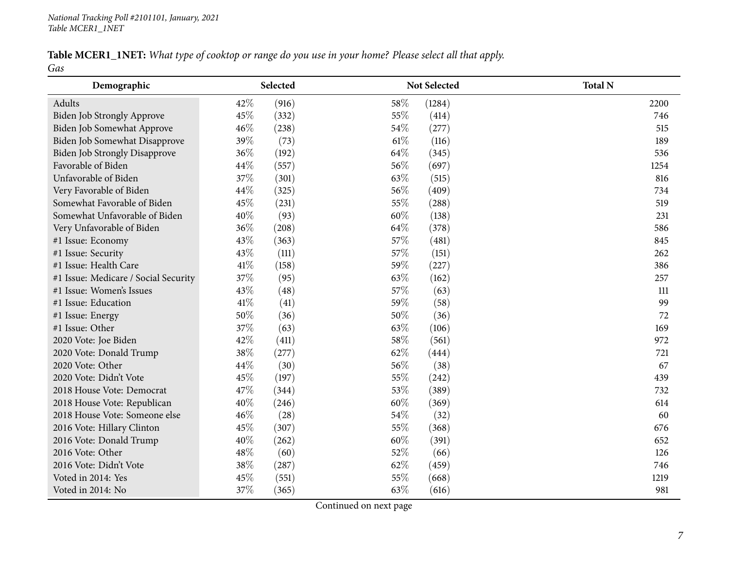#### Table MCER1\_1NET: What type of cooktop or range do you use in your home? Please select all that apply. *Gas*

| Demographic                          |      | Selected     | <b>Not Selected</b> | <b>Total N</b> |
|--------------------------------------|------|--------------|---------------------|----------------|
| Adults                               | 42%  | (916)<br>58% | (1284)              | 2200           |
| Biden Job Strongly Approve           | 45%  | 55%<br>(332) | (414)               | 746            |
| Biden Job Somewhat Approve           | 46%  | 54%<br>(238) | (277)               | 515            |
| Biden Job Somewhat Disapprove        | 39%  | 61%<br>(73)  | (116)               | 189            |
| <b>Biden Job Strongly Disapprove</b> | 36%  | 64%<br>(192) | (345)               | 536            |
| Favorable of Biden                   | 44\% | 56%<br>(557) | (697)               | 1254           |
| Unfavorable of Biden                 | 37%  | 63%<br>(301) | (515)               | 816            |
| Very Favorable of Biden              | 44%  | 56%<br>(325) | (409)               | 734            |
| Somewhat Favorable of Biden          | 45%  | 55%<br>(231) | (288)               | 519            |
| Somewhat Unfavorable of Biden        | 40%  | 60%<br>(93)  | (138)               | 231            |
| Very Unfavorable of Biden            | 36%  | 64%<br>(208) | (378)               | 586            |
| #1 Issue: Economy                    | 43%  | 57%<br>(363) | (481)               | 845            |
| #1 Issue: Security                   | 43%  | 57%<br>(111) | (151)               | 262            |
| #1 Issue: Health Care                | 41%  | 59%<br>(158) | (227)               | 386            |
| #1 Issue: Medicare / Social Security | 37%  | 63%<br>(95)  | (162)               | 257            |
| #1 Issue: Women's Issues             | 43%  | 57%<br>(48)  | (63)                | 111            |
| #1 Issue: Education                  | 41\% | 59%<br>(41)  | (58)                | 99             |
| #1 Issue: Energy                     | 50%  | 50%<br>(36)  | (36)                | 72             |
| #1 Issue: Other                      | 37%  | 63%<br>(63)  | (106)               | 169            |
| 2020 Vote: Joe Biden                 | 42%  | 58%<br>(411) | (561)               | 972            |
| 2020 Vote: Donald Trump              | 38%  | 62%<br>(277) | (444)               | 721            |
| 2020 Vote: Other                     | 44\% | 56%<br>(30)  | (38)                | 67             |
| 2020 Vote: Didn't Vote               | 45%  | 55%<br>(197) | (242)               | 439            |
| 2018 House Vote: Democrat            | 47%  | 53%<br>(344) | (389)               | 732            |
| 2018 House Vote: Republican          | 40%  | 60%<br>(246) | (369)               | 614            |
| 2018 House Vote: Someone else        | 46%  | (28)<br>54%  | (32)                | 60             |
| 2016 Vote: Hillary Clinton           | 45%  | 55%<br>(307) | (368)               | 676            |
| 2016 Vote: Donald Trump              | 40%  | 60%<br>(262) | (391)               | 652            |
| 2016 Vote: Other                     | 48\% | (60)<br>52%  | (66)                | 126            |
| 2016 Vote: Didn't Vote               | 38%  | 62%<br>(287) | (459)               | 746            |
| Voted in 2014: Yes                   | 45%  | 55%<br>(551) | (668)               | 1219           |
| Voted in 2014: No                    | 37%  | 63%<br>(365) | (616)               | 981            |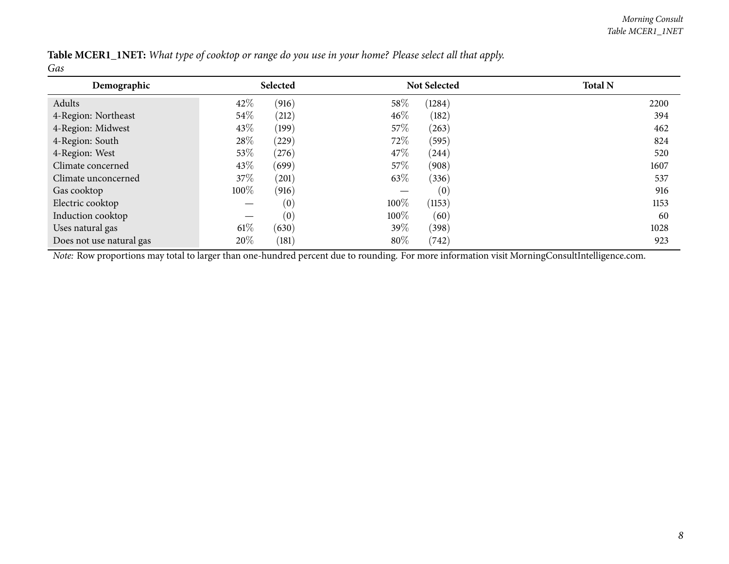| Table MCER1_1NET: What type of cooktop or range do you use in your home? Please select all that apply. |  |  |  |  |  |
|--------------------------------------------------------------------------------------------------------|--|--|--|--|--|
| Gas                                                                                                    |  |  |  |  |  |

| Demographic              |        | Selected |        | <b>Not Selected</b> | <b>Total N</b> |
|--------------------------|--------|----------|--------|---------------------|----------------|
| Adults                   | 42\%   | (916)    | 58%    | (1284)              | 2200           |
| 4-Region: Northeast      | $54\%$ | (212)    | $46\%$ | (182)               | 394            |
| 4-Region: Midwest        | 43\%   | (199)    | 57\%   | (263)               | 462            |
| 4-Region: South          | 28\%   | (229)    | 72\%   | (595)               | 824            |
| 4-Region: West           | 53\%   | (276)    | 47\%   | (244)               | 520            |
| Climate concerned        | 43\%   | (699)    | 57\%   | (908)               | 1607           |
| Climate unconcerned      | 37\%   | (201)    | 63\%   | (336)               | 537            |
| Gas cooktop              | 100%   | (916)    |        | (0)                 | 916            |
| Electric cooktop         |        | (0)      | 100%   | (1153)              | 1153           |
| Induction cooktop        |        | (0)      | 100%   | (60)                | 60             |
| Uses natural gas         | $61\%$ | (630)    | 39\%   | (398)               | 1028           |
| Does not use natural gas | 20%    | (181)    | 80%    | (742)               | 923            |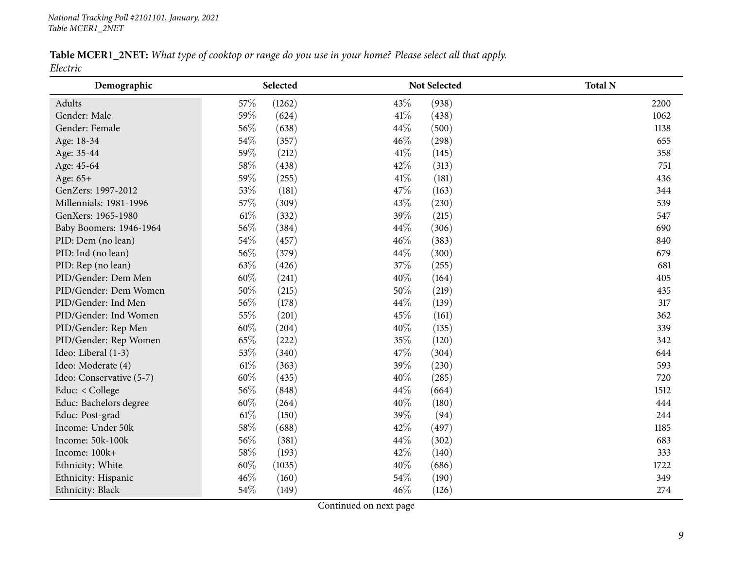#### Table MCER1\_2NET: What type of cooktop or range do you use in your home? Please select all that apply. *Electric*

<span id="page-8-0"></span>

| Demographic              | Selected      |               | Not Selected | <b>Total N</b> |
|--------------------------|---------------|---------------|--------------|----------------|
| Adults                   | 57%<br>(1262) | 43%           | (938)        | 2200           |
| Gender: Male             | 59%           | 41\%<br>(624) | (438)        | 1062           |
| Gender: Female           | 56%           | 44%<br>(638)  | (500)        | 1138           |
| Age: 18-34               | 54%           | 46%<br>(357)  | (298)        | 655            |
| Age: 35-44               | 59%           | 41%<br>(212)  | (145)        | 358            |
| Age: 45-64               | 58%           | 42%<br>(438)  | (313)        | 751            |
| Age: 65+                 | 59%           | 41\%<br>(255) | (181)        | 436            |
| GenZers: 1997-2012       | 53%           | 47%<br>(181)  | (163)        | 344            |
| Millennials: 1981-1996   | 57%           | 43%<br>(309)  | (230)        | 539            |
| GenXers: 1965-1980       | 61\%          | 39%<br>(332)  | (215)        | 547            |
| Baby Boomers: 1946-1964  | 56%           | 44%<br>(384)  | (306)        | 690            |
| PID: Dem (no lean)       | 54%           | 46%<br>(457)  | (383)        | 840            |
| PID: Ind (no lean)       | 56%           | 44%<br>(379)  | (300)        | 679            |
| PID: Rep (no lean)       | 63%           | 37%<br>(426)  | (255)        | 681            |
| PID/Gender: Dem Men      | 60%           | 40%<br>(241)  | (164)        | 405            |
| PID/Gender: Dem Women    | 50%           | 50%<br>(215)  | (219)        | 435            |
| PID/Gender: Ind Men      | 56%           | 44%<br>(178)  | (139)        | 317            |
| PID/Gender: Ind Women    | 55%           | 45%<br>(201)  | (161)        | 362            |
| PID/Gender: Rep Men      | $60\%$        | 40%<br>(204)  | (135)        | 339            |
| PID/Gender: Rep Women    | 65%           | 35%<br>(222)  | (120)        | 342            |
| Ideo: Liberal (1-3)      | 53%           | 47%<br>(340)  | (304)        | 644            |
| Ideo: Moderate (4)       | $61\%$        | 39%<br>(363)  | (230)        | 593            |
| Ideo: Conservative (5-7) | 60%           | 40%<br>(435)  | (285)        | 720            |
| Educ: < College          | 56%           | 44%<br>(848)  | (664)        | 1512           |
| Educ: Bachelors degree   | 60%           | 40%<br>(264)  | (180)        | 444            |
| Educ: Post-grad          | $61\%$        | 39%<br>(150)  | (94)         | 244            |
| Income: Under 50k        | 58%           | 42%<br>(688)  | (497)        | 1185           |
| Income: 50k-100k         | 56%           | 44%<br>(381)  | (302)        | 683            |
| Income: 100k+            | 58%           | 42%<br>(193)  | (140)        | 333            |
| Ethnicity: White         | 60%<br>(1035) | 40%           | (686)        | 1722           |
| Ethnicity: Hispanic      | 46%           | 54%<br>(160)  | (190)        | 349            |
| Ethnicity: Black         | 54%           | 46%<br>(149)  | (126)        | 274            |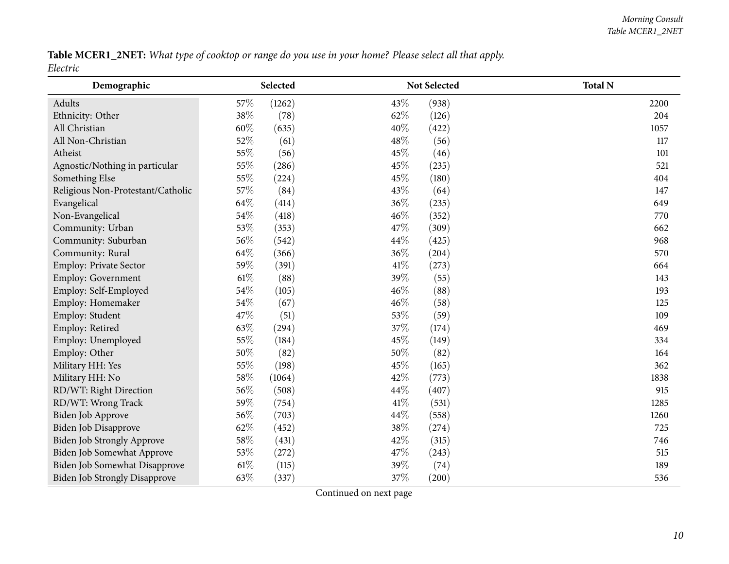Table MCER1\_2NET: What type of cooktop or range do you use in your home? Please select all that apply. *Electric*

| Demographic                          |        | Selected |      | Not Selected | <b>Total N</b> |
|--------------------------------------|--------|----------|------|--------------|----------------|
| Adults                               | 57%    | (1262)   | 43\% | (938)        | 2200           |
| Ethnicity: Other                     | 38%    | (78)     | 62%  | (126)        | 204            |
| All Christian                        | 60%    | (635)    | 40%  | (422)        | 1057           |
| All Non-Christian                    | 52%    | (61)     | 48%  | (56)         | 117            |
| Atheist                              | 55%    | (56)     | 45%  | (46)         | 101            |
| Agnostic/Nothing in particular       | 55%    | (286)    | 45%  | (235)        | 521            |
| Something Else                       | 55%    | (224)    | 45%  | (180)        | 404            |
| Religious Non-Protestant/Catholic    | 57%    | (84)     | 43%  | (64)         | 147            |
| Evangelical                          | 64\%   | (414)    | 36%  | (235)        | 649            |
| Non-Evangelical                      | 54%    | (418)    | 46%  | (352)        | 770            |
| Community: Urban                     | 53%    | (353)    | 47%  | (309)        | 662            |
| Community: Suburban                  | 56%    | (542)    | 44\% | (425)        | 968            |
| Community: Rural                     | 64\%   | (366)    | 36%  | (204)        | 570            |
| Employ: Private Sector               | 59%    | (391)    | 41\% | (273)        | 664            |
| Employ: Government                   | $61\%$ | (88)     | 39%  | (55)         | 143            |
| Employ: Self-Employed                | 54\%   | (105)    | 46%  | (88)         | 193            |
| Employ: Homemaker                    | 54\%   | (67)     | 46%  | (58)         | 125            |
| Employ: Student                      | 47\%   | (51)     | 53%  | (59)         | 109            |
| Employ: Retired                      | 63%    | (294)    | 37%  | (174)        | 469            |
| Employ: Unemployed                   | 55%    | (184)    | 45%  | (149)        | 334            |
| Employ: Other                        | $50\%$ | (82)     | 50%  | (82)         | 164            |
| Military HH: Yes                     | 55%    | (198)    | 45%  | (165)        | 362            |
| Military HH: No                      | 58%    | (1064)   | 42%  | (773)        | 1838           |
| RD/WT: Right Direction               | 56%    | (508)    | 44\% | (407)        | 915            |
| RD/WT: Wrong Track                   | 59%    | (754)    | 41\% | (531)        | 1285           |
| Biden Job Approve                    | 56%    | (703)    | 44%  | (558)        | 1260           |
| <b>Biden Job Disapprove</b>          | 62%    | (452)    | 38%  | (274)        | 725            |
| <b>Biden Job Strongly Approve</b>    | 58\%   | (431)    | 42%  | (315)        | 746            |
| Biden Job Somewhat Approve           | 53%    | (272)    | 47%  | (243)        | 515            |
| Biden Job Somewhat Disapprove        | $61\%$ | (115)    | 39%  | (74)         | 189            |
| <b>Biden Job Strongly Disapprove</b> | 63%    | (337)    | 37%  | (200)        | 536            |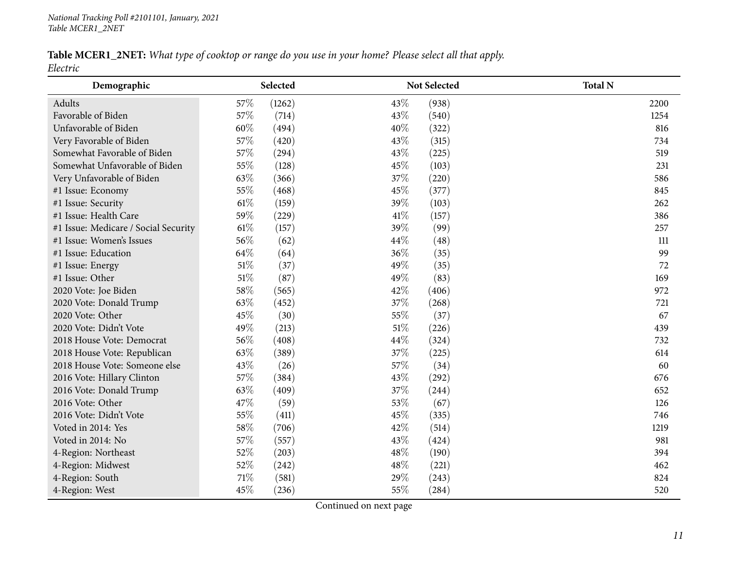#### Table MCER1\_2NET: What type of cooktop or range do you use in your home? Please select all that apply. *Electric*

| Demographic                          |        | Selected |     | Not Selected | <b>Total N</b> |
|--------------------------------------|--------|----------|-----|--------------|----------------|
| Adults                               | 57\%   | (1262)   | 43% | (938)        | 2200           |
| Favorable of Biden                   | 57%    | (714)    | 43% | (540)        | 1254           |
| Unfavorable of Biden                 | 60%    | (494)    | 40% | (322)        | 816            |
| Very Favorable of Biden              | 57%    | (420)    | 43% | (315)        | 734            |
| Somewhat Favorable of Biden          | 57%    | (294)    | 43% | (225)        | 519            |
| Somewhat Unfavorable of Biden        | 55%    | (128)    | 45% | (103)        | 231            |
| Very Unfavorable of Biden            | 63%    | (366)    | 37% | (220)        | 586            |
| #1 Issue: Economy                    | 55%    | (468)    | 45% | (377)        | 845            |
| #1 Issue: Security                   | $61\%$ | (159)    | 39% | (103)        | 262            |
| #1 Issue: Health Care                | 59%    | (229)    | 41% | (157)        | 386            |
| #1 Issue: Medicare / Social Security | $61\%$ | (157)    | 39% | (99)         | 257            |
| #1 Issue: Women's Issues             | 56%    | (62)     | 44% | (48)         | 111            |
| #1 Issue: Education                  | 64\%   | (64)     | 36% | (35)         | 99             |
| #1 Issue: Energy                     | 51%    | (37)     | 49% | (35)         | 72             |
| #1 Issue: Other                      | $51\%$ | (87)     | 49% | (83)         | 169            |
| 2020 Vote: Joe Biden                 | 58%    | (565)    | 42% | (406)        | 972            |
| 2020 Vote: Donald Trump              | 63%    | (452)    | 37% | (268)        | 721            |
| 2020 Vote: Other                     | 45%    | (30)     | 55% | (37)         | 67             |
| 2020 Vote: Didn't Vote               | 49%    | (213)    | 51% | (226)        | 439            |
| 2018 House Vote: Democrat            | 56%    | (408)    | 44% | (324)        | 732            |
| 2018 House Vote: Republican          | 63%    | (389)    | 37% | (225)        | 614            |
| 2018 House Vote: Someone else        | 43%    | (26)     | 57% | (34)         | 60             |
| 2016 Vote: Hillary Clinton           | 57%    | (384)    | 43% | (292)        | 676            |
| 2016 Vote: Donald Trump              | 63%    | (409)    | 37% | (244)        | 652            |
| 2016 Vote: Other                     | 47%    | (59)     | 53% | (67)         | 126            |
| 2016 Vote: Didn't Vote               | 55%    | (411)    | 45% | (335)        | 746            |
| Voted in 2014: Yes                   | $58\%$ | (706)    | 42% | (514)        | 1219           |
| Voted in 2014: No                    | 57%    | (557)    | 43% | (424)        | 981            |
| 4-Region: Northeast                  | 52%    | (203)    | 48% | (190)        | 394            |
| 4-Region: Midwest                    | 52%    | (242)    | 48% | (221)        | 462            |
| 4-Region: South                      | $71\%$ | (581)    | 29% | (243)        | 824            |
| 4-Region: West                       | 45%    | (236)    | 55% | (284)        | 520            |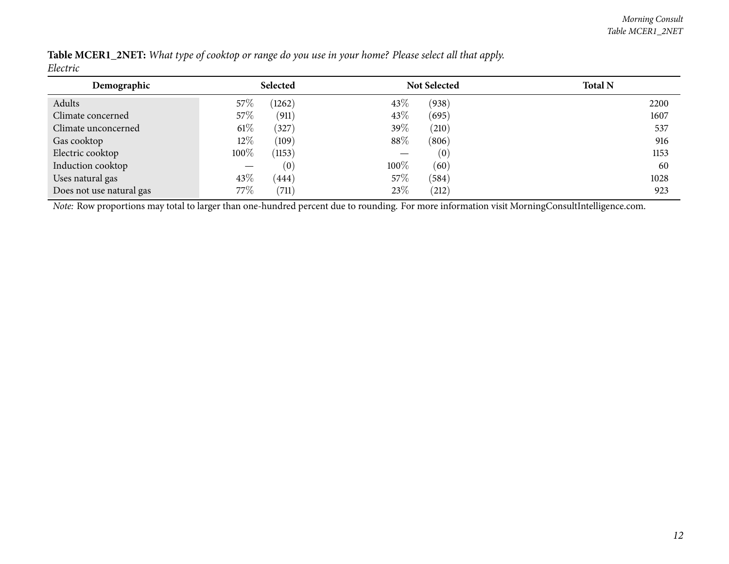| Demographic              |        | Selected |         | <b>Not Selected</b> | <b>Total N</b> |
|--------------------------|--------|----------|---------|---------------------|----------------|
| Adults                   | $57\%$ | (1262)   | 43\%    | (938)               | 2200           |
| Climate concerned        | $57\%$ | (911)    | 43\%    | (695)               | 1607           |
| Climate unconcerned      | $61\%$ | (327)    | 39%     | (210)               | 537            |
| Gas cooktop              | $12\%$ | (109)    | $88\%$  | (806)               | 916            |
| Electric cooktop         | 100%   | (1153)   |         | (0)                 | 1153           |
| Induction cooktop        |        | (0)      | $100\%$ | (60)                | 60             |
| Uses natural gas         | 43%    | (444)    | 57\%    | (584)               | 1028           |
| Does not use natural gas | 77%    | (711)    | 23\%    | (212)               | 923            |

Table MCER1\_2NET: What type of cooktop or range do you use in your home? Please select all that apply. *Electric*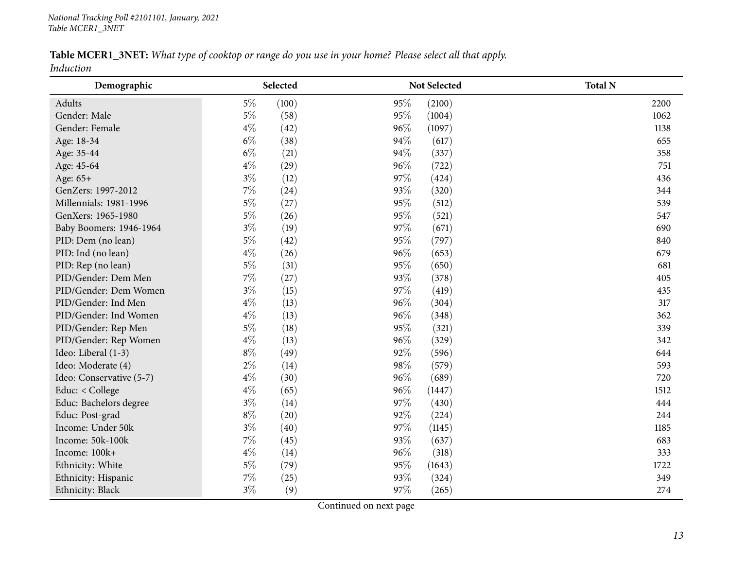#### Table MCER1\_3NET: What type of cooktop or range do you use in your home? Please select all that apply. *Induction*

<span id="page-12-0"></span>

| Demographic              | Selected |              | Not Selected | <b>Total N</b> |
|--------------------------|----------|--------------|--------------|----------------|
| Adults                   | $5\%$    | 95%<br>(100) | (2100)       | 2200           |
| Gender: Male             | $5\%$    | 95%<br>(58)  | (1004)       | 1062           |
| Gender: Female           | $4\%$    | 96%<br>(42)  | (1097)       | 1138           |
| Age: 18-34               | $6\%$    | 94%<br>(38)  | (617)        | 655            |
| Age: 35-44               | $6\%$    | 94%<br>(21)  | (337)        | 358            |
| Age: 45-64               | $4\%$    | 96%<br>(29)  | (722)        | 751            |
| Age: 65+                 | $3\%$    | 97%<br>(12)  | (424)        | 436            |
| GenZers: 1997-2012       | 7%       | 93%<br>(24)  | (320)        | 344            |
| Millennials: 1981-1996   | $5\%$    | 95%<br>(27)  | (512)        | 539            |
| GenXers: 1965-1980       | $5\%$    | 95%<br>(26)  | (521)        | 547            |
| Baby Boomers: 1946-1964  | $3\%$    | 97%<br>(19)  | (671)        | 690            |
| PID: Dem (no lean)       | $5\%$    | 95%<br>(42)  | (797)        | 840            |
| PID: Ind (no lean)       | $4\%$    | 96%<br>(26)  | (653)        | 679            |
| PID: Rep (no lean)       | $5\%$    | 95%<br>(31)  | (650)        | 681            |
| PID/Gender: Dem Men      | $7\%$    | 93%<br>(27)  | (378)        | 405            |
| PID/Gender: Dem Women    | $3\%$    | 97%<br>(15)  | (419)        | 435            |
| PID/Gender: Ind Men      | $4\%$    | 96%<br>(13)  | (304)        | 317            |
| PID/Gender: Ind Women    | $4\%$    | 96%<br>(13)  | (348)        | 362            |
| PID/Gender: Rep Men      | $5\%$    | 95%<br>(18)  | (321)        | 339            |
| PID/Gender: Rep Women    | $4\%$    | 96%<br>(13)  | (329)        | 342            |
| Ideo: Liberal (1-3)      | $8\%$    | 92%<br>(49)  | (596)        | 644            |
| Ideo: Moderate (4)       | $2\%$    | 98%<br>(14)  | (579)        | 593            |
| Ideo: Conservative (5-7) | $4\%$    | 96%<br>(30)  | (689)        | 720            |
| Educ: < College          | $4\%$    | 96%<br>(65)  | (1447)       | 1512           |
| Educ: Bachelors degree   | $3\%$    | 97%<br>(14)  | (430)        | 444            |
| Educ: Post-grad          | $8\%$    | 92%<br>(20)  | (224)        | 244            |
| Income: Under 50k        | $3\%$    | 97%<br>(40)  | (1145)       | 1185           |
| Income: 50k-100k         | 7%       | 93%<br>(45)  | (637)        | 683            |
| Income: 100k+            | $4\%$    | 96%<br>(14)  | (318)        | 333            |
| Ethnicity: White         | $5\%$    | (79)<br>95%  | (1643)       | 1722           |
| Ethnicity: Hispanic      | 7%       | 93%<br>(25)  | (324)        | 349            |
| Ethnicity: Black         | $3\%$    | 97%<br>(9)   | (265)        | 274            |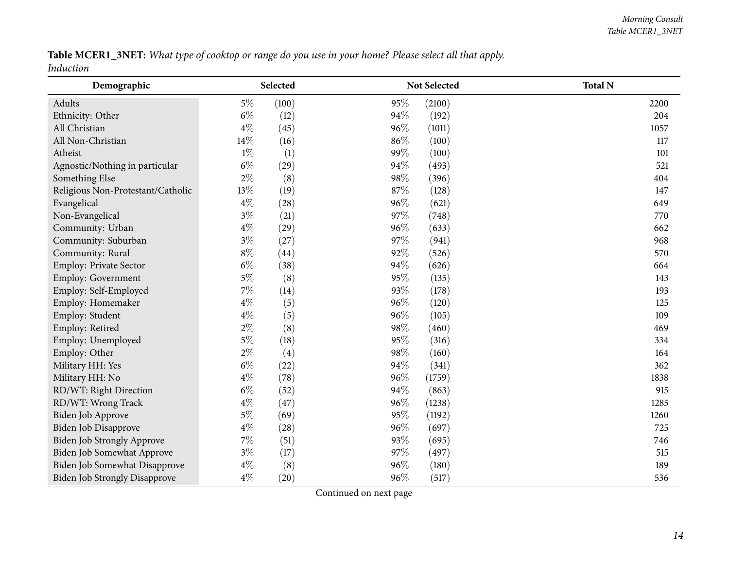Table MCER1\_3NET: What type of cooktop or range do you use in your home? Please select all that apply. *Induction*

| Demographic                          |        | Selected |     | Not Selected | <b>Total N</b> |
|--------------------------------------|--------|----------|-----|--------------|----------------|
| Adults                               | $5\%$  | (100)    | 95% | (2100)       | 2200           |
| Ethnicity: Other                     | $6\%$  | (12)     | 94% | (192)        | 204            |
| All Christian                        | $4\%$  | (45)     | 96% | (1011)       | 1057           |
| All Non-Christian                    | $14\%$ | (16)     | 86% | (100)        | 117            |
| Atheist                              | $1\%$  | (1)      | 99% | (100)        | 101            |
| Agnostic/Nothing in particular       | $6\%$  | (29)     | 94% | (493)        | 521            |
| Something Else                       | $2\%$  | (8)      | 98% | (396)        | 404            |
| Religious Non-Protestant/Catholic    | 13%    | (19)     | 87% | (128)        | 147            |
| Evangelical                          | $4\%$  | (28)     | 96% | (621)        | 649            |
| Non-Evangelical                      | $3\%$  | (21)     | 97% | (748)        | 770            |
| Community: Urban                     | $4\%$  | (29)     | 96% | (633)        | 662            |
| Community: Suburban                  | $3\%$  | (27)     | 97% | (941)        | 968            |
| Community: Rural                     | $8\%$  | (44)     | 92% | (526)        | 570            |
| Employ: Private Sector               | $6\%$  | (38)     | 94% | (626)        | 664            |
| Employ: Government                   | $5\%$  | (8)      | 95% | (135)        | 143            |
| Employ: Self-Employed                | $7\%$  | (14)     | 93% | (178)        | 193            |
| Employ: Homemaker                    | $4\%$  | (5)      | 96% | (120)        | 125            |
| Employ: Student                      | $4\%$  | (5)      | 96% | (105)        | 109            |
| Employ: Retired                      | $2\%$  | (8)      | 98% | (460)        | 469            |
| Employ: Unemployed                   | $5\%$  | (18)     | 95% | (316)        | 334            |
| Employ: Other                        | $2\%$  | (4)      | 98% | (160)        | 164            |
| Military HH: Yes                     | $6\%$  | (22)     | 94% | (341)        | 362            |
| Military HH: No                      | $4\%$  | (78)     | 96% | (1759)       | 1838           |
| RD/WT: Right Direction               | $6\%$  | (52)     | 94% | (863)        | 915            |
| RD/WT: Wrong Track                   | $4\%$  | (47)     | 96% | (1238)       | 1285           |
| Biden Job Approve                    | $5\%$  | (69)     | 95% | (1192)       | 1260           |
| Biden Job Disapprove                 | $4\%$  | (28)     | 96% | (697)        | 725            |
| <b>Biden Job Strongly Approve</b>    | $7\%$  | (51)     | 93% | (695)        | 746            |
| <b>Biden Job Somewhat Approve</b>    | $3\%$  | (17)     | 97% | (497)        | 515            |
| Biden Job Somewhat Disapprove        | $4\%$  | (8)      | 96% | (180)        | 189            |
| <b>Biden Job Strongly Disapprove</b> | $4\%$  | (20)     | 96% | (517)        | 536            |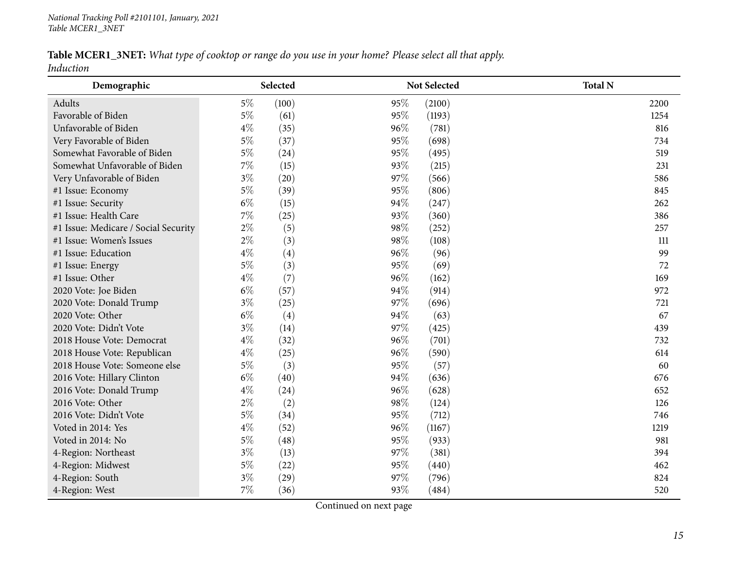### Table MCER1\_3NET: What type of cooktop or range do you use in your home? Please select all that apply.

*Induction*

| Demographic                          | Selected       | Not Selected  | <b>Total N</b> |
|--------------------------------------|----------------|---------------|----------------|
| Adults                               | $5\%$<br>(100) | 95%<br>(2100) | 2200           |
| Favorable of Biden                   | $5\%$<br>(61)  | 95%<br>(1193) | 1254           |
| Unfavorable of Biden                 | $4\%$<br>(35)  | 96%<br>(781)  | 816            |
| Very Favorable of Biden              | $5\%$<br>(37)  | 95%<br>(698)  | 734            |
| Somewhat Favorable of Biden          | $5\%$<br>(24)  | 95%<br>(495)  | 519            |
| Somewhat Unfavorable of Biden        | $7\%$<br>(15)  | 93%<br>(215)  | 231            |
| Very Unfavorable of Biden            | $3\%$<br>(20)  | 97\%<br>(566) | 586            |
| #1 Issue: Economy                    | $5\%$<br>(39)  | 95%<br>(806)  | 845            |
| #1 Issue: Security                   | $6\%$<br>(15)  | 94%<br>(247)  | 262            |
| #1 Issue: Health Care                | $7\%$<br>(25)  | 93%<br>(360)  | 386            |
| #1 Issue: Medicare / Social Security | $2\%$<br>(5)   | 98%<br>(252)  | 257            |
| #1 Issue: Women's Issues             | $2\%$<br>(3)   | 98%<br>(108)  | 111            |
| #1 Issue: Education                  | $4\%$<br>(4)   | 96%<br>(96)   | 99             |
| #1 Issue: Energy                     | $5\%$<br>(3)   | 95%<br>(69)   | 72             |
| #1 Issue: Other                      | $4\%$<br>(7)   | 96%<br>(162)  | 169            |
| 2020 Vote: Joe Biden                 | $6\%$<br>(57)  | 94%<br>(914)  | 972            |
| 2020 Vote: Donald Trump              | $3\%$<br>(25)  | 97%<br>(696)  | 721            |
| 2020 Vote: Other                     | $6\%$<br>(4)   | 94%<br>(63)   | 67             |
| 2020 Vote: Didn't Vote               | $3\%$<br>(14)  | 97%<br>(425)  | 439            |
| 2018 House Vote: Democrat            | $4\%$<br>(32)  | 96%<br>(701)  | 732            |
| 2018 House Vote: Republican          | $4\%$<br>(25)  | 96%<br>(590)  | 614            |
| 2018 House Vote: Someone else        | $5\%$<br>(3)   | 95%<br>(57)   | 60             |
| 2016 Vote: Hillary Clinton           | $6\%$<br>(40)  | 94%<br>(636)  | 676            |
| 2016 Vote: Donald Trump              | $4\%$<br>(24)  | 96%<br>(628)  | 652            |
| 2016 Vote: Other                     | $2\%$<br>(2)   | 98%<br>(124)  | 126            |
| 2016 Vote: Didn't Vote               | $5\%$<br>(34)  | 95%<br>(712)  | 746            |
| Voted in 2014: Yes                   | $4\%$<br>(52)  | 96%<br>(1167) | 1219           |
| Voted in 2014: No                    | $5\%$<br>(48)  | 95%<br>(933)  | 981            |
| 4-Region: Northeast                  | $3\%$<br>(13)  | 97%<br>(381)  | 394            |
| 4-Region: Midwest                    | $5\%$<br>(22)  | 95%<br>(440)  | 462            |
| 4-Region: South                      | $3\%$<br>(29)  | 97%<br>(796)  | 824            |
| 4-Region: West                       | $7\%$<br>(36)  | 93%<br>(484)  | 520            |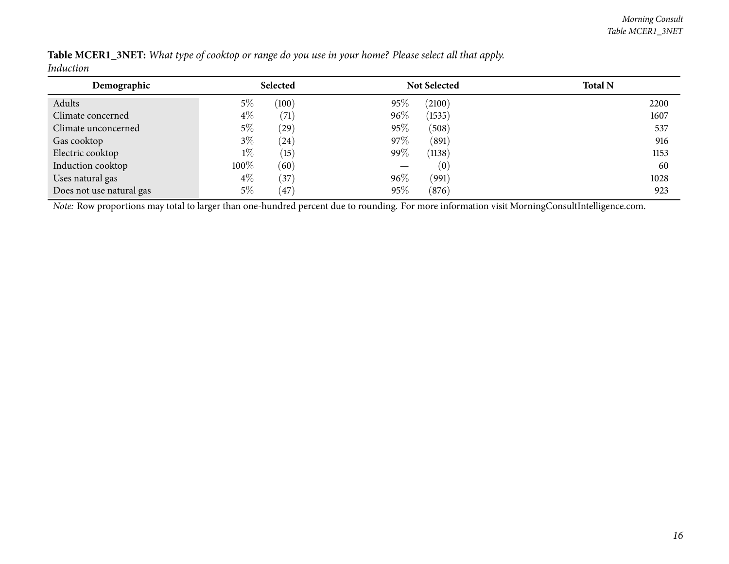| Table MCER1_3NET: What type of cooktop or range do you use in your home? Please select all that apply. |  |  |  |  |  |
|--------------------------------------------------------------------------------------------------------|--|--|--|--|--|
| Induction                                                                                              |  |  |  |  |  |

| Demographic              |       | Selected |        | <b>Not Selected</b> | <b>Total N</b> |
|--------------------------|-------|----------|--------|---------------------|----------------|
| Adults                   | $5\%$ | (100)    | 95%    | (2100)              | 2200           |
| Climate concerned        | $4\%$ | (71)     | $96\%$ | (1535)              | 1607           |
| Climate unconcerned      | $5\%$ | (29)     | 95%    | (508)               | 537            |
| Gas cooktop              | $3\%$ | (24)     | 97%    | (891)               | 916            |
| Electric cooktop         | $1\%$ | (15)     | 99%    | (1138)              | 1153           |
| Induction cooktop        | 100%  | (60)     |        | (0)                 | 60             |
| Uses natural gas         | $4\%$ | (37)     | 96%    | (991)               | 1028           |
| Does not use natural gas | $5\%$ | $^{'}47$ | 95%    | (876)               | 923            |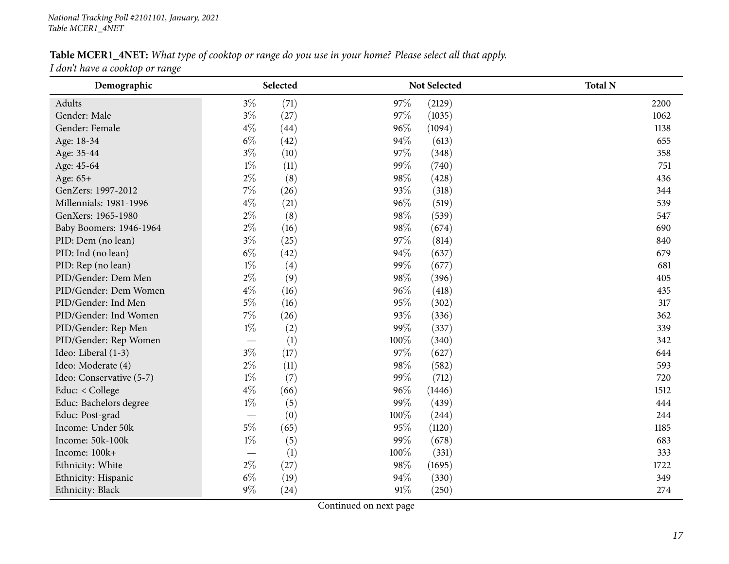#### Table MCER1\_4NET: What type of cooktop or range do you use in your home? Please select all that apply.

*<sup>I</sup> don't have <sup>a</sup> cooktop or range*

<span id="page-16-0"></span>

| Demographic              |                          | Selected |        | Not Selected | <b>Total N</b> |
|--------------------------|--------------------------|----------|--------|--------------|----------------|
| Adults                   | $3\%$                    | (71)     | 97%    | (2129)       | 2200           |
| Gender: Male             | $3\%$                    | (27)     | 97%    | (1035)       | 1062           |
| Gender: Female           | $4\%$                    | (44)     | 96%    | (1094)       | 1138           |
| Age: 18-34               | $6\%$                    | (42)     | 94%    | (613)        | 655            |
| Age: 35-44               | $3\%$                    | (10)     | 97%    | (348)        | 358            |
| Age: 45-64               | $1\%$                    | (11)     | 99%    | (740)        | 751            |
| Age: 65+                 | $2\%$                    | (8)      | 98%    | (428)        | 436            |
| GenZers: 1997-2012       | $7\%$                    | (26)     | 93%    | (318)        | 344            |
| Millennials: 1981-1996   | $4\%$                    | (21)     | 96%    | (519)        | 539            |
| GenXers: 1965-1980       | $2\%$                    | (8)      | 98%    | (539)        | 547            |
| Baby Boomers: 1946-1964  | $2\%$                    | (16)     | 98%    | (674)        | 690            |
| PID: Dem (no lean)       | $3\%$                    | (25)     | 97%    | (814)        | 840            |
| PID: Ind (no lean)       | $6\%$                    | (42)     | 94%    | (637)        | 679            |
| PID: Rep (no lean)       | $1\%$                    | (4)      | 99%    | (677)        | 681            |
| PID/Gender: Dem Men      | $2\%$                    | (9)      | 98%    | (396)        | 405            |
| PID/Gender: Dem Women    | $4\%$                    | (16)     | 96%    | (418)        | 435            |
| PID/Gender: Ind Men      | $5\%$                    | (16)     | 95%    | (302)        | 317            |
| PID/Gender: Ind Women    | $7\%$                    | (26)     | 93%    | (336)        | 362            |
| PID/Gender: Rep Men      | $1\%$                    | (2)      | 99%    | (337)        | 339            |
| PID/Gender: Rep Women    |                          | (1)      | 100%   | (340)        | 342            |
| Ideo: Liberal (1-3)      | $3\%$                    | (17)     | 97%    | (627)        | 644            |
| Ideo: Moderate (4)       | $2\%$                    | (11)     | 98%    | (582)        | 593            |
| Ideo: Conservative (5-7) | $1\%$                    | (7)      | 99%    | (712)        | 720            |
| Educ: < College          | $4\%$                    | (66)     | 96%    | (1446)       | 1512           |
| Educ: Bachelors degree   | $1\%$                    | (5)      | 99%    | (439)        | 444            |
| Educ: Post-grad          | $\overline{\phantom{0}}$ | (0)      | 100%   | (244)        | 244            |
| Income: Under 50k        | $5\%$                    | (65)     | 95%    | (1120)       | 1185           |
| Income: 50k-100k         | $1\%$                    | (5)      | 99%    | (678)        | 683            |
| Income: 100k+            |                          | (1)      | 100%   | (331)        | 333            |
| Ethnicity: White         | $2\%$                    | (27)     | 98%    | (1695)       | 1722           |
| Ethnicity: Hispanic      | $6\%$                    | (19)     | 94%    | (330)        | 349            |
| Ethnicity: Black         | $9\%$                    | (24)     | $91\%$ | (250)        | 274            |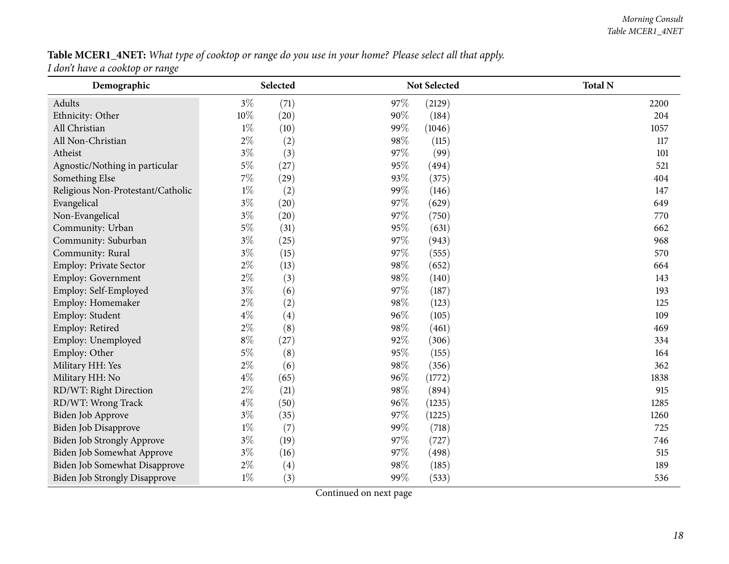### Table MCER1\_4NET: What type of cooktop or range do you use in your home? Please select all that apply.

*<sup>I</sup> don't have <sup>a</sup> cooktop or range*

| Demographic                          | Selected                   | <b>Not Selected</b> | <b>Total N</b> |
|--------------------------------------|----------------------------|---------------------|----------------|
| Adults                               | $3\%$<br>(71)              | 97%<br>(2129)       | 2200           |
| Ethnicity: Other                     | 10%<br>(20)                | 90%<br>(184)        | 204            |
| All Christian                        | $1\%$<br>(10)              | 99%<br>(1046)       | 1057           |
| All Non-Christian                    | $2\%$<br>(2)               | 98%<br>(115)        | 117            |
| Atheist                              | $3\%$<br>(3)               | 97%<br>(99)         | 101            |
| Agnostic/Nothing in particular       | $5\%$<br>(27)              | 95%<br>(494)        | 521            |
| Something Else                       | 7%<br>(29)                 | 93%<br>(375)        | 404            |
| Religious Non-Protestant/Catholic    | $1\%$<br>(2)               | 99%<br>(146)        | 147            |
| Evangelical                          | $3\%$<br>(20)              | 97%<br>(629)        | 649            |
| Non-Evangelical                      | $3\%$<br>(20)              | 97%<br>(750)        | 770            |
| Community: Urban                     | $5\%$<br>(31)              | 95%<br>(631)        | 662            |
| Community: Suburban                  | $3\%$<br>(25)              | 97%<br>(943)        | 968            |
| Community: Rural                     | $3\%$<br>(15)              | 97%<br>(555)        | 570            |
| Employ: Private Sector               | $2\%$<br>(13)              | 98%<br>(652)        | 664            |
| <b>Employ: Government</b>            | $2\%$<br>(3)               | 98%<br>(140)        | 143            |
| Employ: Self-Employed                | $3\%$<br>(6)               | 97%<br>(187)        | 193            |
| Employ: Homemaker                    | $2\%$<br>(2)               | 98%<br>(123)        | 125            |
| Employ: Student                      | $4\%$<br>(4)               | 96%<br>(105)        | 109            |
| Employ: Retired                      | $2\%$<br>(8)               | 98%<br>(461)        | 469            |
| Employ: Unemployed                   | $8\%$<br>(27)              | 92%<br>(306)        | 334            |
| Employ: Other                        | $5\%$<br>(8)               | 95%<br>(155)        | 164            |
| Military HH: Yes                     | $2\%$<br>(6)               | 98%<br>(356)        | 362            |
| Military HH: No                      | $4\%$<br>(65)              | 96%<br>(1772)       | 1838           |
| RD/WT: Right Direction               | $2\%$<br>(21)              | 98%<br>(894)        | 915            |
| RD/WT: Wrong Track                   | $4\%$<br>(50)              | 96%<br>(1235)       | 1285           |
| Biden Job Approve                    | $3\%$<br>(35)              | 97%<br>(1225)       | 1260           |
| Biden Job Disapprove                 | $1\%$<br>(7)               | 99%<br>(718)        | 725            |
| <b>Biden Job Strongly Approve</b>    | $3\%$<br>(19)              | 97\%<br>(727)       | 746            |
| Biden Job Somewhat Approve           | $3\%$<br>(16)              | 97\%<br>(498)       | 515            |
| Biden Job Somewhat Disapprove        | $2\%$<br>$\left( 4\right)$ | 98\%<br>(185)       | 189            |
| <b>Biden Job Strongly Disapprove</b> | $1\%$<br>(3)               | 99%<br>(533)        | 536            |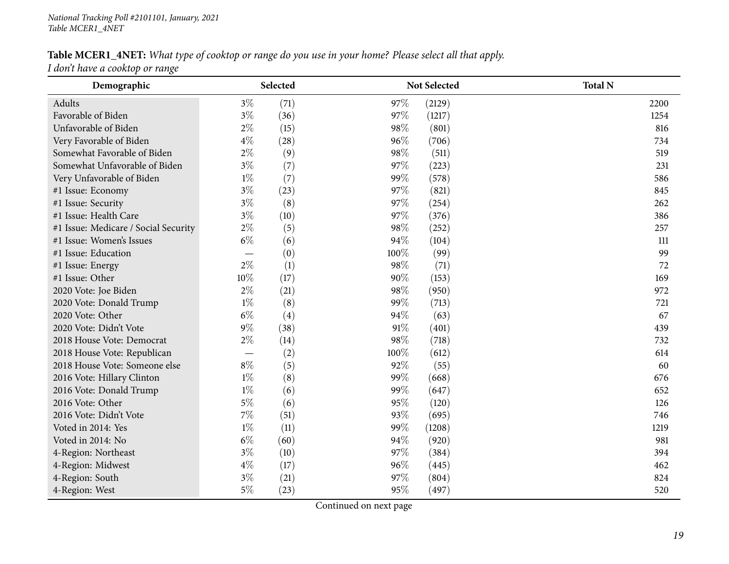## Table MCER1\_4NET: What type of cooktop or range do you use in your home? Please select all that apply.

*<sup>I</sup> don't have <sup>a</sup> cooktop or range*

| Demographic                          |       | Selected |      | Not Selected | <b>Total N</b> |
|--------------------------------------|-------|----------|------|--------------|----------------|
| Adults                               | $3\%$ | (71)     | 97\% | (2129)       | 2200           |
| Favorable of Biden                   | $3\%$ | (36)     | 97%  | (1217)       | 1254           |
| Unfavorable of Biden                 | $2\%$ | (15)     | 98%  | (801)        | 816            |
| Very Favorable of Biden              | $4\%$ | (28)     | 96%  | (706)        | 734            |
| Somewhat Favorable of Biden          | $2\%$ | (9)      | 98%  | (511)        | 519            |
| Somewhat Unfavorable of Biden        | $3\%$ | (7)      | 97%  | (223)        | 231            |
| Very Unfavorable of Biden            | $1\%$ | (7)      | 99%  | (578)        | 586            |
| #1 Issue: Economy                    | $3\%$ | (23)     | 97%  | (821)        | 845            |
| #1 Issue: Security                   | $3\%$ | (8)      | 97%  | (254)        | 262            |
| #1 Issue: Health Care                | $3\%$ | (10)     | 97%  | (376)        | 386            |
| #1 Issue: Medicare / Social Security | $2\%$ | (5)      | 98%  | (252)        | 257            |
| #1 Issue: Women's Issues             | $6\%$ | (6)      | 94%  | (104)        | 111            |
| #1 Issue: Education                  |       | (0)      | 100% | (99)         | 99             |
| #1 Issue: Energy                     | $2\%$ | (1)      | 98%  | (71)         | 72             |
| #1 Issue: Other                      | 10%   | (17)     | 90%  | (153)        | 169            |
| 2020 Vote: Joe Biden                 | $2\%$ | (21)     | 98%  | (950)        | 972            |
| 2020 Vote: Donald Trump              | $1\%$ | (8)      | 99%  | (713)        | 721            |
| 2020 Vote: Other                     | $6\%$ | (4)      | 94%  | (63)         | 67             |
| 2020 Vote: Didn't Vote               | 9%    | (38)     | 91%  | (401)        | 439            |
| 2018 House Vote: Democrat            | $2\%$ | (14)     | 98%  | (718)        | 732            |
| 2018 House Vote: Republican          |       | (2)      | 100% | (612)        | 614            |
| 2018 House Vote: Someone else        | $8\%$ | (5)      | 92%  | (55)         | 60             |
| 2016 Vote: Hillary Clinton           | $1\%$ | (8)      | 99%  | (668)        | 676            |
| 2016 Vote: Donald Trump              | $1\%$ | (6)      | 99%  | (647)        | 652            |
| 2016 Vote: Other                     | $5\%$ | (6)      | 95%  | (120)        | 126            |
| 2016 Vote: Didn't Vote               | $7\%$ | (51)     | 93%  | (695)        | 746            |
| Voted in 2014: Yes                   | $1\%$ | (11)     | 99%  | (1208)       | 1219           |
| Voted in 2014: No                    | $6\%$ | (60)     | 94%  | (920)        | 981            |
| 4-Region: Northeast                  | $3\%$ | (10)     | 97\% | (384)        | 394            |
| 4-Region: Midwest                    | $4\%$ | (17)     | 96%  | (445)        | 462            |
| 4-Region: South                      | $3\%$ | (21)     | 97%  | (804)        | 824            |
| 4-Region: West                       | $5\%$ | (23)     | 95%  | (497)        | 520            |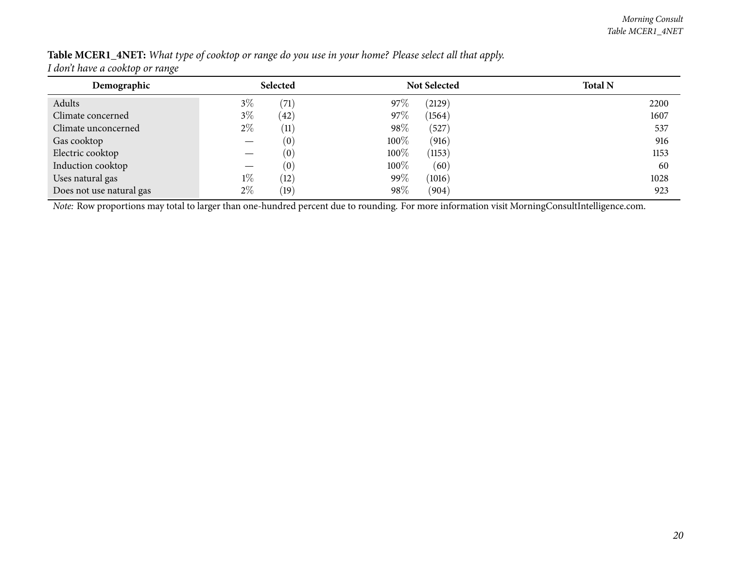| Table MCER1_4NET: What type of cooktop or range do you use in your home? Please select all that apply.                                                                                                                                                                                                                                    |  |  |  |  |  |  |
|-------------------------------------------------------------------------------------------------------------------------------------------------------------------------------------------------------------------------------------------------------------------------------------------------------------------------------------------|--|--|--|--|--|--|
| $\mathbf{I}$ , $\mathbf{I}$ , $\mathbf{I}$ , $\mathbf{I}$ , $\mathbf{I}$ , $\mathbf{I}$ , $\mathbf{I}$ , $\mathbf{I}$ , $\mathbf{I}$ , $\mathbf{I}$ , $\mathbf{I}$ , $\mathbf{I}$ , $\mathbf{I}$ , $\mathbf{I}$ , $\mathbf{I}$ , $\mathbf{I}$ , $\mathbf{I}$ , $\mathbf{I}$ , $\mathbf{I}$ , $\mathbf{I}$ , $\mathbf{I}$ , $\mathbf{I}$ , |  |  |  |  |  |  |

| I don't have a cooktop or range |
|---------------------------------|
|---------------------------------|

| Demographic              |       | Selected           |      | <b>Not Selected</b> | <b>Total N</b> |
|--------------------------|-------|--------------------|------|---------------------|----------------|
| Adults                   | $3\%$ | $\left( 71\right)$ | 97\% | (2129)              | 2200           |
| Climate concerned        | $3\%$ | $\left( 42\right)$ | 97\% | (1564)              | 1607           |
| Climate unconcerned      | $2\%$ | $\left( 11\right)$ | 98%  | (527)               | 537            |
| Gas cooktop              |       | (0)                | 100% | (916)               | 916            |
| Electric cooktop         |       | (0)                | 100% | (1153)              | 1153           |
| Induction cooktop        |       | (0)                | 100% | (60)                | 60             |
| Uses natural gas         | $1\%$ | (12)               | 99%  | (1016)              | 1028           |
| Does not use natural gas | $2\%$ | $\left(19\right)$  | 98%  | (904)               | 923            |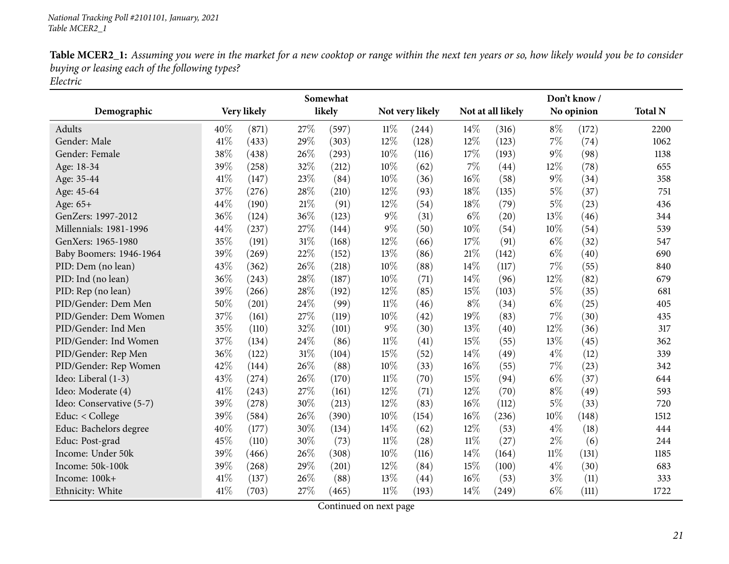| Table MCER2_1: Assuming you were in the market for a new cooktop or range within the next ten years or so, how likely would you be to consider |
|------------------------------------------------------------------------------------------------------------------------------------------------|
| buying or leasing each of the following types?                                                                                                 |
| Electric                                                                                                                                       |

<span id="page-20-0"></span>

|                          |     |             |        | Somewhat |        |                 |        |                   |        | Don't know/ |                |
|--------------------------|-----|-------------|--------|----------|--------|-----------------|--------|-------------------|--------|-------------|----------------|
| Demographic              |     | Very likely |        | likely   |        | Not very likely |        | Not at all likely |        | No opinion  | <b>Total N</b> |
| Adults                   | 40% | (871)       | 27%    | (597)    | $11\%$ | (244)           | 14%    | (316)             | $8\%$  | (172)       | 2200           |
| Gender: Male             | 41% | (433)       | 29%    | (303)    | 12%    | (128)           | 12%    | (123)             | 7%     | (74)        | 1062           |
| Gender: Female           | 38% | (438)       | 26%    | (293)    | 10%    | (116)           | 17%    | (193)             | $9\%$  | (98)        | 1138           |
| Age: 18-34               | 39% | (258)       | 32%    | (212)    | 10%    | (62)            | 7%     | (44)              | 12%    | (78)        | 655            |
| Age: 35-44               | 41% | (147)       | 23%    | (84)     | 10%    | (36)            | $16\%$ | (58)              | $9\%$  | (34)        | 358            |
| Age: 45-64               | 37% | (276)       | 28%    | (210)    | 12%    | (93)            | 18%    | (135)             | $5\%$  | (37)        | 751            |
| Age: 65+                 | 44% | (190)       | $21\%$ | (91)     | 12%    | (54)            | 18%    | (79)              | $5\%$  | (23)        | 436            |
| GenZers: 1997-2012       | 36% | (124)       | 36%    | (123)    | $9\%$  | (31)            | $6\%$  | (20)              | 13%    | (46)        | 344            |
| Millennials: 1981-1996   | 44% | (237)       | 27%    | (144)    | $9\%$  | (50)            | 10%    | (54)              | 10%    | (54)        | 539            |
| GenXers: 1965-1980       | 35% | (191)       | 31%    | (168)    | 12%    | (66)            | 17%    | (91)              | $6\%$  | (32)        | 547            |
| Baby Boomers: 1946-1964  | 39% | (269)       | 22%    | (152)    | 13%    | (86)            | 21\%   | (142)             | $6\%$  | (40)        | 690            |
| PID: Dem (no lean)       | 43% | (362)       | 26%    | (218)    | 10%    | (88)            | $14\%$ | (117)             | 7%     | (55)        | 840            |
| PID: Ind (no lean)       | 36% | (243)       | 28%    | (187)    | 10%    | (71)            | 14%    | (96)              | 12%    | (82)        | 679            |
| PID: Rep (no lean)       | 39% | (266)       | 28%    | (192)    | 12%    | (85)            | 15%    | (103)             | $5\%$  | (35)        | 681            |
| PID/Gender: Dem Men      | 50% | (201)       | 24%    | (99)     | $11\%$ | (46)            | $8\%$  | (34)              | $6\%$  | (25)        | 405            |
| PID/Gender: Dem Women    | 37% | (161)       | 27%    | (119)    | 10%    | (42)            | 19%    | (83)              | 7%     | (30)        | 435            |
| PID/Gender: Ind Men      | 35% | (110)       | 32%    | (101)    | $9\%$  | (30)            | 13%    | (40)              | $12\%$ | (36)        | 317            |
| PID/Gender: Ind Women    | 37% | (134)       | 24%    | (86)     | $11\%$ | (41)            | 15%    | (55)              | 13%    | (45)        | 362            |
| PID/Gender: Rep Men      | 36% | (122)       | $31\%$ | (104)    | 15%    | (52)            | 14%    | (49)              | $4\%$  | (12)        | 339            |
| PID/Gender: Rep Women    | 42% | (144)       | $26\%$ | (88)     | 10%    | (33)            | $16\%$ | (55)              | 7%     | (23)        | 342            |
| Ideo: Liberal (1-3)      | 43% | (274)       | 26%    | (170)    | $11\%$ | (70)            | 15%    | (94)              | $6\%$  | (37)        | 644            |
| Ideo: Moderate (4)       | 41% | (243)       | 27%    | (161)    | 12%    | (71)            | 12%    | (70)              | $8\%$  | (49)        | 593            |
| Ideo: Conservative (5-7) | 39% | (278)       | 30%    | (213)    | 12%    | (83)            | 16%    | (112)             | $5\%$  | (33)        | 720            |
| Educ: < College          | 39% | (584)       | 26%    | (390)    | 10%    | (154)           | 16%    | (236)             | 10%    | (148)       | 1512           |
| Educ: Bachelors degree   | 40% | (177)       | 30%    | (134)    | 14%    | (62)            | 12%    | (53)              | $4\%$  | (18)        | 444            |
| Educ: Post-grad          | 45% | (110)       | 30%    | (73)     | $11\%$ | (28)            | $11\%$ | (27)              | $2\%$  | (6)         | 244            |
| Income: Under 50k        | 39% | (466)       | 26%    | (308)    | $10\%$ | (116)           | 14%    | (164)             | $11\%$ | (131)       | 1185           |
| Income: 50k-100k         | 39% | (268)       | 29%    | (201)    | 12%    | (84)            | 15%    | (100)             | $4\%$  | (30)        | 683            |
| Income: 100k+            | 41% | (137)       | 26%    | (88)     | 13%    | (44)            | 16%    | (53)              | $3\%$  | (11)        | 333            |
| Ethnicity: White         | 41% | (703)       | 27%    | (465)    | $11\%$ | (193)           | 14%    | (249)             | $6\%$  | (111)       | 1722           |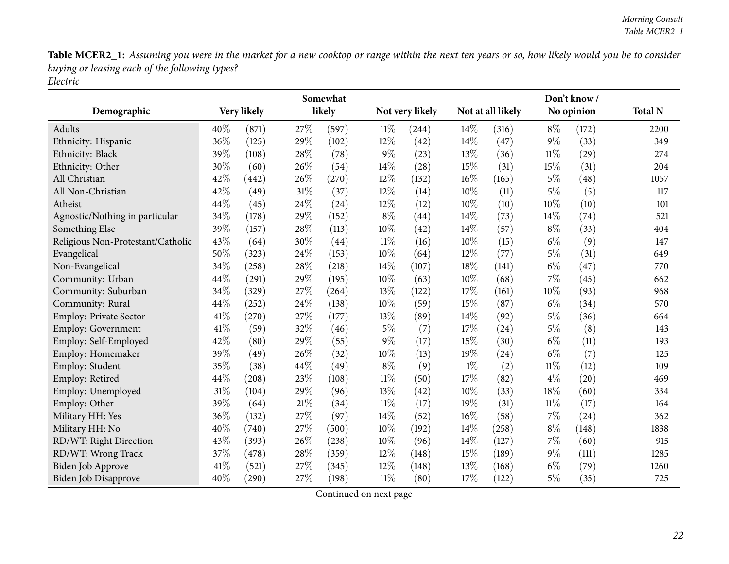|                                   |      |             |      | Somewhat |        |                 |       |                   |        | Don't know / |                |
|-----------------------------------|------|-------------|------|----------|--------|-----------------|-------|-------------------|--------|--------------|----------------|
| Demographic                       |      | Very likely |      | likely   |        | Not very likely |       | Not at all likely |        | No opinion   | <b>Total N</b> |
| <b>Adults</b>                     | 40%  | (871)       | 27%  | (597)    | $11\%$ | (244)           | 14%   | (316)             | $8\%$  | (172)        | 2200           |
| Ethnicity: Hispanic               | 36%  | (125)       | 29%  | (102)    | 12%    | (42)            | 14%   | (47)              | $9\%$  | (33)         | 349            |
| Ethnicity: Black                  | 39%  | (108)       | 28%  | (78)     | $9\%$  | (23)            | 13%   | (36)              | $11\%$ | (29)         | 274            |
| Ethnicity: Other                  | 30%  | (60)        | 26%  | (54)     | 14%    | (28)            | 15%   | (31)              | 15%    | (31)         | 204            |
| All Christian                     | 42%  | (442)       | 26%  | (270)    | 12%    | (132)           | 16%   | (165)             | $5\%$  | (48)         | 1057           |
| All Non-Christian                 | 42%  | (49)        | 31%  | (37)     | 12%    | (14)            | 10%   | (11)              | 5%     | (5)          | 117            |
| Atheist                           | 44%  | (45)        | 24%  | (24)     | 12%    | (12)            | 10%   | (10)              | 10%    | (10)         | 101            |
| Agnostic/Nothing in particular    | 34%  | (178)       | 29%  | (152)    | $8\%$  | (44)            | 14%   | (73)              | 14%    | (74)         | 521            |
| Something Else                    | 39%  | (157)       | 28\% | (113)    | 10%    | (42)            | 14%   | (57)              | $8\%$  | (33)         | 404            |
| Religious Non-Protestant/Catholic | 43%  | (64)        | 30%  | (44)     | $11\%$ | (16)            | 10%   | (15)              | $6\%$  | (9)          | 147            |
| Evangelical                       | 50%  | (323)       | 24%  | (153)    | 10%    | (64)            | 12%   | (77)              | $5\%$  | (31)         | 649            |
| Non-Evangelical                   | 34%  | (258)       | 28\% | (218)    | 14%    | (107)           | 18%   | (141)             | $6\%$  | (47)         | 770            |
| Community: Urban                  | 44%  | (291)       | 29%  | (195)    | 10%    | (63)            | 10%   | (68)              | 7%     | (45)         | 662            |
| Community: Suburban               | 34%  | (329)       | 27%  | (264)    | 13%    | (122)           | 17%   | (161)             | 10%    | (93)         | 968            |
| Community: Rural                  | 44%  | (252)       | 24\% | (138)    | 10%    | (59)            | 15%   | (87)              | $6\%$  | (34)         | 570            |
| <b>Employ: Private Sector</b>     | 41%  | (270)       | 27%  | (177)    | 13%    | (89)            | 14%   | (92)              | $5\%$  | (36)         | 664            |
| <b>Employ: Government</b>         | 41\% | (59)        | 32%  | (46)     | $5\%$  | (7)             | 17%   | (24)              | $5\%$  | (8)          | 143            |
| Employ: Self-Employed             | 42%  | (80)        | 29%  | (55)     | $9\%$  | (17)            | 15%   | (30)              | $6\%$  | (11)         | 193            |
| Employ: Homemaker                 | 39%  | (49)        | 26%  | (32)     | 10%    | (13)            | 19%   | (24)              | $6\%$  | (7)          | 125            |
| Employ: Student                   | 35%  | (38)        | 44%  | (49)     | $8\%$  | (9)             | $1\%$ | (2)               | $11\%$ | (12)         | 109            |
| Employ: Retired                   | 44%  | (208)       | 23%  | (108)    | $11\%$ | (50)            | 17%   | (82)              | $4\%$  | (20)         | 469            |
| Employ: Unemployed                | 31%  | (104)       | 29%  | (96)     | 13%    | (42)            | 10%   | (33)              | 18%    | (60)         | 334            |
| Employ: Other                     | 39%  | (64)        | 21%  | (34)     | $11\%$ | (17)            | 19%   | (31)              | $11\%$ | (17)         | 164            |
| Military HH: Yes                  | 36%  | (132)       | 27%  | (97)     | 14%    | (52)            | 16%   | (58)              | 7%     | (24)         | 362            |
| Military HH: No                   | 40%  | (740)       | 27%  | (500)    | 10%    | (192)           | 14%   | (258)             | $8\%$  | (148)        | 1838           |
| RD/WT: Right Direction            | 43%  | (393)       | 26%  | (238)    | 10%    | (96)            | 14%   | (127)             | 7%     | (60)         | 915            |
| RD/WT: Wrong Track                | 37%  | (478)       | 28\% | (359)    | 12%    | (148)           | 15%   | (189)             | 9%     | (111)        | 1285           |
| Biden Job Approve                 | 41\% | (521)       | 27\% | (345)    | 12%    | (148)           | 13%   | (168)             | $6\%$  | (79)         | 1260           |
| Biden Job Disapprove              | 40%  | (290)       | 27%  | (198)    | $11\%$ | (80)            | 17%   | (122)             | $5\%$  | (35)         | 725            |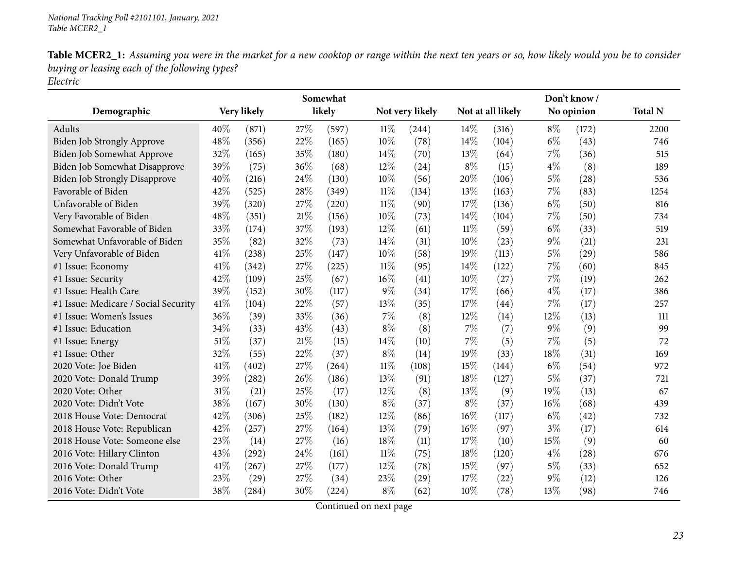|                                      |      |             |        | Somewhat |        |                 |        |                   |       | Don't know/ |                |
|--------------------------------------|------|-------------|--------|----------|--------|-----------------|--------|-------------------|-------|-------------|----------------|
| Demographic                          |      | Very likely |        | likely   |        | Not very likely |        | Not at all likely |       | No opinion  | <b>Total N</b> |
| Adults                               | 40%  | (871)       | 27%    | (597)    | $11\%$ | (244)           | 14%    | (316)             | $8\%$ | (172)       | 2200           |
| Biden Job Strongly Approve           | 48%  | (356)       | 22%    | (165)    | 10%    | (78)            | 14%    | (104)             | $6\%$ | (43)        | 746            |
| Biden Job Somewhat Approve           | 32%  | (165)       | 35%    | (180)    | 14%    | (70)            | 13%    | (64)              | 7%    | (36)        | 515            |
| Biden Job Somewhat Disapprove        | 39%  | (75)        | 36%    | (68)     | 12%    | (24)            | $8\%$  | (15)              | $4\%$ | (8)         | 189            |
| <b>Biden Job Strongly Disapprove</b> | 40%  | (216)       | 24\%   | (130)    | 10%    | (56)            | 20%    | (106)             | $5\%$ | (28)        | 536            |
| Favorable of Biden                   | 42%  | (525)       | 28%    | (349)    | $11\%$ | (134)           | 13\%   | (163)             | 7%    | (83)        | 1254           |
| Unfavorable of Biden                 | 39%  | (320)       | 27%    | (220)    | $11\%$ | (90)            | 17%    | (136)             | $6\%$ | (50)        | 816            |
| Very Favorable of Biden              | 48%  | (351)       | 21%    | (156)    | 10%    | (73)            | 14%    | (104)             | 7%    | (50)        | 734            |
| Somewhat Favorable of Biden          | 33%  | (174)       | 37%    | (193)    | 12%    | (61)            | $11\%$ | (59)              | $6\%$ | (33)        | 519            |
| Somewhat Unfavorable of Biden        | 35%  | (82)        | 32%    | (73)     | 14%    | (31)            | 10%    | (23)              | 9%    | (21)        | 231            |
| Very Unfavorable of Biden            | 41\% | (238)       | 25%    | (147)    | 10%    | (58)            | 19%    | (113)             | $5\%$ | (29)        | 586            |
| #1 Issue: Economy                    | 41%  | (342)       | 27%    | (225)    | $11\%$ | (95)            | 14%    | (122)             | 7%    | (60)        | 845            |
| #1 Issue: Security                   | 42%  | (109)       | 25%    | (67)     | 16%    | (41)            | 10%    | (27)              | 7%    | (19)        | 262            |
| #1 Issue: Health Care                | 39%  | (152)       | 30%    | (117)    | $9\%$  | (34)            | 17%    | (66)              | $4\%$ | (17)        | 386            |
| #1 Issue: Medicare / Social Security | 41\% | (104)       | 22%    | (57)     | 13%    | (35)            | 17%    | (44)              | 7%    | (17)        | 257            |
| #1 Issue: Women's Issues             | 36%  | (39)        | 33%    | (36)     | $7\%$  | (8)             | 12%    | (14)              | 12%   | (13)        | 111            |
| #1 Issue: Education                  | 34%  | (33)        | 43%    | (43)     | $8\%$  | (8)             | 7%     | (7)               | 9%    | (9)         | 99             |
| #1 Issue: Energy                     | 51\% | (37)        | $21\%$ | (15)     | 14%    | (10)            | 7%     | (5)               | 7%    | (5)         | 72             |
| #1 Issue: Other                      | 32%  | (55)        | 22%    | (37)     | $8\%$  | (14)            | 19%    | (33)              | 18%   | (31)        | 169            |
| 2020 Vote: Joe Biden                 | 41\% | (402)       | 27%    | (264)    | $11\%$ | (108)           | 15%    | (144)             | $6\%$ | (54)        | 972            |
| 2020 Vote: Donald Trump              | 39%  | (282)       | 26%    | (186)    | 13%    | (91)            | 18%    | (127)             | $5\%$ | (37)        | 721            |
| 2020 Vote: Other                     | 31%  | (21)        | 25%    | (17)     | 12%    | (8)             | 13%    | (9)               | 19%   | (13)        | 67             |
| 2020 Vote: Didn't Vote               | 38%  | (167)       | 30%    | (130)    | $8\%$  | (37)            | $8\%$  | (37)              | 16%   | (68)        | 439            |
| 2018 House Vote: Democrat            | 42%  | (306)       | 25%    | (182)    | 12%    | (86)            | 16%    | (117)             | $6\%$ | (42)        | 732            |
| 2018 House Vote: Republican          | 42%  | (257)       | 27%    | (164)    | 13%    | (79)            | 16%    | (97)              | $3\%$ | (17)        | 614            |
| 2018 House Vote: Someone else        | 23%  | (14)        | 27%    | (16)     | 18%    | (11)            | 17%    | (10)              | 15%   | (9)         | 60             |
| 2016 Vote: Hillary Clinton           | 43%  | (292)       | 24\%   | (161)    | $11\%$ | (75)            | 18%    | (120)             | $4\%$ | (28)        | 676            |
| 2016 Vote: Donald Trump              | 41\% | (267)       | 27%    | (177)    | 12%    | (78)            | 15%    | (97)              | $5\%$ | (33)        | 652            |
| 2016 Vote: Other                     | 23%  | (29)        | 27%    | (34)     | 23%    | (29)            | 17%    | (22)              | $9\%$ | (12)        | 126            |
| 2016 Vote: Didn't Vote               | 38%  | (284)       | 30%    | (224)    | $8\%$  | (62)            | 10%    | (78)              | 13%   | (98)        | 746            |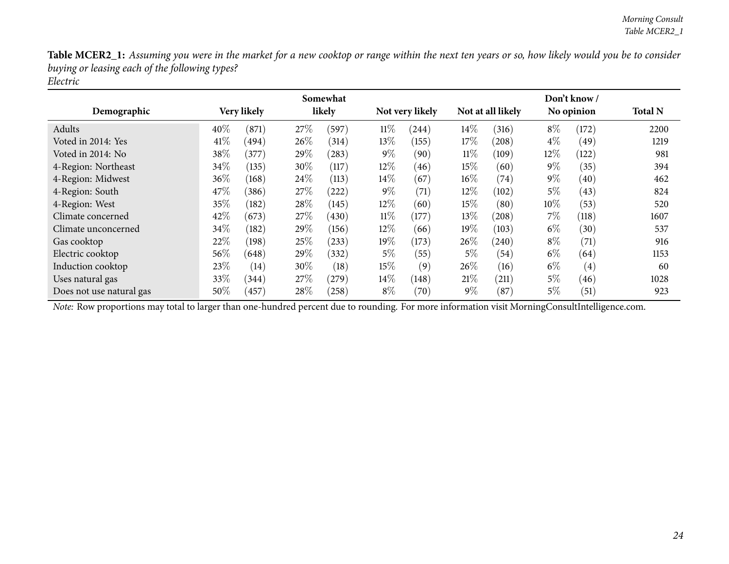|                          |        |             |        | Somewhat   |        |                 |        |                   |        | Don't know /      |                |
|--------------------------|--------|-------------|--------|------------|--------|-----------------|--------|-------------------|--------|-------------------|----------------|
| Demographic              |        | Very likely |        | likely     |        | Not very likely |        | Not at all likely |        | No opinion        | <b>Total N</b> |
| Adults                   | 40%    | (871)       | 27%    | (597)      | $11\%$ | (244)           | $14\%$ | (316)             | $8\%$  | (172)             | 2200           |
| Voted in 2014: Yes       | 41\%   | (494)       | $26\%$ | (314)      | 13\%   | (155)           | 17%    | (208)             | $4\%$  | (49)              | 1219           |
| Voted in 2014: No        | 38%    | (377)       | 29\%   | $^{(283)}$ | $9\%$  | (90)            | $11\%$ | (109)             | 12\%   | (122)             | 981            |
| 4-Region: Northeast      | 34%    | (135)       | 30\%   | (117)      | $12\%$ | (46)            | 15%    | (60)              | $9\%$  | (35)              | 394            |
| 4-Region: Midwest        | $36\%$ | (168)       | $24\%$ | (113)      | $14\%$ | (67)            | $16\%$ | (74)              | $9\%$  | (40)              | 462            |
| 4-Region: South          | 47\%   | (386)       | 27%    | $^{'}222)$ | $9\%$  | (71)            | $12\%$ | (102)             | 5%     | (43)              | 824            |
| 4-Region: West           | 35%    | (182)       | 28\%   | (145)      | 12\%   | (60)            | $15\%$ | (80)              | $10\%$ | (53)              | 520            |
| Climate concerned        | 42%    | (673)       | 27%    | (430)      | $11\%$ | (177)           | $13\%$ | (208)             | $7\%$  | (118)             | 1607           |
| Climate unconcerned      | 34%    | (182)       | 29\%   | (156)      | 12\%   | (66)            | $19\%$ | (103)             | $6\%$  | (30)              | 537            |
| Gas cooktop              | 22%    | (198)       | 25%    | (233)      | 19%    | (173)           | 26\%   | (240)             | $8\%$  | (71)              | 916            |
| Electric cooktop         | 56\%   | (648)       | 29\%   | (332)      | $5\%$  | (55)            | $5\%$  | (54)              | $6\%$  | (64)              | 1153           |
| Induction cooktop        | 23\%   | (14)        | 30\%   | (18)       | $15\%$ | (9)             | 26%    | (16)              | $6\%$  | $\left( 4\right)$ | 60             |
| Uses natural gas         | 33%    | (344)       | 27%    | (279)      | $14\%$ | (148)           | 21%    | (211)             | $5\%$  | (46)              | 1028           |
| Does not use natural gas | 50\%   | (457)       | 28\%   | (258)      | $8\%$  | (70)            | $9\%$  | (87)              | $5\%$  | (51)              | 923            |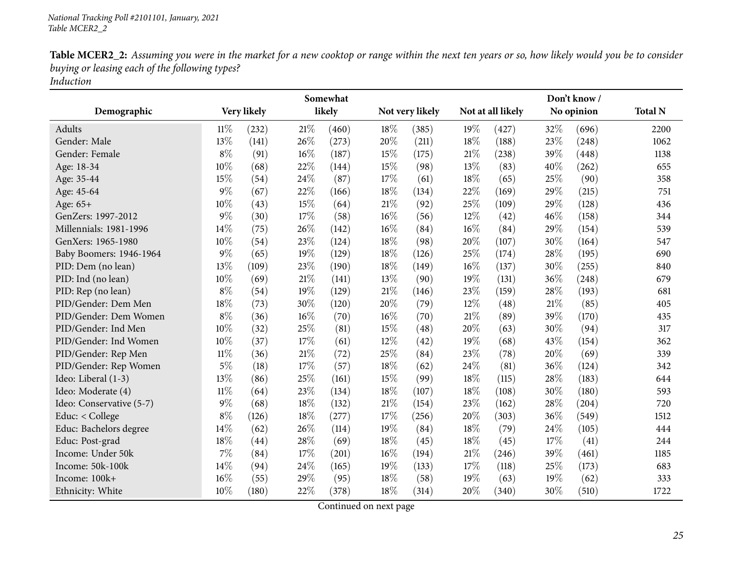| Table MCER2_2: Assuming you were in the market for a new cooktop or range within the next ten years or so, how likely would you be to consider |
|------------------------------------------------------------------------------------------------------------------------------------------------|
| buying or leasing each of the following types?                                                                                                 |
| Induction                                                                                                                                      |

<span id="page-24-0"></span>

|                          |        |             |      | Somewhat |        |                 |        |                   |     | Don't know/ |                |
|--------------------------|--------|-------------|------|----------|--------|-----------------|--------|-------------------|-----|-------------|----------------|
| Demographic              |        | Very likely |      | likely   |        | Not very likely |        | Not at all likely |     | No opinion  | <b>Total N</b> |
| Adults                   | $11\%$ | (232)       | 21%  | (460)    | 18%    | (385)           | 19%    | (427)             | 32% | (696)       | 2200           |
| Gender: Male             | 13%    | (141)       | 26%  | (273)    | 20%    | (211)           | 18%    | (188)             | 23% | (248)       | 1062           |
| Gender: Female           | $8\%$  | (91)        | 16%  | (187)    | 15%    | (175)           | 21\%   | (238)             | 39% | (448)       | 1138           |
| Age: 18-34               | 10%    | (68)        | 22%  | (144)    | 15%    | (98)            | 13%    | (83)              | 40% | (262)       | 655            |
| Age: 35-44               | 15%    | (54)        | 24\% | (87)     | 17%    | (61)            | 18%    | (65)              | 25% | (90)        | 358            |
| Age: 45-64               | $9\%$  | (67)        | 22%  | (166)    | 18%    | (134)           | 22%    | (169)             | 29% | (215)       | 751            |
| Age: 65+                 | 10%    | (43)        | 15%  | (64)     | 21%    | (92)            | 25%    | (109)             | 29% | (128)       | 436            |
| GenZers: 1997-2012       | $9\%$  | (30)        | 17%  | (58)     | 16%    | (56)            | 12%    | (42)              | 46% | (158)       | 344            |
| Millennials: 1981-1996   | 14%    | (75)        | 26%  | (142)    | 16%    | (84)            | 16%    | (84)              | 29% | (154)       | 539            |
| GenXers: 1965-1980       | 10%    | (54)        | 23%  | (124)    | 18%    | (98)            | 20%    | (107)             | 30% | (164)       | 547            |
| Baby Boomers: 1946-1964  | $9\%$  | (65)        | 19%  | (129)    | 18%    | (126)           | 25%    | (174)             | 28% | (195)       | 690            |
| PID: Dem (no lean)       | 13%    | (109)       | 23%  | (190)    | 18%    | (149)           | 16%    | (137)             | 30% | (255)       | 840            |
| PID: Ind (no lean)       | 10%    | (69)        | 21%  | (141)    | 13%    | (90)            | 19%    | (131)             | 36% | (248)       | 679            |
| PID: Rep (no lean)       | $8\%$  | (54)        | 19%  | (129)    | 21%    | (146)           | 23%    | (159)             | 28% | (193)       | 681            |
| PID/Gender: Dem Men      | 18%    | (73)        | 30%  | (120)    | 20%    | (79)            | 12%    | (48)              | 21% | (85)        | 405            |
| PID/Gender: Dem Women    | $8\%$  | (36)        | 16%  | (70)     | 16%    | (70)            | 21%    | (89)              | 39% | (170)       | 435            |
| PID/Gender: Ind Men      | 10%    | (32)        | 25%  | (81)     | 15%    | (48)            | 20%    | (63)              | 30% | (94)        | 317            |
| PID/Gender: Ind Women    | 10%    | (37)        | 17%  | (61)     | 12%    | (42)            | 19%    | (68)              | 43% | (154)       | 362            |
| PID/Gender: Rep Men      | $11\%$ | (36)        | 21%  | (72)     | 25%    | (84)            | 23%    | (78)              | 20% | (69)        | 339            |
| PID/Gender: Rep Women    | $5\%$  | (18)        | 17%  | (57)     | 18%    | (62)            | 24%    | (81)              | 36% | (124)       | 342            |
| Ideo: Liberal (1-3)      | 13%    | (86)        | 25%  | (161)    | $15\%$ | (99)            | 18%    | (115)             | 28% | (183)       | 644            |
| Ideo: Moderate (4)       | 11%    | (64)        | 23%  | (134)    | 18%    | (107)           | 18%    | (108)             | 30% | (180)       | 593            |
| Ideo: Conservative (5-7) | $9\%$  | (68)        | 18%  | (132)    | 21%    | (154)           | 23%    | (162)             | 28% | (204)       | 720            |
| Educ: $<$ College        | $8\%$  | (126)       | 18%  | (277)    | 17%    | (256)           | 20%    | (303)             | 36% | (549)       | 1512           |
| Educ: Bachelors degree   | 14\%   | (62)        | 26%  | (114)    | 19%    | (84)            | 18%    | (79)              | 24% | (105)       | 444            |
| Educ: Post-grad          | 18%    | (44)        | 28%  | (69)     | 18%    | (45)            | 18%    | (45)              | 17% | (41)        | 244            |
| Income: Under 50k        | $7\%$  | (84)        | 17%  | (201)    | 16%    | (194)           | $21\%$ | (246)             | 39% | (461)       | 1185           |
| Income: 50k-100k         | 14%    | (94)        | 24%  | (165)    | 19%    | (133)           | 17%    | (118)             | 25% | (173)       | 683            |
| Income: 100k+            | 16%    | (55)        | 29%  | (95)     | 18%    | (58)            | 19%    | (63)              | 19% | (62)        | 333            |
| Ethnicity: White         | 10%    | (180)       | 22%  | (378)    | 18%    | (314)           | 20%    | (340)             | 30% | (510)       | 1722           |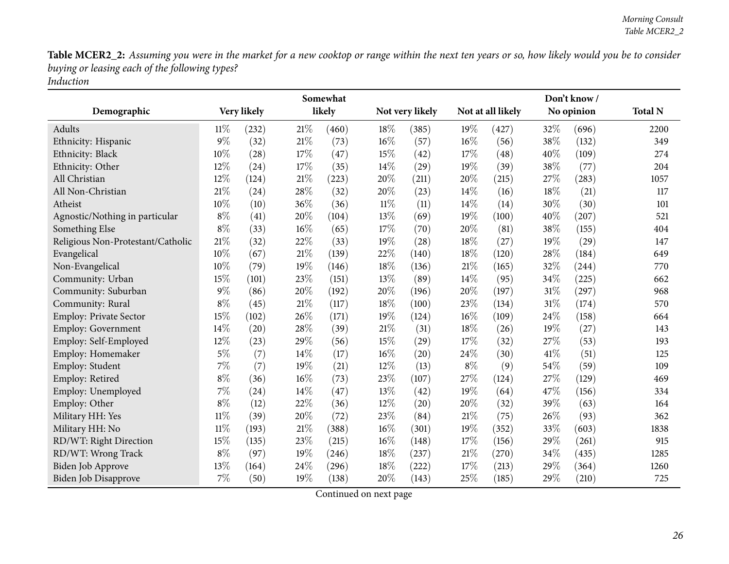|                                   |        |             |        | Somewhat |        |                 |        |                   |      | Don't know / |                |
|-----------------------------------|--------|-------------|--------|----------|--------|-----------------|--------|-------------------|------|--------------|----------------|
| Demographic                       |        | Very likely |        | likely   |        | Not very likely |        | Not at all likely |      | No opinion   | <b>Total N</b> |
| Adults                            | 11%    | (232)       | 21%    | (460)    | 18%    | (385)           | 19%    | (427)             | 32%  | (696)        | 2200           |
| Ethnicity: Hispanic               | $9\%$  | (32)        | $21\%$ | (73)     | 16%    | (57)            | 16%    | (56)              | 38%  | (132)        | 349            |
| Ethnicity: Black                  | 10%    | (28)        | $17\%$ | (47)     | 15%    | (42)            | 17%    | (48)              | 40%  | (109)        | 274            |
| Ethnicity: Other                  | 12%    | (24)        | 17%    | (35)     | 14%    | (29)            | 19%    | (39)              | 38%  | (77)         | 204            |
| All Christian                     | 12%    | (124)       | $21\%$ | (223)    | 20%    | (211)           | 20%    | (215)             | 27%  | (283)        | 1057           |
| All Non-Christian                 | 21%    | (24)        | 28\%   | (32)     | 20%    | (23)            | 14%    | (16)              | 18%  | (21)         | 117            |
| Atheist                           | 10%    | (10)        | 36%    | (36)     | $11\%$ | (11)            | 14%    | (14)              | 30%  | (30)         | 101            |
| Agnostic/Nothing in particular    | $8\%$  | (41)        | 20%    | (104)    | 13%    | (69)            | 19%    | (100)             | 40%  | (207)        | 521            |
| Something Else                    | $8\%$  | (33)        | $16\%$ | (65)     | 17%    | (70)            | 20%    | (81)              | 38%  | (155)        | 404            |
| Religious Non-Protestant/Catholic | 21%    | (32)        | 22%    | (33)     | 19%    | (28)            | 18%    | (27)              | 19%  | (29)         | 147            |
| Evangelical                       | 10%    | (67)        | $21\%$ | (139)    | 22%    | (140)           | 18%    | (120)             | 28%  | (184)        | 649            |
| Non-Evangelical                   | 10%    | (79)        | 19%    | (146)    | 18%    | (136)           | $21\%$ | (165)             | 32%  | (244)        | 770            |
| Community: Urban                  | 15%    | (101)       | 23%    | (151)    | 13%    | (89)            | 14%    | (95)              | 34%  | (225)        | 662            |
| Community: Suburban               | $9\%$  | (86)        | 20%    | (192)    | 20%    | (196)           | 20%    | (197)             | 31%  | (297)        | 968            |
| Community: Rural                  | $8\%$  | (45)        | $21\%$ | (117)    | 18%    | (100)           | 23%    | (134)             | 31%  | (174)        | 570            |
| Employ: Private Sector            | 15%    | (102)       | 26%    | (171)    | 19%    | (124)           | 16%    | (109)             | 24%  | (158)        | 664            |
| <b>Employ: Government</b>         | 14%    | (20)        | 28%    | (39)     | 21%    | (31)            | 18%    | (26)              | 19%  | (27)         | 143            |
| Employ: Self-Employed             | 12%    | (23)        | 29%    | (56)     | 15%    | (29)            | 17%    | (32)              | 27%  | (53)         | 193            |
| Employ: Homemaker                 | $5\%$  | (7)         | 14%    | (17)     | 16%    | (20)            | 24%    | (30)              | 41\% | (51)         | 125            |
| Employ: Student                   | $7\%$  | (7)         | 19%    | (21)     | 12%    | (13)            | $8\%$  | (9)               | 54%  | (59)         | 109            |
| Employ: Retired                   | $8\%$  | (36)        | $16\%$ | (73)     | 23%    | (107)           | 27%    | (124)             | 27%  | (129)        | 469            |
| Employ: Unemployed                | $7\%$  | (24)        | 14\%   | (47)     | 13%    | (42)            | 19%    | (64)              | 47%  | (156)        | 334            |
| Employ: Other                     | $8\%$  | (12)        | 22%    | (36)     | 12%    | (20)            | 20%    | (32)              | 39%  | (63)         | 164            |
| Military HH: Yes                  | 11%    | (39)        | 20%    | (72)     | 23%    | (84)            | 21%    | (75)              | 26\% | (93)         | 362            |
| Military HH: No                   | $11\%$ | (193)       | $21\%$ | (388)    | 16%    | (301)           | 19%    | (352)             | 33%  | (603)        | 1838           |
| RD/WT: Right Direction            | 15%    | (135)       | 23%    | (215)    | 16%    | (148)           | 17%    | (156)             | 29%  | (261)        | 915            |
| RD/WT: Wrong Track                | $8\%$  | (97)        | 19%    | (246)    | 18%    | (237)           | 21%    | (270)             | 34%  | (435)        | 1285           |
| Biden Job Approve                 | 13%    | (164)       | 24%    | (296)    | 18%    | (222)           | 17%    | (213)             | 29%  | (364)        | 1260           |
| <b>Biden Job Disapprove</b>       | $7\%$  | (50)        | 19%    | (138)    | 20%    | (143)           | 25%    | (185)             | 29%  | (210)        | 725            |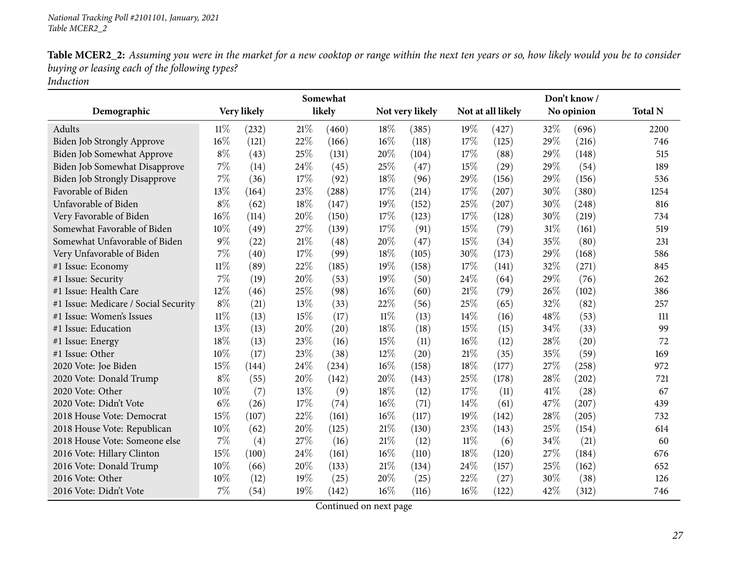|                                      |        |             |        | Somewhat |        |                 |        |                    |      | Don't know/ |                |
|--------------------------------------|--------|-------------|--------|----------|--------|-----------------|--------|--------------------|------|-------------|----------------|
| Demographic                          |        | Very likely |        | likely   |        | Not very likely |        | Not at all likely  |      | No opinion  | <b>Total N</b> |
| Adults                               | 11%    | (232)       | 21%    | (460)    | 18%    | (385)           | 19%    | (427)              | 32%  | (696)       | 2200           |
| Biden Job Strongly Approve           | 16%    | (121)       | 22%    | (166)    | 16%    | (118)           | 17%    | (125)              | 29%  | (216)       | 746            |
| Biden Job Somewhat Approve           | $8\%$  | (43)        | 25%    | (131)    | 20%    | (104)           | 17%    | (88)               | 29%  | (148)       | 515            |
| Biden Job Somewhat Disapprove        | $7\%$  | (14)        | 24%    | (45)     | 25%    | (47)            | 15%    | $\left( 29\right)$ | 29%  | (54)        | 189            |
| <b>Biden Job Strongly Disapprove</b> | 7%     | (36)        | $17\%$ | (92)     | 18%    | (96)            | 29%    | (156)              | 29%  | (156)       | 536            |
| Favorable of Biden                   | 13%    | (164)       | 23%    | (288)    | 17%    | (214)           | 17%    | (207)              | 30%  | (380)       | 1254           |
| Unfavorable of Biden                 | $8\%$  | (62)        | 18%    | (147)    | 19%    | (152)           | 25%    | (207)              | 30%  | (248)       | 816            |
| Very Favorable of Biden              | 16%    | (114)       | 20%    | (150)    | 17%    | (123)           | 17%    | (128)              | 30%  | (219)       | 734            |
| Somewhat Favorable of Biden          | 10%    | (49)        | 27\%   | (139)    | 17%    | (91)            | 15%    | (79)               | 31%  | (161)       | 519            |
| Somewhat Unfavorable of Biden        | $9\%$  | (22)        | $21\%$ | (48)     | 20%    | (47)            | 15%    | (34)               | 35%  | (80)        | 231            |
| Very Unfavorable of Biden            | $7\%$  | (40)        | 17%    | (99)     | 18%    | (105)           | 30%    | (173)              | 29%  | (168)       | 586            |
| #1 Issue: Economy                    | $11\%$ | (89)        | 22%    | (185)    | 19%    | (158)           | 17%    | (141)              | 32%  | (271)       | 845            |
| #1 Issue: Security                   | 7%     | (19)        | 20%    | (53)     | 19%    | (50)            | 24%    | (64)               | 29%  | (76)        | 262            |
| #1 Issue: Health Care                | 12%    | (46)        | 25%    | (98)     | 16%    | (60)            | 21%    | (79)               | 26%  | (102)       | 386            |
| #1 Issue: Medicare / Social Security | $8\%$  | (21)        | 13%    | (33)     | 22%    | (56)            | 25%    | (65)               | 32%  | (82)        | 257            |
| #1 Issue: Women's Issues             | $11\%$ | (13)        | 15%    | (17)     | 11%    | (13)            | 14%    | (16)               | 48%  | (53)        | 111            |
| #1 Issue: Education                  | 13%    | (13)        | 20%    | (20)     | 18%    | (18)            | 15%    | (15)               | 34%  | (33)        | 99             |
| #1 Issue: Energy                     | 18%    | (13)        | 23%    | (16)     | 15%    | (11)            | 16%    | (12)               | 28%  | (20)        | 72             |
| #1 Issue: Other                      | 10%    | (17)        | 23%    | (38)     | 12%    | (20)            | 21%    | (35)               | 35%  | (59)        | 169            |
| 2020 Vote: Joe Biden                 | 15%    | (144)       | 24%    | (234)    | 16%    | (158)           | 18%    | (177)              | 27%  | (258)       | 972            |
| 2020 Vote: Donald Trump              | $8\%$  | (55)        | 20%    | (142)    | 20%    | (143)           | 25%    | (178)              | 28%  | (202)       | 721            |
| 2020 Vote: Other                     | 10%    | (7)         | 13%    | (9)      | 18%    | (12)            | 17%    | (11)               | 41\% | (28)        | 67             |
| 2020 Vote: Didn't Vote               | $6\%$  | (26)        | 17%    | (74)     | 16%    | (71)            | 14%    | (61)               | 47%  | (207)       | 439            |
| 2018 House Vote: Democrat            | 15%    | (107)       | 22%    | (161)    | 16%    | (117)           | 19%    | (142)              | 28%  | (205)       | 732            |
| 2018 House Vote: Republican          | 10%    | (62)        | 20%    | (125)    | 21%    | (130)           | 23%    | (143)              | 25%  | (154)       | 614            |
| 2018 House Vote: Someone else        | 7%     | (4)         | 27\%   | (16)     | $21\%$ | (12)            | $11\%$ | (6)                | 34%  | (21)        | 60             |
| 2016 Vote: Hillary Clinton           | 15%    | (100)       | 24\%   | (161)    | 16%    | (110)           | 18%    | (120)              | 27\% | (184)       | 676            |
| 2016 Vote: Donald Trump              | 10%    | (66)        | 20%    | (133)    | 21%    | (134)           | 24\%   | (157)              | 25%  | (162)       | 652            |
| 2016 Vote: Other                     | 10%    | (12)        | 19%    | (25)     | 20%    | (25)            | 22%    | (27)               | 30%  | (38)        | 126            |
| 2016 Vote: Didn't Vote               | 7%     | (54)        | 19%    | (142)    | 16%    | (116)           | 16%    | (122)              | 42%  | (312)       | 746            |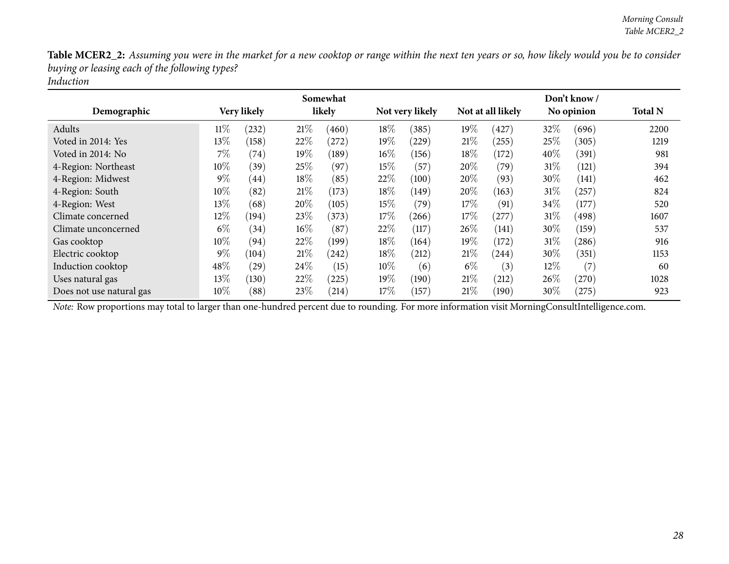|                          |        |             |        | Somewhat   |        |                 |        |                   |        | Don't know / |                |
|--------------------------|--------|-------------|--------|------------|--------|-----------------|--------|-------------------|--------|--------------|----------------|
| Demographic              |        | Very likely |        | likely     |        | Not very likely |        | Not at all likely |        | No opinion   | <b>Total N</b> |
| Adults                   | $11\%$ | (232)       | 21%    | (460)      | 18\%   | (385)           | $19\%$ | (427)             | 32%    | (696)        | 2200           |
| Voted in 2014: Yes       | $13\%$ | (158)       | 22%    | $^{'}272)$ | 19%    | (229)           | 21%    | $^{'}255)$        | 25\%   | (305)        | 1219           |
| Voted in 2014: No        | 7%     | (74)        | $19\%$ | (189)      | $16\%$ | (156)           | 18\%   | (172)             | 40%    | (391)        | 981            |
| 4-Region: Northeast      | $10\%$ | (39)        | 25\%   | (97)       | $15\%$ | (57)            | 20%    | (79)              | $31\%$ | (121)        | 394            |
| 4-Region: Midwest        | $9\%$  | (44)        | $18\%$ | (85)       | 22\%   | (100)           | 20%    | (93)              | 30\%   | (141)        | 462            |
| 4-Region: South          | $10\%$ | (82)        | 21%    | (173)      | 18\%   | (149)           | 20%    | (163)             | $31\%$ | $^{'}257)$   | 824            |
| 4-Region: West           | $13\%$ | (68)        | $20\%$ | (105)      | $15\%$ | (79)            | 17%    | (91)              | 34\%   | (177)        | 520            |
| Climate concerned        | 12%    | (194)       | 23\%   | (373)      | $17\%$ | (266)           | 17%    | (277)             | $31\%$ | (498)        | 1607           |
| Climate unconcerned      | $6\%$  | (34)        | $16\%$ | (87)       | 22%    | (117)           | $26\%$ | (141)             | 30\%   | (159)        | 537            |
| Gas cooktop              | 10%    | (94)        | 22%    | (199)      | 18%    | (164)           | $19\%$ | (172)             | 31\%   | (286)        | 916            |
| Electric cooktop         | $9\%$  | (104)       | 21%    | (242)      | 18\%   | (212)           | 21\%   | (244)             | 30\%   | (351)        | 1153           |
| Induction cooktop        | 48\%   | (29)        | 24\%   | (15)       | 10\%   | (6)             | $6\%$  | (3)               | $12\%$ | (7)          | 60             |
| Uses natural gas         | 13\%   | (130)       | 22%    | (225)      | 19%    | (190)           | 21%    | (212)             | $26\%$ | (270)        | 1028           |
| Does not use natural gas | $10\%$ | (88)        | 23\%   | (214)      | 17%    | (157)           | 21%    | (190)             | $30\%$ | (275)        | 923            |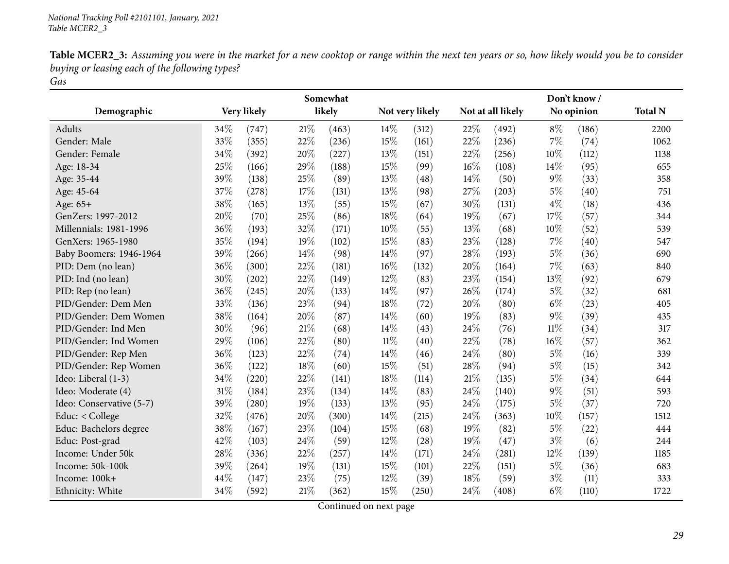<span id="page-28-0"></span>

|                          |      |             |        | Somewhat |        |                 |        |                   |        | Don't know/ |                |
|--------------------------|------|-------------|--------|----------|--------|-----------------|--------|-------------------|--------|-------------|----------------|
| Demographic              |      | Very likely |        | likely   |        | Not very likely |        | Not at all likely |        | No opinion  | <b>Total N</b> |
| Adults                   | 34\% | (747)       | 21%    | (463)    | 14%    | (312)           | 22%    | (492)             | $8\%$  | (186)       | 2200           |
| Gender: Male             | 33%  | (355)       | 22%    | (236)    | 15%    | (161)           | 22%    | (236)             | 7%     | (74)        | 1062           |
| Gender: Female           | 34%  | (392)       | 20%    | (227)    | 13%    | (151)           | 22%    | (256)             | 10%    | (112)       | 1138           |
| Age: 18-34               | 25%  | (166)       | 29%    | (188)    | 15%    | (99)            | $16\%$ | (108)             | 14%    | (95)        | 655            |
| Age: 35-44               | 39%  | (138)       | 25%    | (89)     | 13%    | (48)            | 14%    | (50)              | $9\%$  | (33)        | 358            |
| Age: 45-64               | 37%  | (278)       | 17%    | (131)    | 13%    | (98)            | 27%    | (203)             | $5\%$  | (40)        | 751            |
| Age: 65+                 | 38%  | (165)       | 13%    | (55)     | 15%    | (67)            | 30%    | (131)             | $4\%$  | (18)        | 436            |
| GenZers: 1997-2012       | 20%  | (70)        | 25%    | (86)     | 18%    | (64)            | 19%    | (67)              | 17%    | (57)        | 344            |
| Millennials: 1981-1996   | 36%  | (193)       | 32%    | (171)    | 10%    | (55)            | 13%    | (68)              | 10%    | (52)        | 539            |
| GenXers: 1965-1980       | 35%  | (194)       | 19%    | (102)    | 15%    | (83)            | 23%    | (128)             | 7%     | (40)        | 547            |
| Baby Boomers: 1946-1964  | 39%  | (266)       | 14%    | (98)     | 14%    | (97)            | 28%    | (193)             | $5\%$  | (36)        | 690            |
| PID: Dem (no lean)       | 36%  | (300)       | 22%    | (181)    | 16%    | (132)           | 20%    | (164)             | $7\%$  | (63)        | 840            |
| PID: Ind (no lean)       | 30%  | (202)       | 22%    | (149)    | 12%    | (83)            | 23%    | (154)             | 13%    | (92)        | 679            |
| PID: Rep (no lean)       | 36%  | (245)       | 20%    | (133)    | 14%    | (97)            | 26%    | (174)             | $5\%$  | (32)        | 681            |
| PID/Gender: Dem Men      | 33%  | (136)       | 23%    | (94)     | 18%    | (72)            | 20%    | (80)              | $6\%$  | (23)        | 405            |
| PID/Gender: Dem Women    | 38%  | (164)       | 20%    | (87)     | 14%    | (60)            | 19%    | (83)              | $9\%$  | (39)        | 435            |
| PID/Gender: Ind Men      | 30%  | (96)        | 21%    | (68)     | 14%    | (43)            | 24%    | (76)              | $11\%$ | (34)        | 317            |
| PID/Gender: Ind Women    | 29%  | (106)       | 22%    | (80)     | $11\%$ | (40)            | 22%    | (78)              | 16%    | (57)        | 362            |
| PID/Gender: Rep Men      | 36%  | (123)       | 22%    | (74)     | 14%    | (46)            | 24%    | (80)              | $5\%$  | (16)        | 339            |
| PID/Gender: Rep Women    | 36%  | (122)       | 18%    | (60)     | 15%    | (51)            | 28%    | (94)              | $5\%$  | (15)        | 342            |
| Ideo: Liberal (1-3)      | 34%  | (220)       | 22%    | (141)    | 18%    | (114)           | 21%    | (135)             | $5\%$  | (34)        | 644            |
| Ideo: Moderate (4)       | 31%  | (184)       | 23%    | (134)    | 14%    | (83)            | 24%    | (140)             | $9\%$  | (51)        | 593            |
| Ideo: Conservative (5-7) | 39%  | (280)       | 19%    | (133)    | 13%    | (95)            | 24\%   | (175)             | $5\%$  | (37)        | 720            |
| Educ: < College          | 32%  | (476)       | 20%    | (300)    | 14%    | (215)           | 24%    | (363)             | 10%    | (157)       | 1512           |
| Educ: Bachelors degree   | 38%  | (167)       | 23%    | (104)    | 15%    | (68)            | 19%    | (82)              | $5\%$  | (22)        | 444            |
| Educ: Post-grad          | 42%  | (103)       | 24\%   | (59)     | 12%    | (28)            | 19%    | (47)              | $3\%$  | (6)         | 244            |
| Income: Under 50k        | 28%  | (336)       | 22%    | (257)    | 14%    | (171)           | 24%    | (281)             | 12%    | (139)       | 1185           |
| Income: 50k-100k         | 39%  | (264)       | 19%    | (131)    | 15%    | (101)           | 22%    | (151)             | $5\%$  | (36)        | 683            |
| Income: 100k+            | 44%  | (147)       | 23%    | (75)     | 12%    | (39)            | 18%    | (59)              | $3\%$  | (11)        | 333            |
| Ethnicity: White         | 34%  | (592)       | $21\%$ | (362)    | 15%    | (250)           | 24\%   | (408)             | $6\%$  | (110)       | 1722           |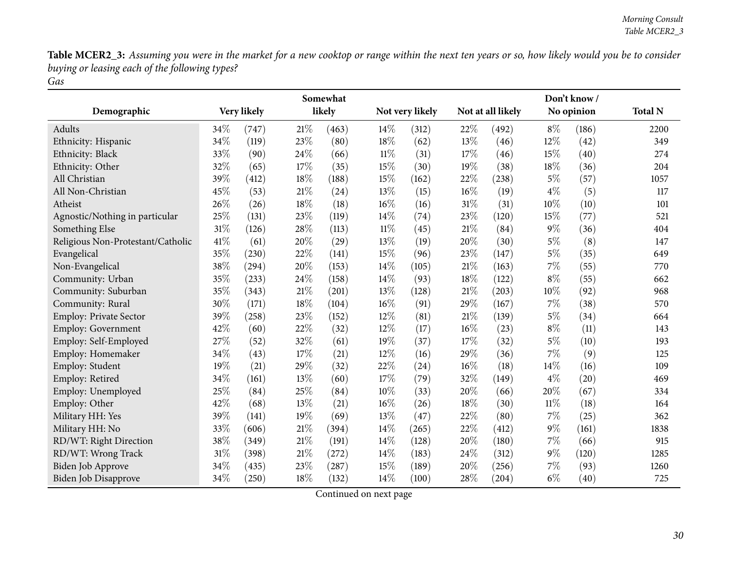|                                   |        |             |        | Somewhat |        |                 |        |                   |        | Don't know/ |                |
|-----------------------------------|--------|-------------|--------|----------|--------|-----------------|--------|-------------------|--------|-------------|----------------|
| Demographic                       |        | Very likely |        | likely   |        | Not very likely |        | Not at all likely |        | No opinion  | <b>Total N</b> |
| Adults                            | 34%    | (747)       | 21%    | (463)    | 14\%   | (312)           | 22%    | (492)             | $8\%$  | (186)       | 2200           |
| Ethnicity: Hispanic               | 34%    | (119)       | 23%    | (80)     | 18%    | (62)            | 13%    | (46)              | 12%    | (42)        | 349            |
| Ethnicity: Black                  | 33%    | (90)        | 24%    | (66)     | $11\%$ | (31)            | 17%    | (46)              | 15%    | (40)        | 274            |
| Ethnicity: Other                  | 32%    | (65)        | 17%    | (35)     | 15%    | (30)            | 19%    | (38)              | 18%    | (36)        | 204            |
| All Christian                     | 39%    | (412)       | 18%    | (188)    | 15%    | (162)           | 22%    | (238)             | $5\%$  | (57)        | 1057           |
| All Non-Christian                 | 45%    | (53)        | $21\%$ | (24)     | 13%    | (15)            | 16%    | (19)              | $4\%$  | (5)         | 117            |
| Atheist                           | 26%    | (26)        | 18%    | (18)     | 16%    | (16)            | 31%    | (31)              | 10%    | (10)        | 101            |
| Agnostic/Nothing in particular    | 25%    | (131)       | 23%    | (119)    | 14%    | (74)            | 23%    | (120)             | 15%    | (77)        | 521            |
| Something Else                    | $31\%$ | (126)       | 28\%   | (113)    | $11\%$ | (45)            | $21\%$ | (84)              | $9\%$  | (36)        | 404            |
| Religious Non-Protestant/Catholic | 41%    | (61)        | 20%    | (29)     | 13%    | (19)            | 20%    | (30)              | $5\%$  | (8)         | 147            |
| Evangelical                       | 35%    | (230)       | 22%    | (141)    | 15%    | (96)            | 23%    | (147)             | $5\%$  | (35)        | 649            |
| Non-Evangelical                   | 38%    | (294)       | 20%    | (153)    | 14%    | (105)           | $21\%$ | (163)             | $7\%$  | (55)        | 770            |
| Community: Urban                  | 35%    | (233)       | 24\%   | (158)    | 14%    | (93)            | 18%    | (122)             | $8\%$  | (55)        | 662            |
| Community: Suburban               | 35%    | (343)       | $21\%$ | (201)    | 13%    | (128)           | 21%    | (203)             | 10%    | (92)        | 968            |
| Community: Rural                  | 30%    | (171)       | $18\%$ | (104)    | 16%    | (91)            | 29%    | (167)             | $7\%$  | (38)        | 570            |
| Employ: Private Sector            | 39%    | (258)       | 23%    | (152)    | 12%    | (81)            | 21%    | (139)             | 5%     | (34)        | 664            |
| <b>Employ: Government</b>         | 42%    | (60)        | 22%    | (32)     | 12%    | (17)            | 16%    | (23)              | $8\%$  | (11)        | 143            |
| Employ: Self-Employed             | 27%    | (52)        | 32%    | (61)     | 19%    | (37)            | 17%    | (32)              | $5\%$  | (10)        | 193            |
| Employ: Homemaker                 | 34%    | (43)        | 17%    | (21)     | 12%    | (16)            | 29%    | (36)              | $7\%$  | (9)         | 125            |
| Employ: Student                   | 19%    | (21)        | 29%    | (32)     | 22%    | (24)            | 16%    | (18)              | 14%    | (16)        | 109            |
| Employ: Retired                   | 34%    | (161)       | 13%    | (60)     | 17%    | (79)            | 32%    | (149)             | $4\%$  | (20)        | 469            |
| Employ: Unemployed                | 25%    | (84)        | 25%    | (84)     | 10%    | (33)            | 20%    | (66)              | 20%    | (67)        | 334            |
| Employ: Other                     | 42%    | (68)        | 13%    | (21)     | 16%    | (26)            | 18%    | (30)              | $11\%$ | (18)        | 164            |
| Military HH: Yes                  | 39%    | (141)       | 19%    | (69)     | 13%    | (47)            | 22%    | (80)              | $7\%$  | (25)        | 362            |
| Military HH: No                   | 33%    | (606)       | $21\%$ | (394)    | 14%    | (265)           | 22%    | (412)             | $9\%$  | (161)       | 1838           |
| RD/WT: Right Direction            | 38%    | (349)       | 21\%   | (191)    | 14%    | (128)           | 20%    | (180)             | $7\%$  | (66)        | 915            |
| RD/WT: Wrong Track                | 31%    | (398)       | $21\%$ | (272)    | 14%    | (183)           | 24%    | (312)             | $9\%$  | (120)       | 1285           |
| Biden Job Approve                 | 34%    | (435)       | 23%    | (287)    | 15%    | (189)           | 20%    | (256)             | 7%     | (93)        | 1260           |
| <b>Biden Job Disapprove</b>       | 34%    | (250)       | 18%    | (132)    | 14%    | (100)           | 28%    | (204)             | $6\%$  | (40)        | 725            |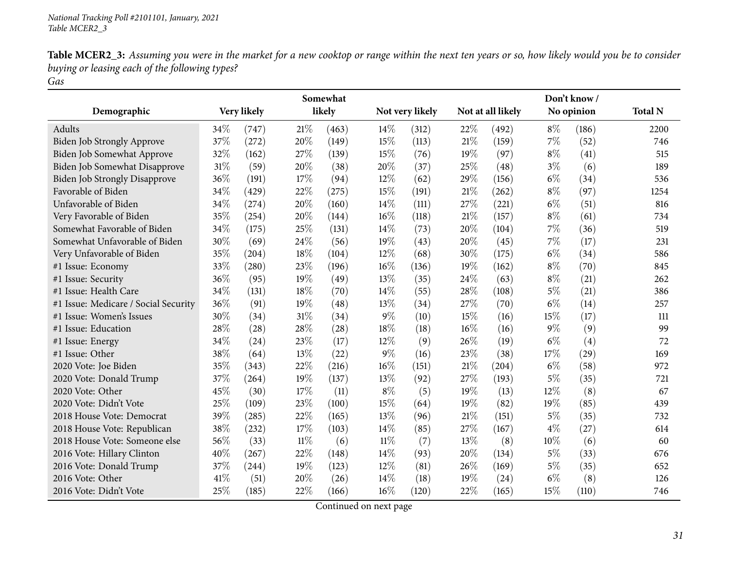|                                      |      |             |        | Somewhat |        |                 |     |                   |       | Don't know/ |                |
|--------------------------------------|------|-------------|--------|----------|--------|-----------------|-----|-------------------|-------|-------------|----------------|
| Demographic                          |      | Very likely |        | likely   |        | Not very likely |     | Not at all likely |       | No opinion  | <b>Total N</b> |
| Adults                               | 34\% | (747)       | 21%    | (463)    | 14\%   | (312)           | 22% | (492)             | $8\%$ | (186)       | 2200           |
| Biden Job Strongly Approve           | 37%  | (272)       | 20%    | (149)    | 15%    | (113)           | 21% | (159)             | 7%    | (52)        | 746            |
| Biden Job Somewhat Approve           | 32%  | (162)       | 27%    | (139)    | 15%    | (76)            | 19% | (97)              | $8\%$ | (41)        | 515            |
| Biden Job Somewhat Disapprove        | 31%  | (59)        | 20%    | (38)     | 20%    | (37)            | 25% | (48)              | $3\%$ | (6)         | 189            |
| <b>Biden Job Strongly Disapprove</b> | 36%  | (191)       | 17%    | (94)     | 12%    | (62)            | 29% | (156)             | $6\%$ | (34)        | 536            |
| Favorable of Biden                   | 34%  | (429)       | 22%    | (275)    | 15%    | (191)           | 21% | (262)             | $8\%$ | (97)        | 1254           |
| Unfavorable of Biden                 | 34%  | (274)       | 20%    | (160)    | 14%    | (111)           | 27% | (221)             | $6\%$ | (51)        | 816            |
| Very Favorable of Biden              | 35%  | (254)       | 20%    | (144)    | 16%    | (118)           | 21% | (157)             | $8\%$ | (61)        | 734            |
| Somewhat Favorable of Biden          | 34%  | (175)       | 25%    | (131)    | 14\%   | (73)            | 20% | (104)             | 7%    | (36)        | 519            |
| Somewhat Unfavorable of Biden        | 30%  | (69)        | 24%    | (56)     | 19%    | (43)            | 20% | (45)              | 7%    | (17)        | 231            |
| Very Unfavorable of Biden            | 35%  | (204)       | 18%    | (104)    | 12%    | (68)            | 30% | (175)             | $6\%$ | (34)        | 586            |
| #1 Issue: Economy                    | 33%  | (280)       | 23%    | (196)    | 16%    | (136)           | 19% | (162)             | $8\%$ | (70)        | 845            |
| #1 Issue: Security                   | 36%  | (95)        | 19%    | (49)     | 13%    | (35)            | 24% | (63)              | $8\%$ | (21)        | 262            |
| #1 Issue: Health Care                | 34%  | (131)       | 18%    | (70)     | 14%    | (55)            | 28% | (108)             | $5\%$ | (21)        | 386            |
| #1 Issue: Medicare / Social Security | 36%  | (91)        | 19%    | (48)     | 13%    | (34)            | 27% | (70)              | $6\%$ | (14)        | 257            |
| #1 Issue: Women's Issues             | 30%  | (34)        | 31\%   | (34)     | $9\%$  | (10)            | 15% | (16)              | 15%   | (17)        | 111            |
| #1 Issue: Education                  | 28%  | (28)        | 28%    | (28)     | 18%    | (18)            | 16% | (16)              | $9\%$ | (9)         | 99             |
| #1 Issue: Energy                     | 34%  | (24)        | 23%    | (17)     | 12%    | (9)             | 26% | (19)              | $6\%$ | (4)         | 72             |
| #1 Issue: Other                      | 38%  | (64)        | $13\%$ | (22)     | $9\%$  | (16)            | 23% | (38)              | 17%   | (29)        | 169            |
| 2020 Vote: Joe Biden                 | 35%  | (343)       | 22%    | (216)    | 16%    | (151)           | 21% | (204)             | $6\%$ | (58)        | 972            |
| 2020 Vote: Donald Trump              | 37%  | (264)       | 19%    | (137)    | 13%    | (92)            | 27% | (193)             | $5\%$ | (35)        | 721            |
| 2020 Vote: Other                     | 45%  | (30)        | 17%    | (11)     | $8\%$  | (5)             | 19% | (13)              | 12%   | (8)         | 67             |
| 2020 Vote: Didn't Vote               | 25%  | (109)       | 23%    | (100)    | 15%    | (64)            | 19% | (82)              | 19%   | (85)        | 439            |
| 2018 House Vote: Democrat            | 39%  | (285)       | 22%    | (165)    | 13%    | (96)            | 21% | (151)             | $5\%$ | (35)        | 732            |
| 2018 House Vote: Republican          | 38%  | (232)       | 17%    | (103)    | 14%    | (85)            | 27% | (167)             | $4\%$ | (27)        | 614            |
| 2018 House Vote: Someone else        | 56%  | (33)        | $11\%$ | (6)      | $11\%$ | (7)             | 13% | (8)               | 10%   | (6)         | 60             |
| 2016 Vote: Hillary Clinton           | 40%  | (267)       | 22%    | (148)    | 14%    | (93)            | 20% | (134)             | $5\%$ | (33)        | 676            |
| 2016 Vote: Donald Trump              | 37%  | (244)       | 19%    | (123)    | 12%    | (81)            | 26% | (169)             | $5\%$ | (35)        | 652            |
| 2016 Vote: Other                     | 41%  | (51)        | 20%    | (26)     | 14%    | (18)            | 19% | (24)              | $6\%$ | (8)         | 126            |
| 2016 Vote: Didn't Vote               | 25%  | (185)       | 22%    | (166)    | 16%    | (120)           | 22% | (165)             | 15%   | (110)       | 746            |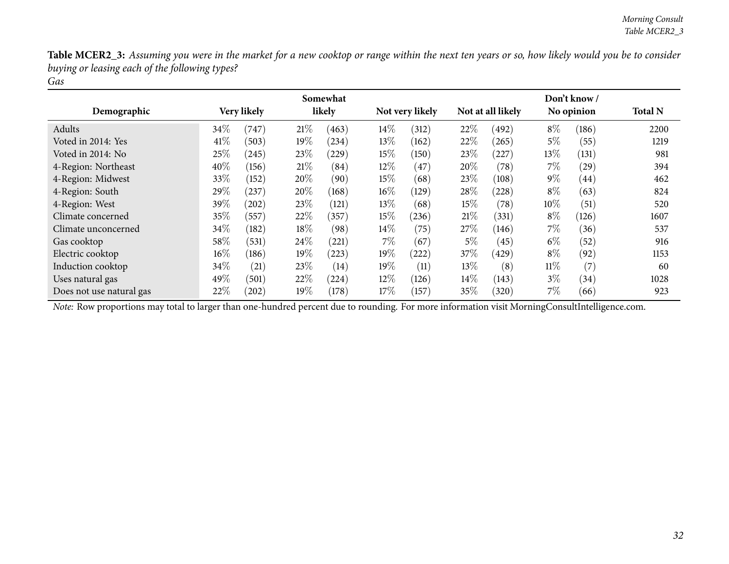|                          | Somewhat |             |         |            |        | Don't know /    |        |                   |        |            |                |
|--------------------------|----------|-------------|---------|------------|--------|-----------------|--------|-------------------|--------|------------|----------------|
| Demographic              |          | Very likely |         | likely     |        | Not very likely |        | Not at all likely |        | No opinion | <b>Total N</b> |
| Adults                   | 34\%     | (747)       | 21%     | (463)      | $14\%$ | (312)           | 22%    | (492)             | $8\%$  | (186)      | 2200           |
| Voted in 2014: Yes       | 41%      | (503)       | $19\%$  | (234)      | $13\%$ | (162)           | 22%    | (265)             | 5%     | (55)       | 1219           |
| Voted in 2014: No        | 25%      | $^{(245)}$  | 23\%    | $^{(229)}$ | $15\%$ | (150)           | 23\%   | (227)             | 13\%   | (131)      | 981            |
| 4-Region: Northeast      | 40%      | (156)       | 21%     | (84)       | $12\%$ | $^{'}47$        | 20%    | (78)              | $7\%$  | (29)       | 394            |
| 4-Region: Midwest        | 33\%     | (152)       | $20\%$  | (90)       | $15\%$ | (68)            | 23\%   | (108)             | $9\%$  | (44)       | 462            |
| 4-Region: South          | 29\%     | (237)       | $20\%$  | (168)      | $16\%$ | (129)           | 28\%   | (228)             | $8\%$  | (63)       | 824            |
| 4-Region: West           | 39%      | $^{'}202)$  | 23\%    | (121)      | $13\%$ | (68)            | $15\%$ | (78)              | $10\%$ | (51)       | 520            |
| Climate concerned        | 35%      | 557         | 22%     | (357)      | 15\%   | (236)           | 21%    | (331)             | $8\%$  | (126)      | 1607           |
| Climate unconcerned      | 34%      | (182)       | $18\%$  | (98)       | $14\%$ | (75)            | 27\%   | (146)             | $7\%$  | (36)       | 537            |
| Gas cooktop              | 58\%     | (531)       | $24\%$  | (221)      | $7\%$  | (67)            | $5\%$  | (45)              | $6\%$  | (52)       | 916            |
| Electric cooktop         | $16\%$   | (186)       | $19\%$  | (223)      | 19%    | (222)           | 37\%   | (429)             | $8\%$  | (92)       | 1153           |
| Induction cooktop        | 34\%     | (21)        | 23\%    | (14)       | 19%    | (11)            | $13\%$ | (8)               | $11\%$ | (7)        | 60             |
| Uses natural gas         | 49%      | (501)       | 22%     | (224)      | 12\%   | (126)           | $14\%$ | (143)             | $3\%$  | (34)       | 1028           |
| Does not use natural gas | 22%      | (202)       | 19 $\%$ | (178)      | 17%    | (157)           | 35%    | (320)             | $7\%$  | (66)       | 923            |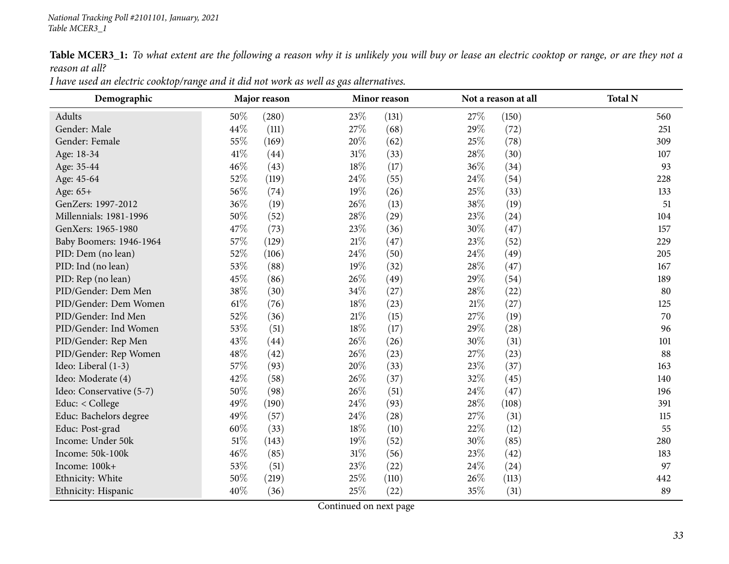Table MCER3\_1: To what extent are the following a reason why it is unlikely you will buy or lease an electric cooktop or range, or are they not a *reason at all?*

| I have used an electric cooktop/range and it did not work as well as gas alternatives. |
|----------------------------------------------------------------------------------------|
|----------------------------------------------------------------------------------------|

<span id="page-32-0"></span>

| Demographic              |      | Major reason |        | Minor reason |        | Not a reason at all | <b>Total N</b> |
|--------------------------|------|--------------|--------|--------------|--------|---------------------|----------------|
| Adults                   | 50%  | (280)        | 23%    | (131)        | 27\%   | (150)               | 560            |
| Gender: Male             | 44%  | (111)        | 27%    | (68)         | 29%    | (72)                | 251            |
| Gender: Female           | 55%  | (169)        | 20%    | (62)         | 25\%   | (78)                | 309            |
| Age: 18-34               | 41%  | (44)         | 31%    | (33)         | 28%    | (30)                | 107            |
| Age: 35-44               | 46%  | (43)         | 18%    | (17)         | 36%    | (34)                | 93             |
| Age: 45-64               | 52%  | (119)        | 24\%   | (55)         | 24\%   | (54)                | 228            |
| Age: 65+                 | 56%  | (74)         | 19%    | (26)         | 25\%   | (33)                | 133            |
| GenZers: 1997-2012       | 36%  | (19)         | 26%    | (13)         | 38%    | (19)                | 51             |
| Millennials: 1981-1996   | 50%  | (52)         | 28\%   | (29)         | 23\%   | (24)                | 104            |
| GenXers: 1965-1980       | 47%  | (73)         | 23\%   | (36)         | 30%    | (47)                | 157            |
| Baby Boomers: 1946-1964  | 57%  | (129)        | 21%    | (47)         | 23\%   | (52)                | 229            |
| PID: Dem (no lean)       | 52%  | (106)        | 24%    | (50)         | 24%    | (49)                | 205            |
| PID: Ind (no lean)       | 53%  | (88)         | 19%    | (32)         | 28\%   | (47)                | 167            |
| PID: Rep (no lean)       | 45%  | (86)         | 26%    | (49)         | 29%    | (54)                | 189            |
| PID/Gender: Dem Men      | 38%  | (30)         | 34\%   | (27)         | 28\%   | (22)                | 80             |
| PID/Gender: Dem Women    | 61%  | (76)         | 18%    | (23)         | $21\%$ | (27)                | 125            |
| PID/Gender: Ind Men      | 52%  | (36)         | $21\%$ | (15)         | 27%    | (19)                | 70             |
| PID/Gender: Ind Women    | 53%  | (51)         | 18%    | (17)         | 29%    | (28)                | 96             |
| PID/Gender: Rep Men      | 43%  | (44)         | 26%    | (26)         | 30%    | (31)                | 101            |
| PID/Gender: Rep Women    | 48%  | (42)         | 26%    | (23)         | 27%    | (23)                | 88             |
| Ideo: Liberal (1-3)      | 57%  | (93)         | 20%    | (33)         | 23%    | (37)                | 163            |
| Ideo: Moderate (4)       | 42%  | (58)         | 26%    | (37)         | 32%    | (45)                | 140            |
| Ideo: Conservative (5-7) | 50%  | (98)         | 26%    | (51)         | 24\%   | (47)                | 196            |
| Educ: < College          | 49%  | (190)        | 24%    | (93)         | 28%    | (108)               | 391            |
| Educ: Bachelors degree   | 49%  | (57)         | 24\%   | (28)         | 27%    | (31)                | 115            |
| Educ: Post-grad          | 60%  | (33)         | 18%    | (10)         | 22\%   | (12)                | 55             |
| Income: Under 50k        | 51\% | (143)        | 19%    | (52)         | 30%    | (85)                | 280            |
| Income: 50k-100k         | 46%  | (85)         | $31\%$ | (56)         | 23\%   | (42)                | 183            |
| Income: 100k+            | 53%  | (51)         | 23%    | (22)         | 24\%   | (24)                | 97             |
| Ethnicity: White         | 50%  | (219)        | 25%    | (110)        | 26%    | (113)               | 442            |
| Ethnicity: Hispanic      | 40%  | (36)         | 25%    | (22)         | 35%    | (31)                | 89             |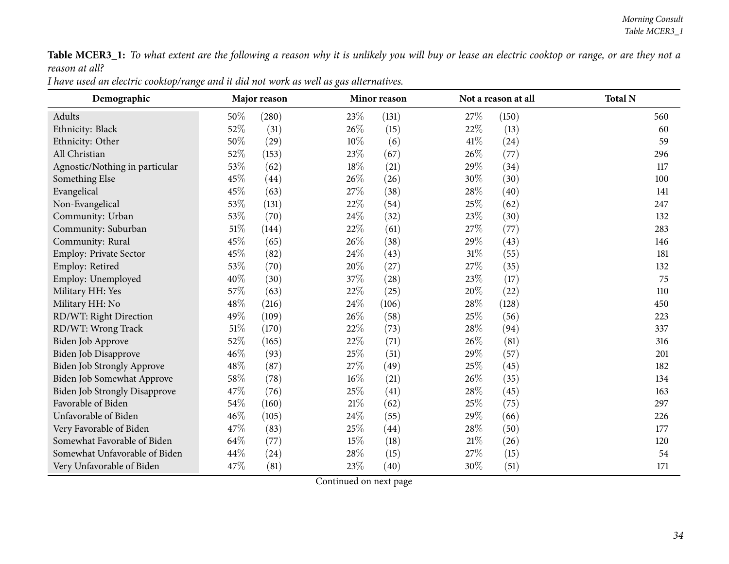Table MCER3\_1: To what extent are the following a reason why it is unlikely you will buy or lease an electric cooktop or range, or are they not a *reason at all?*

| I have used an electric cooktop/range and it did not work as well as gas alternatives. |
|----------------------------------------------------------------------------------------|
|----------------------------------------------------------------------------------------|

| Demographic                          |        | Major reason |        | Minor reason |        | Not a reason at all | <b>Total N</b> |
|--------------------------------------|--------|--------------|--------|--------------|--------|---------------------|----------------|
| Adults                               | 50%    | (280)        | 23%    | (131)        | 27\%   | (150)               | 560            |
| Ethnicity: Black                     | 52%    | (31)         | 26%    | (15)         | 22\%   | (13)                | 60             |
| Ethnicity: Other                     | $50\%$ | (29)         | 10%    | (6)          | 41\%   | (24)                | 59             |
| All Christian                        | 52%    | (153)        | 23%    | (67)         | 26\%   | (77)                | 296            |
| Agnostic/Nothing in particular       | 53%    | (62)         | 18%    | (21)         | 29%    | (34)                | 117            |
| Something Else                       | 45%    | (44)         | 26%    | (26)         | 30%    | (30)                | 100            |
| Evangelical                          | 45%    | (63)         | 27%    | (38)         | 28\%   | (40)                | 141            |
| Non-Evangelical                      | 53%    | (131)        | 22%    | (54)         | 25%    | (62)                | 247            |
| Community: Urban                     | 53%    | (70)         | 24%    | (32)         | 23%    | (30)                | 132            |
| Community: Suburban                  | $51\%$ | (144)        | 22%    | (61)         | 27%    | (77)                | 283            |
| Community: Rural                     | 45%    | (65)         | 26%    | (38)         | 29%    | (43)                | 146            |
| Employ: Private Sector               | 45%    | (82)         | 24%    | (43)         | $31\%$ | (55)                | 181            |
| Employ: Retired                      | 53%    | (70)         | 20%    | (27)         | 27%    | (35)                | 132            |
| Employ: Unemployed                   | 40\%   | (30)         | 37%    | (28)         | 23%    | (17)                | 75             |
| Military HH: Yes                     | 57%    | (63)         | 22%    | (25)         | 20%    | (22)                | 110            |
| Military HH: No                      | 48%    | (216)        | 24%    | (106)        | $28\%$ | (128)               | 450            |
| RD/WT: Right Direction               | 49%    | (109)        | 26%    | (58)         | 25%    | (56)                | 223            |
| RD/WT: Wrong Track                   | $51\%$ | (170)        | 22%    | (73)         | 28\%   | (94)                | 337            |
| Biden Job Approve                    | 52%    | (165)        | 22%    | (71)         | 26%    | (81)                | 316            |
| Biden Job Disapprove                 | 46%    | (93)         | 25%    | (51)         | 29%    | (57)                | 201            |
| Biden Job Strongly Approve           | 48\%   | (87)         | 27%    | (49)         | 25%    | (45)                | 182            |
| Biden Job Somewhat Approve           | 58\%   | (78)         | 16%    | (21)         | 26%    | (35)                | 134            |
| <b>Biden Job Strongly Disapprove</b> | 47\%   | (76)         | 25%    | (41)         | 28\%   | (45)                | 163            |
| Favorable of Biden                   | 54%    | (160)        | $21\%$ | (62)         | 25%    | (75)                | 297            |
| Unfavorable of Biden                 | 46%    | (105)        | 24%    | (55)         | 29%    | (66)                | 226            |
| Very Favorable of Biden              | 47%    | (83)         | 25%    | (44)         | 28\%   | (50)                | 177            |
| Somewhat Favorable of Biden          | 64%    | (77)         | 15%    | (18)         | $21\%$ | (26)                | 120            |
| Somewhat Unfavorable of Biden        | 44%    | (24)         | 28%    | (15)         | 27%    | (15)                | 54             |
| Very Unfavorable of Biden            | 47%    | (81)         | 23%    | (40)         | $30\%$ | (51)                | 171            |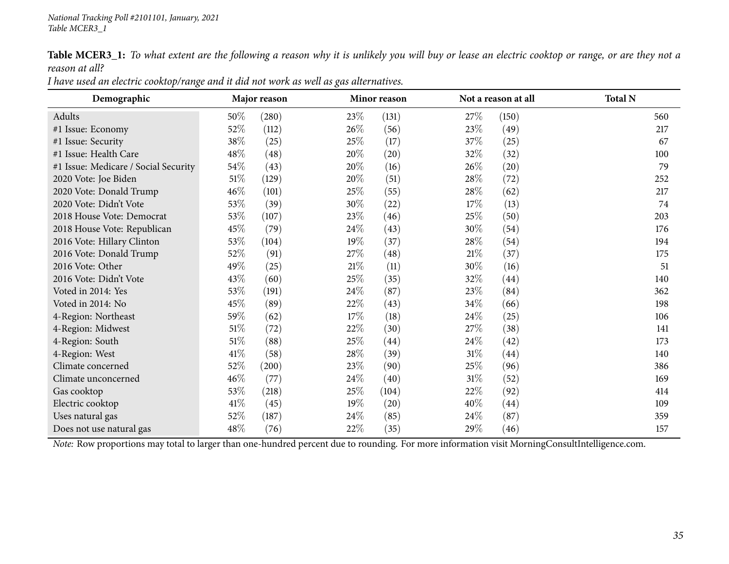Table MCER3\_1: To what extent are the following a reason why it is unlikely you will buy or lease an electric cooktop or range, or are they not a *reason at all?*

| Demographic                          |        | Major reason |        | Minor reason |        | Not a reason at all | <b>Total N</b> |
|--------------------------------------|--------|--------------|--------|--------------|--------|---------------------|----------------|
| Adults                               | 50\%   | (280)        | 23%    | (131)        | 27\%   | (150)               | 560            |
| #1 Issue: Economy                    | 52\%   | (112)        | 26\%   | (56)         | 23\%   | (49)                | 217            |
| #1 Issue: Security                   | 38\%   | (25)         | 25\%   | (17)         | 37\%   | $\left( 25\right)$  | 67             |
| #1 Issue: Health Care                | 48\%   | (48)         | 20%    | (20)         | 32%    | (32)                | 100            |
| #1 Issue: Medicare / Social Security | 54\%   | (43)         | 20%    | (16)         | $26\%$ | (20)                | 79             |
| 2020 Vote: Joe Biden                 | 51\%   | (129)        | 20%    | (51)         | 28\%   | $^{(72)}$           | 252            |
| 2020 Vote: Donald Trump              | $46\%$ | (101)        | 25%    | (55)         | 28\%   | (62)                | 217            |
| 2020 Vote: Didn't Vote               | 53\%   | (39)         | 30\%   | (22)         | 17%    | (13)                | 74             |
| 2018 House Vote: Democrat            | 53%    | (107)        | 23\%   | (46)         | 25\%   | (50)                | 203            |
| 2018 House Vote: Republican          | 45\%   | (79)         | 24\%   | (43)         | 30\%   | (54)                | 176            |
| 2016 Vote: Hillary Clinton           | 53\%   | (104)        | 19%    | (37)         | 28\%   | (54)                | 194            |
| 2016 Vote: Donald Trump              | 52%    | (91)         | 27\%   | (48)         | 21%    | (37)                | 175            |
| 2016 Vote: Other                     | 49\%   | (25)         | 21%    | (11)         | 30\%   | (16)                | 51             |
| 2016 Vote: Didn't Vote               | 43\%   | (60)         | 25\%   | (35)         | $32\%$ | $\left( 44\right)$  | 140            |
| Voted in 2014: Yes                   | 53\%   | (191)        | 24\%   | (87)         | 23\%   | (84)                | 362            |
| Voted in 2014: No                    | 45%    | (89)         | 22\%   | (43)         | 34\%   | (66)                | 198            |
| 4-Region: Northeast                  | 59%    | (62)         | 17\%   | (18)         | 24\%   | (25)                | 106            |
| 4-Region: Midwest                    | $51\%$ | (72)         | 22%    | (30)         | 27\%   | (38)                | 141            |
| 4-Region: South                      | 51\%   | (88)         | 25%    | (44)         | $24\%$ | (42)                | 173            |
| 4-Region: West                       | 41\%   | (58)         | 28\%   | (39)         | $31\%$ | $\left( 44\right)$  | 140            |
| Climate concerned                    | 52\%   | (200)        | 23\%   | (90)         | 25%    | (96)                | 386            |
| Climate unconcerned                  | $46\%$ | (77)         | 24%    | (40)         | 31%    | (52)                | 169            |
| Gas cooktop                          | 53%    | (218)        | 25\%   | (104)        | 22\%   | (92)                | 414            |
| Electric cooktop                     | $41\%$ | (45)         | $19\%$ | (20)         | $40\%$ | (44)                | 109            |
| Uses natural gas                     | 52\%   | (187)        | 24\%   | (85)         | 24\%   | (87)                | 359            |
| Does not use natural gas             | 48\%   | (76)         | 22%    | (35)         | $29\%$ | (46)                | 157            |

I have used an electric cooktop/range and it did not work as well as gas alternatives.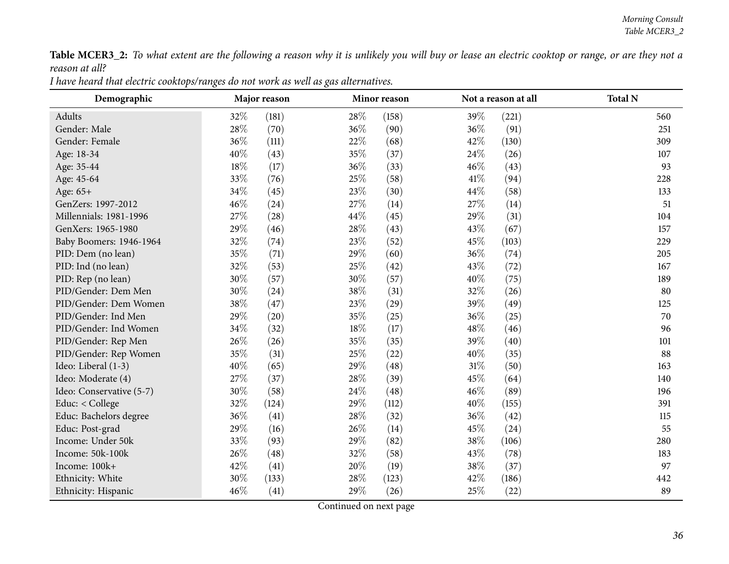Table MCER3\_2: To what extent are the following a reason why it is unlikely you will buy or lease an electric cooktop or range, or are they not a *reason at all?*

| I have heard that electric cooktops/ranges do not work as well as gas alternatives. |  |
|-------------------------------------------------------------------------------------|--|
|-------------------------------------------------------------------------------------|--|

<span id="page-35-0"></span>

| Demographic              |        | Major reason |      | Minor reason |        | Not a reason at all | <b>Total N</b> |
|--------------------------|--------|--------------|------|--------------|--------|---------------------|----------------|
| Adults                   | 32\%   | (181)        | 28\% | (158)        | 39%    | (221)               | 560            |
| Gender: Male             | 28%    | (70)         | 36%  | (90)         | 36%    | (91)                | 251            |
| Gender: Female           | 36%    | (111)        | 22%  | (68)         | 42%    | (130)               | 309            |
| Age: 18-34               | 40%    | (43)         | 35%  | (37)         | 24\%   | (26)                | 107            |
| Age: 35-44               | $18\%$ | (17)         | 36%  | (33)         | 46%    | (43)                | 93             |
| Age: 45-64               | 33%    | (76)         | 25%  | (58)         | 41\%   | (94)                | 228            |
| Age: 65+                 | 34%    | (45)         | 23%  | (30)         | 44\%   | (58)                | 133            |
| GenZers: 1997-2012       | 46%    | (24)         | 27%  | (14)         | 27\%   | (14)                | 51             |
| Millennials: 1981-1996   | 27%    | (28)         | 44%  | (45)         | 29%    | (31)                | 104            |
| GenXers: 1965-1980       | 29%    | (46)         | 28\% | (43)         | 43\%   | (67)                | 157            |
| Baby Boomers: 1946-1964  | 32%    | (74)         | 23\% | (52)         | 45\%   | (103)               | 229            |
| PID: Dem (no lean)       | 35%    | (71)         | 29%  | (60)         | 36%    | (74)                | 205            |
| PID: Ind (no lean)       | 32%    | (53)         | 25%  | (42)         | 43\%   | (72)                | 167            |
| PID: Rep (no lean)       | 30%    | (57)         | 30%  | (57)         | 40%    | (75)                | 189            |
| PID/Gender: Dem Men      | 30%    | (24)         | 38%  | (31)         | 32%    | (26)                | 80             |
| PID/Gender: Dem Women    | 38%    | (47)         | 23%  | (29)         | 39%    | (49)                | 125            |
| PID/Gender: Ind Men      | 29%    | (20)         | 35%  | (25)         | 36%    | (25)                | 70             |
| PID/Gender: Ind Women    | 34%    | (32)         | 18%  | (17)         | 48%    | (46)                | 96             |
| PID/Gender: Rep Men      | 26%    | (26)         | 35%  | (35)         | 39%    | (40)                | 101            |
| PID/Gender: Rep Women    | 35%    | (31)         | 25%  | (22)         | 40%    | (35)                | 88             |
| Ideo: Liberal (1-3)      | 40%    | (65)         | 29%  | (48)         | $31\%$ | (50)                | 163            |
| Ideo: Moderate (4)       | 27%    | (37)         | 28%  | (39)         | 45%    | (64)                | 140            |
| Ideo: Conservative (5-7) | 30%    | (58)         | 24%  | (48)         | 46%    | (89)                | 196            |
| Educ: < College          | 32%    | (124)        | 29%  | (112)        | 40%    | (155)               | 391            |
| Educ: Bachelors degree   | 36\%   | (41)         | 28\% | (32)         | 36%    | (42)                | 115            |
| Educ: Post-grad          | 29%    | (16)         | 26%  | (14)         | 45%    | (24)                | 55             |
| Income: Under 50k        | 33%    | (93)         | 29%  | (82)         | 38%    | (106)               | 280            |
| Income: 50k-100k         | 26%    | (48)         | 32%  | (58)         | 43\%   | (78)                | 183            |
| Income: 100k+            | 42%    | (41)         | 20%  | (19)         | 38%    | (37)                | 97             |
| Ethnicity: White         | 30%    | (133)        | 28%  | (123)        | 42%    | (186)               | 442            |
| Ethnicity: Hispanic      | 46%    | (41)         | 29%  | (26)         | 25%    | (22)                | 89             |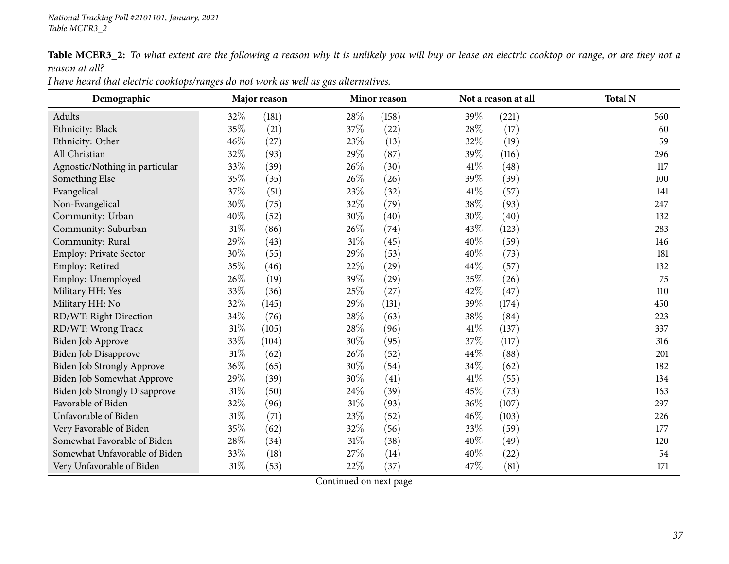Table MCER3\_2: To what extent are the following a reason why it is unlikely you will buy or lease an electric cooktop or range, or are they not a *reason at all?*

| Demographic                          | Major reason |       |        | Minor reason |        | Not a reason at all | <b>Total N</b> |
|--------------------------------------|--------------|-------|--------|--------------|--------|---------------------|----------------|
| Adults                               | 32\%         | (181) | 28\%   | (158)        | 39%    | (221)               | 560            |
| Ethnicity: Black                     | 35%          | (21)  | 37\%   | (22)         | $28\%$ | (17)                | 60             |
| Ethnicity: Other                     | 46%          | (27)  | 23\%   | (13)         | 32\%   | (19)                | 59             |
| All Christian                        | 32%          | (93)  | 29%    | (87)         | 39%    | (116)               | 296            |
| Agnostic/Nothing in particular       | 33%          | (39)  | 26\%   | (30)         | 41\%   | (48)                | 117            |
| Something Else                       | 35%          | (35)  | 26%    | (26)         | 39%    | (39)                | 100            |
| Evangelical                          | 37%          | (51)  | 23%    | (32)         | 41\%   | (57)                | 141            |
| Non-Evangelical                      | $30\%$       | (75)  | 32%    | (79)         | 38%    | (93)                | 247            |
| Community: Urban                     | 40\%         | (52)  | 30%    | (40)         | 30%    | (40)                | 132            |
| Community: Suburban                  | $31\%$       | (86)  | 26%    | (74)         | 43%    | (123)               | 283            |
| Community: Rural                     | 29%          | (43)  | $31\%$ | (45)         | 40%    | (59)                | 146            |
| Employ: Private Sector               | 30%          | (55)  | 29%    | (53)         | 40%    | (73)                | 181            |
| Employ: Retired                      | 35%          | (46)  | 22%    | (29)         | 44\%   | (57)                | 132            |
| Employ: Unemployed                   | 26%          | (19)  | 39%    | (29)         | 35%    | (26)                | 75             |
| Military HH: Yes                     | 33%          | (36)  | 25%    | (27)         | 42%    | (47)                | 110            |
| Military HH: No                      | 32%          | (145) | 29%    | (131)        | 39%    | (174)               | 450            |
| RD/WT: Right Direction               | $34\%$       | (76)  | 28%    | (63)         | 38%    | (84)                | 223            |
| RD/WT: Wrong Track                   | $31\%$       | (105) | 28\%   | (96)         | 41\%   | (137)               | 337            |
| Biden Job Approve                    | 33%          | (104) | 30%    | (95)         | 37%    | (117)               | 316            |
| <b>Biden Job Disapprove</b>          | $31\%$       | (62)  | 26\%   | (52)         | 44\%   | (88)                | 201            |
| <b>Biden Job Strongly Approve</b>    | 36%          | (65)  | 30%    | (54)         | 34\%   | (62)                | 182            |
| Biden Job Somewhat Approve           | 29%          | (39)  | 30%    | (41)         | 41%    | (55)                | 134            |
| <b>Biden Job Strongly Disapprove</b> | $31\%$       | (50)  | 24\%   | (39)         | 45%    | (73)                | 163            |
| Favorable of Biden                   | 32%          | (96)  | 31%    | (93)         | 36%    | (107)               | 297            |
| Unfavorable of Biden                 | $31\%$       | (71)  | 23\%   | (52)         | 46%    | (103)               | 226            |
| Very Favorable of Biden              | 35%          | (62)  | 32%    | (56)         | 33\%   | (59)                | 177            |
| Somewhat Favorable of Biden          | 28%          | (34)  | 31%    | (38)         | 40%    | (49)                | 120            |
| Somewhat Unfavorable of Biden        | 33%          | (18)  | 27%    | (14)         | 40%    | (22)                | 54             |
| Very Unfavorable of Biden            | 31%          | (53)  | 22%    | (37)         | 47\%   | (81)                | 171            |

I have heard that electric cooktops/ranges do not work as well as gas alternatives.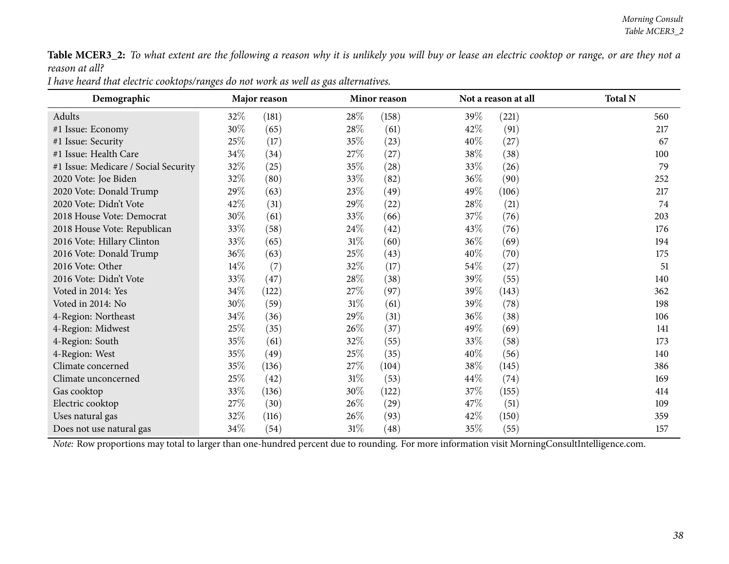Table MCER3\_2: To what extent are the following a reason why it is unlikely you will buy or lease an electric cooktop or range, or are they not a *reason at all?*

| I have heard that electric cooktops/ranges do not work as well as gas alternatives. |  |
|-------------------------------------------------------------------------------------|--|
|                                                                                     |  |

| Demographic                          | Major reason |       |        | Minor reason       |        | Not a reason at all | <b>Total N</b> |
|--------------------------------------|--------------|-------|--------|--------------------|--------|---------------------|----------------|
| Adults                               | 32\%         | (181) | 28\%   | (158)              | 39\%   | (221)               | 560            |
| #1 Issue: Economy                    | 30%          | (65)  | 28\%   | (61)               | 42\%   | (91)                | 217            |
| #1 Issue: Security                   | 25\%         | (17)  | 35\%   | (23)               | 40%    | (27)                | 67             |
| #1 Issue: Health Care                | 34\%         | (34)  | 27\%   | (27)               | 38\%   | (38)                | 100            |
| #1 Issue: Medicare / Social Security | 32%          | (25)  | 35%    | $\left( 28\right)$ | 33\%   | (26)                | 79             |
| 2020 Vote: Joe Biden                 | 32%          | (80)  | 33%    | (82)               | 36\%   | (90)                | 252            |
| 2020 Vote: Donald Trump              | 29\%         | (63)  | 23\%   | (49)               | 49\%   | (106)               | 217            |
| 2020 Vote: Didn't Vote               | 42\%         | (31)  | 29%    | $\left( 22\right)$ | 28\%   | (21)                | 74             |
| 2018 House Vote: Democrat            | 30%          | (61)  | 33%    | (66)               | 37%    | (76)                | 203            |
| 2018 House Vote: Republican          | 33\%         | (58)  | 24%    | (42)               | 43\%   | (76)                | 176            |
| 2016 Vote: Hillary Clinton           | 33\%         | (65)  | $31\%$ | (60)               | $36\%$ | (69)                | 194            |
| 2016 Vote: Donald Trump              | 36\%         | (63)  | 25\%   | (43)               | 40\%   | (70)                | 175            |
| 2016 Vote: Other                     | 14\%         | (7)   | 32%    | (17)               | 54\%   | (27)                | 51             |
| 2016 Vote: Didn't Vote               | 33%          | (47)  | 28\%   | (38)               | 39\%   | (55)                | 140            |
| Voted in 2014: Yes                   | 34\%         | (122) | 27\%   | (97)               | 39%    | (143)               | 362            |
| Voted in 2014: No                    | 30\%         | (59)  | 31\%   | (61)               | 39\%   | (78)                | 198            |
| 4-Region: Northeast                  | 34\%         | (36)  | 29%    | (31)               | 36\%   | (38)                | 106            |
| 4-Region: Midwest                    | 25\%         | (35)  | $26\%$ | (37)               | 49\%   | (69)                | 141            |
| 4-Region: South                      | 35%          | (61)  | 32\%   | (55)               | 33\%   | (58)                | 173            |
| 4-Region: West                       | 35%          | (49)  | 25%    | (35)               | 40%    | (56)                | 140            |
| Climate concerned                    | 35%          | (136) | 27\%   | (104)              | 38\%   | (145)               | 386            |
| Climate unconcerned                  | 25%          | (42)  | $31\%$ | (53)               | 44\%   | (74)                | 169            |
| Gas cooktop                          | 33%          | (136) | 30\%   | (122)              | 37\%   | (155)               | 414            |
| Electric cooktop                     | 27\%         | (30)  | $26\%$ | (29)               | 47\%   | (51)                | 109            |
| Uses natural gas                     | 32\%         | (116) | $26\%$ | (93)               | 42\%   | (150)               | 359            |
| Does not use natural gas             | 34\%         | (54)  | $31\%$ | $\left( 48\right)$ | 35\%   | (55)                | 157            |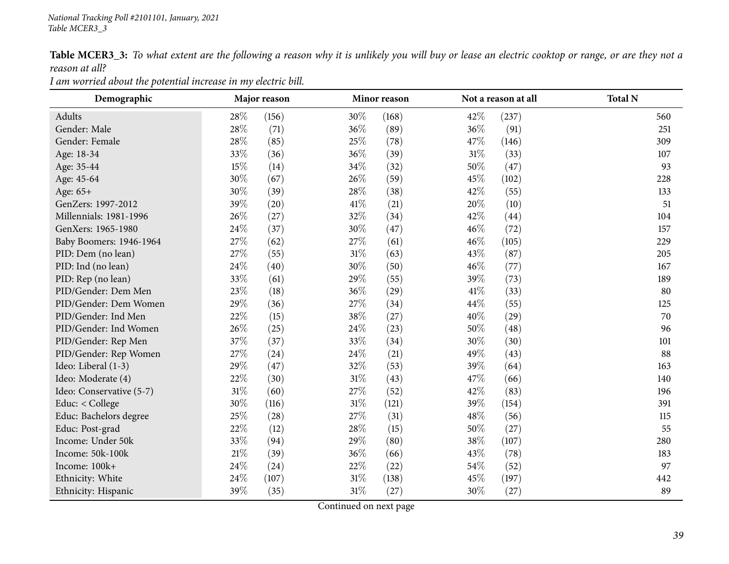Table MCER3\_3: To what extent are the following a reason why it is unlikely you will buy or lease an electric cooktop or range, or are they not a *reason at all?*

*<sup>I</sup> am worried about the potential increase in my electric bill.*

| Demographic              | Major reason |       |        | Minor reason |        | Not a reason at all | <b>Total N</b> |
|--------------------------|--------------|-------|--------|--------------|--------|---------------------|----------------|
| Adults                   | 28\%         | (156) | 30%    | (168)        | 42%    | (237)               | 560            |
| Gender: Male             | 28\%         | (71)  | 36%    | (89)         | 36%    | (91)                | 251            |
| Gender: Female           | 28\%         | (85)  | 25%    | (78)         | 47\%   | (146)               | 309            |
| Age: 18-34               | 33%          | (36)  | 36%    | (39)         | $31\%$ | (33)                | 107            |
| Age: 35-44               | 15%          | (14)  | 34%    | (32)         | 50%    | (47)                | 93             |
| Age: 45-64               | 30%          | (67)  | 26%    | (59)         | 45%    | (102)               | 228            |
| Age: 65+                 | 30%          | (39)  | 28\%   | (38)         | 42%    | (55)                | 133            |
| GenZers: 1997-2012       | 39%          | (20)  | 41\%   | (21)         | 20%    | (10)                | 51             |
| Millennials: 1981-1996   | 26%          | (27)  | 32%    | (34)         | 42%    | (44)                | 104            |
| GenXers: 1965-1980       | 24\%         | (37)  | 30%    | (47)         | 46%    | (72)                | 157            |
| Baby Boomers: 1946-1964  | 27\%         | (62)  | 27\%   | (61)         | 46\%   | (105)               | 229            |
| PID: Dem (no lean)       | 27\%         | (55)  | 31%    | (63)         | 43%    | (87)                | 205            |
| PID: Ind (no lean)       | 24%          | (40)  | 30%    | (50)         | 46%    | (77)                | 167            |
| PID: Rep (no lean)       | 33%          | (61)  | 29%    | (55)         | 39%    | (73)                | 189            |
| PID/Gender: Dem Men      | 23%          | (18)  | 36%    | (29)         | 41\%   | (33)                | 80             |
| PID/Gender: Dem Women    | 29%          | (36)  | 27%    | (34)         | 44%    | (55)                | 125            |
| PID/Gender: Ind Men      | 22%          | (15)  | 38%    | (27)         | 40%    | (29)                | 70             |
| PID/Gender: Ind Women    | 26\%         | (25)  | 24\%   | (23)         | 50%    | (48)                | 96             |
| PID/Gender: Rep Men      | 37%          | (37)  | 33%    | (34)         | 30%    | (30)                | 101            |
| PID/Gender: Rep Women    | 27%          | (24)  | 24%    | (21)         | 49%    | (43)                | 88             |
| Ideo: Liberal (1-3)      | 29%          | (47)  | 32%    | (53)         | 39%    | (64)                | 163            |
| Ideo: Moderate (4)       | 22%          | (30)  | 31%    | (43)         | 47%    | (66)                | 140            |
| Ideo: Conservative (5-7) | $31\%$       | (60)  | 27%    | (52)         | 42%    | (83)                | 196            |
| Educ: < College          | 30%          | (116) | $31\%$ | (121)        | 39%    | (154)               | 391            |
| Educ: Bachelors degree   | 25\%         | (28)  | 27\%   | (31)         | 48\%   | (56)                | 115            |
| Educ: Post-grad          | 22%          | (12)  | 28\%   | (15)         | 50%    | (27)                | 55             |
| Income: Under 50k        | 33%          | (94)  | 29%    | (80)         | 38%    | (107)               | 280            |
| Income: 50k-100k         | $21\%$       | (39)  | 36%    | (66)         | 43%    | (78)                | 183            |
| Income: 100k+            | 24\%         | (24)  | 22%    | (22)         | 54\%   | (52)                | 97             |
| Ethnicity: White         | $24\%$       | (107) | 31%    | (138)        | 45%    | (197)               | 442            |
| Ethnicity: Hispanic      | 39%          | (35)  | 31%    | (27)         | 30%    | (27)                | 89             |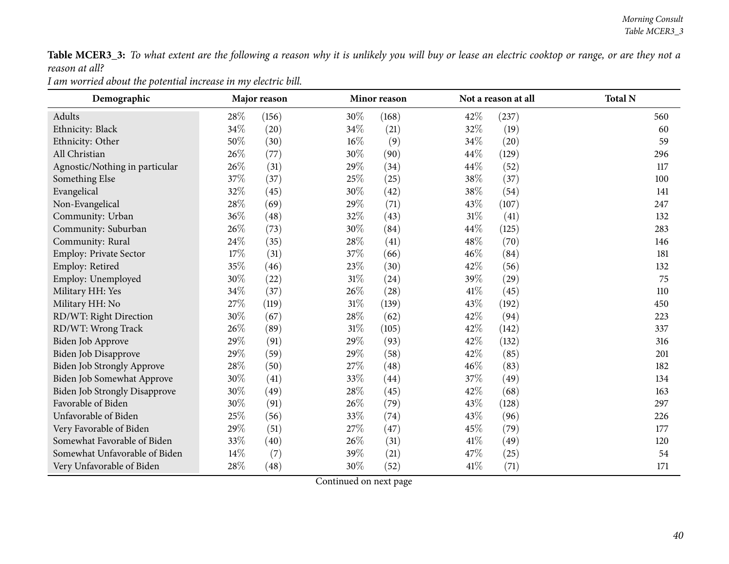Table MCER3\_3: To what extent are the following a reason why it is unlikely you will buy or lease an electric cooktop or range, or are they not a *reason at all?*

*<sup>I</sup> am worried about the potential increase in my electric bill.*

| Demographic                    |        | Major reason |        | Minor reason |        | Not a reason at all | <b>Total N</b> |
|--------------------------------|--------|--------------|--------|--------------|--------|---------------------|----------------|
| Adults                         | 28%    | (156)        | 30%    | (168)        | 42%    | (237)               | 560            |
| Ethnicity: Black               | 34\%   | (20)         | 34%    | (21)         | 32%    | (19)                | 60             |
| Ethnicity: Other               | 50%    | (30)         | $16\%$ | (9)          | 34%    | (20)                | 59             |
| All Christian                  | 26%    | (77)         | $30\%$ | (90)         | 44%    | (129)               | 296            |
| Agnostic/Nothing in particular | $26\%$ | (31)         | 29%    | (34)         | 44\%   | (52)                | 117            |
| Something Else                 | 37%    | (37)         | 25%    | (25)         | 38%    | (37)                | 100            |
| Evangelical                    | 32%    | (45)         | 30%    | (42)         | 38%    | (54)                | 141            |
| Non-Evangelical                | $28\%$ | (69)         | 29%    | (71)         | 43%    | (107)               | 247            |
| Community: Urban               | 36%    | (48)         | 32%    | (43)         | $31\%$ | (41)                | 132            |
| Community: Suburban            | 26%    | (73)         | $30\%$ | (84)         | 44%    | (125)               | 283            |
| Community: Rural               | 24\%   | (35)         | 28\%   | (41)         | 48\%   | (70)                | 146            |
| Employ: Private Sector         | 17%    | (31)         | 37%    | (66)         | 46%    | (84)                | 181            |
| Employ: Retired                | $35\%$ | (46)         | 23%    | (30)         | 42%    | (56)                | 132            |
| Employ: Unemployed             | 30%    | (22)         | $31\%$ | (24)         | 39%    | (29)                | 75             |
| Military HH: Yes               | 34%    | (37)         | 26%    | (28)         | 41%    | (45)                | 110            |
| Military HH: No                | 27\%   | (119)        | $31\%$ | (139)        | 43%    | (192)               | 450            |
| RD/WT: Right Direction         | 30%    | (67)         | $28\%$ | (62)         | 42%    | (94)                | 223            |
| RD/WT: Wrong Track             | 26\%   | (89)         | $31\%$ | (105)        | 42%    | (142)               | 337            |
| Biden Job Approve              | 29%    | (91)         | 29%    | (93)         | 42%    | (132)               | 316            |
| Biden Job Disapprove           | 29%    | (59)         | 29%    | (58)         | 42%    | (85)                | 201            |
| Biden Job Strongly Approve     | 28%    | (50)         | 27%    | (48)         | 46%    | (83)                | 182            |
| Biden Job Somewhat Approve     | 30%    | (41)         | 33%    | (44)         | 37%    | (49)                | 134            |
| Biden Job Strongly Disapprove  | 30\%   | (49)         | 28\%   | (45)         | 42%    | (68)                | 163            |
| Favorable of Biden             | 30%    | (91)         | $26\%$ | (79)         | 43%    | (128)               | 297            |
| Unfavorable of Biden           | 25%    | (56)         | 33%    | (74)         | 43%    | (96)                | 226            |
| Very Favorable of Biden        | 29%    | (51)         | 27%    | (47)         | 45%    | (79)                | 177            |
| Somewhat Favorable of Biden    | 33%    | (40)         | 26%    | (31)         | 41\%   | (49)                | 120            |
| Somewhat Unfavorable of Biden  | 14%    | (7)          | 39%    | (21)         | 47%    | (25)                | 54             |
| Very Unfavorable of Biden      | 28%    | (48)         | 30%    | (52)         | 41\%   | (71)                | 171            |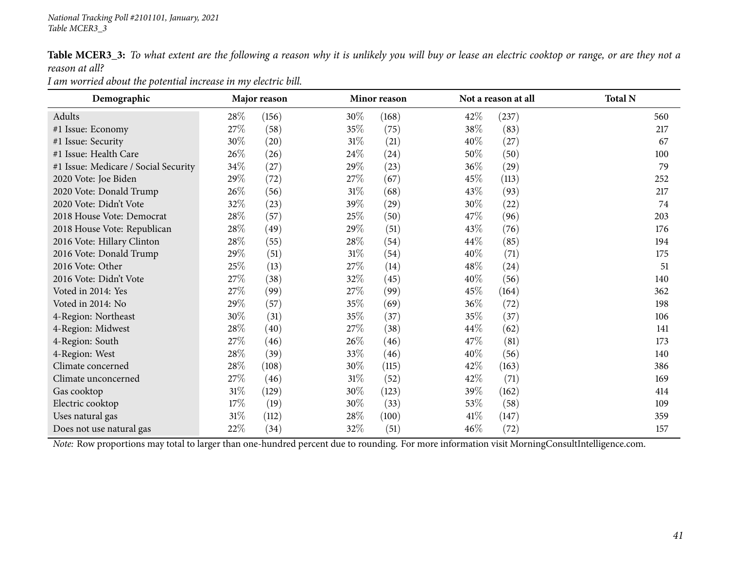Table MCER3\_3: To what extent are the following a reason why it is unlikely you will buy or lease an electric cooktop or range, or are they not a *reason at all?*

*<sup>I</sup> am worried about the potential increase in my electric bill.*

| Demographic                          |        | Major reason |        | Minor reason |        | Not a reason at all | <b>Total N</b> |
|--------------------------------------|--------|--------------|--------|--------------|--------|---------------------|----------------|
| Adults                               | 28\%   | (156)        | $30\%$ | (168)        | 42%    | (237)               | 560            |
| #1 Issue: Economy                    | 27\%   | (58)         | 35\%   | (75)         | 38\%   | (83)                | 217            |
| #1 Issue: Security                   | 30%    | (20)         | $31\%$ | (21)         | 40\%   | (27)                | 67             |
| #1 Issue: Health Care                | 26\%   | (26)         | 24\%   | (24)         | $50\%$ | (50)                | 100            |
| #1 Issue: Medicare / Social Security | $34\%$ | (27)         | 29%    | (23)         | 36\%   | (29)                | 79             |
| 2020 Vote: Joe Biden                 | 29%    | (72)         | 27\%   | (67)         | 45\%   | (113)               | 252            |
| 2020 Vote: Donald Trump              | 26\%   | (56)         | $31\%$ | (68)         | 43\%   | (93)                | 217            |
| 2020 Vote: Didn't Vote               | 32%    | (23)         | 39\%   | (29)         | 30\%   | (22)                | 74             |
| 2018 House Vote: Democrat            | 28\%   | (57)         | 25%    | (50)         | 47\%   | (96)                | 203            |
| 2018 House Vote: Republican          | 28\%   | (49)         | 29%    | (51)         | 43\%   | (76)                | 176            |
| 2016 Vote: Hillary Clinton           | 28\%   | (55)         | 28\%   | (54)         | 44\%   | (85)                | 194            |
| 2016 Vote: Donald Trump              | 29%    | (51)         | $31\%$ | (54)         | 40\%   | (71)                | 175            |
| 2016 Vote: Other                     | 25%    | (13)         | 27\%   | (14)         | 48\%   | (24)                | 51             |
| 2016 Vote: Didn't Vote               | 27\%   | (38)         | 32%    | (45)         | 40%    | (56)                | 140            |
| Voted in 2014: Yes                   | 27\%   | (99)         | 27%    | (99)         | 45\%   | (164)               | 362            |
| Voted in 2014: No                    | 29%    | (57)         | 35%    | (69)         | 36%    | (72)                | 198            |
| 4-Region: Northeast                  | 30%    | (31)         | 35%    | (37)         | 35%    | (37)                | 106            |
| 4-Region: Midwest                    | $28\%$ | (40)         | 27\%   | (38)         | 44\%   | (62)                | 141            |
| 4-Region: South                      | 27\%   | (46)         | 26\%   | (46)         | 47\%   | (81)                | 173            |
| 4-Region: West                       | 28\%   | (39)         | 33%    | (46)         | 40\%   | (56)                | 140            |
| Climate concerned                    | $28\%$ | (108)        | 30\%   | (115)        | 42\%   | (163)               | 386            |
| Climate unconcerned                  | $27\%$ | (46)         | $31\%$ | (52)         | 42\%   | (71)                | 169            |
| Gas cooktop                          | $31\%$ | (129)        | 30%    | (123)        | 39\%   | (162)               | 414            |
| Electric cooktop                     | 17\%   | (19)         | 30\%   | (33)         | 53\%   | (58)                | 109            |
| Uses natural gas                     | $31\%$ | (112)        | 28\%   | (100)        | 41\%   | (147)               | 359            |
| Does not use natural gas             | 22\%   | (34)         | 32\%   | (51)         | 46\%   | (72)                | 157            |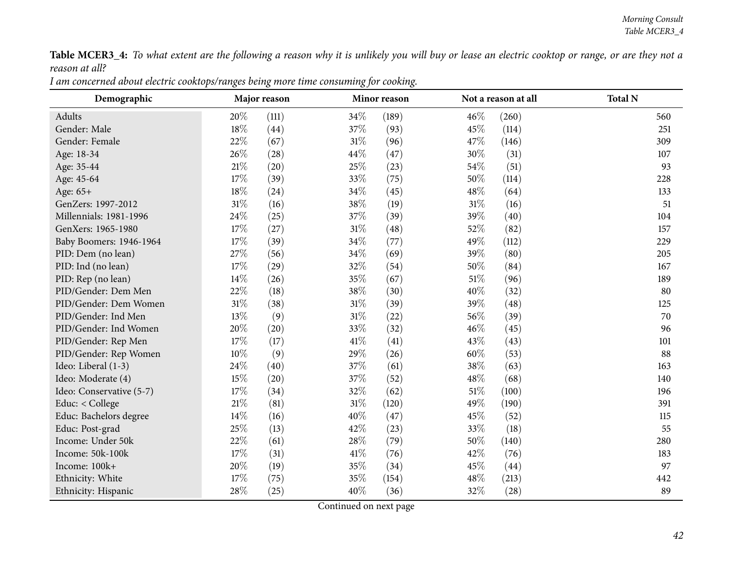Table MCER3\_4: To what extent are the following a reason why it is unlikely you will buy or lease an electric cooktop or range, or are they not a *reason at all?*

I am concerned about electric cooktops/ranges being more time consuming for cooking.

| Demographic              |        | Major reason |        | Minor reason |      | Not a reason at all | <b>Total N</b> |
|--------------------------|--------|--------------|--------|--------------|------|---------------------|----------------|
| Adults                   | 20%    | (111)        | 34%    | (189)        | 46%  | (260)               | 560            |
| Gender: Male             | 18%    | (44)         | 37\%   | (93)         | 45%  | (114)               | 251            |
| Gender: Female           | 22%    | (67)         | 31\%   | (96)         | 47%  | (146)               | 309            |
| Age: 18-34               | 26%    | (28)         | 44\%   | (47)         | 30%  | (31)                | 107            |
| Age: 35-44               | $21\%$ | (20)         | 25%    | (23)         | 54%  | (51)                | 93             |
| Age: 45-64               | 17%    | (39)         | 33\%   | (75)         | 50%  | (114)               | 228            |
| Age: 65+                 | $18\%$ | (24)         | 34%    | (45)         | 48%  | (64)                | 133            |
| GenZers: 1997-2012       | 31%    | (16)         | 38%    | (19)         | 31%  | (16)                | 51             |
| Millennials: 1981-1996   | 24%    | (25)         | 37%    | (39)         | 39%  | (40)                | 104            |
| GenXers: 1965-1980       | 17%    | (27)         | $31\%$ | (48)         | 52%  | (82)                | 157            |
| Baby Boomers: 1946-1964  | $17\%$ | (39)         | 34%    | (77)         | 49%  | (112)               | 229            |
| PID: Dem (no lean)       | 27%    | (56)         | 34%    | (69)         | 39%  | (80)                | 205            |
| PID: Ind (no lean)       | 17%    | (29)         | 32%    | (54)         | 50%  | (84)                | 167            |
| PID: Rep (no lean)       | $14\%$ | (26)         | 35%    | (67)         | 51%  | (96)                | 189            |
| PID/Gender: Dem Men      | 22%    | (18)         | 38%    | (30)         | 40%  | (32)                | 80             |
| PID/Gender: Dem Women    | 31%    | (38)         | $31\%$ | (39)         | 39%  | (48)                | 125            |
| PID/Gender: Ind Men      | 13\%   | (9)          | $31\%$ | (22)         | 56%  | (39)                | 70             |
| PID/Gender: Ind Women    | 20%    | (20)         | 33%    | (32)         | 46%  | (45)                | 96             |
| PID/Gender: Rep Men      | 17%    | (17)         | 41\%   | (41)         | 43%  | (43)                | 101            |
| PID/Gender: Rep Women    | $10\%$ | (9)          | 29%    | (26)         | 60%  | (53)                | 88             |
| Ideo: Liberal (1-3)      | 24\%   | (40)         | 37\%   | (61)         | 38\% | (63)                | 163            |
| Ideo: Moderate (4)       | 15%    | (20)         | 37%    | (52)         | 48%  | (68)                | 140            |
| Ideo: Conservative (5-7) | 17%    | (34)         | 32%    | (62)         | 51%  | (100)               | 196            |
| Educ: < College          | $21\%$ | (81)         | $31\%$ | (120)        | 49%  | (190)               | 391            |
| Educ: Bachelors degree   | $14\%$ | (16)         | 40%    | (47)         | 45%  | (52)                | 115            |
| Educ: Post-grad          | 25%    | (13)         | 42\%   | (23)         | 33%  | (18)                | 55             |
| Income: Under 50k        | 22%    | (61)         | 28\%   | (79)         | 50%  | (140)               | 280            |
| Income: 50k-100k         | 17%    | (31)         | 41\%   | (76)         | 42%  | (76)                | 183            |
| Income: 100k+            | 20%    | (19)         | 35%    | (34)         | 45%  | (44)                | 97             |
| Ethnicity: White         | 17%    | (75)         | 35%    | (154)        | 48%  | (213)               | 442            |
| Ethnicity: Hispanic      | 28%    | (25)         | 40%    | (36)         | 32%  | (28)                | 89             |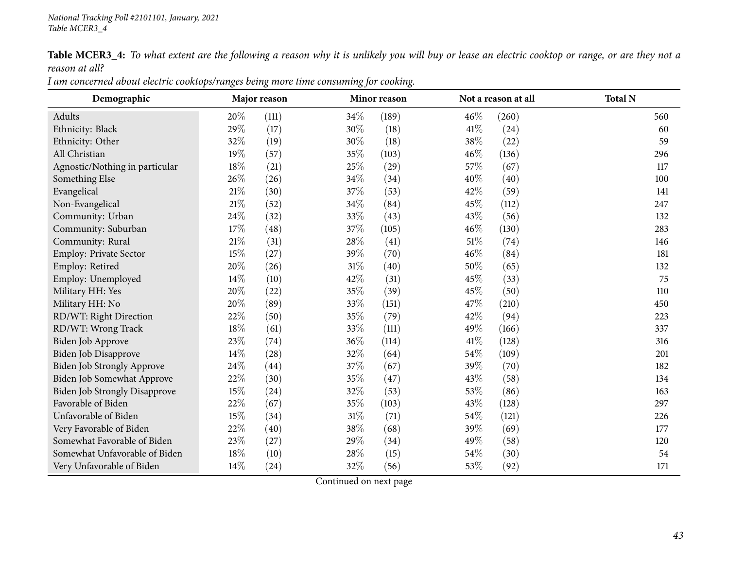$\overline{\phantom{0}}$ 

Very Unfavorable of Biden

Table MCER3\_4: To what extent are the following a reason why it is unlikely you will buy or lease an electric cooktop or range, or are they not a *reason at all?*

| Demographic                          | Major reason |       |     | Minor reason | Not a reason at all |       | <b>Total N</b> |
|--------------------------------------|--------------|-------|-----|--------------|---------------------|-------|----------------|
|                                      |              |       |     |              |                     |       |                |
| Adults                               | 20%          | (111) | 34% | (189)        | 46%                 | (260) | 560            |
| Ethnicity: Black                     | 29%          | (17)  | 30% | (18)         | 41\%                | (24)  | 60             |
| Ethnicity: Other                     | 32%          | (19)  | 30% | (18)         | 38%                 | (22)  | 59             |
| All Christian                        | 19%          | (57)  | 35% | (103)        | 46%                 | (136) | 296            |
| Agnostic/Nothing in particular       | 18%          | (21)  | 25% | (29)         | 57%                 | (67)  | 117            |
| Something Else                       | 26%          | (26)  | 34% | (34)         | 40%                 | (40)  | 100            |
| Evangelical                          | $21\%$       | (30)  | 37% | (53)         | 42%                 | (59)  | 141            |
| Non-Evangelical                      | $21\%$       | (52)  | 34% | (84)         | 45%                 | (112) | 247            |
| Community: Urban                     | 24\%         | (32)  | 33% | (43)         | 43%                 | (56)  | 132            |
| Community: Suburban                  | $17\%$       | (48)  | 37% | (105)        | 46%                 | (130) | 283            |
| Community: Rural                     | $21\%$       | (31)  | 28% | (41)         | 51\%                | (74)  | 146            |
| Employ: Private Sector               | 15%          | (27)  | 39% | (70)         | 46%                 | (84)  | 181            |
| Employ: Retired                      | $20\%$       | (26)  | 31% | (40)         | 50%                 | (65)  | 132            |
| Employ: Unemployed                   | 14\%         | (10)  | 42% | (31)         | 45%                 | (33)  | 75             |
| Military HH: Yes                     | 20%          | (22)  | 35% | (39)         | 45%                 | (50)  | 110            |
| Military HH: No                      | 20%          | (89)  | 33% | (151)        | 47\%                | (210) | 450            |
| RD/WT: Right Direction               | 22%          | (50)  | 35% | (79)         | 42%                 | (94)  | 223            |
| RD/WT: Wrong Track                   | 18%          | (61)  | 33% | (111)        | 49%                 | (166) | 337            |
| Biden Job Approve                    | 23%          | (74)  | 36% | (114)        | 41\%                | (128) | 316            |
| <b>Biden Job Disapprove</b>          | 14%          | (28)  | 32% | (64)         | 54%                 | (109) | 201            |
| Biden Job Strongly Approve           | 24%          | (44)  | 37% | (67)         | 39%                 | (70)  | 182            |
| Biden Job Somewhat Approve           | 22%          | (30)  | 35% | (47)         | 43%                 | (58)  | 134            |
| <b>Biden Job Strongly Disapprove</b> | 15%          | (24)  | 32% | (53)         | 53%                 | (86)  | 163            |
| Favorable of Biden                   | 22%          | (67)  | 35% | (103)        | 43%                 | (128) | 297            |
| Unfavorable of Biden                 | 15%          | (34)  | 31% | (71)         | 54%                 | (121) | 226            |
| Very Favorable of Biden              | 22\%         | (40)  | 38% | (68)         | 39%                 | (69)  | 177            |
| Somewhat Favorable of Biden          | 23%          | (27)  | 29% | (34)         | 49%                 | (58)  | 120            |
| Somewhat Unfavorable of Biden        | 18%          | (10)  | 28% | (15)         | 54%                 | (30)  | 54             |
|                                      |              |       |     |              |                     |       |                |

I am concerned about electric cooktops/ranges being more time consuming for cooking.

Continued on next page

n 14% (24)  $32\%$  (56)  $53\%$  (92) 171

60

296

141

132

181

450

201

163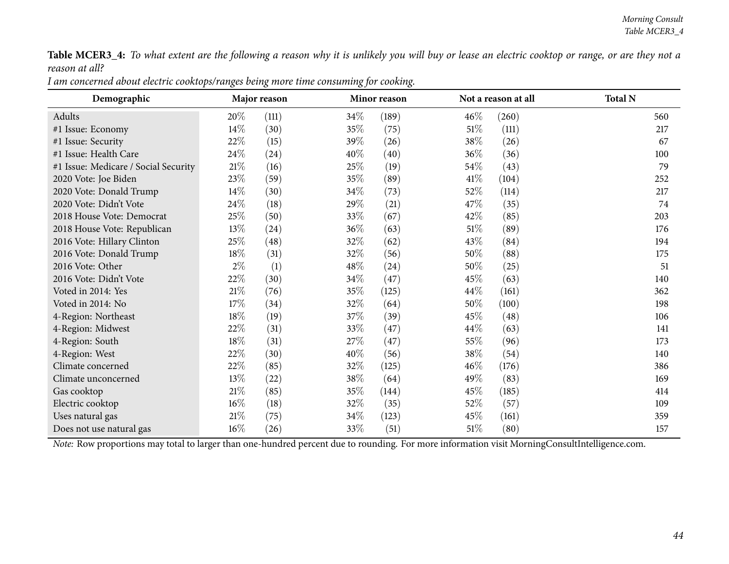Table MCER3\_4: To what extent are the following a reason why it is unlikely you will buy or lease an electric cooktop or range, or are they not a *reason at all?*

|                                      |              | o                  | o,   | ○            |        |                     |                |
|--------------------------------------|--------------|--------------------|------|--------------|--------|---------------------|----------------|
| Demographic                          | Major reason |                    |      | Minor reason |        | Not a reason at all | <b>Total N</b> |
| Adults                               | 20%          | (111)              | 34%  | (189)        | 46%    | (260)               | 560            |
| #1 Issue: Economy                    | 14\%         | (30)               | 35%  | (75)         | $51\%$ | (111)               | 217            |
| #1 Issue: Security                   | 22%          | (15)               | 39%  | (26)         | 38\%   | (26)                | 67             |
| #1 Issue: Health Care                | 24\%         | (24)               | 40%  | (40)         | 36%    | (36)                | 100            |
| #1 Issue: Medicare / Social Security | $21\%$       | (16)               | 25%  | (19)         | 54\%   | (43)                | 79             |
| 2020 Vote: Joe Biden                 | 23%          | (59)               | 35%  | (89)         | 41\%   | (104)               | 252            |
| 2020 Vote: Donald Trump              | $14\%$       | (30)               | 34%  | (73)         | 52\%   | (114)               | 217            |
| 2020 Vote: Didn't Vote               | 24\%         | (18)               | 29\% | (21)         | 47%    | (35)                | 74             |
| 2018 House Vote: Democrat            | 25%          | (50)               | 33%  | (67)         | 42%    | (85)                | 203            |
| 2018 House Vote: Republican          | 13\%         | (24)               | 36%  | (63)         | $51\%$ | (89)                | 176            |
| 2016 Vote: Hillary Clinton           | 25\%         | (48)               | 32\% | (62)         | 43%    | (84)                | 194            |
| 2016 Vote: Donald Trump              | 18%          | (31)               | 32%  | (56)         | 50%    | (88)                | 175            |
| 2016 Vote: Other                     | $2\%$        | (1)                | 48%  | (24)         | 50%    | (25)                | 51             |
| 2016 Vote: Didn't Vote               | 22\%         | (30)               | 34\% | (47)         | 45%    | (63)                | 140            |
| Voted in 2014: Yes                   | $21\%$       | (76)               | 35%  | (125)        | 44%    | (161)               | 362            |
| Voted in 2014: No                    | 17\%         | (34)               | 32%  | (64)         | 50%    | (100)               | 198            |
| 4-Region: Northeast                  | 18%          | (19)               | 37%  | (39)         | 45%    | (48)                | 106            |
| 4-Region: Midwest                    | 22%          | (31)               | 33%  | (47)         | 44\%   | (63)                | 141            |
| 4-Region: South                      | 18%          | (31)               | 27%  | (47)         | 55%    | (96)                | 173            |
| 4-Region: West                       | 22%          | (30)               | 40%  | (56)         | 38\%   | (54)                | 140            |
| Climate concerned                    | 22%          | (85)               | 32%  | (125)        | 46%    | (176)               | 386            |
| Climate unconcerned                  | 13\%         | $\left( 22\right)$ | 38\% | (64)         | 49%    | (83)                | 169            |
| Gas cooktop                          | $21\%$       | (85)               | 35%  | (144)        | 45%    | (185)               | 414            |
| Electric cooktop                     | $16\%$       | (18)               | 32\% | (35)         | 52\%   | (57)                | 109            |
| Uses natural gas                     | 21%          | (75)               | 34%  | (123)        | 45%    | (161)               | 359            |
| Does not use natural gas             | $16\%$       | (26)               | 33%  | (51)         | $51\%$ | (80)                | 157            |

I am concerned about electric cooktops/ranges being more time consuming for cooking.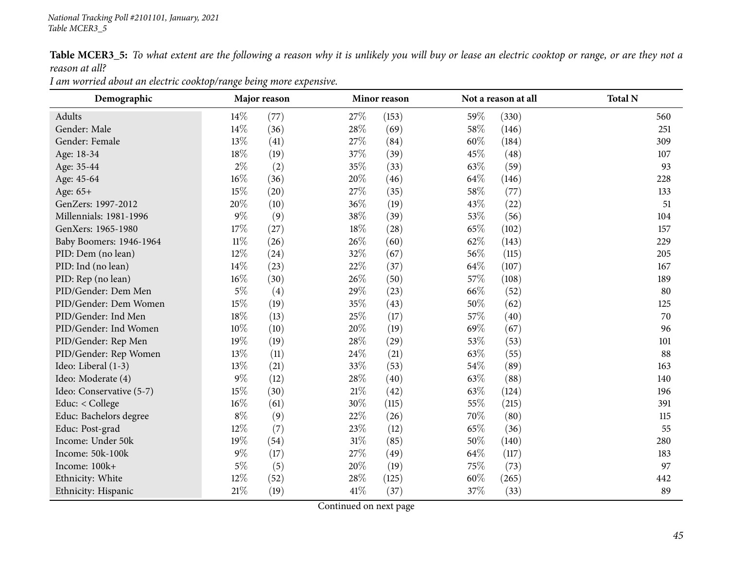Table MCER3\_5: To what extent are the following a reason why it is unlikely you will buy or lease an electric cooktop or range, or are they not a *reason at all?*

| Demographic              | Major reason<br>Minor reason |      |        | Not a reason at all | <b>Total N</b> |       |     |
|--------------------------|------------------------------|------|--------|---------------------|----------------|-------|-----|
| Adults                   | 14%                          | (77) | 27\%   | (153)               | 59%            | (330) | 560 |
| Gender: Male             | 14\%                         | (36) | 28%    | (69)                | 58%            | (146) | 251 |
| Gender: Female           | 13%                          | (41) | 27\%   | (84)                | 60%            | (184) | 309 |
| Age: 18-34               | 18%                          | (19) | 37%    | (39)                | 45%            | (48)  | 107 |
| Age: 35-44               | $2\%$                        | (2)  | 35%    | (33)                | 63\%           | (59)  | 93  |
| Age: 45-64               | $16\%$                       | (36) | 20%    | (46)                | 64\%           | (146) | 228 |
| Age: 65+                 | 15%                          | (20) | 27\%   | (35)                | 58%            | (77)  | 133 |
| GenZers: 1997-2012       | 20%                          | (10) | 36%    | (19)                | 43%            | (22)  | 51  |
| Millennials: 1981-1996   | $9\%$                        | (9)  | 38%    | (39)                | 53%            | (56)  | 104 |
| GenXers: 1965-1980       | 17%                          | (27) | 18%    | (28)                | 65%            | (102) | 157 |
| Baby Boomers: 1946-1964  | $11\%$                       | (26) | 26%    | (60)                | 62%            | (143) | 229 |
| PID: Dem (no lean)       | 12%                          | (24) | 32%    | (67)                | 56%            | (115) | 205 |
| PID: Ind (no lean)       | 14\%                         | (23) | 22%    | (37)                | 64\%           | (107) | 167 |
| PID: Rep (no lean)       | $16\%$                       | (30) | 26%    | (50)                | 57%            | (108) | 189 |
| PID/Gender: Dem Men      | $5\%$                        | (4)  | 29%    | (23)                | 66\%           | (52)  | 80  |
| PID/Gender: Dem Women    | 15%                          | (19) | 35%    | (43)                | 50%            | (62)  | 125 |
| PID/Gender: Ind Men      | 18%                          | (13) | 25%    | (17)                | 57%            | (40)  | 70  |
| PID/Gender: Ind Women    | 10%                          | (10) | 20%    | (19)                | 69%            | (67)  | 96  |
| PID/Gender: Rep Men      | 19%                          | (19) | 28%    | (29)                | 53%            | (53)  | 101 |
| PID/Gender: Rep Women    | 13%                          | (11) | 24%    | (21)                | 63%            | (55)  | 88  |
| Ideo: Liberal (1-3)      | 13%                          | (21) | 33%    | (53)                | 54%            | (89)  | 163 |
| Ideo: Moderate (4)       | $9\%$                        | (12) | 28%    | (40)                | 63%            | (88)  | 140 |
| Ideo: Conservative (5-7) | 15%                          | (30) | $21\%$ | (42)                | 63%            | (124) | 196 |
| Educ: < College          | 16%                          | (61) | 30%    | (115)               | 55%            | (215) | 391 |
| Educ: Bachelors degree   | $8\%$                        | (9)  | 22%    | (26)                | 70%            | (80)  | 115 |
| Educ: Post-grad          | 12%                          | (7)  | 23%    | (12)                | 65%            | (36)  | 55  |
| Income: Under 50k        | 19%                          | (54) | 31%    | (85)                | 50%            | (140) | 280 |
| Income: 50k-100k         | $9\%$                        | (17) | 27%    | (49)                | 64\%           | (117) | 183 |
| Income: 100k+            | $5\%$                        | (5)  | 20%    | (19)                | 75%            | (73)  | 97  |
| Ethnicity: White         | $12\%$                       | (52) | 28%    | (125)               | 60%            | (265) | 442 |
| Ethnicity: Hispanic      | $21\%$                       | (19) | 41\%   | (37)                | 37\%           | (33)  | 89  |

*<sup>I</sup> am worried about an electric cooktop/range being more expensive.*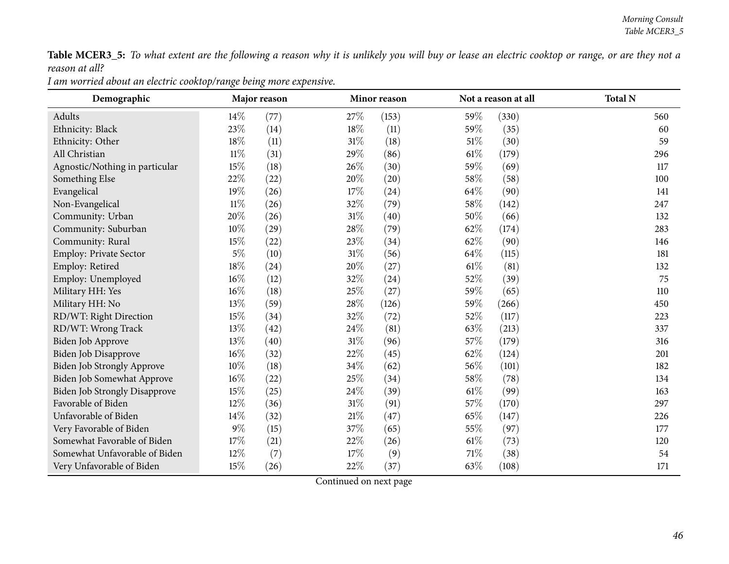Table MCER3\_5: To what extent are the following a reason why it is unlikely you will buy or lease an electric cooktop or range, or are they not a *reason at all?*

| I am worried about an electric cooktop/range being more expensive. |
|--------------------------------------------------------------------|
|--------------------------------------------------------------------|

| Demographic                          |        | Major reason |        | Minor reason |        | Not a reason at all | <b>Total N</b> |
|--------------------------------------|--------|--------------|--------|--------------|--------|---------------------|----------------|
| Adults                               | $14\%$ | (77)         | 27\%   | (153)        | 59%    | (330)               | 560            |
| Ethnicity: Black                     | 23%    | (14)         | 18%    | (11)         | 59%    | (35)                | 60             |
| Ethnicity: Other                     | 18%    | (11)         | $31\%$ | (18)         | 51%    | (30)                | 59             |
| All Christian                        | $11\%$ | (31)         | 29%    | (86)         | $61\%$ | (179)               | 296            |
| Agnostic/Nothing in particular       | 15%    | (18)         | 26%    | (30)         | 59%    | (69)                | 117            |
| Something Else                       | 22%    | (22)         | 20%    | (20)         | 58\%   | (58)                | 100            |
| Evangelical                          | 19%    | (26)         | 17%    | (24)         | 64\%   | (90)                | 141            |
| Non-Evangelical                      | $11\%$ | (26)         | 32%    | (79)         | 58%    | (142)               | 247            |
| Community: Urban                     | 20%    | (26)         | $31\%$ | (40)         | 50%    | (66)                | 132            |
| Community: Suburban                  | 10%    | (29)         | $28\%$ | (79)         | 62%    | (174)               | 283            |
| Community: Rural                     | 15%    | (22)         | 23%    | (34)         | 62%    | (90)                | 146            |
| Employ: Private Sector               | $5\%$  | (10)         | 31%    | (56)         | 64\%   | (115)               | 181            |
| Employ: Retired                      | 18%    | (24)         | 20%    | (27)         | $61\%$ | (81)                | 132            |
| Employ: Unemployed                   | $16\%$ | (12)         | 32%    | (24)         | 52%    | (39)                | 75             |
| Military HH: Yes                     | $16\%$ | (18)         | 25%    | (27)         | 59%    | (65)                | 110            |
| Military HH: No                      | 13%    | (59)         | 28\%   | (126)        | 59\%   | (266)               | 450            |
| RD/WT: Right Direction               | $15\%$ | (34)         | 32%    | (72)         | 52%    | (117)               | 223            |
| RD/WT: Wrong Track                   | 13%    | (42)         | 24\%   | (81)         | 63\%   | (213)               | 337            |
| Biden Job Approve                    | $13\%$ | (40)         | $31\%$ | (96)         | $57\%$ | (179)               | 316            |
| Biden Job Disapprove                 | $16\%$ | (32)         | 22%    | (45)         | 62%    | (124)               | 201            |
| Biden Job Strongly Approve           | $10\%$ | (18)         | 34%    | (62)         | 56\%   | (101)               | 182            |
| Biden Job Somewhat Approve           | $16\%$ | (22)         | $25\%$ | (34)         | 58\%   | (78)                | 134            |
| <b>Biden Job Strongly Disapprove</b> | 15%    | (25)         | 24%    | (39)         | $61\%$ | (99)                | 163            |
| Favorable of Biden                   | 12%    | (36)         | 31%    | (91)         | 57%    | (170)               | 297            |
| Unfavorable of Biden                 | 14%    | (32)         | 21\%   | (47)         | 65%    | (147)               | 226            |
| Very Favorable of Biden              | $9\%$  | (15)         | 37%    | (65)         | 55\%   | (97)                | 177            |
| Somewhat Favorable of Biden          | 17%    | (21)         | 22%    | (26)         | $61\%$ | (73)                | 120            |
| Somewhat Unfavorable of Biden        | 12%    | (7)          | 17%    | (9)          | 71\%   | (38)                | 54             |
| Very Unfavorable of Biden            | 15%    | (26)         | 22%    | (37)         | 63%    | (108)               | 171            |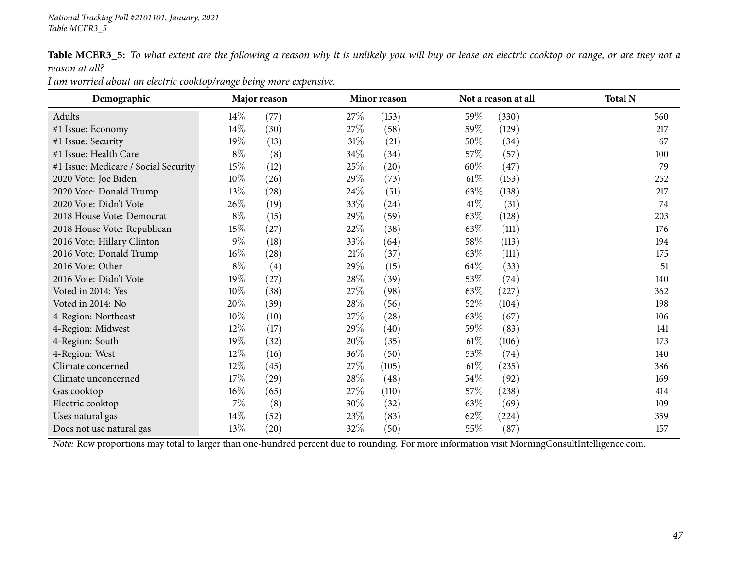Table MCER3\_5: To what extent are the following a reason why it is unlikely you will buy or lease an electric cooktop or range, or are they not a *reason at all?*

| Demographic                          |        | Major reason |        | Minor reason |        | Not a reason at all | <b>Total N</b> |
|--------------------------------------|--------|--------------|--------|--------------|--------|---------------------|----------------|
| Adults                               | $14\%$ | (77)         | 27\%   | (153)        | 59\%   | (330)               | 560            |
| #1 Issue: Economy                    | 14\%   | (30)         | 27\%   | (58)         | 59%    | (129)               | 217            |
| #1 Issue: Security                   | 19%    | (13)         | $31\%$ | (21)         | 50\%   | (34)                | 67             |
| #1 Issue: Health Care                | $8\%$  | (8)          | $34\%$ | (34)         | 57\%   | (57)                | 100            |
| #1 Issue: Medicare / Social Security | 15\%   | (12)         | 25\%   | (20)         | 60\%   | (47)                | 79             |
| 2020 Vote: Joe Biden                 | $10\%$ | (26)         | 29\%   | (73)         | $61\%$ | (153)               | 252            |
| 2020 Vote: Donald Trump              | 13\%   | (28)         | 24\%   | (51)         | 63\%   | (138)               | 217            |
| 2020 Vote: Didn't Vote               | $26\%$ | (19)         | 33\%   | (24)         | 41%    | (31)                | 74             |
| 2018 House Vote: Democrat            | $8\%$  | (15)         | 29\%   | (59)         | 63\%   | (128)               | 203            |
| 2018 House Vote: Republican          | 15%    | (27)         | 22\%   | (38)         | 63\%   | (111)               | 176            |
| 2016 Vote: Hillary Clinton           | $9\%$  | (18)         | 33\%   | (64)         | 58\%   | (113)               | 194            |
| 2016 Vote: Donald Trump              | $16\%$ | (28)         | $21\%$ | (37)         | 63\%   | (111)               | 175            |
| 2016 Vote: Other                     | $8\%$  | (4)          | 29\%   | (15)         | 64\%   | (33)                | 51             |
| 2016 Vote: Didn't Vote               | 19%    | (27)         | 28\%   | (39)         | 53\%   | (74)                | 140            |
| Voted in 2014: Yes                   | $10\%$ | (38)         | 27\%   | (98)         | 63\%   | (227)               | 362            |
| Voted in 2014: No                    | 20%    | (39)         | 28\%   | (56)         | $52\%$ | (104)               | 198            |
| 4-Region: Northeast                  | $10\%$ | (10)         | 27\%   | (28)         | 63\%   | (67)                | 106            |
| 4-Region: Midwest                    | $12\%$ | (17)         | 29\%   | (40)         | 59\%   | (83)                | 141            |
| 4-Region: South                      | 19%    | (32)         | 20\%   | (35)         | 61%    | (106)               | 173            |
| 4-Region: West                       | 12%    | (16)         | 36\%   | (50)         | 53%    | (74)                | 140            |
| Climate concerned                    | $12\%$ | (45)         | 27%    | (105)        | 61%    | (235)               | 386            |
| Climate unconcerned                  | 17%    | (29)         | 28\%   | (48)         | $54\%$ | (92)                | 169            |
| Gas cooktop                          | $16\%$ | (65)         | 27\%   | (110)        | 57\%   | (238)               | 414            |
| Electric cooktop                     | $7\%$  | (8)          | 30\%   | (32)         | 63\%   | (69)                | 109            |
| Uses natural gas                     | $14\%$ | (52)         | 23\%   | (83)         | $62\%$ | (224)               | 359            |
| Does not use natural gas             | 13\%   | (20)         | 32%    | (50)         | 55%    | (87)                | 157            |

*<sup>I</sup> am worried about an electric cooktop/range being more expensive.*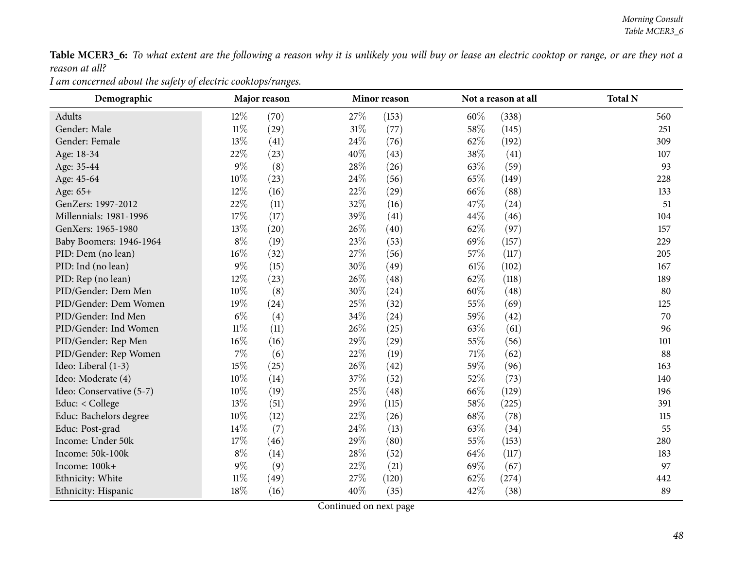Table MCER3\_6: To what extent are the following a reason why it is unlikely you will buy or lease an electric cooktop or range, or are they not a *reason at all?*

*<sup>I</sup> am concerned about the safety of electric cooktops/ranges.*

| Demographic              |        | Major reason |      | Minor reason |        | Not a reason at all | <b>Total N</b> |
|--------------------------|--------|--------------|------|--------------|--------|---------------------|----------------|
| Adults                   | $12\%$ | (70)         | 27%  | (153)        | 60%    | (338)               | 560            |
| Gender: Male             | $11\%$ | (29)         | 31%  | (77)         | 58%    | (145)               | 251            |
| Gender: Female           | 13%    | (41)         | 24\% | (76)         | 62\%   | (192)               | 309            |
| Age: 18-34               | 22%    | (23)         | 40%  | (43)         | 38%    | (41)                | 107            |
| Age: 35-44               | $9\%$  | (8)          | 28%  | (26)         | 63%    | (59)                | 93             |
| Age: 45-64               | 10%    | (23)         | 24\% | (56)         | 65%    | (149)               | 228            |
| Age: 65+                 | 12%    | (16)         | 22%  | (29)         | 66%    | (88)                | 133            |
| GenZers: 1997-2012       | 22%    | (11)         | 32%  | (16)         | 47%    | (24)                | 51             |
| Millennials: 1981-1996   | 17%    | (17)         | 39%  | (41)         | 44%    | (46)                | 104            |
| GenXers: 1965-1980       | 13%    | (20)         | 26%  | (40)         | 62%    | (97)                | 157            |
| Baby Boomers: 1946-1964  | $8\%$  | (19)         | 23%  | (53)         | 69%    | (157)               | 229            |
| PID: Dem (no lean)       | $16\%$ | (32)         | 27%  | (56)         | 57%    | (117)               | 205            |
| PID: Ind (no lean)       | $9\%$  | (15)         | 30%  | (49)         | $61\%$ | (102)               | 167            |
| PID: Rep (no lean)       | 12%    | (23)         | 26%  | (48)         | 62%    | (118)               | 189            |
| PID/Gender: Dem Men      | $10\%$ | (8)          | 30%  | (24)         | 60%    | (48)                | 80             |
| PID/Gender: Dem Women    | 19%    | (24)         | 25%  | (32)         | 55%    | (69)                | 125            |
| PID/Gender: Ind Men      | $6\%$  | (4)          | 34%  | (24)         | 59%    | (42)                | 70             |
| PID/Gender: Ind Women    | $11\%$ | (11)         | 26\% | (25)         | 63%    | (61)                | 96             |
| PID/Gender: Rep Men      | $16\%$ | (16)         | 29%  | (29)         | 55%    | (56)                | 101            |
| PID/Gender: Rep Women    | $7\%$  | (6)          | 22%  | (19)         | 71\%   | (62)                | 88             |
| Ideo: Liberal (1-3)      | 15%    | (25)         | 26%  | (42)         | 59%    | (96)                | 163            |
| Ideo: Moderate (4)       | $10\%$ | (14)         | 37%  | (52)         | 52%    | (73)                | 140            |
| Ideo: Conservative (5-7) | $10\%$ | (19)         | 25%  | (48)         | 66%    | (129)               | 196            |
| Educ: < College          | 13%    | (51)         | 29\% | (115)        | 58%    | (225)               | 391            |
| Educ: Bachelors degree   | $10\%$ | (12)         | 22%  | (26)         | 68\%   | (78)                | 115            |
| Educ: Post-grad          | 14%    | (7)          | 24\% | (13)         | 63%    | (34)                | 55             |
| Income: Under 50k        | 17%    | (46)         | 29%  | (80)         | 55%    | (153)               | 280            |
| Income: 50k-100k         | $8\%$  | (14)         | 28%  | (52)         | 64\%   | (117)               | 183            |
| Income: 100k+            | $9\%$  | (9)          | 22%  | (21)         | 69%    | (67)                | 97             |
| Ethnicity: White         | $11\%$ | (49)         | 27%  | (120)        | 62%    | (274)               | 442            |
| Ethnicity: Hispanic      | $18\%$ | (16)         | 40%  | (35)         | 42%    | (38)                | 89             |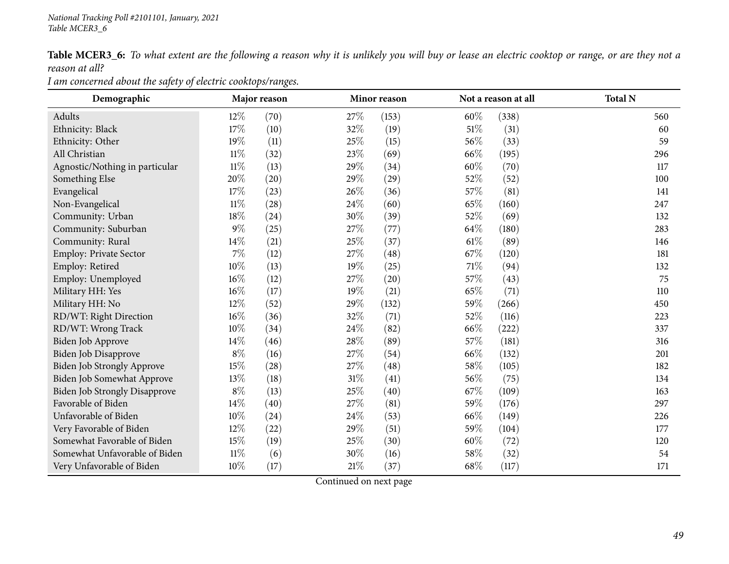Table MCER3\_6: To what extent are the following a reason why it is unlikely you will buy or lease an electric cooktop or range, or are they not a *reason at all?*

*<sup>I</sup> am concerned about the safety of electric cooktops/ranges.*

| Demographic                       |        | Major reason       |        | Minor reason |        | Not a reason at all | <b>Total N</b> |
|-----------------------------------|--------|--------------------|--------|--------------|--------|---------------------|----------------|
| Adults                            | 12%    | (70)               | 27\%   | (153)        | 60%    | (338)               | 560            |
| Ethnicity: Black                  | 17%    | (10)               | 32%    | (19)         | $51\%$ | (31)                | 60             |
| Ethnicity: Other                  | 19%    | (11)               | 25%    | (15)         | 56%    | (33)                | 59             |
| All Christian                     | $11\%$ | (32)               | $23\%$ | (69)         | 66%    | (195)               | 296            |
| Agnostic/Nothing in particular    | $11\%$ | (13)               | 29%    | (34)         | 60%    | (70)                | 117            |
| Something Else                    | 20%    | (20)               | 29%    | (29)         | 52%    | (52)                | 100            |
| Evangelical                       | 17%    | (23)               | 26\%   | (36)         | 57%    | (81)                | 141            |
| Non-Evangelical                   | $11\%$ | (28)               | 24\%   | (60)         | 65%    | (160)               | 247            |
| Community: Urban                  | 18%    | $\left( 24\right)$ | 30%    | (39)         | 52%    | (69)                | 132            |
| Community: Suburban               | $9\%$  | (25)               | 27%    | (77)         | 64\%   | (180)               | 283            |
| Community: Rural                  | 14\%   | (21)               | $25\%$ | (37)         | $61\%$ | (89)                | 146            |
| Employ: Private Sector            | $7\%$  | (12)               | 27%    | (48)         | 67\%   | (120)               | 181            |
| Employ: Retired                   | $10\%$ | (13)               | 19%    | (25)         | $71\%$ | (94)                | 132            |
| Employ: Unemployed                | 16%    | (12)               | 27%    | (20)         | 57%    | (43)                | 75             |
| Military HH: Yes                  | 16%    | (17)               | 19%    | (21)         | 65%    | (71)                | 110            |
| Military HH: No                   | 12%    | (52)               | 29%    | (132)        | 59%    | (266)               | 450            |
| RD/WT: Right Direction            | 16%    | (36)               | $32\%$ | (71)         | 52\%   | (116)               | 223            |
| RD/WT: Wrong Track                | $10\%$ | (34)               | 24\%   | (82)         | 66%    | (222)               | 337            |
| Biden Job Approve                 | 14%    | (46)               | 28%    | (89)         | 57%    | (181)               | 316            |
| Biden Job Disapprove              | $8\%$  | (16)               | 27%    | (54)         | 66%    | (132)               | 201            |
| <b>Biden Job Strongly Approve</b> | 15%    | (28)               | 27%    | (48)         | 58\%   | (105)               | 182            |
| Biden Job Somewhat Approve        | 13%    | (18)               | $31\%$ | (41)         | 56%    | (75)                | 134            |
| Biden Job Strongly Disapprove     | $8\%$  | (13)               | $25\%$ | (40)         | 67%    | (109)               | 163            |
| Favorable of Biden                | 14%    | (40)               | $27\%$ | (81)         | 59%    | (176)               | 297            |
| Unfavorable of Biden              | $10\%$ | (24)               | 24\%   | (53)         | 66\%   | (149)               | 226            |
| Very Favorable of Biden           | 12%    | (22)               | 29%    | (51)         | 59%    | (104)               | 177            |
| Somewhat Favorable of Biden       | 15%    | (19)               | 25%    | (30)         | 60%    | (72)                | 120            |
| Somewhat Unfavorable of Biden     | $11\%$ | (6)                | 30%    | (16)         | 58%    | (32)                | 54             |
| Very Unfavorable of Biden         | $10\%$ | (17)               | 21%    | (37)         | 68\%   | (117)               | 171            |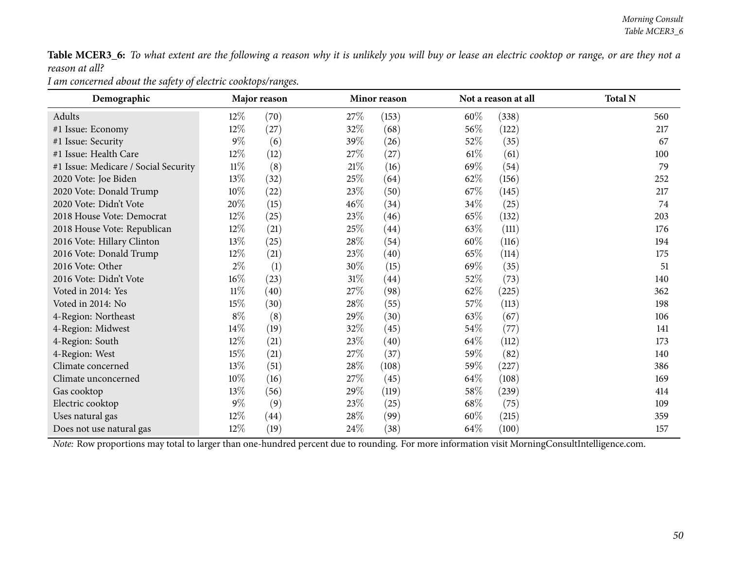Table MCER3\_6: To what extent are the following a reason why it is unlikely you will buy or lease an electric cooktop or range, or are they not a *reason at all?*

*<sup>I</sup> am concerned about the safety of electric cooktops/ranges.*

| Demographic                          |        | Major reason |        | Minor reason |        | Not a reason at all | <b>Total N</b> |
|--------------------------------------|--------|--------------|--------|--------------|--------|---------------------|----------------|
| Adults                               | $12\%$ | (70)         | 27%    | (153)        | $60\%$ | (338)               | 560            |
| #1 Issue: Economy                    | $12\%$ | (27)         | 32%    | (68)         | $56\%$ | (122)               | 217            |
| #1 Issue: Security                   | $9\%$  | (6)          | 39%    | (26)         | 52\%   | (35)                | 67             |
| #1 Issue: Health Care                | $12\%$ | (12)         | 27\%   | (27)         | 61%    | (61)                | 100            |
| #1 Issue: Medicare / Social Security | $11\%$ | (8)          | 21%    | (16)         | 69\%   | (54)                | 79             |
| 2020 Vote: Joe Biden                 | 13\%   | (32)         | 25\%   | (64)         | 62\%   | (156)               | 252            |
| 2020 Vote: Donald Trump              | $10\%$ | $^{(22)}$    | 23\%   | (50)         | 67%    | (145)               | 217            |
| 2020 Vote: Didn't Vote               | 20%    | (15)         | 46\%   | (34)         | $34\%$ | (25)                | 74             |
| 2018 House Vote: Democrat            | 12%    | (25)         | 23\%   | (46)         | $65\%$ | (132)               | 203            |
| 2018 House Vote: Republican          | 12%    | (21)         | 25%    | (44)         | 63\%   | (111)               | 176            |
| 2016 Vote: Hillary Clinton           | 13\%   | (25)         | 28\%   | (54)         | 60\%   | (116)               | 194            |
| 2016 Vote: Donald Trump              | $12\%$ | (21)         | 23\%   | (40)         | 65\%   | (114)               | 175            |
| 2016 Vote: Other                     | $2\%$  | (1)          | 30\%   | (15)         | 69\%   | (35)                | 51             |
| 2016 Vote: Didn't Vote               | $16\%$ | (23)         | $31\%$ | (44)         | 52\%   | (73)                | 140            |
| Voted in 2014: Yes                   | $11\%$ | (40)         | 27%    | (98)         | $62\%$ | (225)               | 362            |
| Voted in 2014: No                    | 15\%   | (30)         | 28\%   | (55)         | 57\%   | (113)               | 198            |
| 4-Region: Northeast                  | $8\%$  | (8)          | 29%    | (30)         | 63\%   | (67)                | 106            |
| 4-Region: Midwest                    | $14\%$ | (19)         | 32\%   | (45)         | $54\%$ | (77)                | 141            |
| 4-Region: South                      | $12\%$ | (21)         | 23%    | (40)         | 64\%   | (112)               | 173            |
| 4-Region: West                       | 15%    | (21)         | 27\%   | (37)         | 59\%   | (82)                | 140            |
| Climate concerned                    | 13\%   | (51)         | 28\%   | (108)        | 59%    | (227)               | 386            |
| Climate unconcerned                  | $10\%$ | (16)         | 27\%   | (45)         | $64\%$ | (108)               | 169            |
| Gas cooktop                          | 13%    | (56)         | 29%    | (119)        | 58\%   | (239)               | 414            |
| Electric cooktop                     | $9\%$  | (9)          | 23\%   | (25)         | 68\%   | (75)                | 109            |
| Uses natural gas                     | $12\%$ | (44)         | 28\%   | (99)         | $60\%$ | (215)               | 359            |
| Does not use natural gas             | $12\%$ | (19)         | 24\%   | (38)         | 64\%   | (100)               | 157            |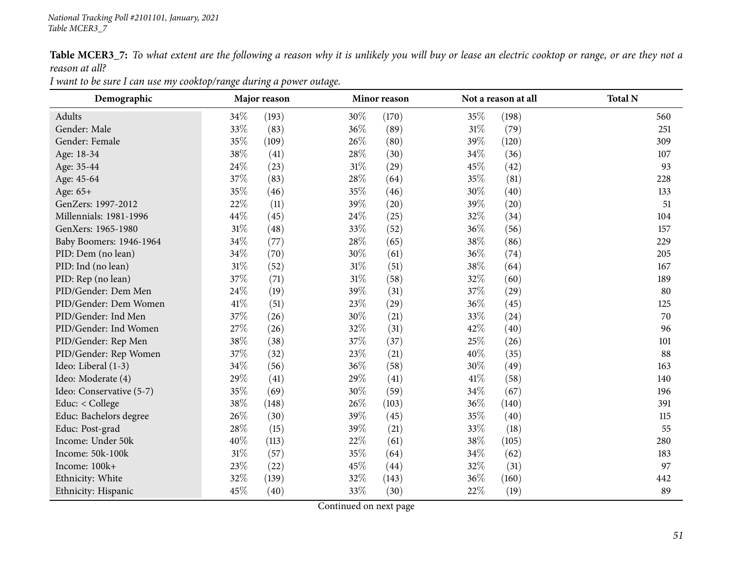Table MCER3\_7: To what extent are the following a reason why it is unlikely you will buy or lease an electric cooktop or range, or are they not a *reason at all?*

| Demographic              |        | Major reason |        | Minor reason |        | Not a reason at all | <b>Total N</b> |
|--------------------------|--------|--------------|--------|--------------|--------|---------------------|----------------|
| Adults                   | 34\%   | (193)        | 30\%   | (170)        | 35%    | (198)               | 560            |
| Gender: Male             | 33%    | (83)         | 36%    | (89)         | $31\%$ | (79)                | 251            |
| Gender: Female           | 35%    | (109)        | 26\%   | (80)         | 39%    | (120)               | 309            |
| Age: 18-34               | 38\%   | (41)         | 28%    | (30)         | 34\%   | (36)                | 107            |
| Age: 35-44               | 24\%   | (23)         | $31\%$ | (29)         | 45\%   | (42)                | 93             |
| Age: 45-64               | 37%    | (83)         | 28%    | (64)         | 35%    | (81)                | 228            |
| Age: 65+                 | 35%    | (46)         | 35%    | (46)         | 30%    | (40)                | 133            |
| GenZers: 1997-2012       | 22%    | (11)         | 39%    | (20)         | 39%    | (20)                | 51             |
| Millennials: 1981-1996   | 44\%   | (45)         | 24\%   | (25)         | 32%    | (34)                | 104            |
| GenXers: 1965-1980       | $31\%$ | (48)         | 33%    | (52)         | 36\%   | (56)                | 157            |
| Baby Boomers: 1946-1964  | 34%    | (77)         | 28%    | (65)         | 38%    | (86)                | 229            |
| PID: Dem (no lean)       | 34%    | (70)         | 30%    | (61)         | 36\%   | (74)                | 205            |
| PID: Ind (no lean)       | $31\%$ | (52)         | $31\%$ | (51)         | 38%    | (64)                | 167            |
| PID: Rep (no lean)       | 37%    | (71)         | $31\%$ | (58)         | 32%    | (60)                | 189            |
| PID/Gender: Dem Men      | 24\%   | (19)         | 39%    | (31)         | 37%    | (29)                | 80             |
| PID/Gender: Dem Women    | $41\%$ | (51)         | 23%    | (29)         | 36\%   | (45)                | 125            |
| PID/Gender: Ind Men      | 37%    | (26)         | 30%    | (21)         | 33%    | (24)                | 70             |
| PID/Gender: Ind Women    | 27%    | (26)         | 32%    | (31)         | 42\%   | (40)                | 96             |
| PID/Gender: Rep Men      | 38\%   | (38)         | 37%    | (37)         | 25%    | (26)                | 101            |
| PID/Gender: Rep Women    | 37%    | (32)         | 23\%   | (21)         | 40%    | (35)                | 88             |
| Ideo: Liberal (1-3)      | $34\%$ | (56)         | 36%    | (58)         | 30%    | (49)                | 163            |
| Ideo: Moderate (4)       | 29%    | (41)         | 29%    | (41)         | 41\%   | (58)                | 140            |
| Ideo: Conservative (5-7) | 35%    | (69)         | 30%    | (59)         | 34\%   | (67)                | 196            |
| Educ: $<$ College        | 38%    | (148)        | 26\%   | (103)        | 36\%   | (140)               | 391            |
| Educ: Bachelors degree   | 26%    | (30)         | 39%    | (45)         | 35%    | (40)                | 115            |
| Educ: Post-grad          | 28%    | (15)         | 39%    | (21)         | 33\%   | (18)                | 55             |
| Income: Under 50k        | 40%    | (113)        | 22%    | (61)         | 38\%   | (105)               | 280            |
| Income: 50k-100k         | $31\%$ | (57)         | 35%    | (64)         | 34\%   | (62)                | 183            |
| Income: 100k+            | 23%    | (22)         | 45%    | (44)         | 32%    | (31)                | 97             |
| Ethnicity: White         | 32%    | (139)        | 32%    | (143)        | 36%    | (160)               | 442            |
| Ethnicity: Hispanic      | 45%    | (40)         | 33%    | (30)         | 22%    | (19)                | 89             |

I want to be sure I can use my cooktop/range during a power outage.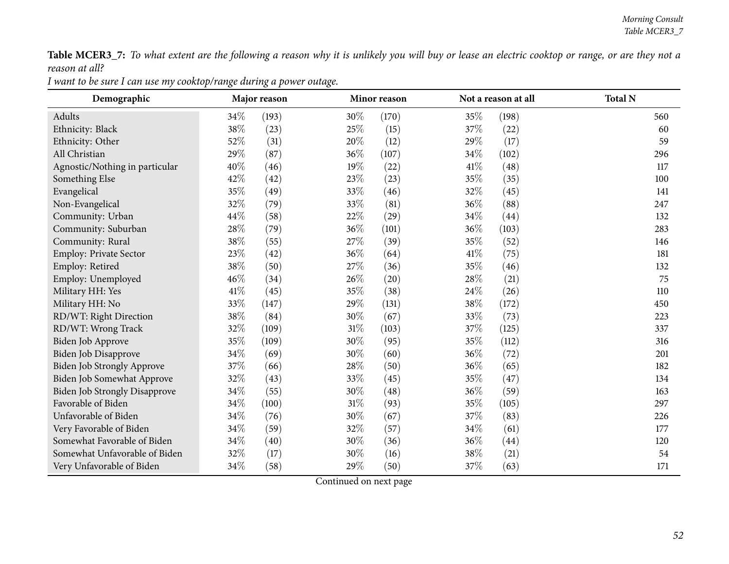Table MCER3\_7: To what extent are the following a reason why it is unlikely you will buy or lease an electric cooktop or range, or are they not a *reason at all?*

| Demographic                          |        | Major reason |        | Minor reason |      | Not a reason at all | <b>Total N</b> |
|--------------------------------------|--------|--------------|--------|--------------|------|---------------------|----------------|
| Adults                               | 34\%   | (193)        | 30%    | (170)        | 35%  | (198)               | 560            |
| Ethnicity: Black                     | 38%    | (23)         | 25\%   | (15)         | 37%  | (22)                | 60             |
| Ethnicity: Other                     | 52%    | (31)         | 20%    | (12)         | 29%  | (17)                | 59             |
| All Christian                        | 29%    | (87)         | 36%    | (107)        | 34\% | (102)               | 296            |
| Agnostic/Nothing in particular       | $40\%$ | (46)         | 19%    | (22)         | 41\% | (48)                | 117            |
| Something Else                       | 42%    | (42)         | 23%    | (23)         | 35%  | (35)                | 100            |
| Evangelical                          | 35%    | (49)         | 33%    | (46)         | 32%  | (45)                | 141            |
| Non-Evangelical                      | 32%    | (79)         | 33%    | (81)         | 36%  | (88)                | 247            |
| Community: Urban                     | 44%    | (58)         | 22%    | (29)         | 34%  | (44)                | 132            |
| Community: Suburban                  | 28%    | (79)         | 36\%   | (101)        | 36%  | (103)               | 283            |
| Community: Rural                     | 38%    | (55)         | 27\%   | (39)         | 35%  | (52)                | 146            |
| Employ: Private Sector               | 23%    | (42)         | 36\%   | (64)         | 41\% | (75)                | 181            |
| Employ: Retired                      | 38%    | (50)         | 27\%   | (36)         | 35%  | (46)                | 132            |
| Employ: Unemployed                   | 46%    | (34)         | 26%    | (20)         | 28%  | (21)                | 75             |
| Military HH: Yes                     | 41\%   | (45)         | 35%    | (38)         | 24\% | (26)                | 110            |
| Military HH: No                      | 33%    | (147)        | 29%    | (131)        | 38%  | (172)               | 450            |
| RD/WT: Right Direction               | 38%    | (84)         | 30%    | (67)         | 33%  | (73)                | 223            |
| RD/WT: Wrong Track                   | 32%    | (109)        | $31\%$ | (103)        | 37%  | (125)               | 337            |
| Biden Job Approve                    | 35%    | (109)        | 30%    | (95)         | 35%  | (112)               | 316            |
| <b>Biden Job Disapprove</b>          | 34%    | (69)         | 30%    | (60)         | 36%  | (72)                | 201            |
| Biden Job Strongly Approve           | 37%    | (66)         | 28\%   | (50)         | 36%  | (65)                | 182            |
| Biden Job Somewhat Approve           | 32%    | (43)         | 33%    | (45)         | 35%  | (47)                | 134            |
| <b>Biden Job Strongly Disapprove</b> | 34%    | (55)         | 30%    | (48)         | 36%  | (59)                | 163            |
| Favorable of Biden                   | 34%    | (100)        | 31%    | (93)         | 35%  | (105)               | 297            |
| Unfavorable of Biden                 | 34%    | (76)         | 30%    | (67)         | 37%  | (83)                | 226            |
| Very Favorable of Biden              | $34\%$ | (59)         | 32%    | (57)         | 34%  | (61)                | 177            |
| Somewhat Favorable of Biden          | 34%    | (40)         | 30%    | (36)         | 36%  | (44)                | 120            |
| Somewhat Unfavorable of Biden        | 32%    | (17)         | 30%    | (16)         | 38%  | (21)                | 54             |
| Very Unfavorable of Biden            | 34%    | (58)         | 29%    | (50)         | 37%  | (63)                | 171            |

I want to be sure I can use my cooktop/range during a power outage.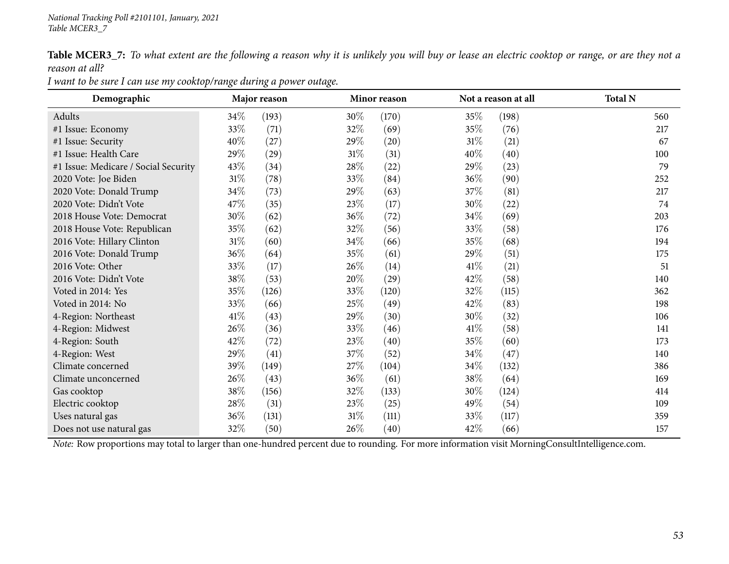Table MCER3\_7: To what extent are the following a reason why it is unlikely you will buy or lease an electric cooktop or range, or are they not a *reason at all?*

| Demographic                          |        | Major reason |        | Minor reason |        | Not a reason at all | <b>Total N</b> |
|--------------------------------------|--------|--------------|--------|--------------|--------|---------------------|----------------|
| Adults                               | 34\%   | (193)        | $30\%$ | (170)        | 35%    | (198)               | 560            |
| #1 Issue: Economy                    | 33%    | (71)         | 32\%   | (69)         | 35\%   | (76)                | 217            |
| #1 Issue: Security                   | 40\%   | (27)         | 29\%   | (20)         | 31%    | (21)                | 67             |
| #1 Issue: Health Care                | 29%    | (29)         | $31\%$ | (31)         | 40\%   | (40)                | 100            |
| #1 Issue: Medicare / Social Security | 43\%   | (34)         | 28\%   | (22)         | 29%    | (23)                | 79             |
| 2020 Vote: Joe Biden                 | $31\%$ | (78)         | 33\%   | (84)         | 36\%   | (90)                | 252            |
| 2020 Vote: Donald Trump              | 34\%   | (73)         | 29\%   | (63)         | 37\%   | (81)                | 217            |
| 2020 Vote: Didn't Vote               | 47\%   | (35)         | 23\%   | (17)         | $30\%$ | $^{(22)}$           | 74             |
| 2018 House Vote: Democrat            | 30\%   | (62)         | $36\%$ | (72)         | 34\%   | (69)                | 203            |
| 2018 House Vote: Republican          | 35\%   | (62)         | 32\%   | (56)         | 33\%   | (58)                | 176            |
| 2016 Vote: Hillary Clinton           | $31\%$ | (60)         | $34\%$ | (66)         | 35%    | (68)                | 194            |
| 2016 Vote: Donald Trump              | 36%    | (64)         | 35\%   | (61)         | 29%    | (51)                | 175            |
| 2016 Vote: Other                     | 33%    | (17)         | 26\%   | (14)         | 41\%   | (21)                | 51             |
| 2016 Vote: Didn't Vote               | 38\%   | (53)         | 20%    | (29)         | 42\%   | (58)                | 140            |
| Voted in 2014: Yes                   | 35\%   | (126)        | 33\%   | (120)        | 32\%   | (115)               | 362            |
| Voted in 2014: No                    | 33\%   | (66)         | 25\%   | (49)         | 42\%   | (83)                | 198            |
| 4-Region: Northeast                  | 41\%   | (43)         | 29\%   | (30)         | 30\%   | (32)                | 106            |
| 4-Region: Midwest                    | 26\%   | (36)         | 33\%   | (46)         | 41%    | (58)                | 141            |
| 4-Region: South                      | 42\%   | (72)         | 23%    | (40)         | 35\%   | (60)                | 173            |
| 4-Region: West                       | 29%    | (41)         | 37%    | (52)         | 34\%   | (47)                | 140            |
| Climate concerned                    | 39%    | (149)        | 27\%   | (104)        | 34\%   | (132)               | 386            |
| Climate unconcerned                  | 26\%   | (43)         | $36\%$ | (61)         | 38\%   | (64)                | 169            |
| Gas cooktop                          | 38\%   | (156)        | $32\%$ | (133)        | $30\%$ | (124)               | 414            |
| Electric cooktop                     | 28\%   | (31)         | 23\%   | (25)         | 49\%   | (54)                | 109            |
| Uses natural gas                     | 36\%   | (131)        | 31%    | (111)        | 33\%   | (117)               | 359            |
| Does not use natural gas             | 32\%   | (50)         | 26\%   | (40)         | 42\%   | (66)                | 157            |

I want to be sure I can use my cooktop/range during a power outage.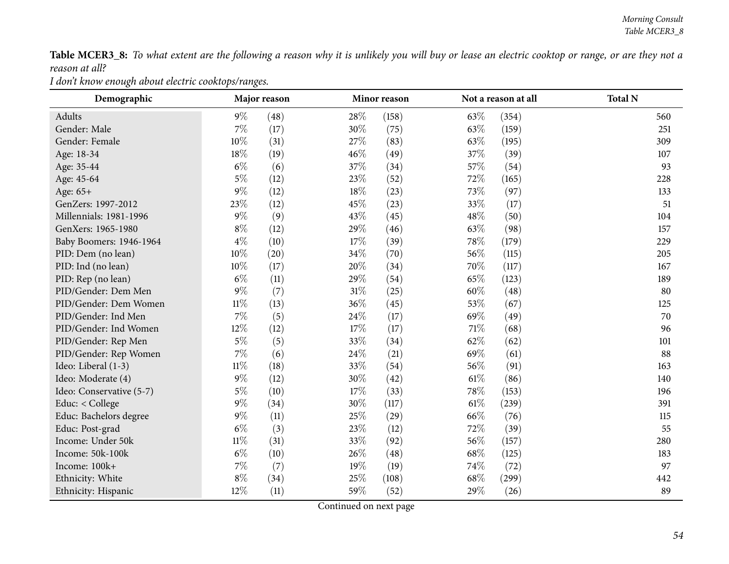Table MCER3\_8: To what extent are the following a reason why it is unlikely you will buy or lease an electric cooktop or range, or are they not a *reason at all?*

*<sup>I</sup> don't know enough about electric cooktops/ranges.*

| Demographic              |        | Major reason |        | Minor reason |        | Not a reason at all | <b>Total N</b> |
|--------------------------|--------|--------------|--------|--------------|--------|---------------------|----------------|
| Adults                   | $9\%$  | (48)         | 28\%   | (158)        | 63\%   | (354)               | 560            |
| Gender: Male             | $7\%$  | (17)         | 30%    | (75)         | 63%    | (159)               | 251            |
| Gender: Female           | 10%    | (31)         | 27\%   | (83)         | 63\%   | (195)               | 309            |
| Age: 18-34               | 18%    | (19)         | 46%    | (49)         | 37\%   | (39)                | 107            |
| Age: 35-44               | $6\%$  | (6)          | 37%    | (34)         | 57\%   | (54)                | 93             |
| Age: 45-64               | $5\%$  | (12)         | 23%    | (52)         | 72%    | (165)               | 228            |
| Age: 65+                 | $9\%$  | (12)         | 18%    | (23)         | 73\%   | (97)                | 133            |
| GenZers: 1997-2012       | 23%    | (12)         | 45%    | (23)         | 33%    | (17)                | 51             |
| Millennials: 1981-1996   | $9\%$  | (9)          | 43\%   | (45)         | 48%    | (50)                | 104            |
| GenXers: 1965-1980       | $8\%$  | (12)         | 29%    | (46)         | 63%    | (98)                | 157            |
| Baby Boomers: 1946-1964  | $4\%$  | (10)         | 17%    | (39)         | 78\%   | (179)               | 229            |
| PID: Dem (no lean)       | 10%    | (20)         | 34%    | (70)         | 56%    | (115)               | 205            |
| PID: Ind (no lean)       | $10\%$ | (17)         | 20%    | (34)         | 70%    | (117)               | 167            |
| PID: Rep (no lean)       | $6\%$  | (11)         | 29%    | (54)         | 65%    | (123)               | 189            |
| PID/Gender: Dem Men      | $9\%$  | (7)          | $31\%$ | (25)         | 60%    | (48)                | 80             |
| PID/Gender: Dem Women    | $11\%$ | (13)         | 36%    | (45)         | 53%    | (67)                | 125            |
| PID/Gender: Ind Men      | $7\%$  | (5)          | 24\%   | (17)         | 69%    | (49)                | 70             |
| PID/Gender: Ind Women    | 12%    | (12)         | 17%    | (17)         | $71\%$ | (68)                | 96             |
| PID/Gender: Rep Men      | $5\%$  | (5)          | 33%    | (34)         | 62%    | (62)                | 101            |
| PID/Gender: Rep Women    | $7\%$  | (6)          | 24\%   | (21)         | 69%    | (61)                | 88             |
| Ideo: Liberal (1-3)      | $11\%$ | (18)         | 33%    | (54)         | 56%    | (91)                | 163            |
| Ideo: Moderate (4)       | $9\%$  | (12)         | 30%    | (42)         | $61\%$ | (86)                | 140            |
| Ideo: Conservative (5-7) | $5\%$  | (10)         | 17%    | (33)         | 78\%   | (153)               | 196            |
| Educ: < College          | $9\%$  | (34)         | 30%    | (117)        | $61\%$ | (239)               | 391            |
| Educ: Bachelors degree   | $9\%$  | (11)         | 25\%   | (29)         | 66%    | (76)                | 115            |
| Educ: Post-grad          | $6\%$  | (3)          | 23%    | (12)         | 72%    | (39)                | 55             |
| Income: Under 50k        | $11\%$ | (31)         | 33%    | (92)         | 56%    | (157)               | 280            |
| Income: 50k-100k         | $6\%$  | (10)         | 26%    | (48)         | 68\%   | (125)               | 183            |
| Income: 100k+            | $7\%$  | (7)          | 19%    | (19)         | 74\%   | (72)                | 97             |
| Ethnicity: White         | $8\%$  | (34)         | 25%    | (108)        | 68%    | (299)               | 442            |
| Ethnicity: Hispanic      | 12%    | (11)         | 59%    | (52)         | 29%    | (26)                | 89             |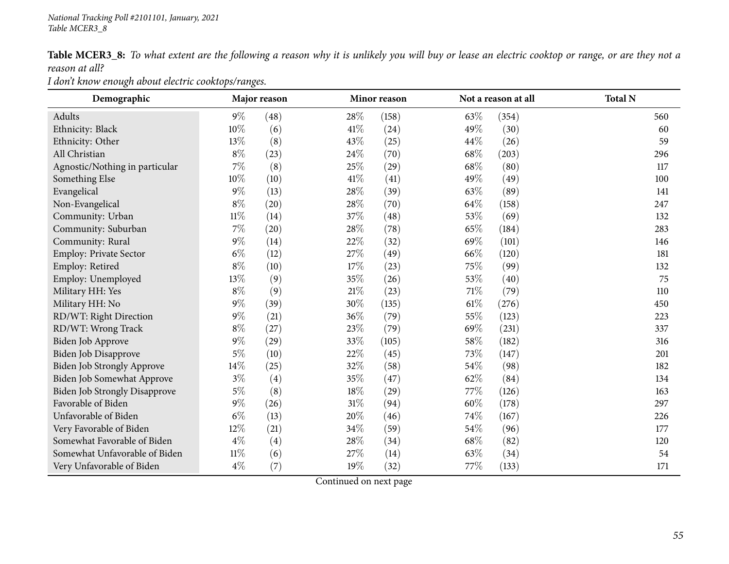| <b>Table MCER3_8:</b> To what extent are the following a reason why it is unlikely you will buy or lease an electric cooktop or range, or are they not a |  |  |  |  |  |
|----------------------------------------------------------------------------------------------------------------------------------------------------------|--|--|--|--|--|
| reason at all?                                                                                                                                           |  |  |  |  |  |

*<sup>I</sup> don't know enough about electric cooktops/ranges.*

| Demographic                          |        | Major reason |        | Minor reason |        | Not a reason at all | <b>Total N</b> |
|--------------------------------------|--------|--------------|--------|--------------|--------|---------------------|----------------|
| Adults                               | $9\%$  | (48)         | 28%    | (158)        | 63\%   | (354)               | 560            |
| Ethnicity: Black                     | 10%    | (6)          | 41\%   | (24)         | 49%    | (30)                | 60             |
| Ethnicity: Other                     | 13%    | (8)          | 43%    | (25)         | 44\%   | (26)                | 59             |
| All Christian                        | $8\%$  | (23)         | 24\%   | (70)         | 68\%   | (203)               | 296            |
| Agnostic/Nothing in particular       | $7\%$  | (8)          | 25%    | (29)         | 68%    | (80)                | 117            |
| Something Else                       | $10\%$ | (10)         | 41\%   | (41)         | 49%    | (49)                | 100            |
| Evangelical                          | $9\%$  | (13)         | 28%    | (39)         | 63%    | (89)                | 141            |
| Non-Evangelical                      | $8\%$  | (20)         | 28%    | (70)         | 64\%   | (158)               | 247            |
| Community: Urban                     | $11\%$ | (14)         | 37%    | (48)         | 53%    | (69)                | 132            |
| Community: Suburban                  | $7\%$  | (20)         | 28%    | (78)         | 65%    | (184)               | 283            |
| Community: Rural                     | $9\%$  | (14)         | 22%    | (32)         | 69%    | (101)               | 146            |
| Employ: Private Sector               | $6\%$  | (12)         | 27%    | (49)         | 66%    | (120)               | 181            |
| Employ: Retired                      | $8\%$  | (10)         | 17%    | (23)         | 75%    | (99)                | 132            |
| Employ: Unemployed                   | 13%    | (9)          | 35%    | (26)         | 53%    | (40)                | 75             |
| Military HH: Yes                     | $8\%$  | (9)          | $21\%$ | (23)         | 71\%   | (79)                | 110            |
| Military HH: No                      | $9\%$  | (39)         | 30%    | (135)        | $61\%$ | (276)               | 450            |
| RD/WT: Right Direction               | $9\%$  | (21)         | 36%    | (79)         | 55%    | (123)               | 223            |
| RD/WT: Wrong Track                   | $8\%$  | (27)         | 23%    | (79)         | 69%    | (231)               | 337            |
| Biden Job Approve                    | $9\%$  | (29)         | 33%    | (105)        | 58%    | (182)               | 316            |
| Biden Job Disapprove                 | $5\%$  | (10)         | 22%    | (45)         | 73%    | (147)               | 201            |
| Biden Job Strongly Approve           | 14%    | (25)         | 32%    | (58)         | 54%    | (98)                | 182            |
| Biden Job Somewhat Approve           | $3\%$  | (4)          | 35%    | (47)         | 62%    | (84)                | 134            |
| <b>Biden Job Strongly Disapprove</b> | $5\%$  | (8)          | 18%    | (29)         | 77%    | (126)               | 163            |
| Favorable of Biden                   | $9\%$  | (26)         | $31\%$ | (94)         | 60%    | (178)               | 297            |
| Unfavorable of Biden                 | $6\%$  | (13)         | 20%    | (46)         | 74%    | (167)               | 226            |
| Very Favorable of Biden              | 12%    | (21)         | 34\%   | (59)         | 54%    | (96)                | 177            |
| Somewhat Favorable of Biden          | $4\%$  | (4)          | 28%    | (34)         | 68\%   | (82)                | 120            |
| Somewhat Unfavorable of Biden        | $11\%$ | (6)          | 27%    | (14)         | 63%    | (34)                | 54             |
| Very Unfavorable of Biden            | $4\%$  | (7)          | 19%    | (32)         | 77\%   | (133)               | 171            |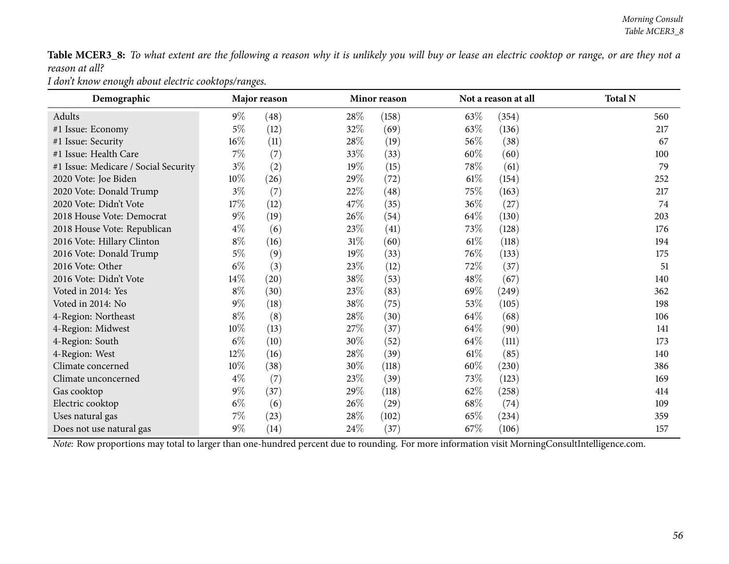Table MCER3\_8: To what extent are the following a reason why it is unlikely you will buy or lease an electric cooktop or range, or are they not a *reason at all?*

*<sup>I</sup> don't know enough about electric cooktops/ranges.*

| Demographic                          |        | Major reason |        | Minor reason |        | Not a reason at all | <b>Total N</b> |
|--------------------------------------|--------|--------------|--------|--------------|--------|---------------------|----------------|
| Adults                               | $9\%$  | (48)         | $28\%$ | (158)        | 63\%   | (354)               | 560            |
| #1 Issue: Economy                    | $5\%$  | (12)         | 32\%   | (69)         | 63\%   | (136)               | 217            |
| #1 Issue: Security                   | $16\%$ | (11)         | 28\%   | (19)         | 56\%   | (38)                | 67             |
| #1 Issue: Health Care                | $7\%$  | (7)          | 33\%   | (33)         | 60\%   | (60)                | 100            |
| #1 Issue: Medicare / Social Security | $3\%$  | (2)          | 19%    | (15)         | 78\%   | (61)                | 79             |
| 2020 Vote: Joe Biden                 | $10\%$ | (26)         | 29\%   | (72)         | $61\%$ | (154)               | 252            |
| 2020 Vote: Donald Trump              | $3\%$  | (7)          | 22\%   | (48)         | 75\%   | (163)               | 217            |
| 2020 Vote: Didn't Vote               | 17\%   | (12)         | 47\%   | (35)         | 36%    | (27)                | 74             |
| 2018 House Vote: Democrat            | $9\%$  | (19)         | $26\%$ | (54)         | $64\%$ | (130)               | 203            |
| 2018 House Vote: Republican          | $4\%$  | (6)          | 23\%   | (41)         | 73%    | (128)               | 176            |
| 2016 Vote: Hillary Clinton           | $8\%$  | (16)         | $31\%$ | (60)         | $61\%$ | (118)               | 194            |
| 2016 Vote: Donald Trump              | $5\%$  | (9)          | 19%    | (33)         | 76\%   | (133)               | 175            |
| 2016 Vote: Other                     | $6\%$  | (3)          | 23\%   | (12)         | 72\%   | (37)                | 51             |
| 2016 Vote: Didn't Vote               | 14\%   | (20)         | 38%    | (53)         | $48\%$ | (67)                | 140            |
| Voted in 2014: Yes                   | $8\%$  | (30)         | 23\%   | (83)         | 69\%   | (249)               | 362            |
| Voted in 2014: No                    | $9\%$  | (18)         | 38\%   | (75)         | 53\%   | (105)               | 198            |
| 4-Region: Northeast                  | $8\%$  | (8)          | 28\%   | (30)         | 64\%   | (68)                | 106            |
| 4-Region: Midwest                    | $10\%$ | (13)         | 27\%   | (37)         | 64\%   | (90)                | 141            |
| 4-Region: South                      | $6\%$  | (10)         | 30\%   | (52)         | 64\%   | (111)               | 173            |
| 4-Region: West                       | $12\%$ | (16)         | 28\%   | (39)         | $61\%$ | (85)                | 140            |
| Climate concerned                    | $10\%$ | (38)         | $30\%$ | (118)        | $60\%$ | (230)               | 386            |
| Climate unconcerned                  | $4\%$  | (7)          | 23\%   | (39)         | 73\%   | (123)               | 169            |
| Gas cooktop                          | $9\%$  | (37)         | 29\%   | (118)        | $62\%$ | (258)               | 414            |
| Electric cooktop                     | $6\%$  | (6)          | 26%    | (29)         | 68\%   | (74)                | 109            |
| Uses natural gas                     | $7\%$  | (23)         | 28\%   | (102)        | 65\%   | (234)               | 359            |
| Does not use natural gas             | $9\%$  | (14)         | 24\%   | (37)         | 67%    | (106)               | 157            |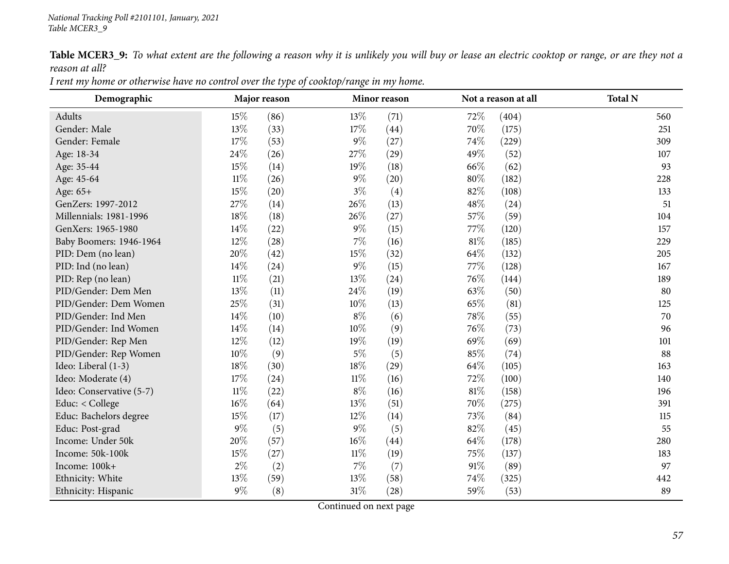Table MCER3\_9: To what extent are the following a reason why it is unlikely you will buy or lease an electric cooktop or range, or are they not a *reason at all?*

| Demographic              | Major reason |      |        | Minor reason |        | Not a reason at all | <b>Total N</b> |
|--------------------------|--------------|------|--------|--------------|--------|---------------------|----------------|
| Adults                   | 15\%         | (86) | 13\%   | (71)         | 72\%   | (404)               | 560            |
| Gender: Male             | 13%          | (33) | 17%    | (44)         | 70%    | (175)               | 251            |
| Gender: Female           | 17%          | (53) | $9\%$  | (27)         | 74\%   | (229)               | 309            |
| Age: 18-34               | 24\%         | (26) | 27\%   | (29)         | 49\%   | (52)                | 107            |
| Age: 35-44               | 15%          | (14) | 19%    | (18)         | 66\%   | (62)                | 93             |
| Age: 45-64               | $11\%$       | (26) | $9\%$  | (20)         | 80%    | (182)               | 228            |
| Age: 65+                 | 15%          | (20) | $3\%$  | (4)          | 82%    | (108)               | 133            |
| GenZers: 1997-2012       | 27%          | (14) | 26%    | (13)         | 48\%   | (24)                | 51             |
| Millennials: 1981-1996   | 18%          | (18) | 26\%   | (27)         | 57\%   | (59)                | 104            |
| GenXers: 1965-1980       | 14%          | (22) | $9\%$  | (15)         | 77\%   | (120)               | 157            |
| Baby Boomers: 1946-1964  | 12%          | (28) | $7\%$  | (16)         | $81\%$ | (185)               | 229            |
| PID: Dem (no lean)       | 20%          | (42) | 15%    | (32)         | 64\%   | (132)               | 205            |
| PID: Ind (no lean)       | 14%          | (24) | $9\%$  | (15)         | 77\%   | (128)               | 167            |
| PID: Rep (no lean)       | $11\%$       | (21) | 13\%   | (24)         | 76\%   | (144)               | 189            |
| PID/Gender: Dem Men      | 13%          | (11) | 24\%   | (19)         | 63\%   | (50)                | 80             |
| PID/Gender: Dem Women    | 25%          | (31) | $10\%$ | (13)         | 65\%   | (81)                | 125            |
| PID/Gender: Ind Men      | 14%          | (10) | $8\%$  | (6)          | 78%    | (55)                | 70             |
| PID/Gender: Ind Women    | 14%          | (14) | $10\%$ | (9)          | 76\%   | (73)                | 96             |
| PID/Gender: Rep Men      | 12%          | (12) | 19%    | (19)         | 69%    | (69)                | 101            |
| PID/Gender: Rep Women    | 10%          | (9)  | $5\%$  | (5)          | 85%    | (74)                | 88             |
| Ideo: Liberal (1-3)      | $18\%$       | (30) | 18%    | (29)         | 64\%   | (105)               | 163            |
| Ideo: Moderate (4)       | 17%          | (24) | $11\%$ | (16)         | 72\%   | (100)               | 140            |
| Ideo: Conservative (5-7) | $11\%$       | (22) | $8\%$  | (16)         | $81\%$ | (158)               | 196            |
| Educ: < College          | 16%          | (64) | 13\%   | (51)         | 70%    | (275)               | 391            |
| Educ: Bachelors degree   | 15%          | (17) | $12\%$ | (14)         | 73\%   | (84)                | 115            |
| Educ: Post-grad          | $9\%$        | (5)  | $9\%$  | (5)          | 82%    | (45)                | 55             |
| Income: Under 50k        | 20%          | (57) | $16\%$ | (44)         | 64\%   | (178)               | 280            |
| Income: 50k-100k         | 15%          | (27) | $11\%$ | (19)         | 75\%   | (137)               | 183            |
| Income: 100k+            | $2\%$        | (2)  | $7\%$  | (7)          | $91\%$ | (89)                | 97             |
| Ethnicity: White         | 13%          | (59) | 13%    | (58)         | 74%    | (325)               | 442            |
| Ethnicity: Hispanic      | $9\%$        | (8)  | $31\%$ | (28)         | 59%    | (53)                | 89             |

I rent my home or otherwise have no control over the type of cooktop/range in my home.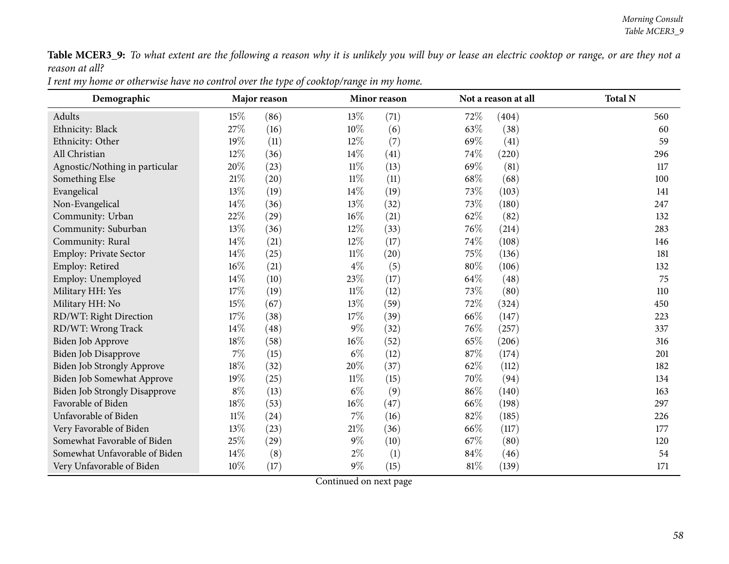Table MCER3\_9: To what extent are the following a reason why it is unlikely you will buy or lease an electric cooktop or range, or are they not a *reason at all?*

| I rent my home or otherwise have no control over the type of cooktop/range in my home. |
|----------------------------------------------------------------------------------------|
|----------------------------------------------------------------------------------------|

| Demographic                          |        | Major reason |        | Minor reason |      | Not a reason at all | <b>Total N</b> |
|--------------------------------------|--------|--------------|--------|--------------|------|---------------------|----------------|
| Adults                               | 15%    | (86)         | 13\%   | (71)         | 72\% | (404)               | 560            |
| Ethnicity: Black                     | 27%    | (16)         | 10%    | (6)          | 63%  | (38)                | 60             |
| Ethnicity: Other                     | 19%    | (11)         | $12\%$ | (7)          | 69%  | (41)                | 59             |
| All Christian                        | 12%    | (36)         | 14%    | (41)         | 74\% | (220)               | 296            |
| Agnostic/Nothing in particular       | 20%    | (23)         | $11\%$ | (13)         | 69%  | (81)                | 117            |
| Something Else                       | $21\%$ | (20)         | $11\%$ | (11)         | 68\% | (68)                | 100            |
| Evangelical                          | 13\%   | (19)         | $14\%$ | (19)         | 73\% | (103)               | 141            |
| Non-Evangelical                      | 14%    | (36)         | 13%    | (32)         | 73%  | (180)               | 247            |
| Community: Urban                     | 22%    | (29)         | $16\%$ | (21)         | 62%  | (82)                | 132            |
| Community: Suburban                  | $13\%$ | (36)         | 12%    | (33)         | 76%  | (214)               | 283            |
| Community: Rural                     | 14\%   | (21)         | 12%    | (17)         | 74%  | (108)               | 146            |
| Employ: Private Sector               | 14\%   | (25)         | $11\%$ | (20)         | 75%  | (136)               | 181            |
| Employ: Retired                      | $16\%$ | (21)         | $4\%$  | (5)          | 80%  | (106)               | 132            |
| Employ: Unemployed                   | 14\%   | (10)         | 23%    | (17)         | 64\% | (48)                | 75             |
| Military HH: Yes                     | 17%    | (19)         | $11\%$ | (12)         | 73%  | (80)                | 110            |
| Military HH: No                      | 15%    | (67)         | 13%    | (59)         | 72\% | (324)               | 450            |
| RD/WT: Right Direction               | $17\%$ | (38)         | $17\%$ | (39)         | 66\% | (147)               | 223            |
| RD/WT: Wrong Track                   | 14\%   | (48)         | $9\%$  | (32)         | 76\% | (257)               | 337            |
| Biden Job Approve                    | $18\%$ | (58)         | 16%    | (52)         | 65%  | (206)               | 316            |
| Biden Job Disapprove                 | $7\%$  | (15)         | $6\%$  | (12)         | 87%  | (174)               | 201            |
| <b>Biden Job Strongly Approve</b>    | 18%    | (32)         | 20%    | (37)         | 62%  | (112)               | 182            |
| Biden Job Somewhat Approve           | 19%    | (25)         | $11\%$ | (15)         | 70%  | (94)                | 134            |
| <b>Biden Job Strongly Disapprove</b> | $8\%$  | (13)         | $6\%$  | (9)          | 86%  | (140)               | 163            |
| Favorable of Biden                   | 18%    | (53)         | 16%    | (47)         | 66%  | (198)               | 297            |
| Unfavorable of Biden                 | $11\%$ | (24)         | $7\%$  | (16)         | 82%  | (185)               | 226            |
| Very Favorable of Biden              | 13\%   | (23)         | 21%    | (36)         | 66\% | (117)               | 177            |
| Somewhat Favorable of Biden          | 25%    | (29)         | $9\%$  | (10)         | 67\% | (80)                | 120            |
| Somewhat Unfavorable of Biden        | 14%    | (8)          | $2\%$  | (1)          | 84%  | (46)                | 54             |
| Very Unfavorable of Biden            | $10\%$ | (17)         | $9\%$  | (15)         | 81%  | (139)               | 171            |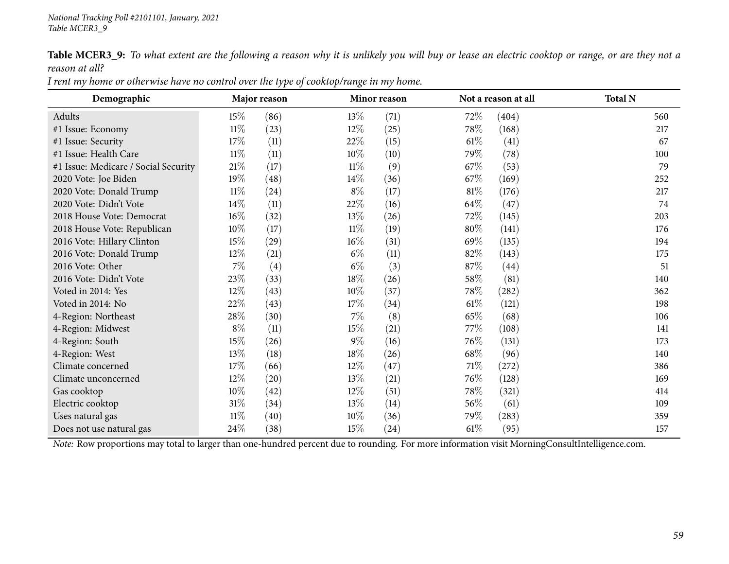Table MCER3\_9: To what extent are the following a reason why it is unlikely you will buy or lease an electric cooktop or range, or are they not a *reason at all?*

| Demographic                          |        | Major reason |        | Minor reason |        | Not a reason at all | <b>Total N</b> |
|--------------------------------------|--------|--------------|--------|--------------|--------|---------------------|----------------|
| Adults                               | 15\%   | (86)         | 13\%   | (71)         | 72\%   | (404)               | 560            |
| #1 Issue: Economy                    | $11\%$ | (23)         | $12\%$ | (25)         | 78\%   | (168)               | 217            |
| #1 Issue: Security                   | 17\%   | (11)         | 22\%   | (15)         | $61\%$ | (41)                | 67             |
| #1 Issue: Health Care                | $11\%$ | (11)         | $10\%$ | (10)         | 79\%   | (78)                | 100            |
| #1 Issue: Medicare / Social Security | $21\%$ | (17)         | $11\%$ | (9)          | 67%    | (53)                | 79             |
| 2020 Vote: Joe Biden                 | 19%    | (48)         | $14\%$ | (36)         | 67\%   | (169)               | 252            |
| 2020 Vote: Donald Trump              | $11\%$ | (24)         | $8\%$  | (17)         | $81\%$ | (176)               | 217            |
| 2020 Vote: Didn't Vote               | $14\%$ | (11)         | 22%    | (16)         | 64\%   | (47)                | 74             |
| 2018 House Vote: Democrat            | $16\%$ | (32)         | 13\%   | (26)         | 72\%   | (145)               | 203            |
| 2018 House Vote: Republican          | $10\%$ | (17)         | $11\%$ | (19)         | 80%    | (141)               | 176            |
| 2016 Vote: Hillary Clinton           | 15\%   | (29)         | $16\%$ | (31)         | 69\%   | (135)               | 194            |
| 2016 Vote: Donald Trump              | 12\%   | (21)         | $6\%$  | (11)         | 82\%   | (143)               | 175            |
| 2016 Vote: Other                     | $7\%$  | (4)          | $6\%$  | (3)          | 87\%   | (44)                | 51             |
| 2016 Vote: Didn't Vote               | 23%    | (33)         | $18\%$ | (26)         | 58\%   | (81)                | 140            |
| Voted in 2014: Yes                   | 12%    | (43)         | $10\%$ | (37)         | 78\%   | (282)               | 362            |
| Voted in 2014: No                    | 22\%   | (43)         | $17\%$ | (34)         | $61\%$ | (121)               | 198            |
| 4-Region: Northeast                  | 28\%   | (30)         | $7\%$  | (8)          | 65\%   | (68)                | 106            |
| 4-Region: Midwest                    | $8\%$  | (11)         | $15\%$ | (21)         | 77\%   | (108)               | 141            |
| 4-Region: South                      | 15\%   | (26)         | $9\%$  | (16)         | 76\%   | (131)               | 173            |
| 4-Region: West                       | 13%    | (18)         | 18\%   | (26)         | 68\%   | (96)                | 140            |
| Climate concerned                    | 17\%   | (66)         | $12\%$ | (47)         | 71%    | (272)               | 386            |
| Climate unconcerned                  | 12\%   | (20)         | 13\%   | (21)         | 76\%   | (128)               | 169            |
| Gas cooktop                          | 10%    | (42)         | $12\%$ | (51)         | 78\%   | (321)               | 414            |
| Electric cooktop                     | $31\%$ | (34)         | 13\%   | (14)         | 56\%   | (61)                | 109            |
| Uses natural gas                     | $11\%$ | (40)         | $10\%$ | (36)         | 79\%   | $\left( 283\right)$ | 359            |
| Does not use natural gas             | 24\%   | (38)         | $15\%$ | (24)         | $61\%$ | (95)                | 157            |

I rent my home or otherwise have no control over the type of cooktop/range in my home.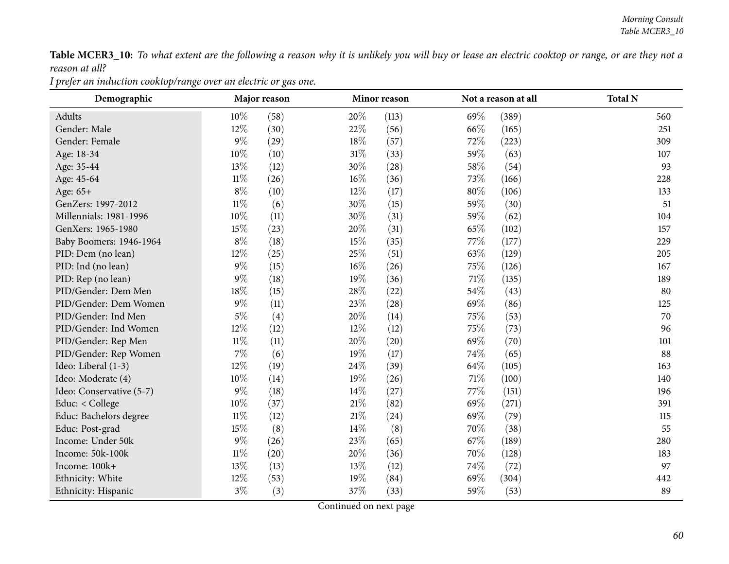Table MCER3\_10: To what extent are the following a reason why it is unlikely you will buy or lease an electric cooktop or range, or are they not a *reason at all?*

*<sup>I</sup> prefer an induction cooktop/range over an electric or gas one.*

| Demographic              |        | Major reason |        | Minor reason |      | Not a reason at all | <b>Total N</b> |
|--------------------------|--------|--------------|--------|--------------|------|---------------------|----------------|
| Adults                   | $10\%$ | (58)         | 20%    | (113)        | 69%  | (389)               | 560            |
| Gender: Male             | 12%    | (30)         | 22%    | (56)         | 66%  | (165)               | 251            |
| Gender: Female           | $9\%$  | (29)         | 18%    | (57)         | 72%  | (223)               | 309            |
| Age: 18-34               | $10\%$ | (10)         | $31\%$ | (33)         | 59%  | (63)                | 107            |
| Age: 35-44               | 13%    | (12)         | 30%    | (28)         | 58%  | (54)                | 93             |
| Age: 45-64               | $11\%$ | (26)         | $16\%$ | (36)         | 73%  | (166)               | 228            |
| Age: 65+                 | $8\%$  | (10)         | $12\%$ | (17)         | 80%  | (106)               | 133            |
| GenZers: 1997-2012       | $11\%$ | (6)          | 30%    | (15)         | 59%  | (30)                | 51             |
| Millennials: 1981-1996   | 10%    | (11)         | 30%    | (31)         | 59%  | (62)                | 104            |
| GenXers: 1965-1980       | 15%    | (23)         | 20%    | (31)         | 65%  | (102)               | 157            |
| Baby Boomers: 1946-1964  | $8\%$  | (18)         | 15%    | (35)         | 77%  | (177)               | 229            |
| PID: Dem (no lean)       | 12%    | (25)         | 25\%   | (51)         | 63%  | (129)               | 205            |
| PID: Ind (no lean)       | $9\%$  | (15)         | 16%    | (26)         | 75%  | (126)               | 167            |
| PID: Rep (no lean)       | $9\%$  | (18)         | 19%    | (36)         | 71%  | (135)               | 189            |
| PID/Gender: Dem Men      | 18%    | (15)         | 28\%   | (22)         | 54%  | (43)                | 80             |
| PID/Gender: Dem Women    | $9\%$  | (11)         | 23%    | (28)         | 69%  | (86)                | 125            |
| PID/Gender: Ind Men      | $5\%$  | (4)          | 20%    | (14)         | 75%  | (53)                | 70             |
| PID/Gender: Ind Women    | $12\%$ | (12)         | $12\%$ | (12)         | 75\% | (73)                | 96             |
| PID/Gender: Rep Men      | $11\%$ | (11)         | 20%    | (20)         | 69%  | (70)                | 101            |
| PID/Gender: Rep Women    | 7%     | (6)          | 19%    | (17)         | 74%  | (65)                | 88             |
| Ideo: Liberal (1-3)      | 12%    | (19)         | 24\%   | (39)         | 64%  | (105)               | 163            |
| Ideo: Moderate (4)       | 10%    | (14)         | 19%    | (26)         | 71%  | (100)               | 140            |
| Ideo: Conservative (5-7) | $9\%$  | (18)         | 14\%   | (27)         | 77%  | (151)               | 196            |
| Educ: < College          | 10%    | (37)         | 21%    | (82)         | 69%  | (271)               | 391            |
| Educ: Bachelors degree   | $11\%$ | (12)         | 21%    | (24)         | 69%  | (79)                | 115            |
| Educ: Post-grad          | 15%    | (8)          | $14\%$ | (8)          | 70%  | (38)                | 55             |
| Income: Under 50k        | $9\%$  | (26)         | 23%    | (65)         | 67%  | (189)               | 280            |
| Income: 50k-100k         | $11\%$ | (20)         | 20%    | (36)         | 70%  | (128)               | 183            |
| Income: 100k+            | 13%    | (13)         | 13%    | (12)         | 74%  | (72)                | 97             |
| Ethnicity: White         | 12%    | (53)         | 19%    | (84)         | 69\% | (304)               | 442            |
| Ethnicity: Hispanic      | $3\%$  | (3)          | 37%    | (33)         | 59%  | (53)                | 89             |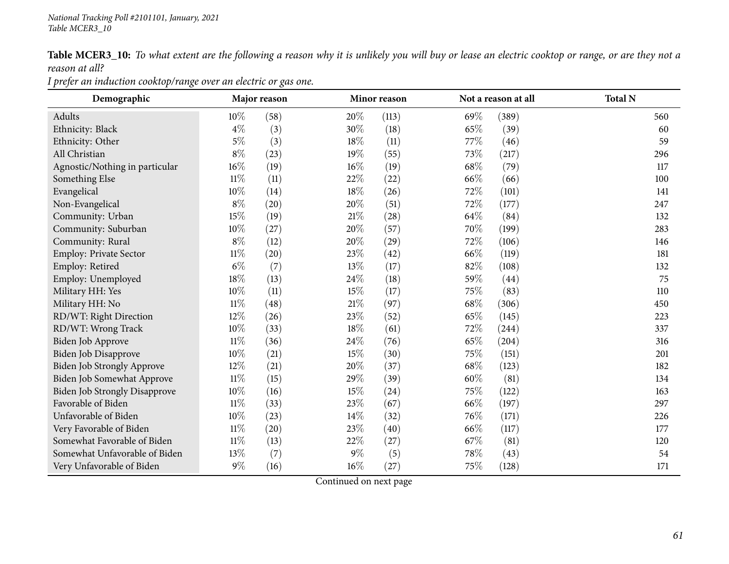Table MCER3\_10: To what extent are the following a reason why it is unlikely you will buy or lease an electric cooktop or range, or are they not a *reason at all?*

*<sup>I</sup> prefer an induction cooktop/range over an electric or gas one.*

| Demographic                          |        | Major reason |        | Minor reason |      | Not a reason at all | <b>Total N</b> |
|--------------------------------------|--------|--------------|--------|--------------|------|---------------------|----------------|
| Adults                               | $10\%$ | (58)         | 20%    | (113)        | 69%  | (389)               | 560            |
| Ethnicity: Black                     | $4\%$  | (3)          | 30%    | (18)         | 65%  | (39)                | 60             |
| Ethnicity: Other                     | $5\%$  | (3)          | 18%    | (11)         | 77%  | (46)                | 59             |
| All Christian                        | $8\%$  | (23)         | 19%    | (55)         | 73%  | (217)               | 296            |
| Agnostic/Nothing in particular       | $16\%$ | (19)         | $16\%$ | (19)         | 68%  | (79)                | 117            |
| Something Else                       | $11\%$ | (11)         | 22\%   | (22)         | 66\% | (66)                | 100            |
| Evangelical                          | 10%    | (14)         | 18%    | (26)         | 72%  | (101)               | 141            |
| Non-Evangelical                      | $8\%$  | (20)         | 20%    | (51)         | 72%  | (177)               | 247            |
| Community: Urban                     | $15\%$ | (19)         | 21\%   | (28)         | 64%  | (84)                | 132            |
| Community: Suburban                  | 10%    | (27)         | $20\%$ | (57)         | 70%  | (199)               | 283            |
| Community: Rural                     | $8\%$  | (12)         | 20%    | (29)         | 72%  | (106)               | 146            |
| <b>Employ: Private Sector</b>        | $11\%$ | (20)         | 23%    | (42)         | 66%  | (119)               | 181            |
| Employ: Retired                      | $6\%$  | (7)          | $13\%$ | (17)         | 82%  | (108)               | 132            |
| Employ: Unemployed                   | $18\%$ | (13)         | 24\%   | (18)         | 59%  | (44)                | 75             |
| Military HH: Yes                     | $10\%$ | (11)         | 15%    | (17)         | 75%  | (83)                | 110            |
| Military HH: No                      | $11\%$ | (48)         | 21%    | (97)         | 68\% | (306)               | 450            |
| RD/WT: Right Direction               | 12%    | (26)         | $23\%$ | (52)         | 65%  | (145)               | 223            |
| RD/WT: Wrong Track                   | 10%    | (33)         | 18%    | (61)         | 72%  | (244)               | 337            |
| Biden Job Approve                    | $11\%$ | (36)         | 24%    | (76)         | 65%  | (204)               | 316            |
| Biden Job Disapprove                 | 10%    | (21)         | 15%    | (30)         | 75%  | (151)               | 201            |
| <b>Biden Job Strongly Approve</b>    | 12%    | (21)         | 20%    | (37)         | 68%  | (123)               | 182            |
| Biden Job Somewhat Approve           | $11\%$ | (15)         | 29%    | (39)         | 60%  | (81)                | 134            |
| <b>Biden Job Strongly Disapprove</b> | 10%    | (16)         | 15%    | (24)         | 75%  | (122)               | 163            |
| Favorable of Biden                   | $11\%$ | (33)         | 23%    | (67)         | 66%  | (197)               | 297            |
| Unfavorable of Biden                 | $10\%$ | (23)         | $14\%$ | (32)         | 76\% | (171)               | 226            |
| Very Favorable of Biden              | $11\%$ | (20)         | 23%    | (40)         | 66%  | (117)               | 177            |
| Somewhat Favorable of Biden          | $11\%$ | (13)         | 22%    | (27)         | 67%  | (81)                | 120            |
| Somewhat Unfavorable of Biden        | 13%    | (7)          | $9\%$  | (5)          | 78%  | (43)                | 54             |
| Very Unfavorable of Biden            | $9\%$  | (16)         | 16%    | (27)         | 75%  | (128)               | 171            |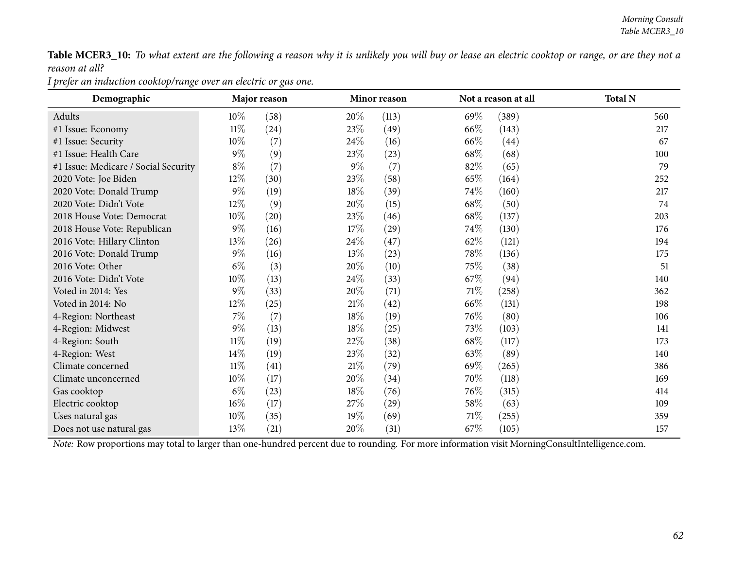Table MCER3\_10: To what extent are the following a reason why it is unlikely you will buy or lease an electric cooktop or range, or are they not a *reason at all?*

*<sup>I</sup> prefer an induction cooktop/range over an electric or gas one.*

| Demographic                          |        | Major reason |        | <b>Minor reason</b> |        | Not a reason at all | <b>Total N</b> |
|--------------------------------------|--------|--------------|--------|---------------------|--------|---------------------|----------------|
| Adults                               | $10\%$ | (58)         | $20\%$ | (113)               | 69%    | (389)               | 560            |
| #1 Issue: Economy                    | $11\%$ | (24)         | 23\%   | (49)                | 66\%   | (143)               | 217            |
| #1 Issue: Security                   | $10\%$ | (7)          | $24\%$ | (16)                | 66\%   | (44)                | 67             |
| #1 Issue: Health Care                | $9\%$  | (9)          | 23\%   | (23)                | 68\%   | (68)                | 100            |
| #1 Issue: Medicare / Social Security | $8\%$  | (7)          | $9\%$  | (7)                 | 82\%   | (65)                | 79             |
| 2020 Vote: Joe Biden                 | 12\%   | (30)         | 23\%   | (58)                | 65\%   | (164)               | 252            |
| 2020 Vote: Donald Trump              | $9\%$  | (19)         | 18\%   | (39)                | 74\%   | (160)               | 217            |
| 2020 Vote: Didn't Vote               | 12\%   | (9)          | 20%    | (15)                | 68\%   | (50)                | 74             |
| 2018 House Vote: Democrat            | $10\%$ | (20)         | 23\%   | (46)                | 68\%   | (137)               | 203            |
| 2018 House Vote: Republican          | $9\%$  | (16)         | 17\%   | (29)                | 74\%   | (130)               | 176            |
| 2016 Vote: Hillary Clinton           | 13\%   | (26)         | 24\%   | (47)                | 62\%   | (121)               | 194            |
| 2016 Vote: Donald Trump              | $9\%$  | (16)         | 13\%   | (23)                | 78\%   | (136)               | 175            |
| 2016 Vote: Other                     | $6\%$  | (3)          | 20%    | (10)                | 75\%   | (38)                | 51             |
| 2016 Vote: Didn't Vote               | 10%    | (13)         | 24\%   | (33)                | 67%    | (94)                | 140            |
| Voted in 2014: Yes                   | $9\%$  | (33)         | 20%    | (71)                | 71\%   | (258)               | 362            |
| Voted in 2014: No                    | 12\%   | (25)         | 21%    | (42)                | 66\%   | (131)               | 198            |
| 4-Region: Northeast                  | $7\%$  | (7)          | 18%    | (19)                | 76\%   | (80)                | 106            |
| 4-Region: Midwest                    | $9\%$  | (13)         | 18%    | (25)                | 73\%   | (103)               | 141            |
| 4-Region: South                      | $11\%$ | (19)         | 22\%   | (38)                | 68\%   | (117)               | 173            |
| 4-Region: West                       | 14%    | (19)         | 23\%   | (32)                | 63\%   | (89)                | 140            |
| Climate concerned                    | $11\%$ | (41)         | 21%    | (79)                | 69\%   | (265)               | 386            |
| Climate unconcerned                  | $10\%$ | (17)         | 20\%   | (34)                | 70%    | (118)               | 169            |
| Gas cooktop                          | $6\%$  | (23)         | 18%    | (76)                | 76\%   | (315)               | 414            |
| Electric cooktop                     | $16\%$ | (17)         | 27\%   | $\left( 29\right)$  | $58\%$ | (63)                | 109            |
| Uses natural gas                     | $10\%$ | (35)         | $19\%$ | (69)                | 71\%   | (255)               | 359            |
| Does not use natural gas             | 13\%   | (21)         | $20\%$ | (31)                | 67%    | (105)               | 157            |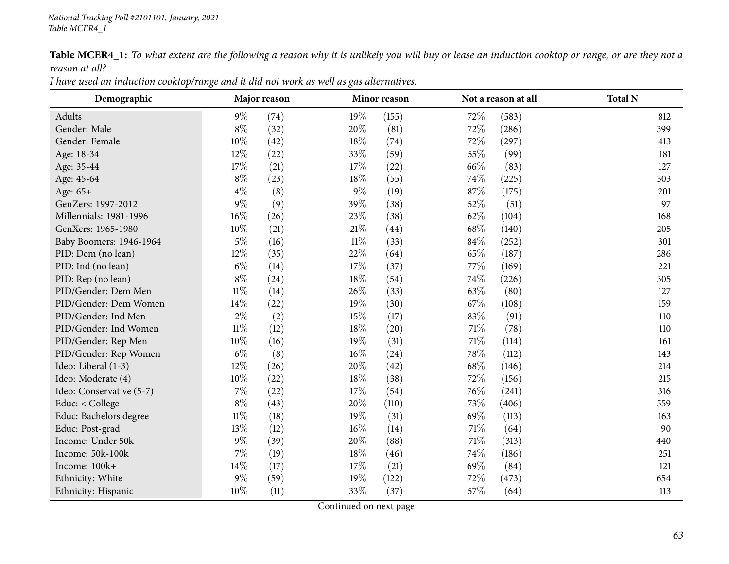Table MCER4\_1: To what extent are the following a reason why it is unlikely you will buy or lease an induction cooktop or range, or are they not a *reason at all?*

| I have used an induction cooktop/range and it did not work as well as gas alternatives. |
|-----------------------------------------------------------------------------------------|
|-----------------------------------------------------------------------------------------|

| Demographic              |        | Major reason |        | Minor reason |        | Not a reason at all | <b>Total N</b> |
|--------------------------|--------|--------------|--------|--------------|--------|---------------------|----------------|
| <b>Adults</b>            | $9\%$  | (74)         | 19%    | (155)        | 72%    | (583)               | 812            |
| Gender: Male             | $8\%$  | (32)         | 20%    | (81)         | 72\%   | (286)               | 399            |
| Gender: Female           | 10%    | (42)         | 18\%   | (74)         | 72\%   | (297)               | 413            |
| Age: 18-34               | 12%    | (22)         | 33%    | (59)         | 55%    | (99)                | 181            |
| Age: 35-44               | $17\%$ | (21)         | 17%    | (22)         | 66%    | (83)                | 127            |
| Age: 45-64               | $8\%$  | (23)         | 18%    | (55)         | 74\%   | (225)               | 303            |
| Age: 65+                 | $4\%$  | (8)          | $9\%$  | (19)         | 87\%   | (175)               | 201            |
| GenZers: 1997-2012       | $9\%$  | (9)          | 39%    | (38)         | 52%    | (51)                | 97             |
| Millennials: 1981-1996   | $16\%$ | (26)         | 23%    | (38)         | 62%    | (104)               | 168            |
| GenXers: 1965-1980       | 10%    | (21)         | $21\%$ | (44)         | 68\%   | (140)               | 205            |
| Baby Boomers: 1946-1964  | $5\%$  | (16)         | $11\%$ | (33)         | 84\%   | (252)               | 301            |
| PID: Dem (no lean)       | 12%    | (35)         | 22%    | (64)         | 65%    | (187)               | 286            |
| PID: Ind (no lean)       | $6\%$  | (14)         | 17%    | (37)         | 77\%   | (169)               | 221            |
| PID: Rep (no lean)       | $8\%$  | (24)         | 18%    | (54)         | 74\%   | (226)               | 305            |
| PID/Gender: Dem Men      | $11\%$ | (14)         | 26%    | (33)         | 63\%   | (80)                | 127            |
| PID/Gender: Dem Women    | 14%    | (22)         | 19%    | (30)         | 67\%   | (108)               | 159            |
| PID/Gender: Ind Men      | $2\%$  | (2)          | 15%    | (17)         | 83%    | (91)                | 110            |
| PID/Gender: Ind Women    | $11\%$ | (12)         | 18%    | (20)         | 71\%   | (78)                | 110            |
| PID/Gender: Rep Men      | 10%    | (16)         | 19%    | (31)         | $71\%$ | (114)               | 161            |
| PID/Gender: Rep Women    | $6\%$  | (8)          | 16%    | (24)         | 78%    | (112)               | 143            |
| Ideo: Liberal (1-3)      | 12%    | (26)         | 20%    | (42)         | 68\%   | (146)               | 214            |
| Ideo: Moderate (4)       | 10%    | (22)         | 18%    | (38)         | 72%    | (156)               | 215            |
| Ideo: Conservative (5-7) | $7\%$  | (22)         | 17%    | (54)         | 76%    | (241)               | 316            |
| Educ: < College          | $8\%$  | (43)         | 20%    | (110)        | 73%    | (406)               | 559            |
| Educ: Bachelors degree   | $11\%$ | (18)         | 19%    | (31)         | 69%    | (113)               | 163            |
| Educ: Post-grad          | 13%    | (12)         | $16\%$ | (14)         | 71\%   | (64)                | 90             |
| Income: Under 50k        | $9\%$  | (39)         | 20%    | (88)         | 71\%   | (313)               | 440            |
| Income: 50k-100k         | $7\%$  | (19)         | 18%    | (46)         | 74\%   | (186)               | 251            |
| Income: 100k+            | 14%    | (17)         | 17%    | (21)         | 69%    | (84)                | 121            |
| Ethnicity: White         | $9\%$  | (59)         | 19%    | (122)        | 72\%   | (473)               | 654            |
| Ethnicity: Hispanic      | 10%    | (11)         | 33%    | (37)         | 57%    | (64)                | 113            |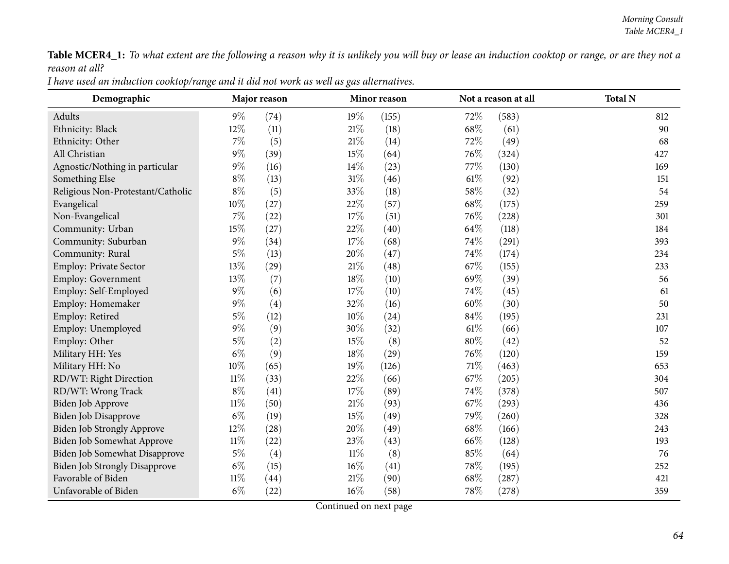Table MCER4\_1: To what extent are the following a reason why it is unlikely you will buy or lease an induction cooktop or range, or are they not a *reason at all?*

| I have used an induction cooktop/range and it did not work as well as gas alternatives. |
|-----------------------------------------------------------------------------------------|
|-----------------------------------------------------------------------------------------|

| Demographic                          |        | Major reason |        | Minor reason |        | Not a reason at all | <b>Total N</b> |
|--------------------------------------|--------|--------------|--------|--------------|--------|---------------------|----------------|
| Adults                               | $9\%$  | (74)         | 19%    | (155)        | 72%    | (583)               | 812            |
| Ethnicity: Black                     | 12%    | (11)         | $21\%$ | (18)         | 68%    | (61)                | 90             |
| Ethnicity: Other                     | $7\%$  | (5)          | 21%    | (14)         | 72\%   | (49)                | 68             |
| All Christian                        | $9\%$  | (39)         | 15%    | (64)         | 76%    | (324)               | 427            |
| Agnostic/Nothing in particular       | $9\%$  | (16)         | 14%    | (23)         | 77%    | (130)               | 169            |
| Something Else                       | $8\%$  | (13)         | 31%    | (46)         | $61\%$ | (92)                | 151            |
| Religious Non-Protestant/Catholic    | $8\%$  | (5)          | 33%    | (18)         | 58%    | (32)                | 54             |
| Evangelical                          | 10%    | (27)         | 22%    | (57)         | 68%    | (175)               | 259            |
| Non-Evangelical                      | $7\%$  | (22)         | 17%    | (51)         | 76%    | (228)               | 301            |
| Community: Urban                     | 15%    | (27)         | 22%    | (40)         | 64\%   | (118)               | 184            |
| Community: Suburban                  | $9\%$  | (34)         | 17%    | (68)         | 74%    | (291)               | 393            |
| Community: Rural                     | $5\%$  | (13)         | 20%    | (47)         | 74%    | (174)               | 234            |
| Employ: Private Sector               | 13%    | (29)         | $21\%$ | (48)         | 67\%   | (155)               | 233            |
| <b>Employ: Government</b>            | 13%    | (7)          | $18\%$ | (10)         | 69%    | (39)                | 56             |
| Employ: Self-Employed                | $9\%$  | (6)          | 17%    | (10)         | 74%    | (45)                | 61             |
| Employ: Homemaker                    | $9\%$  | (4)          | 32%    | (16)         | 60%    | (30)                | 50             |
| Employ: Retired                      | $5\%$  | (12)         | 10%    | (24)         | 84%    | (195)               | 231            |
| Employ: Unemployed                   | $9\%$  | (9)          | 30\%   | (32)         | $61\%$ | (66)                | 107            |
| Employ: Other                        | $5\%$  | (2)          | 15%    | (8)          | 80%    | (42)                | 52             |
| Military HH: Yes                     | $6\%$  | (9)          | 18%    | (29)         | 76%    | (120)               | 159            |
| Military HH: No                      | $10\%$ | (65)         | 19%    | (126)        | $71\%$ | (463)               | 653            |
| RD/WT: Right Direction               | $11\%$ | (33)         | 22\%   | (66)         | $67\%$ | (205)               | 304            |
| RD/WT: Wrong Track                   | $8\%$  | (41)         | $17\%$ | (89)         | 74%    | (378)               | 507            |
| Biden Job Approve                    | $11\%$ | (50)         | $21\%$ | (93)         | 67%    | (293)               | 436            |
| Biden Job Disapprove                 | $6\%$  | (19)         | 15%    | (49)         | 79%    | (260)               | 328            |
| <b>Biden Job Strongly Approve</b>    | 12%    | (28)         | 20%    | (49)         | 68\%   | (166)               | 243            |
| Biden Job Somewhat Approve           | $11\%$ | (22)         | 23%    | (43)         | 66%    | (128)               | 193            |
| Biden Job Somewhat Disapprove        | $5\%$  | (4)          | $11\%$ | (8)          | 85%    | (64)                | 76             |
| <b>Biden Job Strongly Disapprove</b> | $6\%$  | (15)         | $16\%$ | (41)         | 78%    | (195)               | 252            |
| Favorable of Biden                   | $11\%$ | (44)         | $21\%$ | (90)         | 68\%   | (287)               | 421            |
| Unfavorable of Biden                 | $6\%$  | (22)         | 16%    | (58)         | 78%    | (278)               | 359            |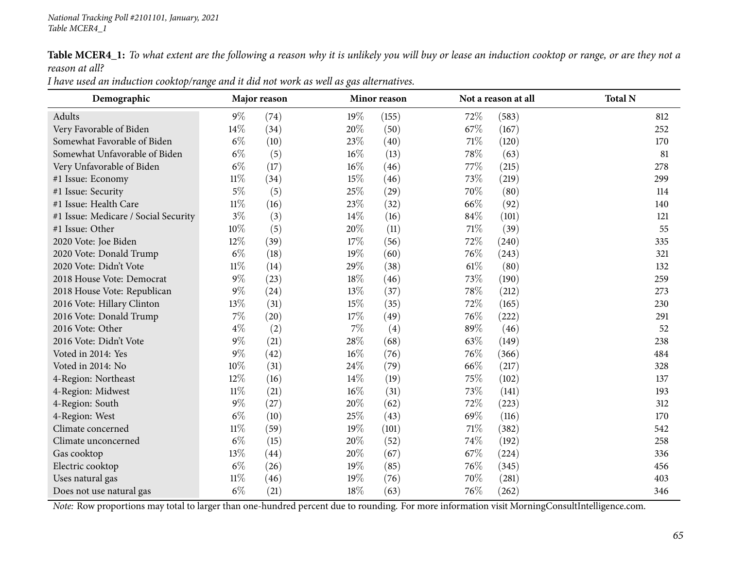Table MCER4\_1: To what extent are the following a reason why it is unlikely you will buy or lease an induction cooktop or range, or are they not a *reason at all?*

| I have used an induction cooktop/range and it did not work as well as gas alternatives. |
|-----------------------------------------------------------------------------------------|
|-----------------------------------------------------------------------------------------|

| Demographic                          |        | Major reason |        | Minor reason |        | Not a reason at all | <b>Total N</b> |
|--------------------------------------|--------|--------------|--------|--------------|--------|---------------------|----------------|
| Adults                               | $9\%$  | (74)         | 19%    | (155)        | 72%    | (583)               | 812            |
| Very Favorable of Biden              | 14%    | (34)         | 20%    | (50)         | 67\%   | (167)               | 252            |
| Somewhat Favorable of Biden          | $6\%$  | (10)         | 23\%   | (40)         | 71\%   | (120)               | 170            |
| Somewhat Unfavorable of Biden        | $6\%$  | (5)          | 16%    | (13)         | 78%    | (63)                | 81             |
| Very Unfavorable of Biden            | $6\%$  | (17)         | 16%    | (46)         | 77%    | (215)               | 278            |
| #1 Issue: Economy                    | $11\%$ | (34)         | 15%    | (46)         | 73%    | (219)               | 299            |
| #1 Issue: Security                   | $5\%$  | (5)          | 25\%   | (29)         | 70%    | (80)                | 114            |
| #1 Issue: Health Care                | $11\%$ | (16)         | 23%    | (32)         | 66%    | (92)                | 140            |
| #1 Issue: Medicare / Social Security | $3\%$  | (3)          | 14%    | (16)         | 84%    | (101)               | 121            |
| #1 Issue: Other                      | 10%    | (5)          | 20%    | (11)         | $71\%$ | (39)                | 55             |
| 2020 Vote: Joe Biden                 | 12%    | (39)         | 17%    | (56)         | 72%    | (240)               | 335            |
| 2020 Vote: Donald Trump              | $6\%$  | (18)         | 19%    | (60)         | 76%    | (243)               | 321            |
| 2020 Vote: Didn't Vote               | $11\%$ | (14)         | 29%    | (38)         | 61%    | (80)                | 132            |
| 2018 House Vote: Democrat            | $9\%$  | (23)         | 18%    | (46)         | 73%    | (190)               | 259            |
| 2018 House Vote: Republican          | $9\%$  | (24)         | 13%    | (37)         | 78%    | (212)               | 273            |
| 2016 Vote: Hillary Clinton           | 13%    | (31)         | 15%    | (35)         | 72%    | (165)               | 230            |
| 2016 Vote: Donald Trump              | $7\%$  | (20)         | 17%    | (49)         | 76\%   | (222)               | 291            |
| 2016 Vote: Other                     | $4\%$  | (2)          | 7%     | (4)          | 89%    | (46)                | 52             |
| 2016 Vote: Didn't Vote               | $9\%$  | (21)         | 28\%   | (68)         | 63%    | (149)               | 238            |
| Voted in 2014: Yes                   | $9\%$  | (42)         | 16%    | (76)         | 76%    | (366)               | 484            |
| Voted in 2014: No                    | 10%    | (31)         | 24\%   | (79)         | 66%    | (217)               | 328            |
| 4-Region: Northeast                  | 12%    | (16)         | $14\%$ | (19)         | 75%    | (102)               | 137            |
| 4-Region: Midwest                    | $11\%$ | (21)         | $16\%$ | (31)         | 73%    | (141)               | 193            |
| 4-Region: South                      | $9\%$  | (27)         | 20%    | (62)         | 72%    | (223)               | 312            |
| 4-Region: West                       | $6\%$  | (10)         | 25%    | (43)         | 69%    | (116)               | 170            |
| Climate concerned                    | $11\%$ | (59)         | 19%    | (101)        | 71\%   | (382)               | 542            |
| Climate unconcerned                  | $6\%$  | (15)         | 20%    | (52)         | 74%    | (192)               | 258            |
| Gas cooktop                          | 13%    | (44)         | 20%    | (67)         | 67%    | (224)               | 336            |
| Electric cooktop                     | $6\%$  | (26)         | 19%    | (85)         | 76%    | (345)               | 456            |
| Uses natural gas                     | $11\%$ | (46)         | 19%    | (76)         | 70%    | (281)               | 403            |
| Does not use natural gas             | $6\%$  | (21)         | 18%    | (63)         | 76\%   | (262)               | 346            |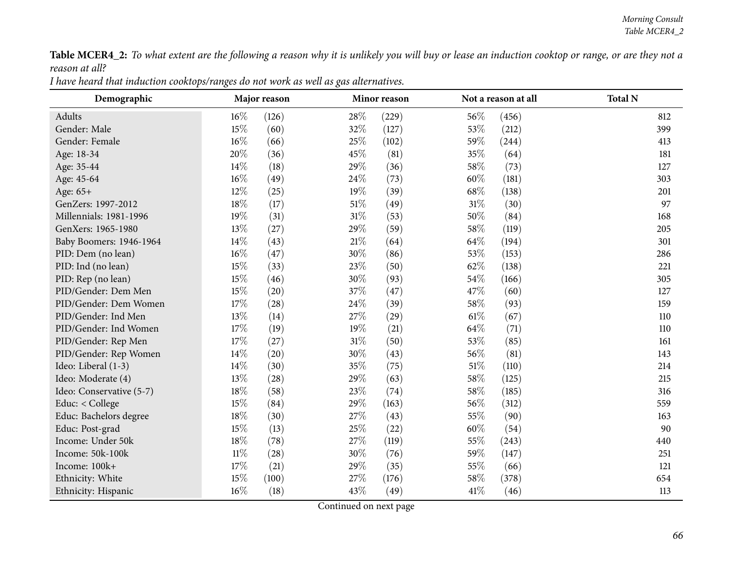Table MCER4\_2: To what extent are the following a reason why it is unlikely you will buy or lease an induction cooktop or range, or are they not a *reason at all?*

| I have heard that induction cooktops/ranges do not work as well as gas alternatives. |
|--------------------------------------------------------------------------------------|
|--------------------------------------------------------------------------------------|

| Demographic              |        | Major reason |        | Minor reason |        | Not a reason at all | <b>Total N</b> |
|--------------------------|--------|--------------|--------|--------------|--------|---------------------|----------------|
| Adults                   | 16%    | (126)        | 28%    | (229)        | 56%    | (456)               | 812            |
| Gender: Male             | 15%    | (60)         | 32%    | (127)        | 53%    | (212)               | 399            |
| Gender: Female           | 16%    | (66)         | 25%    | (102)        | 59%    | $\left( 244\right)$ | 413            |
| Age: 18-34               | 20%    | (36)         | 45%    | (81)         | 35%    | (64)                | 181            |
| Age: 35-44               | 14%    | (18)         | 29%    | (36)         | 58%    | (73)                | 127            |
| Age: 45-64               | $16\%$ | (49)         | 24%    | (73)         | 60%    | (181)               | 303            |
| Age: 65+                 | 12%    | (25)         | 19%    | (39)         | 68\%   | (138)               | 201            |
| GenZers: 1997-2012       | 18%    | (17)         | $51\%$ | (49)         | $31\%$ | (30)                | 97             |
| Millennials: 1981-1996   | 19%    | (31)         | $31\%$ | (53)         | 50%    | (84)                | 168            |
| GenXers: 1965-1980       | 13%    | (27)         | 29%    | (59)         | 58\%   | (119)               | 205            |
| Baby Boomers: 1946-1964  | 14%    | (43)         | 21%    | (64)         | 64\%   | (194)               | 301            |
| PID: Dem (no lean)       | $16\%$ | (47)         | 30%    | (86)         | 53%    | (153)               | 286            |
| PID: Ind (no lean)       | 15%    | (33)         | 23%    | (50)         | 62%    | (138)               | 221            |
| PID: Rep (no lean)       | 15%    | (46)         | 30%    | (93)         | 54\%   | (166)               | 305            |
| PID/Gender: Dem Men      | 15%    | (20)         | 37%    | (47)         | 47%    | (60)                | 127            |
| PID/Gender: Dem Women    | $17\%$ | (28)         | 24%    | (39)         | 58\%   | (93)                | 159            |
| PID/Gender: Ind Men      | 13%    | (14)         | 27%    | (29)         | $61\%$ | (67)                | 110            |
| PID/Gender: Ind Women    | 17%    | (19)         | 19%    | (21)         | 64\%   | (71)                | 110            |
| PID/Gender: Rep Men      | $17\%$ | (27)         | $31\%$ | (50)         | 53%    | (85)                | 161            |
| PID/Gender: Rep Women    | 14\%   | (20)         | 30%    | (43)         | 56%    | (81)                | 143            |
| Ideo: Liberal (1-3)      | $14\%$ | (30)         | 35%    | (75)         | $51\%$ | (110)               | 214            |
| Ideo: Moderate (4)       | 13%    | (28)         | 29%    | (63)         | 58\%   | (125)               | 215            |
| Ideo: Conservative (5-7) | 18%    | (58)         | 23%    | (74)         | 58%    | (185)               | 316            |
| Educ: < College          | 15%    | (84)         | 29%    | (163)        | 56%    | (312)               | 559            |
| Educ: Bachelors degree   | 18%    | (30)         | 27%    | (43)         | 55%    | (90)                | 163            |
| Educ: Post-grad          | 15%    | (13)         | 25%    | (22)         | 60%    | (54)                | 90             |
| Income: Under 50k        | 18%    | (78)         | 27%    | (119)        | 55%    | (243)               | 440            |
| Income: 50k-100k         | $11\%$ | (28)         | 30%    | (76)         | 59%    | (147)               | 251            |
| Income: 100k+            | 17%    | (21)         | 29%    | (35)         | 55%    | (66)                | 121            |
| Ethnicity: White         | 15%    | (100)        | 27%    | (176)        | 58%    | (378)               | 654            |
| Ethnicity: Hispanic      | 16%    | (18)         | 43%    | (49)         | 41\%   | (46)                | 113            |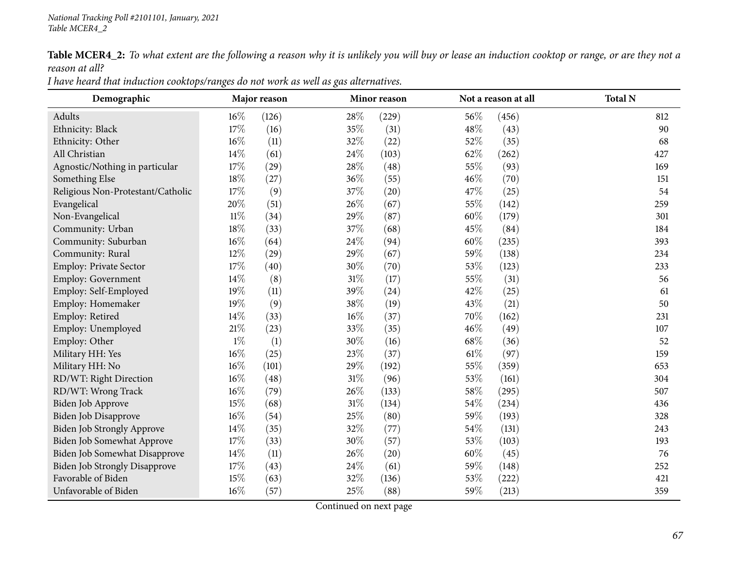Table MCER4\_2: To what extent are the following a reason why it is unlikely you will buy or lease an induction cooktop or range, or are they not a *reason at all?*

| I nave neara that thancholi cooktops/halges ao not work as well as gas allernatives. |                          |                     |                          |                |  |  |  |  |  |  |  |
|--------------------------------------------------------------------------------------|--------------------------|---------------------|--------------------------|----------------|--|--|--|--|--|--|--|
| Demographic                                                                          | Major reason             | <b>Minor reason</b> | Not a reason at all      | <b>Total N</b> |  |  |  |  |  |  |  |
| Adults                                                                               | $16\%$<br>(126)          | $28\%$<br>229       | $56\%$<br>(456)          |                |  |  |  |  |  |  |  |
| Ethnicity: Black                                                                     | $17\%$<br>16             | $35\%$<br>(31)      | $48\%$<br>(43)           |                |  |  |  |  |  |  |  |
| Ethnicity: Other                                                                     | $16\%$<br>$^{\prime}11)$ | $32\%$<br>(22)      | 52\%<br>(35)             |                |  |  |  |  |  |  |  |
| All Christian                                                                        | $14\%$<br>(61)           | 24\%<br>(103)       | $62\%$<br>(262)          |                |  |  |  |  |  |  |  |
| Agnostic/Nothing in particular                                                       | 17%<br>29                | 28\%<br>(48)        | 55%<br>(93)              |                |  |  |  |  |  |  |  |
| Something Else                                                                       | $18\%$<br>27             | $36\%$<br>(55)      | 46%<br>$\left[70\right]$ |                |  |  |  |  |  |  |  |

I have heard that induction cooktops/ranges do not work as well as gas alternatives.

| Demograpme                           |        | март теазон |        |       |        |       | TOtal 14 |
|--------------------------------------|--------|-------------|--------|-------|--------|-------|----------|
| Adults                               | $16\%$ | (126)       | 28%    | (229) | 56%    | (456) | 812      |
| Ethnicity: Black                     | 17%    | (16)        | 35%    | (31)  | 48%    | (43)  | 90       |
| Ethnicity: Other                     | $16\%$ | (11)        | 32%    | (22)  | 52%    | (35)  | 68       |
| All Christian                        | 14%    | (61)        | 24%    | (103) | 62%    | (262) | 427      |
| Agnostic/Nothing in particular       | 17%    | (29)        | 28\%   | (48)  | 55%    | (93)  | 169      |
| Something Else                       | 18%    | (27)        | 36%    | (55)  | 46%    | (70)  | 151      |
| Religious Non-Protestant/Catholic    | 17%    | (9)         | 37%    | (20)  | 47\%   | (25)  | 54       |
| Evangelical                          | 20%    | (51)        | 26%    | (67)  | 55%    | (142) | 259      |
| Non-Evangelical                      | $11\%$ | (34)        | 29%    | (87)  | 60%    | (179) | 301      |
| Community: Urban                     | 18%    | (33)        | 37%    | (68)  | 45%    | (84)  | 184      |
| Community: Suburban                  | $16\%$ | (64)        | 24\%   | (94)  | 60%    | (235) | 393      |
| Community: Rural                     | 12%    | (29)        | 29%    | (67)  | 59%    | (138) | 234      |
| Employ: Private Sector               | 17%    | (40)        | 30%    | (70)  | 53%    | (123) | 233      |
| Employ: Government                   | 14%    | (8)         | $31\%$ | (17)  | 55%    | (31)  | 56       |
| Employ: Self-Employed                | 19%    | (11)        | 39%    | (24)  | 42%    | (25)  | 61       |
| Employ: Homemaker                    | 19%    | (9)         | 38%    | (19)  | 43\%   | (21)  | 50       |
| Employ: Retired                      | 14%    | (33)        | $16\%$ | (37)  | 70%    | (162) | 231      |
| Employ: Unemployed                   | $21\%$ | (23)        | 33%    | (35)  | 46\%   | (49)  | 107      |
| Employ: Other                        | $1\%$  | (1)         | 30%    | (16)  | 68\%   | (36)  | 52       |
| Military HH: Yes                     | $16\%$ | (25)        | 23%    | (37)  | $61\%$ | (97)  | 159      |
| Military HH: No                      | 16%    | (101)       | 29%    | (192) | 55%    | (359) | 653      |
| RD/WT: Right Direction               | $16\%$ | (48)        | $31\%$ | (96)  | 53%    | (161) | 304      |
| RD/WT: Wrong Track                   | $16\%$ | (79)        | 26\%   | (133) | $58\%$ | (295) | 507      |
| Biden Job Approve                    | 15%    | (68)        | $31\%$ | (134) | 54\%   | (234) | 436      |
| Biden Job Disapprove                 | 16%    | (54)        | 25%    | (80)  | 59%    | (193) | 328      |
| <b>Biden Job Strongly Approve</b>    | 14%    | (35)        | 32%    | (77)  | 54%    | (131) | 243      |
| <b>Biden Job Somewhat Approve</b>    | 17%    | (33)        | 30%    | (57)  | 53%    | (103) | 193      |
| Biden Job Somewhat Disapprove        | 14%    | (11)        | 26%    | (20)  | 60%    | (45)  | 76       |
| <b>Biden Job Strongly Disapprove</b> | 17%    | (43)        | 24\%   | (61)  | 59%    | (148) | 252      |
| Favorable of Biden                   | 15%    | (63)        | 32%    | (136) | 53%    | (222) | 421      |
| Unfavorable of Biden                 | 16%    | (57)        | 25%    | (88)  | 59%    | (213) | 359      |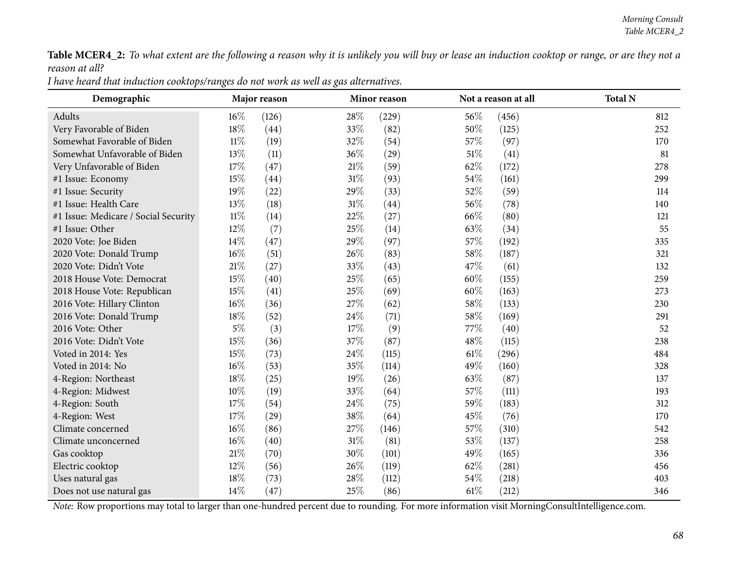$\overline{\phantom{a}}$ 

Table MCER4\_2: To what extent are the following a reason why it is unlikely you will buy or lease an induction cooktop or range, or are they not a *reason at all?*

| Demographic                          |        | Major reason |        | Minor reason |      | Not a reason at all | <b>Total N</b> |
|--------------------------------------|--------|--------------|--------|--------------|------|---------------------|----------------|
| Adults                               | 16%    | (126)        | 28%    | (229)        | 56%  | (456)               | 812            |
| Very Favorable of Biden              | 18%    | (44)         | 33%    | (82)         | 50%  | (125)               | 252            |
| Somewhat Favorable of Biden          | $11\%$ | (19)         | 32%    | (54)         | 57\% | (97)                | 170            |
| Somewhat Unfavorable of Biden        | 13%    | (11)         | 36%    | (29)         | 51%  | (41)                | 81             |
| Very Unfavorable of Biden            | 17%    | (47)         | $21\%$ | (59)         | 62%  | (172)               | 278            |
| #1 Issue: Economy                    | 15%    | (44)         | $31\%$ | (93)         | 54%  | (161)               | 299            |
| #1 Issue: Security                   | 19%    | (22)         | 29%    | (33)         | 52%  | (59)                | 114            |
| #1 Issue: Health Care                | 13%    | (18)         | $31\%$ | (44)         | 56%  | (78)                | 140            |
| #1 Issue: Medicare / Social Security | $11\%$ | (14)         | 22%    | (27)         | 66%  | (80)                | 121            |
| #1 Issue: Other                      | 12%    | (7)          | 25%    | (14)         | 63%  | (34)                | 55             |
| 2020 Vote: Joe Biden                 | 14\%   | (47)         | 29%    | (97)         | 57%  | (192)               | 335            |
| 2020 Vote: Donald Trump              | 16%    | (51)         | 26%    | (83)         | 58%  | (187)               | 321            |
| 2020 Vote: Didn't Vote               | $21\%$ | (27)         | 33%    | (43)         | 47%  | (61)                | 132            |
| 2018 House Vote: Democrat            | 15%    | (40)         | 25%    | (65)         | 60%  | (155)               | 259            |
| 2018 House Vote: Republican          | 15%    | (41)         | 25%    | (69)         | 60%  | (163)               | 273            |
| 2016 Vote: Hillary Clinton           | 16%    | (36)         | 27%    | (62)         | 58%  | (133)               | 230            |
| 2016 Vote: Donald Trump              | 18%    | (52)         | 24\%   | (71)         | 58%  | (169)               | 291            |
| 2016 Vote: Other                     | $5\%$  | (3)          | 17%    | (9)          | 77\% | (40)                | 52             |
| 2016 Vote: Didn't Vote               | 15%    | (36)         | 37%    | (87)         | 48%  | (115)               | 238            |
| Voted in 2014: Yes                   | 15%    | (73)         | 24%    | (115)        | 61\% | (296)               | 484            |
| Voted in 2014: No                    | 16%    | (53)         | 35%    | (114)        | 49%  | (160)               | 328            |
| 4-Region: Northeast                  | 18%    | (25)         | 19%    | (26)         | 63%  | (87)                | 137            |
| 4-Region: Midwest                    | 10%    | (19)         | 33%    | (64)         | 57%  | (111)               | 193            |
| 4-Region: South                      | 17\%   | (54)         | 24%    | (75)         | 59%  | (183)               | 312            |
| 4-Region: West                       | 17%    | (29)         | 38%    | (64)         | 45%  | (76)                | 170            |
| Climate concerned                    | 16%    | (86)         | 27\%   | (146)        | 57%  | (310)               | 542            |
| Climate unconcerned                  | 16%    | (40)         | $31\%$ | (81)         | 53%  | (137)               | 258            |
| Gas cooktop                          | $21\%$ | (70)         | 30%    | (101)        | 49%  | (165)               | 336            |
| Electric cooktop                     | 12%    | (56)         | 26%    | (119)        | 62%  | (281)               | 456            |
| Uses natural gas                     | 18%    | (73)         | 28%    | (112)        | 54%  | (218)               | 403            |
| Does not use natural gas             | 14%    | (47)         | 25\%   | (86)         | 61%  | (212)               | 346            |

I have heard that induction cooktops/ranges do not work as well as gas alternatives.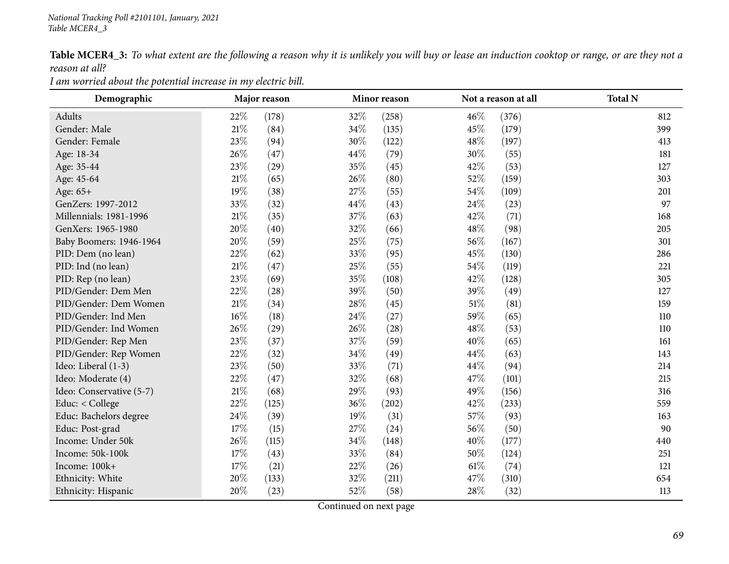Table MCER4\_3: To what extent are the following a reason why it is unlikely you will buy or lease an induction cooktop or range, or are they not a *reason at all?*

*<sup>I</sup> am worried about the potential increase in my electric bill.*

| Demographic              |        | Major reason | Minor reason |       |        | Not a reason at all | <b>Total N</b> |
|--------------------------|--------|--------------|--------------|-------|--------|---------------------|----------------|
| Adults                   | 22%    | (178)        | 32%          | (258) | 46%    | (376)               | 812            |
| Gender: Male             | $21\%$ | (84)         | 34%          | (135) | 45%    | (179)               | 399            |
| Gender: Female           | 23%    | (94)         | 30%          | (122) | 48\%   | (197)               | 413            |
| Age: 18-34               | 26%    | (47)         | 44\%         | (79)  | 30%    | (55)                | 181            |
| Age: 35-44               | 23%    | (29)         | 35%          | (45)  | 42%    | (53)                | 127            |
| Age: 45-64               | $21\%$ | (65)         | 26%          | (80)  | 52%    | (159)               | 303            |
| Age: 65+                 | 19%    | (38)         | 27\%         | (55)  | 54%    | (109)               | 201            |
| GenZers: 1997-2012       | 33%    | (32)         | 44%          | (43)  | 24\%   | (23)                | 97             |
| Millennials: 1981-1996   | $21\%$ | (35)         | 37%          | (63)  | 42%    | (71)                | 168            |
| GenXers: 1965-1980       | 20%    | (40)         | 32%          | (66)  | 48%    | (98)                | 205            |
| Baby Boomers: 1946-1964  | 20%    | (59)         | 25\%         | (75)  | $56\%$ | (167)               | 301            |
| PID: Dem (no lean)       | 22%    | (62)         | 33%          | (95)  | 45%    | (130)               | 286            |
| PID: Ind (no lean)       | $21\%$ | (47)         | 25%          | (55)  | 54%    | (119)               | 221            |
| PID: Rep (no lean)       | 23%    | (69)         | 35%          | (108) | 42%    | (128)               | 305            |
| PID/Gender: Dem Men      | 22%    | (28)         | 39%          | (50)  | 39%    | (49)                | 127            |
| PID/Gender: Dem Women    | $21\%$ | (34)         | 28%          | (45)  | $51\%$ | (81)                | 159            |
| PID/Gender: Ind Men      | $16\%$ | (18)         | 24\%         | (27)  | 59%    | (65)                | 110            |
| PID/Gender: Ind Women    | 26\%   | (29)         | 26\%         | (28)  | 48\%   | (53)                | 110            |
| PID/Gender: Rep Men      | 23%    | (37)         | 37%          | (59)  | 40%    | (65)                | 161            |
| PID/Gender: Rep Women    | 22%    | (32)         | 34%          | (49)  | 44%    | (63)                | 143            |
| Ideo: Liberal (1-3)      | 23%    | (50)         | 33%          | (71)  | 44%    | (94)                | 214            |
| Ideo: Moderate (4)       | 22%    | (47)         | 32%          | (68)  | 47%    | (101)               | 215            |
| Ideo: Conservative (5-7) | $21\%$ | (68)         | 29%          | (93)  | 49%    | (156)               | 316            |
| Educ: < College          | 22\%   | (125)        | 36\%         | (202) | 42%    | (233)               | 559            |
| Educ: Bachelors degree   | 24\%   | (39)         | $19\%$       | (31)  | 57\%   | (93)                | 163            |
| Educ: Post-grad          | 17%    | (15)         | 27%          | (24)  | 56%    | (50)                | 90             |
| Income: Under 50k        | 26%    | (115)        | 34%          | (148) | 40%    | (177)               | 440            |
| Income: 50k-100k         | $17\%$ | (43)         | 33%          | (84)  | 50%    | (124)               | 251            |
| Income: 100k+            | 17%    | (21)         | 22%          | (26)  | 61%    | (74)                | 121            |
| Ethnicity: White         | 20%    | (133)        | 32%          | (211) | 47%    | (310)               | 654            |
| Ethnicity: Hispanic      | 20%    | (23)         | 52%          | (58)  | 28\%   | (32)                | 113            |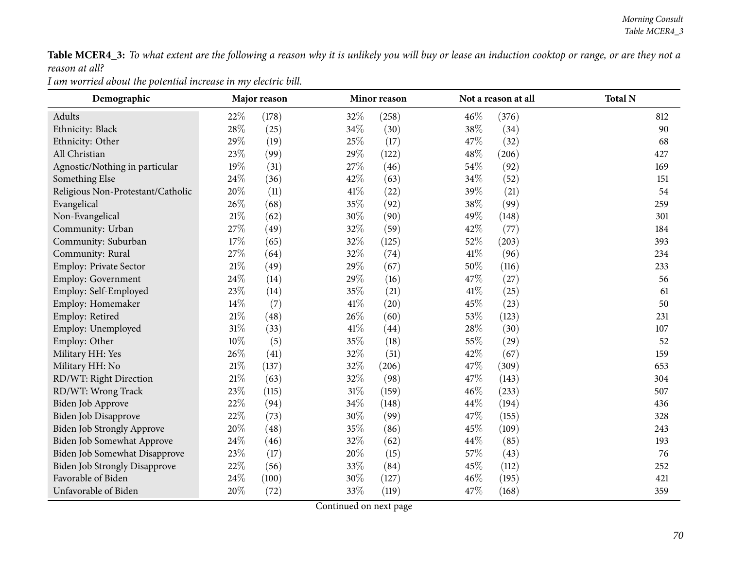Table MCER4\_3: To what extent are the following a reason why it is unlikely you will buy or lease an induction cooktop or range, or are they not a *reason at all?*

*<sup>I</sup> am worried about the potential increase in my electric bill.*

| Demographic                          |        | Major reason |        | Minor reason |      | Not a reason at all | <b>Total N</b> |
|--------------------------------------|--------|--------------|--------|--------------|------|---------------------|----------------|
| Adults                               | 22%    | (178)        | 32%    | (258)        | 46%  | (376)               | 812            |
| Ethnicity: Black                     | 28%    | (25)         | 34%    | (30)         | 38%  | (34)                | 90             |
| Ethnicity: Other                     | 29%    | (19)         | 25%    | (17)         | 47%  | (32)                | 68             |
| All Christian                        | 23%    | (99)         | 29%    | (122)        | 48\% | (206)               | 427            |
| Agnostic/Nothing in particular       | 19%    | (31)         | 27%    | (46)         | 54%  | (92)                | 169            |
| Something Else                       | 24%    | (36)         | 42%    | (63)         | 34\% | (52)                | 151            |
| Religious Non-Protestant/Catholic    | 20%    | (11)         | 41\%   | (22)         | 39%  | (21)                | 54             |
| Evangelical                          | 26%    | (68)         | 35%    | (92)         | 38%  | (99)                | 259            |
| Non-Evangelical                      | $21\%$ | (62)         | 30%    | (90)         | 49%  | (148)               | 301            |
| Community: Urban                     | 27%    | (49)         | 32%    | (59)         | 42\% | (77)                | 184            |
| Community: Suburban                  | 17%    | (65)         | 32%    | (125)        | 52\% | (203)               | 393            |
| Community: Rural                     | 27%    | (64)         | 32%    | (74)         | 41\% | (96)                | 234            |
| Employ: Private Sector               | $21\%$ | (49)         | 29%    | (67)         | 50%  | (116)               | 233            |
| <b>Employ: Government</b>            | 24%    | (14)         | 29%    | (16)         | 47%  | (27)                | 56             |
| Employ: Self-Employed                | 23%    | (14)         | 35%    | (21)         | 41\% | (25)                | 61             |
| Employ: Homemaker                    | 14%    | (7)          | 41\%   | (20)         | 45%  | (23)                | 50             |
| Employ: Retired                      | $21\%$ | (48)         | 26%    | (60)         | 53%  | (123)               | 231            |
| Employ: Unemployed                   | 31%    | (33)         | 41\%   | (44)         | 28%  | (30)                | 107            |
| Employ: Other                        | $10\%$ | (5)          | 35%    | (18)         | 55%  | (29)                | 52             |
| Military HH: Yes                     | 26%    | (41)         | 32%    | (51)         | 42%  | (67)                | 159            |
| Military HH: No                      | $21\%$ | (137)        | 32%    | (206)        | 47%  | (309)               | 653            |
| RD/WT: Right Direction               | $21\%$ | (63)         | 32%    | (98)         | 47%  | (143)               | 304            |
| RD/WT: Wrong Track                   | 23%    | (115)        | $31\%$ | (159)        | 46%  | (233)               | 507            |
| Biden Job Approve                    | 22%    | (94)         | $34\%$ | (148)        | 44\% | (194)               | 436            |
| Biden Job Disapprove                 | 22%    | (73)         | 30%    | (99)         | 47\% | (155)               | 328            |
| <b>Biden Job Strongly Approve</b>    | 20%    | (48)         | 35%    | (86)         | 45%  | (109)               | 243            |
| Biden Job Somewhat Approve           | 24%    | (46)         | 32%    | (62)         | 44%  | (85)                | 193            |
| Biden Job Somewhat Disapprove        | 23%    | (17)         | 20%    | (15)         | 57%  | (43)                | 76             |
| <b>Biden Job Strongly Disapprove</b> | 22%    | (56)         | 33%    | (84)         | 45%  | (112)               | 252            |
| Favorable of Biden                   | 24%    | (100)        | 30%    | (127)        | 46%  | (195)               | 421            |
| Unfavorable of Biden                 | 20%    | (72)         | 33%    | (119)        | 47\% | (168)               | 359            |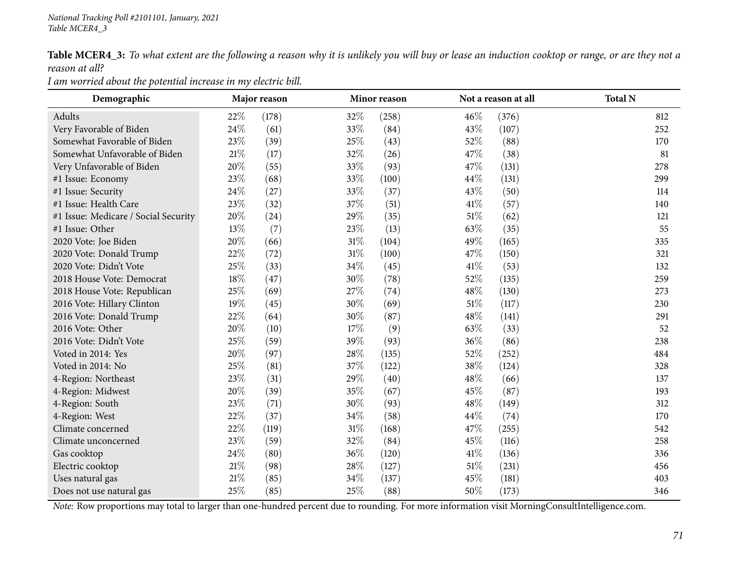Table MCER4\_3: To what extent are the following a reason why it is unlikely you will buy or lease an induction cooktop or range, or are they not a *reason at all?*

*<sup>I</sup> am worried about the potential increase in my electric bill.*

| Demographic                          |        | Major reason | Minor reason |       | Not a reason at all |       | <b>Total N</b> |
|--------------------------------------|--------|--------------|--------------|-------|---------------------|-------|----------------|
| Adults                               | 22%    | (178)        | 32%          | (258) | 46%                 | (376) | 812            |
| Very Favorable of Biden              | 24%    | (61)         | 33%          | (84)  | 43%                 | (107) | 252            |
| Somewhat Favorable of Biden          | 23%    | (39)         | 25%          | (43)  | 52%                 | (88)  | 170            |
| Somewhat Unfavorable of Biden        | $21\%$ | (17)         | 32%          | (26)  | 47%                 | (38)  | 81             |
| Very Unfavorable of Biden            | 20%    | (55)         | 33%          | (93)  | 47%                 | (131) | 278            |
| #1 Issue: Economy                    | 23%    | (68)         | 33%          | (100) | 44%                 | (131) | 299            |
| #1 Issue: Security                   | 24%    | (27)         | 33%          | (37)  | 43\%                | (50)  | 114            |
| #1 Issue: Health Care                | 23%    | (32)         | 37%          | (51)  | 41\%                | (57)  | 140            |
| #1 Issue: Medicare / Social Security | $20\%$ | (24)         | 29%          | (35)  | $51\%$              | (62)  | 121            |
| #1 Issue: Other                      | 13%    | (7)          | 23%          | (13)  | 63\%                | (35)  | 55             |
| 2020 Vote: Joe Biden                 | 20%    | (66)         | 31%          | (104) | 49%                 | (165) | 335            |
| 2020 Vote: Donald Trump              | 22%    | (72)         | $31\%$       | (100) | 47%                 | (150) | 321            |
| 2020 Vote: Didn't Vote               | 25%    | (33)         | 34%          | (45)  | 41\%                | (53)  | 132            |
| 2018 House Vote: Democrat            | 18%    | (47)         | 30%          | (78)  | 52%                 | (135) | 259            |
| 2018 House Vote: Republican          | 25%    | (69)         | 27%          | (74)  | 48\%                | (130) | 273            |
| 2016 Vote: Hillary Clinton           | 19%    | (45)         | 30%          | (69)  | $51\%$              | (117) | 230            |
| 2016 Vote: Donald Trump              | 22%    | (64)         | 30%          | (87)  | 48%                 | (141) | 291            |
| 2016 Vote: Other                     | 20%    | (10)         | 17%          | (9)   | 63%                 | (33)  | 52             |
| 2016 Vote: Didn't Vote               | 25%    | (59)         | 39%          | (93)  | 36\%                | (86)  | 238            |
| Voted in 2014: Yes                   | $20\%$ | (97)         | 28%          | (135) | 52%                 | (252) | 484            |
| Voted in 2014: No                    | 25%    | (81)         | 37%          | (122) | 38%                 | (124) | 328            |
| 4-Region: Northeast                  | 23%    | (31)         | 29%          | (40)  | 48%                 | (66)  | 137            |
| 4-Region: Midwest                    | 20%    | (39)         | 35%          | (67)  | 45%                 | (87)  | 193            |
| 4-Region: South                      | 23%    | (71)         | 30%          | (93)  | 48\%                | (149) | 312            |
| 4-Region: West                       | 22%    | (37)         | 34%          | (58)  | 44%                 | (74)  | 170            |
| Climate concerned                    | 22%    | (119)        | 31%          | (168) | 47%                 | (255) | 542            |
| Climate unconcerned                  | 23%    | (59)         | 32%          | (84)  | 45%                 | (116) | 258            |
| Gas cooktop                          | 24%    | (80)         | 36%          | (120) | 41\%                | (136) | 336            |
| Electric cooktop                     | $21\%$ | (98)         | 28%          | (127) | $51\%$              | (231) | 456            |
| Uses natural gas                     | $21\%$ | (85)         | 34\%         | (137) | 45%                 | (181) | 403            |
| Does not use natural gas             | 25%    | (85)         | 25%          | (88)  | 50%                 | (173) | 346            |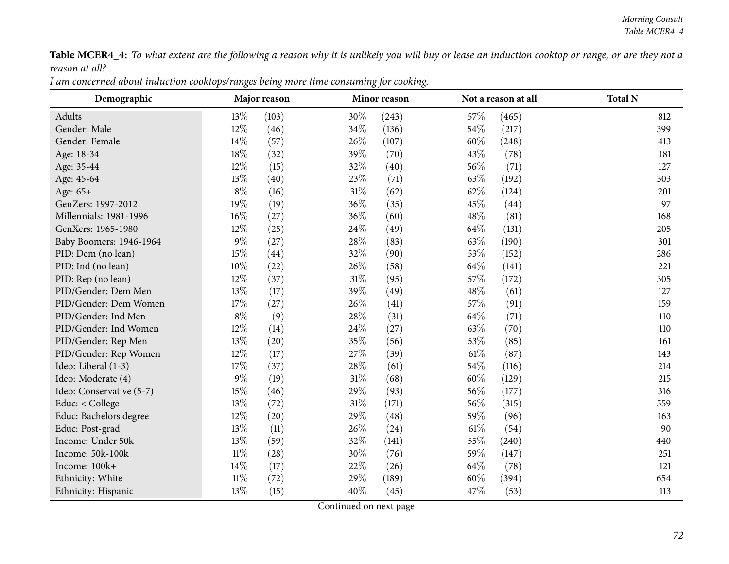Table MCER4\_4: To what extent are the following a reason why it is unlikely you will buy or lease an induction cooktop or range, or are they not a *reason at all?*

I am concerned about induction cooktops/ranges being more time consuming for cooking.

| Demographic              |        | Major reason |        | Minor reason |        | Not a reason at all | <b>Total N</b> |
|--------------------------|--------|--------------|--------|--------------|--------|---------------------|----------------|
| Adults                   | 13\%   | (103)        | 30%    | (243)        | 57\%   | (465)               | 812            |
| Gender: Male             | 12%    | (46)         | 34%    | (136)        | 54%    | (217)               | 399            |
| Gender: Female           | 14%    | (57)         | 26%    | (107)        | 60%    | (248)               | 413            |
| Age: 18-34               | 18%    | (32)         | 39%    | (70)         | 43%    | (78)                | 181            |
| Age: 35-44               | 12%    | (15)         | 32%    | (40)         | 56\%   | (71)                | 127            |
| Age: 45-64               | 13%    | (40)         | 23\%   | (71)         | 63%    | (192)               | 303            |
| Age: 65+                 | $8\%$  | (16)         | $31\%$ | (62)         | 62%    | (124)               | 201            |
| GenZers: 1997-2012       | 19%    | (19)         | 36\%   | (35)         | 45%    | (44)                | 97             |
| Millennials: 1981-1996   | 16%    | (27)         | 36%    | (60)         | 48%    | (81)                | 168            |
| GenXers: 1965-1980       | 12%    | (25)         | 24\%   | (49)         | 64\%   | (131)               | 205            |
| Baby Boomers: 1946-1964  | $9\%$  | (27)         | 28\%   | (83)         | 63\%   | (190)               | 301            |
| PID: Dem (no lean)       | 15%    | (44)         | 32%    | (90)         | 53%    | (152)               | 286            |
| PID: Ind (no lean)       | 10%    | (22)         | 26%    | (58)         | 64\%   | (141)               | 221            |
| PID: Rep (no lean)       | 12%    | (37)         | $31\%$ | (95)         | 57%    | (172)               | 305            |
| PID/Gender: Dem Men      | 13%    | (17)         | 39%    | (49)         | 48%    | (61)                | 127            |
| PID/Gender: Dem Women    | 17%    | (27)         | 26%    | (41)         | 57\%   | (91)                | 159            |
| PID/Gender: Ind Men      | $8\%$  | (9)          | 28\%   | (31)         | 64\%   | (71)                | 110            |
| PID/Gender: Ind Women    | 12%    | (14)         | 24\%   | (27)         | 63%    | (70)                | 110            |
| PID/Gender: Rep Men      | 13%    | (20)         | 35%    | (56)         | 53%    | (85)                | 161            |
| PID/Gender: Rep Women    | 12%    | (17)         | 27%    | (39)         | $61\%$ | (87)                | 143            |
| Ideo: Liberal (1-3)      | 17%    | (37)         | 28\%   | (61)         | 54%    | (116)               | 214            |
| Ideo: Moderate (4)       | $9\%$  | (19)         | $31\%$ | (68)         | 60%    | (129)               | 215            |
| Ideo: Conservative (5-7) | 15%    | (46)         | 29%    | (93)         | 56%    | (177)               | 316            |
| Educ: < College          | 13%    | (72)         | $31\%$ | (171)        | 56%    | (315)               | 559            |
| Educ: Bachelors degree   | 12%    | (20)         | 29%    | (48)         | 59%    | (96)                | 163            |
| Educ: Post-grad          | 13\%   | (11)         | 26\%   | (24)         | $61\%$ | (54)                | 90             |
| Income: Under 50k        | 13%    | (59)         | 32%    | (141)        | 55%    | (240)               | 440            |
| Income: 50k-100k         | $11\%$ | (28)         | 30%    | (76)         | 59%    | (147)               | 251            |
| Income: 100k+            | $14\%$ | (17)         | 22\%   | (26)         | 64\%   | (78)                | 121            |
| Ethnicity: White         | $11\%$ | (72)         | 29%    | (189)        | 60%    | (394)               | 654            |
| Ethnicity: Hispanic      | 13%    | (15)         | 40%    | (45)         | 47%    | (53)                | 113            |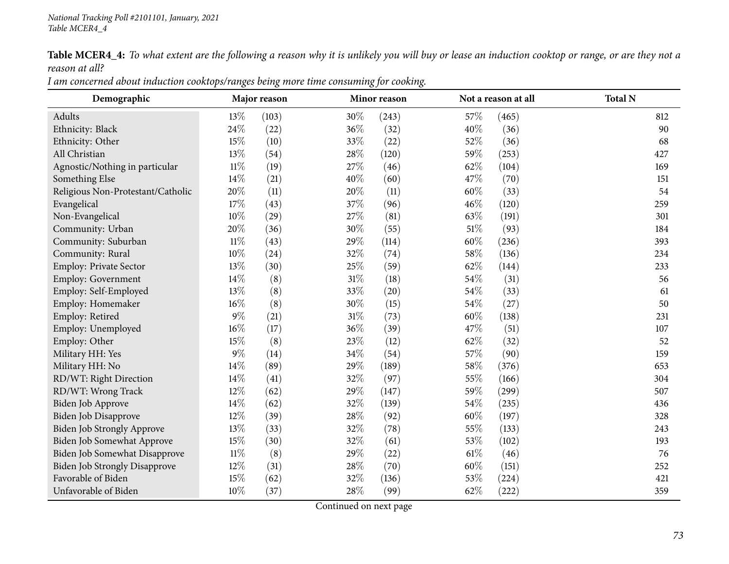Table MCER4\_4: To what extent are the following a reason why it is unlikely you will buy or lease an induction cooktop or range, or are they not a *reason at all?*

| I am concerned about induction cooktops/ranges being more time consuming for cooking. |  |  |
|---------------------------------------------------------------------------------------|--|--|
|---------------------------------------------------------------------------------------|--|--|

| Demographic                          |        | Major reason |        | Minor reason |        | Not a reason at all | <b>Total N</b> |
|--------------------------------------|--------|--------------|--------|--------------|--------|---------------------|----------------|
| Adults                               | 13%    | (103)        | 30%    | (243)        | 57%    | (465)               | 812            |
| Ethnicity: Black                     | 24\%   | (22)         | 36\%   | (32)         | 40%    | (36)                | 90             |
| Ethnicity: Other                     | 15%    | (10)         | 33%    | (22)         | 52%    | (36)                | 68             |
| All Christian                        | 13%    | (54)         | 28%    | (120)        | 59%    | (253)               | 427            |
| Agnostic/Nothing in particular       | $11\%$ | (19)         | 27%    | (46)         | 62%    | (104)               | 169            |
| Something Else                       | 14%    | (21)         | 40%    | (60)         | 47%    | (70)                | 151            |
| Religious Non-Protestant/Catholic    | 20%    | (11)         | 20%    | (11)         | 60%    | (33)                | 54             |
| Evangelical                          | 17%    | (43)         | 37%    | (96)         | 46%    | (120)               | 259            |
| Non-Evangelical                      | 10%    | (29)         | 27%    | (81)         | 63%    | (191)               | 301            |
| Community: Urban                     | 20%    | (36)         | 30%    | (55)         | $51\%$ | (93)                | 184            |
| Community: Suburban                  | $11\%$ | (43)         | 29%    | (114)        | 60\%   | (236)               | 393            |
| Community: Rural                     | 10%    | (24)         | 32%    | (74)         | 58%    | (136)               | 234            |
| Employ: Private Sector               | 13%    | (30)         | 25%    | (59)         | 62%    | (144)               | 233            |
| <b>Employ: Government</b>            | 14%    | (8)          | $31\%$ | (18)         | 54%    | (31)                | 56             |
| Employ: Self-Employed                | 13%    | (8)          | 33%    | (20)         | 54%    | (33)                | 61             |
| Employ: Homemaker                    | 16%    | (8)          | 30%    | (15)         | 54%    | (27)                | 50             |
| Employ: Retired                      | $9\%$  | (21)         | $31\%$ | (73)         | 60\%   | (138)               | 231            |
| Employ: Unemployed                   | 16%    | (17)         | 36\%   | (39)         | 47\%   | (51)                | 107            |
| Employ: Other                        | 15%    | (8)          | 23%    | (12)         | 62%    | (32)                | 52             |
| Military HH: Yes                     | $9\%$  | (14)         | 34%    | (54)         | 57%    | (90)                | 159            |
| Military HH: No                      | 14%    | (89)         | 29%    | (189)        | 58%    | (376)               | 653            |
| RD/WT: Right Direction               | 14%    | (41)         | 32%    | (97)         | 55%    | (166)               | 304            |
| RD/WT: Wrong Track                   | 12%    | (62)         | 29%    | (147)        | 59%    | (299)               | 507            |
| Biden Job Approve                    | 14%    | (62)         | 32%    | (139)        | 54\%   | (235)               | 436            |
| Biden Job Disapprove                 | 12\%   | (39)         | 28\%   | (92)         | 60%    | (197)               | 328            |
| Biden Job Strongly Approve           | 13%    | (33)         | 32%    | (78)         | 55%    | (133)               | 243            |
| Biden Job Somewhat Approve           | 15%    | (30)         | 32%    | (61)         | 53%    | (102)               | 193            |
| Biden Job Somewhat Disapprove        | $11\%$ | (8)          | 29%    | (22)         | 61%    | (46)                | 76             |
| <b>Biden Job Strongly Disapprove</b> | 12%    | (31)         | 28\%   | (70)         | 60%    | (151)               | 252            |
| Favorable of Biden                   | 15%    | (62)         | 32%    | (136)        | 53%    | (224)               | 421            |
| Unfavorable of Biden                 | 10%    | (37)         | 28%    | (99)         | 62%    | (222)               | 359            |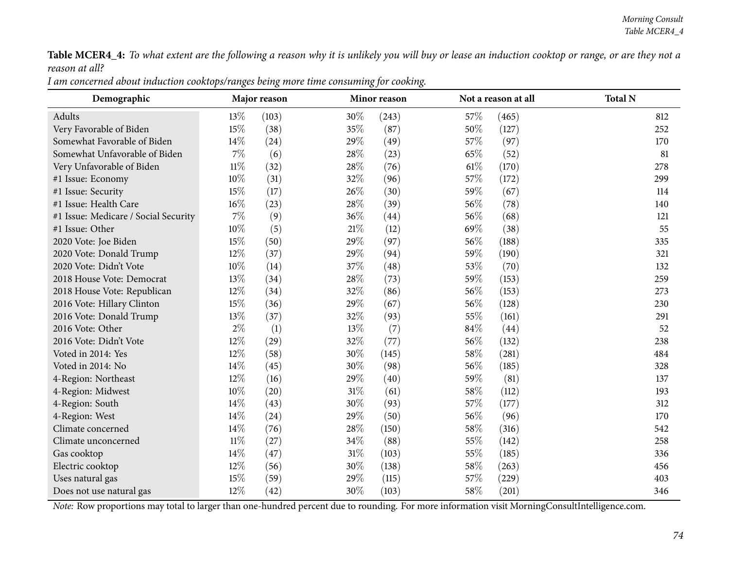Table MCER4\_4: To what extent are the following a reason why it is unlikely you will buy or lease an induction cooktop or range, or are they not a *reason at all?*

I am concerned about induction cooktops/ranges being more time consuming for cooking.

| Demographic                          |        | Major reason |        | Minor reason |        | Not a reason at all | <b>Total N</b> |
|--------------------------------------|--------|--------------|--------|--------------|--------|---------------------|----------------|
| Adults                               | 13%    | (103)        | 30%    | (243)        | 57%    | (465)               | 812            |
| Very Favorable of Biden              | 15%    | (38)         | 35%    | (87)         | 50%    | (127)               | 252            |
| Somewhat Favorable of Biden          | $14\%$ | (24)         | 29%    | (49)         | 57%    | (97)                | 170            |
| Somewhat Unfavorable of Biden        | 7%     | (6)          | 28\%   | (23)         | 65\%   | (52)                | 81             |
| Very Unfavorable of Biden            | $11\%$ | (32)         | 28\%   | (76)         | $61\%$ | (170)               | 278            |
| #1 Issue: Economy                    | 10%    | (31)         | 32%    | (96)         | 57\%   | (172)               | 299            |
| #1 Issue: Security                   | 15%    | (17)         | 26%    | (30)         | 59%    | (67)                | 114            |
| #1 Issue: Health Care                | 16%    | (23)         | 28%    | (39)         | 56%    | (78)                | 140            |
| #1 Issue: Medicare / Social Security | $7\%$  | (9)          | 36%    | (44)         | 56%    | (68)                | 121            |
| #1 Issue: Other                      | $10\%$ | (5)          | $21\%$ | (12)         | 69%    | (38)                | 55             |
| 2020 Vote: Joe Biden                 | 15%    | (50)         | 29%    | (97)         | 56%    | (188)               | 335            |
| 2020 Vote: Donald Trump              | 12%    | (37)         | 29%    | (94)         | 59%    | (190)               | 321            |
| 2020 Vote: Didn't Vote               | 10%    | (14)         | 37%    | (48)         | 53%    | (70)                | 132            |
| 2018 House Vote: Democrat            | 13%    | (34)         | 28\%   | (73)         | 59%    | (153)               | 259            |
| 2018 House Vote: Republican          | 12%    | (34)         | 32%    | (86)         | 56%    | (153)               | 273            |
| 2016 Vote: Hillary Clinton           | 15%    | (36)         | 29%    | (67)         | 56%    | (128)               | 230            |
| 2016 Vote: Donald Trump              | 13%    | (37)         | 32%    | (93)         | 55%    | (161)               | 291            |
| 2016 Vote: Other                     | $2\%$  | (1)          | 13%    | (7)          | 84\%   | (44)                | 52             |
| 2016 Vote: Didn't Vote               | 12%    | (29)         | $32\%$ | (77)         | 56%    | (132)               | 238            |
| Voted in 2014: Yes                   | 12%    | (58)         | 30%    | (145)        | 58\%   | (281)               | 484            |
| Voted in 2014: No                    | 14%    | (45)         | 30%    | (98)         | 56%    | (185)               | 328            |
| 4-Region: Northeast                  | 12%    | (16)         | 29%    | (40)         | 59%    | (81)                | 137            |
| 4-Region: Midwest                    | $10\%$ | (20)         | $31\%$ | (61)         | 58%    | (112)               | 193            |
| 4-Region: South                      | 14%    | (43)         | 30%    | (93)         | 57\%   | (177)               | 312            |
| 4-Region: West                       | 14%    | (24)         | 29%    | (50)         | 56%    | (96)                | 170            |
| Climate concerned                    | 14%    | (76)         | 28\%   | (150)        | 58\%   | (316)               | 542            |
| Climate unconcerned                  | $11\%$ | (27)         | 34%    | (88)         | 55%    | (142)               | 258            |
| Gas cooktop                          | 14%    | (47)         | $31\%$ | (103)        | 55%    | (185)               | 336            |
| Electric cooktop                     | 12%    | (56)         | 30%    | (138)        | 58%    | (263)               | 456            |
| Uses natural gas                     | 15%    | (59)         | 29%    | (115)        | 57\%   | (229)               | 403            |
| Does not use natural gas             | 12%    | (42)         | 30%    | (103)        | 58%    | (201)               | 346            |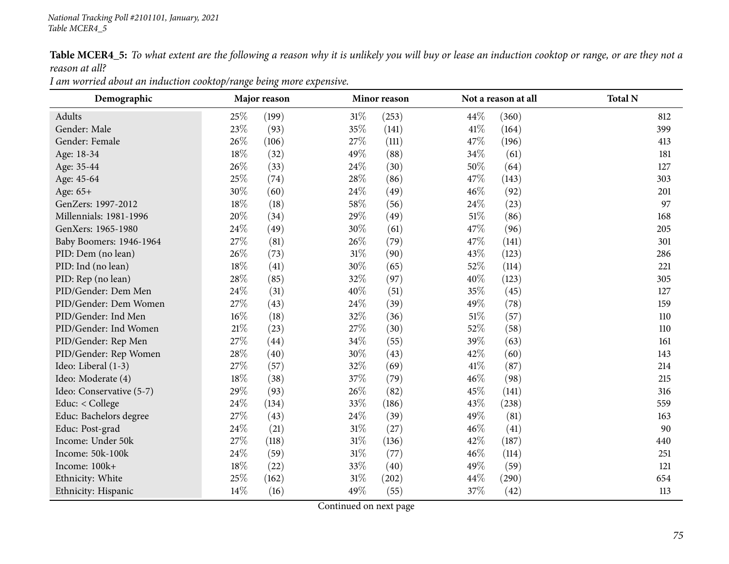Table MCER4\_5: To what extent are the following a reason why it is unlikely you will buy or lease an induction cooktop or range, or are they not a *reason at all?*

| Demographic              |      | Major reason | Minor reason |       |        | Not a reason at all | <b>Total N</b> |
|--------------------------|------|--------------|--------------|-------|--------|---------------------|----------------|
| Adults                   | 25%  | (199)        | $31\%$       | (253) | 44\%   | (360)               | 812            |
| Gender: Male             | 23%  | (93)         | 35%          | (141) | 41%    | (164)               | 399            |
| Gender: Female           | 26%  | (106)        | 27\%         | (111) | 47\%   | (196)               | 413            |
| Age: 18-34               | 18%  | (32)         | 49%          | (88)  | 34\%   | (61)                | 181            |
| Age: 35-44               | 26%  | (33)         | 24\%         | (30)  | 50%    | (64)                | 127            |
| Age: 45-64               | 25%  | (74)         | 28%          | (86)  | 47%    | (143)               | 303            |
| Age: 65+                 | 30%  | (60)         | 24\%         | (49)  | $46\%$ | (92)                | 201            |
| GenZers: 1997-2012       | 18%  | (18)         | 58%          | (56)  | 24\%   | (23)                | 97             |
| Millennials: 1981-1996   | 20%  | (34)         | 29%          | (49)  | 51%    | (86)                | 168            |
| GenXers: 1965-1980       | 24%  | (49)         | 30%          | (61)  | 47%    | (96)                | 205            |
| Baby Boomers: 1946-1964  | 27%  | (81)         | 26\%         | (79)  | 47%    | (141)               | 301            |
| PID: Dem (no lean)       | 26%  | (73)         | $31\%$       | (90)  | 43\%   | (123)               | 286            |
| PID: Ind (no lean)       | 18%  | (41)         | 30%          | (65)  | 52%    | (114)               | 221            |
| PID: Rep (no lean)       | 28\% | (85)         | 32%          | (97)  | 40%    | (123)               | 305            |
| PID/Gender: Dem Men      | 24%  | (31)         | 40%          | (51)  | 35%    | (45)                | 127            |
| PID/Gender: Dem Women    | 27%  | (43)         | 24\%         | (39)  | 49%    | (78)                | 159            |
| PID/Gender: Ind Men      | 16%  | (18)         | 32%          | (36)  | 51%    | (57)                | 110            |
| PID/Gender: Ind Women    | 21%  | (23)         | 27\%         | (30)  | 52\%   | (58)                | 110            |
| PID/Gender: Rep Men      | 27%  | (44)         | 34%          | (55)  | 39%    | (63)                | 161            |
| PID/Gender: Rep Women    | 28%  | (40)         | 30%          | (43)  | 42%    | (60)                | 143            |
| Ideo: Liberal (1-3)      | 27%  | (57)         | 32%          | (69)  | 41\%   | (87)                | 214            |
| Ideo: Moderate (4)       | 18%  | (38)         | 37%          | (79)  | 46\%   | (98)                | 215            |
| Ideo: Conservative (5-7) | 29%  | (93)         | 26\%         | (82)  | 45%    | (141)               | 316            |
| Educ: < College          | 24%  | (134)        | 33%          | (186) | 43%    | (238)               | 559            |
| Educ: Bachelors degree   | 27%  | (43)         | 24\%         | (39)  | 49%    | (81)                | 163            |
| Educ: Post-grad          | 24%  | (21)         | $31\%$       | (27)  | 46%    | (41)                | 90             |
| Income: Under 50k        | 27%  | (118)        | $31\%$       | (136) | 42%    | (187)               | 440            |
| Income: 50k-100k         | 24%  | (59)         | $31\%$       | (77)  | 46%    | (114)               | 251            |
| Income: 100k+            | 18%  | (22)         | 33%          | (40)  | 49\%   | (59)                | 121            |
| Ethnicity: White         | 25%  | (162)        | 31%          | (202) | 44%    | (290)               | 654            |
| Ethnicity: Hispanic      | 14%  | (16)         | 49%          | (55)  | 37%    | (42)                | 113            |

*<sup>I</sup> am worried about an induction cooktop/range being more expensive.*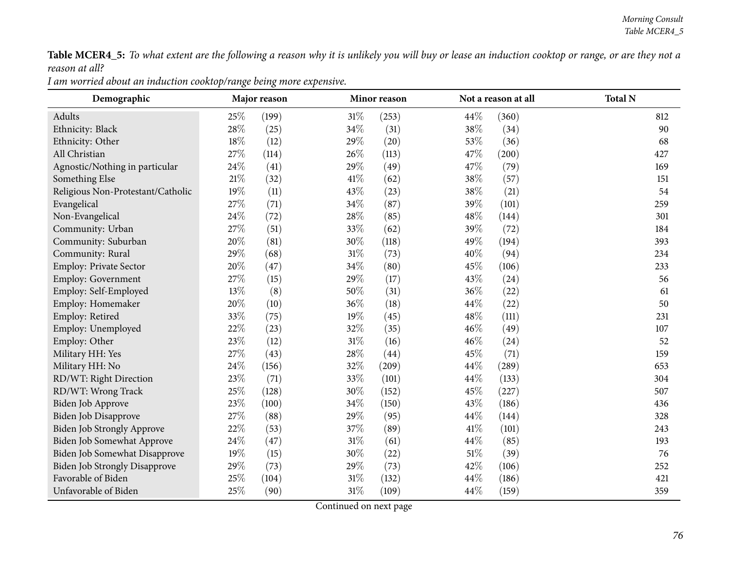Table MCER4\_5: To what extent are the following a reason why it is unlikely you will buy or lease an induction cooktop or range, or are they not a *reason at all?*

| Demographic                          | Major reason |       |        | Minor reason        |      | Not a reason at all | <b>Total N</b> |  |
|--------------------------------------|--------------|-------|--------|---------------------|------|---------------------|----------------|--|
| Adults                               | 25%          | (199) | 31%    | (253)               | 44\% | (360)               | 812            |  |
| Ethnicity: Black                     | 28\%         | (25)  | 34%    | (31)                | 38%  | (34)                | 90             |  |
| Ethnicity: Other                     | 18%          | (12)  | 29%    | (20)                | 53%  | (36)                | 68             |  |
| All Christian                        | 27%          | (114) | 26\%   | (113)               | 47%  | (200)               | 427            |  |
| Agnostic/Nothing in particular       | 24\%         | (41)  | 29%    | (49)                | 47%  | (79)                | 169            |  |
| Something Else                       | $21\%$       | (32)  | 41\%   | (62)                | 38%  | (57)                | 151            |  |
| Religious Non-Protestant/Catholic    | 19%          | (11)  | 43%    | (23)                | 38%  | (21)                | 54             |  |
| Evangelical                          | 27%          | (71)  | 34%    | (87)                | 39%  | (101)               | 259            |  |
| Non-Evangelical                      | 24\%         | (72)  | 28%    | (85)                | 48%  | (144)               | 301            |  |
| Community: Urban                     | 27%          | (51)  | 33%    | (62)                | 39%  | (72)                | 184            |  |
| Community: Suburban                  | 20%          | (81)  | 30\%   | (118)               | 49%  | (194)               | 393            |  |
| Community: Rural                     | 29%          | (68)  | 31%    | (73)                | 40%  | (94)                | 234            |  |
| <b>Employ: Private Sector</b>        | $20\%$       | (47)  | 34%    | (80)                | 45%  | (106)               | 233            |  |
| <b>Employ: Government</b>            | 27%          | (15)  | 29%    | (17)                | 43%  | (24)                | 56             |  |
| Employ: Self-Employed                | 13%          | (8)   | 50%    | (31)                | 36%  | (22)                | 61             |  |
| Employ: Homemaker                    | 20%          | (10)  | 36%    | (18)                | 44%  | (22)                | 50             |  |
| Employ: Retired                      | 33%          | (75)  | $19\%$ | (45)                | 48%  | (111)               | 231            |  |
| Employ: Unemployed                   | 22%          | (23)  | 32%    | (35)                | 46%  | (49)                | 107            |  |
| Employ: Other                        | 23%          | (12)  | 31%    | (16)                | 46%  | (24)                | 52             |  |
| Military HH: Yes                     | 27%          | (43)  | 28%    | (44)                | 45%  | (71)                | 159            |  |
| Military HH: No                      | 24\%         | (156) | 32%    | $\left( 209\right)$ | 44\% | $\left( 289\right)$ | 653            |  |
| RD/WT: Right Direction               | 23%          | (71)  | 33%    | (101)               | 44\% | (133)               | 304            |  |
| RD/WT: Wrong Track                   | 25%          | (128) | 30%    | (152)               | 45%  | (227)               | 507            |  |
| Biden Job Approve                    | 23%          | (100) | 34\%   | (150)               | 43%  | (186)               | 436            |  |
| <b>Biden Job Disapprove</b>          | 27%          | (88)  | 29%    | (95)                | 44\% | (144)               | 328            |  |
| <b>Biden Job Strongly Approve</b>    | 22%          | (53)  | 37%    | (89)                | 41\% | (101)               | 243            |  |
| Biden Job Somewhat Approve           | 24\%         | (47)  | 31%    | (61)                | 44%  | (85)                | 193            |  |
| Biden Job Somewhat Disapprove        | 19%          | (15)  | 30%    | (22)                | 51%  | (39)                | 76             |  |
| <b>Biden Job Strongly Disapprove</b> | 29%          | (73)  | 29%    | (73)                | 42%  | (106)               | 252            |  |
| Favorable of Biden                   | 25%          | (104) | 31%    | (132)               | 44%  | (186)               | 421            |  |
| Unfavorable of Biden                 | 25%          | (90)  | $31\%$ | (109)               | 44%  | (159)               | 359            |  |

*<sup>I</sup> am worried about an induction cooktop/range being more expensive.*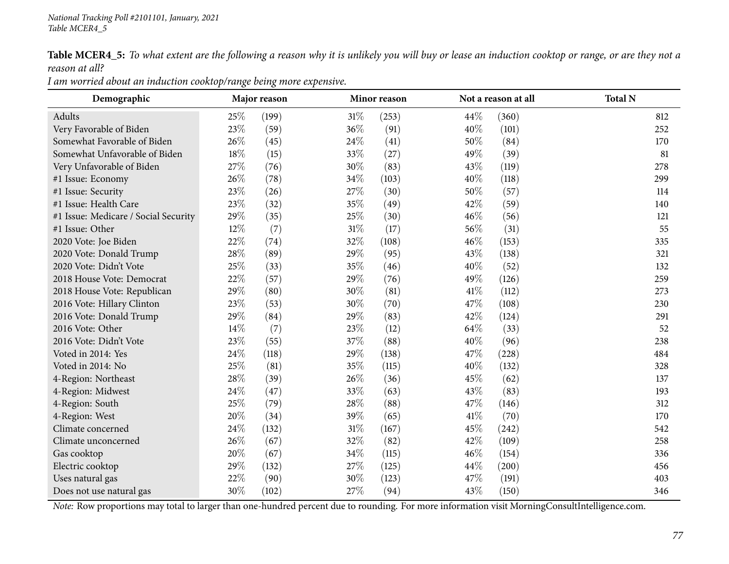Table MCER4\_5: To what extent are the following a reason why it is unlikely you will buy or lease an induction cooktop or range, or are they not a *reason at all?*

| Demographic                          | Major reason |       |        | Minor reason |      | Not a reason at all | <b>Total N</b> |
|--------------------------------------|--------------|-------|--------|--------------|------|---------------------|----------------|
| Adults                               | 25\%         | (199) | 31%    | (253)        | 44\% | (360)               | 812            |
| Very Favorable of Biden              | 23%          | (59)  | 36%    | (91)         | 40%  | (101)               | 252            |
| Somewhat Favorable of Biden          | 26%          | (45)  | 24\%   | (41)         | 50%  | (84)                | 170            |
| Somewhat Unfavorable of Biden        | 18%          | (15)  | 33\%   | (27)         | 49%  | (39)                | 81             |
| Very Unfavorable of Biden            | 27%          | (76)  | 30%    | (83)         | 43%  | (119)               | 278            |
| #1 Issue: Economy                    | 26%          | (78)  | 34%    | (103)        | 40%  | (118)               | 299            |
| #1 Issue: Security                   | 23%          | (26)  | 27\%   | (30)         | 50%  | (57)                | 114            |
| #1 Issue: Health Care                | 23%          | (32)  | 35%    | (49)         | 42%  | (59)                | 140            |
| #1 Issue: Medicare / Social Security | 29%          | (35)  | 25%    | (30)         | 46%  | (56)                | 121            |
| #1 Issue: Other                      | 12%          | (7)   | $31\%$ | (17)         | 56%  | (31)                | 55             |
| 2020 Vote: Joe Biden                 | 22%          | (74)  | 32\%   | (108)        | 46%  | (153)               | 335            |
| 2020 Vote: Donald Trump              | 28\%         | (89)  | 29%    | (95)         | 43%  | (138)               | 321            |
| 2020 Vote: Didn't Vote               | 25%          | (33)  | 35%    | (46)         | 40%  | (52)                | 132            |
| 2018 House Vote: Democrat            | 22%          | (57)  | 29%    | (76)         | 49%  | (126)               | 259            |
| 2018 House Vote: Republican          | 29%          | (80)  | 30%    | (81)         | 41\% | (112)               | 273            |
| 2016 Vote: Hillary Clinton           | 23%          | (53)  | 30%    | (70)         | 47\% | (108)               | 230            |
| 2016 Vote: Donald Trump              | 29%          | (84)  | 29%    | (83)         | 42%  | (124)               | 291            |
| 2016 Vote: Other                     | 14%          | (7)   | 23\%   | (12)         | 64\% | (33)                | 52             |
| 2016 Vote: Didn't Vote               | 23%          | (55)  | $37\%$ | (88)         | 40%  | (96)                | 238            |
| Voted in 2014: Yes                   | 24\%         | (118) | 29%    | (138)        | 47%  | (228)               | 484            |
| Voted in 2014: No                    | 25%          | (81)  | $35\%$ | (115)        | 40%  | (132)               | 328            |
| 4-Region: Northeast                  | 28\%         | (39)  | 26%    | (36)         | 45%  | (62)                | 137            |
| 4-Region: Midwest                    | 24%          | (47)  | 33%    | (63)         | 43%  | (83)                | 193            |
| 4-Region: South                      | 25%          | (79)  | 28%    | (88)         | 47\% | (146)               | 312            |
| 4-Region: West                       | 20%          | (34)  | 39%    | (65)         | 41\% | (70)                | 170            |
| Climate concerned                    | 24\%         | (132) | $31\%$ | (167)        | 45%  | (242)               | 542            |
| Climate unconcerned                  | 26%          | (67)  | 32%    | (82)         | 42%  | (109)               | 258            |
| Gas cooktop                          | 20%          | (67)  | 34\%   | (115)        | 46%  | (154)               | 336            |
| Electric cooktop                     | 29%          | (132) | 27%    | (125)        | 44\% | (200)               | 456            |
| Uses natural gas                     | 22%          | (90)  | 30%    | (123)        | 47%  | (191)               | 403            |
| Does not use natural gas             | 30%          | (102) | 27\%   | (94)         | 43%  | (150)               | 346            |

*<sup>I</sup> am worried about an induction cooktop/range being more expensive.*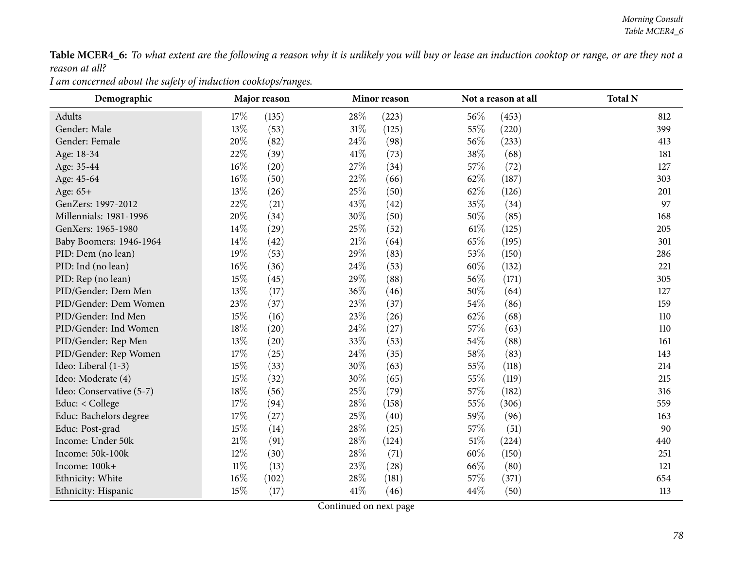Table MCER4\_6: To what extent are the following a reason why it is unlikely you will buy or lease an induction cooktop or range, or are they not a *reason at all?*

| Demographic              |        | Major reason |        | Minor reason |        | Not a reason at all | <b>Total N</b> |
|--------------------------|--------|--------------|--------|--------------|--------|---------------------|----------------|
| Adults                   | 17%    | (135)        | 28\%   | (223)        | 56%    | (453)               | 812            |
| Gender: Male             | 13%    | (53)         | $31\%$ | (125)        | 55%    | (220)               | 399            |
| Gender: Female           | 20%    | (82)         | 24\%   | (98)         | 56\%   | (233)               | 413            |
| Age: 18-34               | 22%    | (39)         | 41\%   | (73)         | 38%    | (68)                | 181            |
| Age: 35-44               | $16\%$ | (20)         | 27%    | (34)         | 57%    | (72)                | 127            |
| Age: 45-64               | $16\%$ | (50)         | 22%    | (66)         | 62%    | (187)               | 303            |
| Age: 65+                 | 13%    | (26)         | 25%    | (50)         | 62%    | (126)               | 201            |
| GenZers: 1997-2012       | 22%    | (21)         | 43%    | (42)         | 35%    | (34)                | 97             |
| Millennials: 1981-1996   | 20%    | (34)         | 30%    | (50)         | 50%    | (85)                | 168            |
| GenXers: 1965-1980       | 14%    | (29)         | 25%    | (52)         | $61\%$ | (125)               | 205            |
| Baby Boomers: 1946-1964  | 14%    | (42)         | 21%    | (64)         | 65%    | (195)               | 301            |
| PID: Dem (no lean)       | 19%    | (53)         | 29%    | (83)         | 53%    | (150)               | 286            |
| PID: Ind (no lean)       | 16%    | (36)         | 24%    | (53)         | 60%    | (132)               | 221            |
| PID: Rep (no lean)       | 15%    | (45)         | 29%    | (88)         | 56%    | (171)               | 305            |
| PID/Gender: Dem Men      | 13%    | (17)         | 36%    | (46)         | 50%    | (64)                | 127            |
| PID/Gender: Dem Women    | 23%    | (37)         | 23%    | (37)         | 54%    | (86)                | 159            |
| PID/Gender: Ind Men      | 15%    | (16)         | 23%    | (26)         | 62%    | (68)                | 110            |
| PID/Gender: Ind Women    | 18%    | (20)         | 24\%   | (27)         | 57%    | (63)                | 110            |
| PID/Gender: Rep Men      | 13%    | (20)         | 33%    | (53)         | 54\%   | (88)                | 161            |
| PID/Gender: Rep Women    | 17%    | (25)         | 24%    | (35)         | 58%    | (83)                | 143            |
| Ideo: Liberal (1-3)      | 15%    | (33)         | 30%    | (63)         | 55%    | (118)               | 214            |
| Ideo: Moderate (4)       | 15%    | (32)         | 30%    | (65)         | 55%    | (119)               | 215            |
| Ideo: Conservative (5-7) | 18%    | (56)         | 25%    | (79)         | 57%    | (182)               | 316            |
| Educ: < College          | 17%    | (94)         | 28%    | (158)        | 55%    | (306)               | 559            |
| Educ: Bachelors degree   | 17%    | (27)         | 25%    | (40)         | 59%    | (96)                | 163            |
| Educ: Post-grad          | 15%    | (14)         | 28\%   | (25)         | 57\%   | (51)                | 90             |
| Income: Under 50k        | 21%    | (91)         | 28%    | (124)        | 51%    | (224)               | 440            |
| Income: 50k-100k         | 12%    | (30)         | 28%    | (71)         | 60%    | (150)               | 251            |
| Income: 100k+            | $11\%$ | (13)         | 23%    | (28)         | 66\%   | (80)                | 121            |
| Ethnicity: White         | 16%    | (102)        | 28%    | (181)        | 57%    | (371)               | 654            |
| Ethnicity: Hispanic      | 15%    | (17)         | 41\%   | (46)         | 44\%   | (50)                | 113            |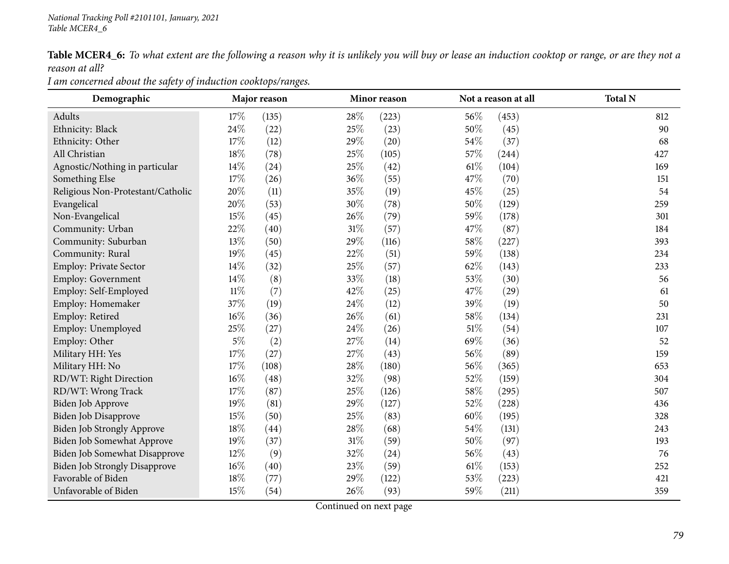Table MCER4\_6: To what extent are the following a reason why it is unlikely you will buy or lease an induction cooktop or range, or are they not a *reason at all?*

*<sup>I</sup> am concerned about the safety of induction cooktops/ranges.*

| Demographic                          |        | Major reason |        | Minor reason |        | Not a reason at all | <b>Total N</b> |
|--------------------------------------|--------|--------------|--------|--------------|--------|---------------------|----------------|
| Adults                               | 17%    | (135)        | 28\%   | (223)        | 56%    | (453)               | 812            |
| Ethnicity: Black                     | 24\%   | (22)         | 25%    | (23)         | 50%    | (45)                | 90             |
| Ethnicity: Other                     | 17%    | (12)         | 29%    | (20)         | 54\%   | (37)                | 68             |
| All Christian                        | 18%    | (78)         | 25\%   | (105)        | 57%    | (244)               | 427            |
| Agnostic/Nothing in particular       | 14%    | (24)         | 25%    | (42)         | 61%    | (104)               | 169            |
| Something Else                       | 17%    | (26)         | 36%    | (55)         | 47%    | (70)                | 151            |
| Religious Non-Protestant/Catholic    | 20%    | (11)         | 35%    | (19)         | 45%    | (25)                | 54             |
| Evangelical                          | 20%    | (53)         | 30%    | (78)         | 50%    | (129)               | 259            |
| Non-Evangelical                      | 15%    | (45)         | 26%    | (79)         | 59%    | (178)               | 301            |
| Community: Urban                     | 22%    | (40)         | $31\%$ | (57)         | 47%    | (87)                | 184            |
| Community: Suburban                  | 13\%   | (50)         | 29%    | (116)        | 58%    | (227)               | 393            |
| Community: Rural                     | 19%    | (45)         | 22%    | (51)         | 59%    | (138)               | 234            |
| Employ: Private Sector               | 14%    | (32)         | 25%    | (57)         | 62%    | (143)               | 233            |
| Employ: Government                   | $14\%$ | (8)          | 33%    | (18)         | 53%    | (30)                | 56             |
| Employ: Self-Employed                | $11\%$ | (7)          | 42%    | (25)         | 47%    | (29)                | 61             |
| Employ: Homemaker                    | 37%    | (19)         | 24%    | (12)         | 39%    | (19)                | 50             |
| Employ: Retired                      | $16\%$ | (36)         | 26%    | (61)         | 58%    | (134)               | 231            |
| Employ: Unemployed                   | 25%    | (27)         | 24\%   | (26)         | 51\%   | (54)                | 107            |
| Employ: Other                        | $5\%$  | (2)          | 27%    | (14)         | 69%    | (36)                | 52             |
| Military HH: Yes                     | $17\%$ | (27)         | 27%    | (43)         | 56%    | (89)                | 159            |
| Military HH: No                      | $17\%$ | (108)        | $28\%$ | (180)        | 56%    | (365)               | 653            |
| RD/WT: Right Direction               | $16\%$ | (48)         | 32%    | (98)         | 52%    | (159)               | 304            |
| RD/WT: Wrong Track                   | 17\%   | (87)         | 25%    | (126)        | 58%    | (295)               | 507            |
| Biden Job Approve                    | 19%    | (81)         | 29%    | (127)        | 52%    | (228)               | 436            |
| Biden Job Disapprove                 | 15%    | (50)         | 25%    | (83)         | $60\%$ | (195)               | 328            |
| <b>Biden Job Strongly Approve</b>    | $18\%$ | (44)         | 28%    | (68)         | 54%    | (131)               | 243            |
| Biden Job Somewhat Approve           | 19%    | (37)         | $31\%$ | (59)         | 50%    | (97)                | 193            |
| Biden Job Somewhat Disapprove        | 12%    | (9)          | 32%    | (24)         | 56%    | (43)                | 76             |
| <b>Biden Job Strongly Disapprove</b> | $16\%$ | (40)         | 23%    | (59)         | 61%    | (153)               | 252            |
| Favorable of Biden                   | 18%    | (77)         | 29%    | (122)        | 53%    | (223)               | 421            |
| Unfavorable of Biden                 | $15\%$ | (54)         | 26%    | (93)         | 59%    | (211)               | 359            |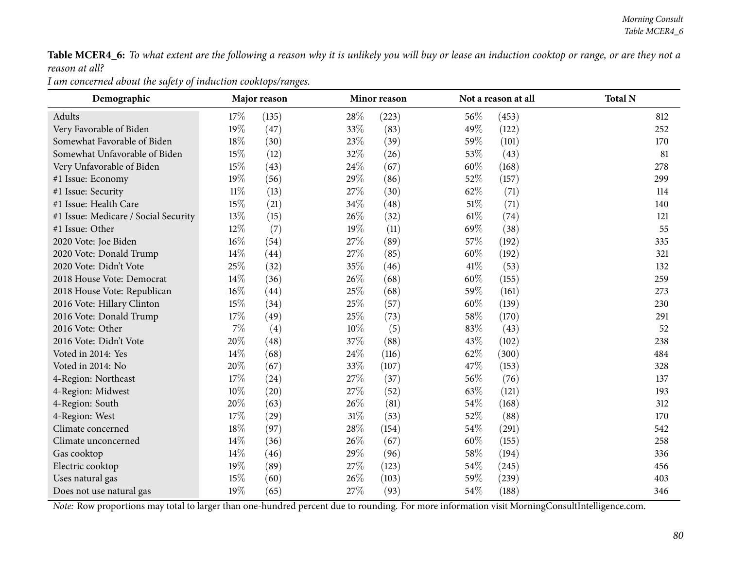Table MCER4\_6: To what extent are the following a reason why it is unlikely you will buy or lease an induction cooktop or range, or are they not a *reason at all?*

*<sup>I</sup> am concerned about the safety of induction cooktops/ranges.*

| Demographic                          |        | Major reason |        | Minor reason |        | Not a reason at all | <b>Total N</b> |
|--------------------------------------|--------|--------------|--------|--------------|--------|---------------------|----------------|
| Adults                               | 17\%   | (135)        | 28\%   | (223)        | 56%    | (453)               | 812            |
| Very Favorable of Biden              | 19%    | (47)         | 33%    | (83)         | 49%    | (122)               | 252            |
| Somewhat Favorable of Biden          | 18%    | (30)         | 23%    | (39)         | 59%    | (101)               | 170            |
| Somewhat Unfavorable of Biden        | 15%    | (12)         | 32%    | (26)         | 53%    | (43)                | 81             |
| Very Unfavorable of Biden            | 15%    | (43)         | 24%    | (67)         | 60%    | (168)               | 278            |
| #1 Issue: Economy                    | 19%    | (56)         | 29%    | (86)         | 52%    | (157)               | 299            |
| #1 Issue: Security                   | $11\%$ | (13)         | $27\%$ | (30)         | 62%    | (71)                | 114            |
| #1 Issue: Health Care                | 15%    | (21)         | 34%    | (48)         | $51\%$ | (71)                | 140            |
| #1 Issue: Medicare / Social Security | 13%    | (15)         | 26%    | (32)         | $61\%$ | (74)                | 121            |
| #1 Issue: Other                      | 12%    | (7)          | 19%    | (11)         | 69%    | (38)                | 55             |
| 2020 Vote: Joe Biden                 | $16\%$ | (54)         | 27\%   | (89)         | 57\%   | (192)               | 335            |
| 2020 Vote: Donald Trump              | $14\%$ | (44)         | 27%    | (85)         | 60%    | (192)               | 321            |
| 2020 Vote: Didn't Vote               | 25%    | (32)         | 35%    | (46)         | 41\%   | (53)                | 132            |
| 2018 House Vote: Democrat            | 14%    | (36)         | 26%    | (68)         | 60%    | (155)               | 259            |
| 2018 House Vote: Republican          | $16\%$ | (44)         | 25%    | (68)         | 59%    | (161)               | 273            |
| 2016 Vote: Hillary Clinton           | 15%    | (34)         | 25%    | (57)         | 60%    | (139)               | 230            |
| 2016 Vote: Donald Trump              | 17\%   | (49)         | 25%    | (73)         | 58%    | (170)               | 291            |
| 2016 Vote: Other                     | $7\%$  | (4)          | $10\%$ | (5)          | 83%    | (43)                | 52             |
| 2016 Vote: Didn't Vote               | 20%    | (48)         | 37%    | (88)         | 43%    | (102)               | 238            |
| Voted in 2014: Yes                   | 14\%   | (68)         | 24%    | (116)        | 62%    | (300)               | 484            |
| Voted in 2014: No                    | 20%    | (67)         | 33%    | (107)        | 47%    | (153)               | 328            |
| 4-Region: Northeast                  | 17%    | (24)         | 27%    | (37)         | 56%    | (76)                | 137            |
| 4-Region: Midwest                    | 10%    | (20)         | 27%    | (52)         | 63%    | (121)               | 193            |
| 4-Region: South                      | 20%    | (63)         | 26%    | (81)         | 54%    | (168)               | 312            |
| 4-Region: West                       | 17%    | (29)         | $31\%$ | (53)         | 52%    | (88)                | 170            |
| Climate concerned                    | 18%    | (97)         | 28\%   | (154)        | 54%    | (291)               | 542            |
| Climate unconcerned                  | 14%    | (36)         | 26%    | (67)         | 60%    | (155)               | 258            |
| Gas cooktop                          | $14\%$ | (46)         | 29%    | (96)         | $58\%$ | (194)               | 336            |
| Electric cooktop                     | 19%    | (89)         | 27\%   | (123)        | 54%    | (245)               | 456            |
| Uses natural gas                     | 15%    | (60)         | 26%    | (103)        | 59%    | (239)               | 403            |
| Does not use natural gas             | 19%    | (65)         | 27%    | (93)         | 54%    | (188)               | 346            |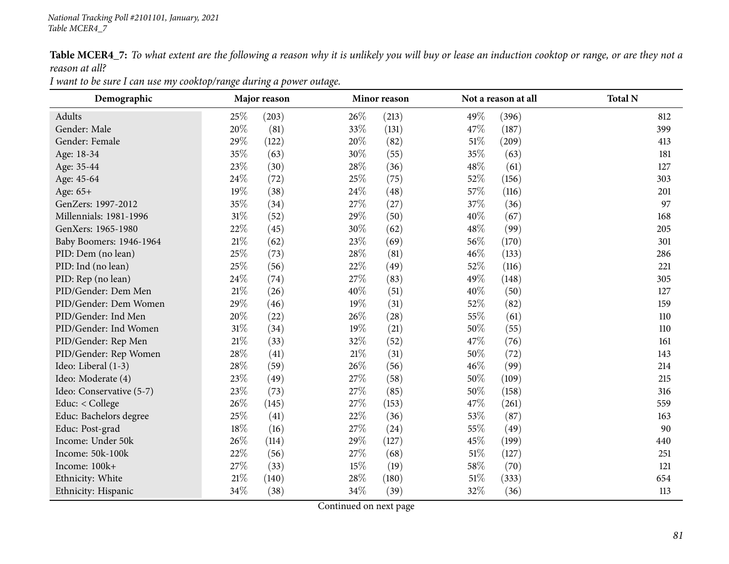Table MCER4\_7: To what extent are the following a reason why it is unlikely you will buy or lease an induction cooktop or range, or are they not a *reason at all?*

| Demographic              | Major reason |       |      | Minor reason |      | Not a reason at all | <b>Total N</b> |
|--------------------------|--------------|-------|------|--------------|------|---------------------|----------------|
| Adults                   | 25%          | (203) | 26%  | (213)        | 49%  | (396)               | 812            |
| Gender: Male             | 20%          | (81)  | 33%  | (131)        | 47\% | (187)               | 399            |
| Gender: Female           | 29%          | (122) | 20%  | (82)         | 51%  | (209)               | 413            |
| Age: 18-34               | 35%          | (63)  | 30%  | (55)         | 35%  | (63)                | 181            |
| Age: 35-44               | 23%          | (30)  | 28\% | (36)         | 48%  | (61)                | 127            |
| Age: 45-64               | 24%          | (72)  | 25%  | (75)         | 52%  | (156)               | 303            |
| Age: 65+                 | 19%          | (38)  | 24\% | (48)         | 57%  | (116)               | 201            |
| GenZers: 1997-2012       | 35%          | (34)  | 27%  | (27)         | 37%  | (36)                | 97             |
| Millennials: 1981-1996   | $31\%$       | (52)  | 29%  | (50)         | 40%  | (67)                | 168            |
| GenXers: 1965-1980       | 22%          | (45)  | 30%  | (62)         | 48%  | (99)                | 205            |
| Baby Boomers: 1946-1964  | 21%          | (62)  | 23\% | (69)         | 56\% | (170)               | 301            |
| PID: Dem (no lean)       | 25%          | (73)  | 28\% | (81)         | 46%  | (133)               | 286            |
| PID: Ind (no lean)       | 25%          | (56)  | 22%  | (49)         | 52%  | (116)               | 221            |
| PID: Rep (no lean)       | 24\%         | (74)  | 27%  | (83)         | 49%  | (148)               | 305            |
| PID/Gender: Dem Men      | $21\%$       | (26)  | 40%  | (51)         | 40%  | (50)                | 127            |
| PID/Gender: Dem Women    | 29%          | (46)  | 19%  | (31)         | 52%  | (82)                | 159            |
| PID/Gender: Ind Men      | 20%          | (22)  | 26\% | (28)         | 55%  | (61)                | 110            |
| PID/Gender: Ind Women    | $31\%$       | (34)  | 19%  | (21)         | 50%  | (55)                | 110            |
| PID/Gender: Rep Men      | $21\%$       | (33)  | 32%  | (52)         | 47%  | (76)                | 161            |
| PID/Gender: Rep Women    | 28\%         | (41)  | 21%  | (31)         | 50%  | (72)                | 143            |
| Ideo: Liberal (1-3)      | 28%          | (59)  | 26%  | (56)         | 46%  | (99)                | 214            |
| Ideo: Moderate (4)       | 23%          | (49)  | 27%  | (58)         | 50%  | (109)               | 215            |
| Ideo: Conservative (5-7) | 23%          | (73)  | 27%  | (85)         | 50%  | (158)               | 316            |
| Educ: < College          | 26%          | (145) | 27\% | (153)        | 47%  | (261)               | 559            |
| Educ: Bachelors degree   | 25%          | (41)  | 22%  | (36)         | 53%  | (87)                | 163            |
| Educ: Post-grad          | 18%          | (16)  | 27%  | (24)         | 55%  | (49)                | 90             |
| Income: Under 50k        | 26%          | (114) | 29%  | (127)        | 45%  | (199)               | 440            |
| Income: 50k-100k         | 22%          | (56)  | 27\% | (68)         | 51%  | (127)               | 251            |
| Income: 100k+            | 27%          | (33)  | 15%  | (19)         | 58%  | (70)                | 121            |
| Ethnicity: White         | $21\%$       | (140) | 28%  | (180)        | 51%  | (333)               | 654            |
| Ethnicity: Hispanic      | $34\%$       | (38)  | 34%  | (39)         | 32%  | (36)                | 113            |

I want to be sure I can use my cooktop/range during a power outage.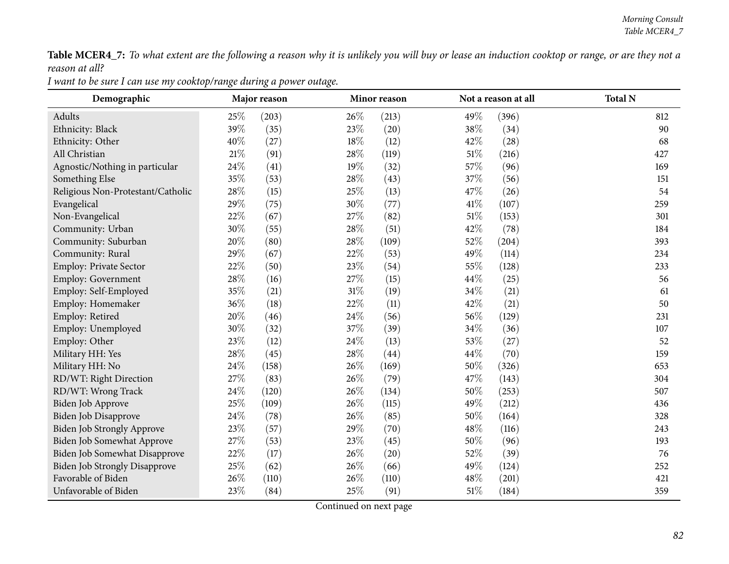Table MCER4\_7: To what extent are the following a reason why it is unlikely you will buy or lease an induction cooktop or range, or are they not a *reason at all?*

| Demographic                          | Major reason |       |        | Minor reason |        | Not a reason at all | <b>Total N</b> |  |
|--------------------------------------|--------------|-------|--------|--------------|--------|---------------------|----------------|--|
| Adults                               | 25%          | (203) | 26\%   | (213)        | 49%    | (396)               | 812            |  |
| Ethnicity: Black                     | 39%          | (35)  | 23%    | (20)         | 38%    | (34)                | 90             |  |
| Ethnicity: Other                     | 40%          | (27)  | 18%    | (12)         | 42%    | (28)                | 68             |  |
| All Christian                        | $21\%$       | (91)  | 28\%   | (119)        | 51%    | (216)               | 427            |  |
| Agnostic/Nothing in particular       | 24%          | (41)  | 19%    | (32)         | 57%    | (96)                | 169            |  |
| Something Else                       | 35%          | (53)  | 28%    | (43)         | 37%    | (56)                | 151            |  |
| Religious Non-Protestant/Catholic    | 28%          | (15)  | 25%    | (13)         | 47%    | (26)                | 54             |  |
| Evangelical                          | 29%          | (75)  | 30%    | (77)         | 41\%   | (107)               | 259            |  |
| Non-Evangelical                      | 22%          | (67)  | 27\%   | (82)         | 51%    | (153)               | 301            |  |
| Community: Urban                     | 30%          | (55)  | 28%    | (51)         | 42%    | (78)                | 184            |  |
| Community: Suburban                  | 20%          | (80)  | 28\%   | (109)        | 52%    | (204)               | 393            |  |
| Community: Rural                     | 29%          | (67)  | 22%    | (53)         | 49%    | (114)               | 234            |  |
| <b>Employ: Private Sector</b>        | 22%          | (50)  | 23%    | (54)         | 55%    | (128)               | 233            |  |
| Employ: Government                   | 28%          | (16)  | 27\%   | (15)         | 44\%   | (25)                | 56             |  |
| Employ: Self-Employed                | 35%          | (21)  | 31%    | (19)         | 34%    | (21)                | 61             |  |
| Employ: Homemaker                    | 36%          | (18)  | 22%    | (11)         | 42%    | (21)                | 50             |  |
| Employ: Retired                      | 20%          | (46)  | 24\%   | (56)         | 56%    | (129)               | 231            |  |
| Employ: Unemployed                   | 30%          | (32)  | 37%    | (39)         | 34%    | (36)                | 107            |  |
| Employ: Other                        | 23%          | (12)  | 24%    | (13)         | 53%    | (27)                | 52             |  |
| Military HH: Yes                     | 28%          | (45)  | 28%    | (44)         | 44%    | (70)                | 159            |  |
| Military HH: No                      | $24\%$       | (158) | 26%    | (169)        | 50%    | (326)               | 653            |  |
| RD/WT: Right Direction               | 27%          | (83)  | 26%    | (79)         | 47%    | (143)               | 304            |  |
| RD/WT: Wrong Track                   | 24%          | (120) | 26%    | (134)        | 50%    | (253)               | 507            |  |
| Biden Job Approve                    | 25%          | (109) | 26%    | (115)        | 49%    | (212)               | 436            |  |
| Biden Job Disapprove                 | 24\%         | (78)  | 26%    | (85)         | 50%    | (164)               | 328            |  |
| <b>Biden Job Strongly Approve</b>    | 23%          | (57)  | 29%    | (70)         | 48%    | (116)               | 243            |  |
| Biden Job Somewhat Approve           | 27%          | (53)  | 23%    | (45)         | 50%    | (96)                | 193            |  |
| Biden Job Somewhat Disapprove        | 22%          | (17)  | 26\%   | (20)         | 52%    | (39)                | 76             |  |
| <b>Biden Job Strongly Disapprove</b> | 25%          | (62)  | 26%    | (66)         | 49%    | (124)               | 252            |  |
| Favorable of Biden                   | 26%          | (110) | 26%    | (110)        | 48%    | (201)               | 421            |  |
| Unfavorable of Biden                 | 23%          | (84)  | $25\%$ | (91)         | $51\%$ | (184)               | 359            |  |

I want to be sure I can use my cooktop/range during a power outage.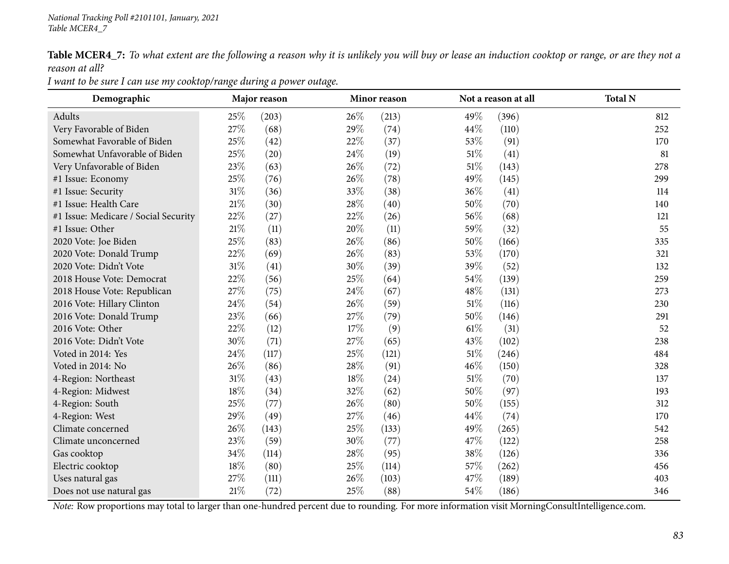Table MCER4\_7: To what extent are the following a reason why it is unlikely you will buy or lease an induction cooktop or range, or are they not a *reason at all?*

| Demographic                          | Major reason |       |      | Minor reason |        | Not a reason at all | <b>Total N</b> |  |
|--------------------------------------|--------------|-------|------|--------------|--------|---------------------|----------------|--|
| Adults                               | 25%          | (203) | 26\% | (213)        | 49%    | (396)               | 812            |  |
| Very Favorable of Biden              | 27%          | (68)  | 29%  | (74)         | 44\%   | (110)               | 252            |  |
| Somewhat Favorable of Biden          | 25%          | (42)  | 22%  | (37)         | 53%    | (91)                | 170            |  |
| Somewhat Unfavorable of Biden        | 25%          | (20)  | 24\% | (19)         | 51%    | (41)                | 81             |  |
| Very Unfavorable of Biden            | 23%          | (63)  | 26%  | (72)         | $51\%$ | (143)               | 278            |  |
| #1 Issue: Economy                    | 25%          | (76)  | 26%  | (78)         | 49%    | (145)               | 299            |  |
| #1 Issue: Security                   | $31\%$       | (36)  | 33%  | (38)         | 36\%   | (41)                | 114            |  |
| #1 Issue: Health Care                | $21\%$       | (30)  | 28%  | (40)         | 50%    | (70)                | 140            |  |
| #1 Issue: Medicare / Social Security | 22%          | (27)  | 22%  | (26)         | 56%    | (68)                | 121            |  |
| #1 Issue: Other                      | $21\%$       | (11)  | 20%  | (11)         | 59%    | (32)                | 55             |  |
| 2020 Vote: Joe Biden                 | 25%          | (83)  | 26%  | (86)         | $50\%$ | (166)               | 335            |  |
| 2020 Vote: Donald Trump              | 22%          | (69)  | 26%  | (83)         | 53%    | (170)               | 321            |  |
| 2020 Vote: Didn't Vote               | $31\%$       | (41)  | 30%  | (39)         | 39%    | (52)                | 132            |  |
| 2018 House Vote: Democrat            | 22%          | (56)  | 25%  | (64)         | 54\%   | (139)               | 259            |  |
| 2018 House Vote: Republican          | 27%          | (75)  | 24%  | (67)         | 48%    | (131)               | 273            |  |
| 2016 Vote: Hillary Clinton           | 24%          | (54)  | 26%  | (59)         | $51\%$ | (116)               | 230            |  |
| 2016 Vote: Donald Trump              | 23%          | (66)  | 27%  | (79)         | 50%    | (146)               | 291            |  |
| 2016 Vote: Other                     | 22%          | (12)  | 17%  | (9)          | $61\%$ | (31)                | 52             |  |
| 2016 Vote: Didn't Vote               | 30%          | (71)  | 27%  | (65)         | 43\%   | (102)               | 238            |  |
| Voted in 2014: Yes                   | 24%          | (117) | 25%  | (121)        | $51\%$ | (246)               | 484            |  |
| Voted in 2014: No                    | 26%          | (86)  | 28%  | (91)         | $46\%$ | (150)               | 328            |  |
| 4-Region: Northeast                  | $31\%$       | (43)  | 18%  | (24)         | 51%    | (70)                | 137            |  |
| 4-Region: Midwest                    | 18%          | (34)  | 32%  | (62)         | 50%    | (97)                | 193            |  |
| 4-Region: South                      | 25%          | (77)  | 26\% | (80)         | 50\%   | (155)               | 312            |  |
| 4-Region: West                       | 29%          | (49)  | 27%  | (46)         | 44\%   | (74)                | 170            |  |
| Climate concerned                    | 26%          | (143) | 25%  | (133)        | 49%    | (265)               | 542            |  |
| Climate unconcerned                  | 23%          | (59)  | 30%  | (77)         | 47\%   | (122)               | 258            |  |
| Gas cooktop                          | 34%          | (114) | 28%  | (95)         | 38\%   | (126)               | 336            |  |
| Electric cooktop                     | 18%          | (80)  | 25%  | (114)        | 57%    | (262)               | 456            |  |
| Uses natural gas                     | 27%          | (111) | 26\% | (103)        | 47%    | (189)               | 403            |  |
| Does not use natural gas             | $21\%$       | (72)  | 25%  | (88)         | 54%    | (186)               | 346            |  |

I want to be sure I can use my cooktop/range during a power outage.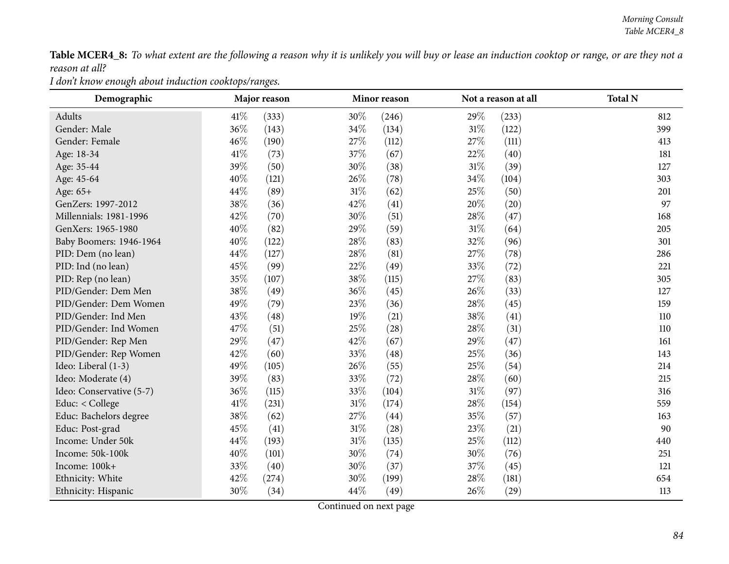Table MCER4\_8: To what extent are the following a reason why it is unlikely you will buy or lease an induction cooktop or range, or are they not a *reason at all?*

*<sup>I</sup> don't know enough about induction cooktops/ranges.*

| Demographic              | Major reason |       |        | Minor reason |        | Not a reason at all | <b>Total N</b> |
|--------------------------|--------------|-------|--------|--------------|--------|---------------------|----------------|
| Adults                   | 41\%         | (333) | 30%    | (246)        | 29%    | (233)               | 812            |
| Gender: Male             | 36%          | (143) | 34%    | (134)        | $31\%$ | (122)               | 399            |
| Gender: Female           | 46%          | (190) | 27\%   | (112)        | 27\%   | (111)               | 413            |
| Age: 18-34               | 41\%         | (73)  | 37%    | (67)         | 22\%   | (40)                | 181            |
| Age: 35-44               | 39%          | (50)  | 30%    | (38)         | $31\%$ | (39)                | 127            |
| Age: 45-64               | 40%          | (121) | 26%    | (78)         | 34\%   | (104)               | 303            |
| Age: 65+                 | 44%          | (89)  | $31\%$ | (62)         | $25\%$ | (50)                | 201            |
| GenZers: 1997-2012       | 38%          | (36)  | 42%    | (41)         | 20%    | (20)                | 97             |
| Millennials: 1981-1996   | 42%          | (70)  | 30%    | (51)         | 28%    | (47)                | 168            |
| GenXers: 1965-1980       | 40%          | (82)  | 29%    | (59)         | $31\%$ | (64)                | 205            |
| Baby Boomers: 1946-1964  | 40%          | (122) | 28%    | (83)         | 32%    | (96)                | 301            |
| PID: Dem (no lean)       | 44%          | (127) | 28%    | (81)         | 27%    | (78)                | 286            |
| PID: Ind (no lean)       | 45%          | (99)  | 22\%   | (49)         | 33%    | (72)                | 221            |
| PID: Rep (no lean)       | 35%          | (107) | 38\%   | (115)        | 27%    | (83)                | 305            |
| PID/Gender: Dem Men      | 38%          | (49)  | 36%    | (45)         | 26%    | (33)                | 127            |
| PID/Gender: Dem Women    | 49%          | (79)  | 23\%   | (36)         | 28%    | (45)                | 159            |
| PID/Gender: Ind Men      | 43%          | (48)  | 19%    | (21)         | 38%    | (41)                | 110            |
| PID/Gender: Ind Women    | 47%          | (51)  | 25\%   | (28)         | 28\%   | (31)                | 110            |
| PID/Gender: Rep Men      | 29%          | (47)  | 42%    | (67)         | 29%    | (47)                | 161            |
| PID/Gender: Rep Women    | 42%          | (60)  | 33%    | (48)         | 25%    | (36)                | 143            |
| Ideo: Liberal (1-3)      | 49%          | (105) | 26\%   | (55)         | 25\%   | (54)                | 214            |
| Ideo: Moderate (4)       | 39%          | (83)  | 33%    | (72)         | 28\%   | (60)                | 215            |
| Ideo: Conservative (5-7) | 36%          | (115) | 33%    | (104)        | $31\%$ | (97)                | 316            |
| Educ: < College          | 41%          | (231) | 31%    | (174)        | 28\%   | (154)               | 559            |
| Educ: Bachelors degree   | 38%          | (62)  | 27%    | (44)         | 35%    | (57)                | 163            |
| Educ: Post-grad          | 45%          | (41)  | 31%    | (28)         | 23%    | (21)                | 90             |
| Income: Under 50k        | 44%          | (193) | $31\%$ | (135)        | 25%    | (112)               | 440            |
| Income: 50k-100k         | 40%          | (101) | 30%    | (74)         | 30%    | (76)                | 251            |
| Income: 100k+            | 33%          | (40)  | 30%    | (37)         | 37\%   | (45)                | 121            |
| Ethnicity: White         | 42%          | (274) | 30%    | (199)        | 28%    | (181)               | 654            |
| Ethnicity: Hispanic      | 30%          | (34)  | 44\%   | (49)         | 26%    | (29)                | 113            |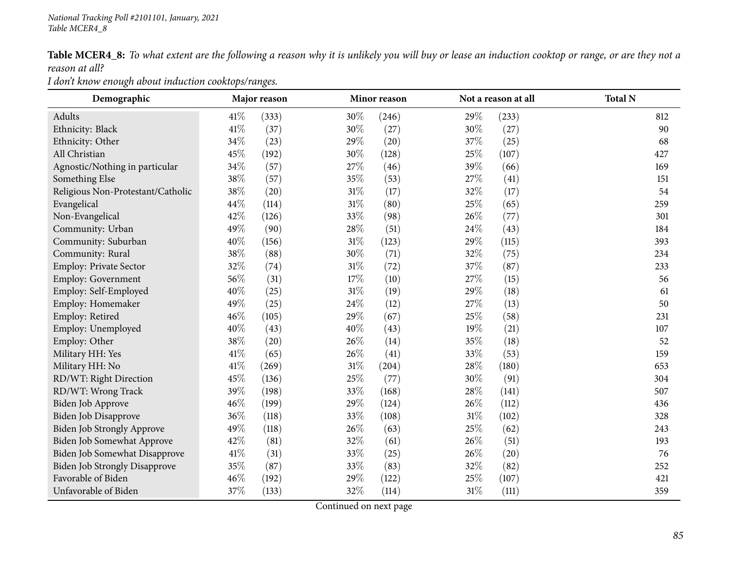Table MCER4\_8: To what extent are the following a reason why it is unlikely you will buy or lease an induction cooktop or range, or are they not a *reason at all?*

*<sup>I</sup> don't know enough about induction cooktops/ranges.*

| Demographic                       | Major reason |       |        | Minor reason |        | Not a reason at all |  | <b>Total N</b> |  |
|-----------------------------------|--------------|-------|--------|--------------|--------|---------------------|--|----------------|--|
| Adults                            | 41\%         | (333) | 30\%   | (246)        | 29%    | (233)               |  | 812            |  |
| Ethnicity: Black                  | 41%          | (37)  | 30%    | (27)         | 30%    | (27)                |  | 90             |  |
| Ethnicity: Other                  | 34%          | (23)  | 29%    | (20)         | 37\%   | (25)                |  | 68             |  |
| All Christian                     | 45%          | (192) | 30%    | (128)        | 25%    | (107)               |  | 427            |  |
| Agnostic/Nothing in particular    | 34%          | (57)  | 27%    | (46)         | 39%    | (66)                |  | 169            |  |
| Something Else                    | 38%          | (57)  | 35%    | (53)         | 27%    | (41)                |  | 151            |  |
| Religious Non-Protestant/Catholic | 38%          | (20)  | 31%    | (17)         | 32%    | (17)                |  | 54             |  |
| Evangelical                       | 44%          | (114) | 31%    | (80)         | 25%    | (65)                |  | 259            |  |
| Non-Evangelical                   | 42%          | (126) | 33%    | (98)         | 26%    | (77)                |  | 301            |  |
| Community: Urban                  | 49%          | (90)  | 28%    | (51)         | 24\%   | (43)                |  | 184            |  |
| Community: Suburban               | 40%          | (156) | $31\%$ | (123)        | 29%    | (115)               |  | 393            |  |
| Community: Rural                  | 38%          | (88)  | 30%    | (71)         | 32%    | (75)                |  | 234            |  |
| Employ: Private Sector            | 32%          | (74)  | $31\%$ | (72)         | 37%    | (87)                |  | 233            |  |
| <b>Employ: Government</b>         | 56%          | (31)  | 17%    | (10)         | 27%    | (15)                |  | 56             |  |
| Employ: Self-Employed             | 40%          | (25)  | 31%    | (19)         | 29%    | (18)                |  | 61             |  |
| Employ: Homemaker                 | 49%          | (25)  | 24%    | (12)         | 27\%   | (13)                |  | 50             |  |
| Employ: Retired                   | 46%          | (105) | 29%    | (67)         | 25%    | (58)                |  | 231            |  |
| Employ: Unemployed                | 40%          | (43)  | 40%    | (43)         | 19%    | (21)                |  | 107            |  |
| Employ: Other                     | 38%          | (20)  | 26%    | (14)         | 35%    | (18)                |  | 52             |  |
| Military HH: Yes                  | 41\%         | (65)  | 26%    | (41)         | 33%    | (53)                |  | 159            |  |
| Military HH: No                   | 41\%         | (269) | $31\%$ | (204)        | 28\%   | (180)               |  | 653            |  |
| RD/WT: Right Direction            | 45%          | (136) | 25%    | (77)         | 30%    | (91)                |  | 304            |  |
| RD/WT: Wrong Track                | 39%          | (198) | 33%    | (168)        | 28\%   | (141)               |  | 507            |  |
| Biden Job Approve                 | 46%          | (199) | 29%    | (124)        | 26\%   | (112)               |  | 436            |  |
| <b>Biden Job Disapprove</b>       | 36%          | (118) | 33%    | (108)        | $31\%$ | (102)               |  | 328            |  |
| Biden Job Strongly Approve        | 49%          | (118) | 26%    | (63)         | 25%    | (62)                |  | 243            |  |
| Biden Job Somewhat Approve        | 42%          | (81)  | 32%    | (61)         | 26\%   | (51)                |  | 193            |  |
| Biden Job Somewhat Disapprove     | 41\%         | (31)  | 33%    | (25)         | 26%    | (20)                |  | 76             |  |
| Biden Job Strongly Disapprove     | 35%          | (87)  | 33%    | (83)         | 32%    | (82)                |  | 252            |  |
| Favorable of Biden                | 46%          | (192) | 29%    | (122)        | 25%    | (107)               |  | 421            |  |
| Unfavorable of Biden              | 37%          | (133) | 32%    | (114)        | 31%    | (111)               |  | 359            |  |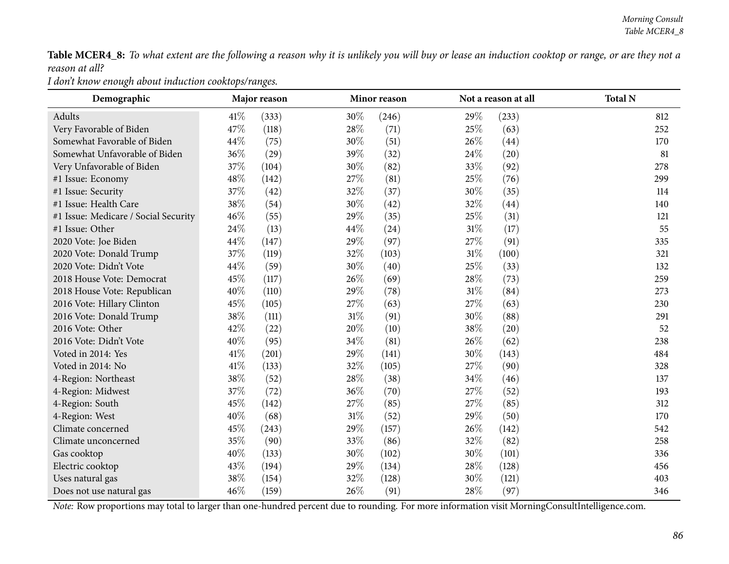Table MCER4\_8: To what extent are the following a reason why it is unlikely you will buy or lease an induction cooktop or range, or are they not a *reason at all?*

*<sup>I</sup> don't know enough about induction cooktops/ranges.*

| Demographic                          | Major reason |       | Minor reason | Not a reason at all | <b>Total N</b> |       |     |
|--------------------------------------|--------------|-------|--------------|---------------------|----------------|-------|-----|
| Adults                               | 41\%         | (333) | 30%          | (246)               | 29%            | (233) | 812 |
| Very Favorable of Biden              | 47%          | (118) | 28%          | (71)                | 25\%           | (63)  | 252 |
| Somewhat Favorable of Biden          | 44%          | (75)  | 30%          | (51)                | 26\%           | (44)  | 170 |
| Somewhat Unfavorable of Biden        | 36%          | (29)  | 39%          | (32)                | 24\%           | (20)  | 81  |
| Very Unfavorable of Biden            | 37%          | (104) | 30%          | (82)                | 33%            | (92)  | 278 |
| #1 Issue: Economy                    | $48\%$       | (142) | 27%          | (81)                | 25%            | (76)  | 299 |
| #1 Issue: Security                   | 37%          | (42)  | 32%          | (37)                | 30%            | (35)  | 114 |
| #1 Issue: Health Care                | 38%          | (54)  | 30%          | (42)                | 32%            | (44)  | 140 |
| #1 Issue: Medicare / Social Security | 46%          | (55)  | 29%          | (35)                | 25%            | (31)  | 121 |
| #1 Issue: Other                      | 24%          | (13)  | 44%          | (24)                | $31\%$         | (17)  | 55  |
| 2020 Vote: Joe Biden                 | 44%          | (147) | 29%          | (97)                | 27%            | (91)  | 335 |
| 2020 Vote: Donald Trump              | 37%          | (119) | 32%          | (103)               | $31\%$         | (100) | 321 |
| 2020 Vote: Didn't Vote               | 44%          | (59)  | 30%          | (40)                | 25%            | (33)  | 132 |
| 2018 House Vote: Democrat            | 45%          | (117) | 26%          | (69)                | 28\%           | (73)  | 259 |
| 2018 House Vote: Republican          | 40%          | (110) | 29%          | (78)                | $31\%$         | (84)  | 273 |
| 2016 Vote: Hillary Clinton           | 45%          | (105) | 27%          | (63)                | 27%            | (63)  | 230 |
| 2016 Vote: Donald Trump              | 38%          | (111) | $31\%$       | (91)                | 30%            | (88)  | 291 |
| 2016 Vote: Other                     | 42%          | (22)  | 20%          | (10)                | 38\%           | (20)  | 52  |
| 2016 Vote: Didn't Vote               | 40%          | (95)  | 34%          | (81)                | 26%            | (62)  | 238 |
| Voted in 2014: Yes                   | 41\%         | (201) | 29%          | (141)               | 30%            | (143) | 484 |
| Voted in 2014: No                    | 41\%         | (133) | 32%          | (105)               | 27\%           | (90)  | 328 |
| 4-Region: Northeast                  | 38%          | (52)  | 28%          | (38)                | 34%            | (46)  | 137 |
| 4-Region: Midwest                    | 37%          | (72)  | 36%          | (70)                | 27%            | (52)  | 193 |
| 4-Region: South                      | 45%          | (142) | 27%          | (85)                | 27%            | (85)  | 312 |
| 4-Region: West                       | 40%          | (68)  | $31\%$       | (52)                | 29%            | (50)  | 170 |
| Climate concerned                    | 45%          | (243) | 29%          | (157)               | 26\%           | (142) | 542 |
| Climate unconcerned                  | 35%          | (90)  | 33%          | (86)                | 32%            | (82)  | 258 |
| Gas cooktop                          | 40%          | (133) | 30%          | (102)               | 30%            | (101) | 336 |
| Electric cooktop                     | 43%          | (194) | 29%          | (134)               | 28\%           | (128) | 456 |
| Uses natural gas                     | 38%          | (154) | 32%          | (128)               | 30%            | (121) | 403 |
| Does not use natural gas             | 46%          | (159) | 26%          | (91)                | 28%            | (97)  | 346 |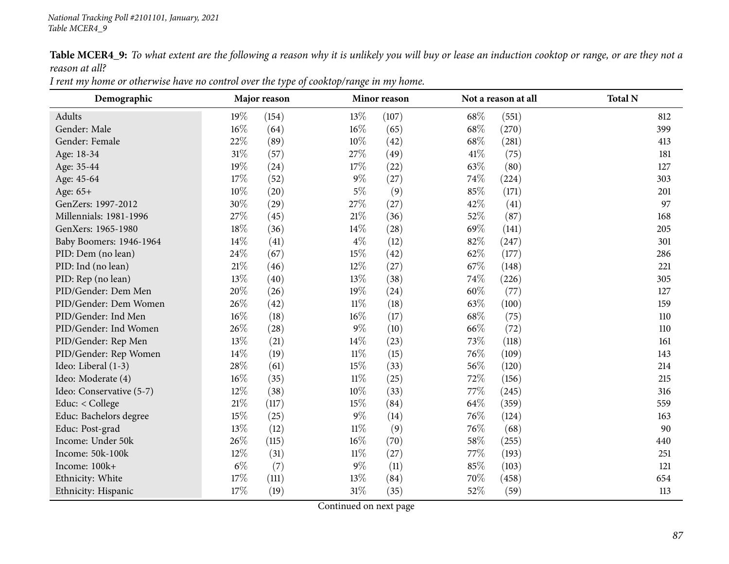Table MCER4\_9: To what extent are the following a reason why it is unlikely you will buy or lease an induction cooktop or range, or are they not a *reason at all?*

| I rent my home or otherwise have no control over the type of cooktop/range in my home. |
|----------------------------------------------------------------------------------------|
|----------------------------------------------------------------------------------------|

| Demographic              | Major reason<br>Minor reason |       |        | Not a reason at all | <b>Total N</b> |       |     |
|--------------------------|------------------------------|-------|--------|---------------------|----------------|-------|-----|
| Adults                   | 19%                          | (154) | 13%    | (107)               | 68\%           | (551) | 812 |
| Gender: Male             | 16%                          | (64)  | 16%    | (65)                | 68%            | (270) | 399 |
| Gender: Female           | 22%                          | (89)  | 10%    | (42)                | 68\%           | (281) | 413 |
| Age: 18-34               | $31\%$                       | (57)  | 27%    | (49)                | 41%            | (75)  | 181 |
| Age: 35-44               | 19%                          | (24)  | 17%    | (22)                | 63%            | (80)  | 127 |
| Age: 45-64               | $17\%$                       | (52)  | $9\%$  | (27)                | 74\%           | (224) | 303 |
| Age: 65+                 | $10\%$                       | (20)  | $5\%$  | (9)                 | 85%            | (171) | 201 |
| GenZers: 1997-2012       | 30%                          | (29)  | 27%    | (27)                | 42%            | (41)  | 97  |
| Millennials: 1981-1996   | 27%                          | (45)  | 21%    | (36)                | 52%            | (87)  | 168 |
| GenXers: 1965-1980       | $18\%$                       | (36)  | 14\%   | (28)                | 69%            | (141) | 205 |
| Baby Boomers: 1946-1964  | 14%                          | (41)  | $4\%$  | (12)                | 82%            | (247) | 301 |
| PID: Dem (no lean)       | 24%                          | (67)  | 15%    | (42)                | 62\%           | (177) | 286 |
| PID: Ind (no lean)       | $21\%$                       | (46)  | 12%    | (27)                | 67\%           | (148) | 221 |
| PID: Rep (no lean)       | 13%                          | (40)  | 13%    | (38)                | 74\%           | (226) | 305 |
| PID/Gender: Dem Men      | 20%                          | (26)  | 19%    | (24)                | 60%            | (77)  | 127 |
| PID/Gender: Dem Women    | 26%                          | (42)  | $11\%$ | (18)                | 63%            | (100) | 159 |
| PID/Gender: Ind Men      | $16\%$                       | (18)  | $16\%$ | (17)                | 68\%           | (75)  | 110 |
| PID/Gender: Ind Women    | 26%                          | (28)  | $9\%$  | (10)                | 66%            | (72)  | 110 |
| PID/Gender: Rep Men      | 13%                          | (21)  | 14%    | (23)                | 73%            | (118) | 161 |
| PID/Gender: Rep Women    | 14\%                         | (19)  | $11\%$ | (15)                | 76%            | (109) | 143 |
| Ideo: Liberal (1-3)      | 28%                          | (61)  | 15%    | (33)                | 56%            | (120) | 214 |
| Ideo: Moderate (4)       | 16%                          | (35)  | $11\%$ | (25)                | 72\%           | (156) | 215 |
| Ideo: Conservative (5-7) | 12%                          | (38)  | 10%    | (33)                | 77%            | (245) | 316 |
| Educ: < College          | $21\%$                       | (117) | 15%    | (84)                | 64\%           | (359) | 559 |
| Educ: Bachelors degree   | 15%                          | (25)  | $9\%$  | (14)                | 76%            | (124) | 163 |
| Educ: Post-grad          | 13%                          | (12)  | $11\%$ | (9)                 | 76%            | (68)  | 90  |
| Income: Under 50k        | 26%                          | (115) | $16\%$ | (70)                | 58%            | (255) | 440 |
| Income: 50k-100k         | 12%                          | (31)  | $11\%$ | (27)                | 77\%           | (193) | 251 |
| Income: 100k+            | $6\%$                        | (7)   | $9\%$  | (11)                | 85%            | (103) | 121 |
| Ethnicity: White         | 17%                          | (111) | 13%    | (84)                | 70%            | (458) | 654 |
| Ethnicity: Hispanic      | 17%                          | (19)  | $31\%$ | (35)                | 52%            | (59)  | 113 |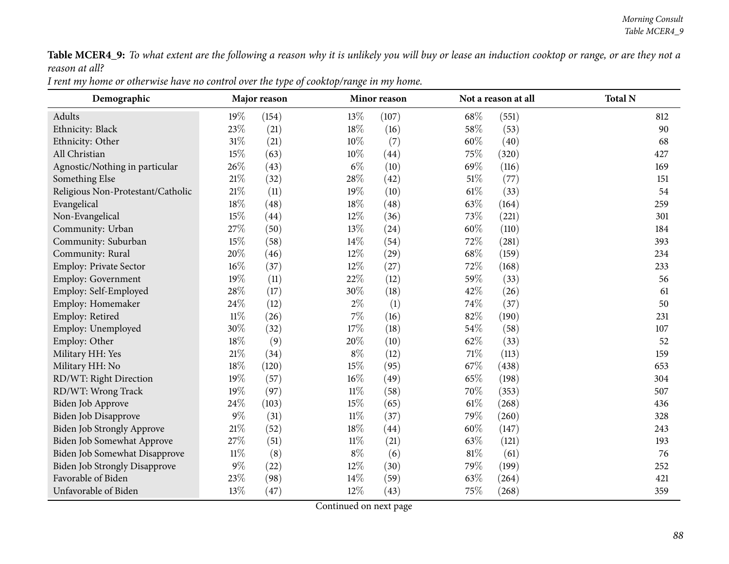Table MCER4\_9: To what extent are the following a reason why it is unlikely you will buy or lease an induction cooktop or range, or are they not a *reason at all?*

| I rent my home or otherwise have no control over the type of cooktop/range in my home. |
|----------------------------------------------------------------------------------------|
|----------------------------------------------------------------------------------------|

| Demographic                       | Major reason |       |        | Minor reason |        | Not a reason at all | <b>Total N</b> |
|-----------------------------------|--------------|-------|--------|--------------|--------|---------------------|----------------|
| Adults                            | 19%          | (154) | 13%    | (107)        | 68\%   | (551)               | 812            |
| Ethnicity: Black                  | 23%          | (21)  | 18%    | (16)         | 58\%   | (53)                | 90             |
| Ethnicity: Other                  | $31\%$       | (21)  | $10\%$ | (7)          | 60%    | (40)                | 68             |
| All Christian                     | 15%          | (63)  | $10\%$ | (44)         | 75\%   | (320)               | 427            |
| Agnostic/Nothing in particular    | 26%          | (43)  | $6\%$  | (10)         | 69%    | (116)               | 169            |
| Something Else                    | $21\%$       | (32)  | $28\%$ | (42)         | 51%    | (77)                | 151            |
| Religious Non-Protestant/Catholic | $21\%$       | (11)  | 19%    | (10)         | $61\%$ | (33)                | 54             |
| Evangelical                       | $18\%$       | (48)  | 18%    | (48)         | 63%    | (164)               | 259            |
| Non-Evangelical                   | 15%          | (44)  | 12%    | (36)         | 73%    | (221)               | 301            |
| Community: Urban                  | 27%          | (50)  | 13%    | (24)         | 60%    | (110)               | 184            |
| Community: Suburban               | 15%          | (58)  | 14\%   | (54)         | 72\%   | (281)               | 393            |
| Community: Rural                  | 20%          | (46)  | 12%    | (29)         | 68\%   | (159)               | 234            |
| Employ: Private Sector            | $16\%$       | (37)  | 12%    | (27)         | 72%    | (168)               | 233            |
| Employ: Government                | 19%          | (11)  | 22%    | (12)         | 59%    | (33)                | 56             |
| Employ: Self-Employed             | 28\%         | (17)  | 30%    | (18)         | 42%    | (26)                | 61             |
| Employ: Homemaker                 | 24\%         | (12)  | $2\%$  | (1)          | 74%    | (37)                | 50             |
| Employ: Retired                   | $11\%$       | (26)  | $7\%$  | (16)         | 82%    | (190)               | 231            |
| Employ: Unemployed                | 30%          | (32)  | 17%    | (18)         | 54\%   | (58)                | 107            |
| Employ: Other                     | 18%          | (9)   | 20%    | (10)         | 62%    | (33)                | 52             |
| Military HH: Yes                  | $21\%$       | (34)  | $8\%$  | (12)         | 71%    | (113)               | 159            |
| Military HH: No                   | $18\%$       | (120) | 15%    | (95)         | 67%    | (438)               | 653            |
| RD/WT: Right Direction            | 19%          | (57)  | 16%    | (49)         | 65%    | (198)               | 304            |
| RD/WT: Wrong Track                | 19%          | (97)  | $11\%$ | (58)         | 70%    | (353)               | 507            |
| Biden Job Approve                 | 24%          | (103) | 15%    | (65)         | $61\%$ | (268)               | 436            |
| Biden Job Disapprove              | $9\%$        | (31)  | $11\%$ | (37)         | 79%    | (260)               | 328            |
| Biden Job Strongly Approve        | $21\%$       | (52)  | $18\%$ | (44)         | 60%    | (147)               | 243            |
| Biden Job Somewhat Approve        | 27\%         | (51)  | 11%    | (21)         | 63%    | (121)               | 193            |
| Biden Job Somewhat Disapprove     | $11\%$       | (8)   | $8\%$  | (6)          | 81%    | (61)                | 76             |
| Biden Job Strongly Disapprove     | $9\%$        | (22)  | 12%    | (30)         | 79%    | (199)               | 252            |
| Favorable of Biden                | 23%          | (98)  | 14%    | (59)         | 63%    | (264)               | 421            |
| Unfavorable of Biden              | 13%          | (47)  | 12%    | (43)         | 75%    | (268)               | 359            |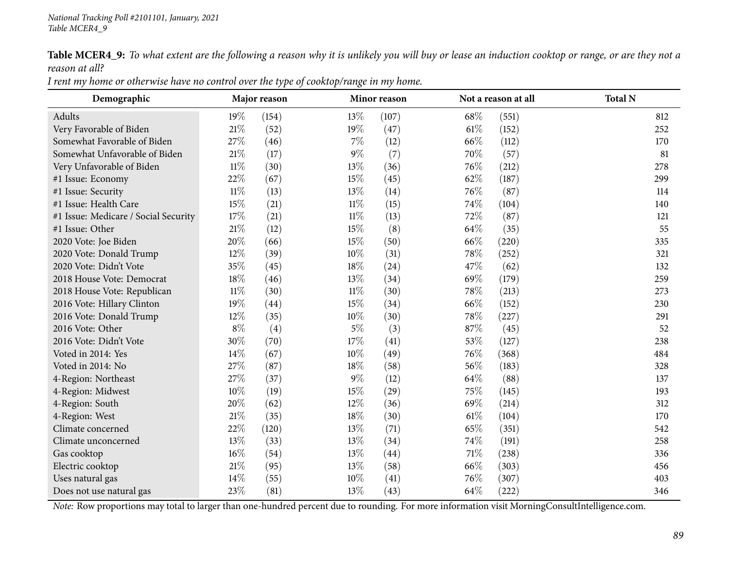Table MCER4\_9: To what extent are the following a reason why it is unlikely you will buy or lease an induction cooktop or range, or are they not a *reason at all?*

| Demographic                          | Major reason |       |        | Minor reason |      | Not a reason at all | <b>Total N</b> |
|--------------------------------------|--------------|-------|--------|--------------|------|---------------------|----------------|
| Adults                               | 19%          | (154) | 13\%   | (107)        | 68\% | (551)               | 812            |
| Very Favorable of Biden              | $21\%$       | (52)  | 19%    | (47)         | 61%  | (152)               | 252            |
| Somewhat Favorable of Biden          | 27%          | (46)  | $7\%$  | (12)         | 66%  | (112)               | 170            |
| Somewhat Unfavorable of Biden        | 21%          | (17)  | $9\%$  | (7)          | 70%  | (57)                | 81             |
| Very Unfavorable of Biden            | $11\%$       | (30)  | 13%    | (36)         | 76\% | (212)               | 278            |
| #1 Issue: Economy                    | 22%          | (67)  | 15%    | (45)         | 62%  | (187)               | 299            |
| #1 Issue: Security                   | $11\%$       | (13)  | 13\%   | (14)         | 76\% | (87)                | 114            |
| #1 Issue: Health Care                | 15%          | (21)  | $11\%$ | (15)         | 74%  | (104)               | 140            |
| #1 Issue: Medicare / Social Security | 17%          | (21)  | $11\%$ | (13)         | 72%  | (87)                | 121            |
| #1 Issue: Other                      | $21\%$       | (12)  | 15%    | (8)          | 64\% | (35)                | 55             |
| 2020 Vote: Joe Biden                 | 20%          | (66)  | 15%    | (50)         | 66%  | (220)               | 335            |
| 2020 Vote: Donald Trump              | 12%          | (39)  | $10\%$ | (31)         | 78%  | (252)               | 321            |
| 2020 Vote: Didn't Vote               | 35%          | (45)  | 18%    | (24)         | 47%  | (62)                | 132            |
| 2018 House Vote: Democrat            | 18%          | (46)  | 13\%   | (34)         | 69%  | (179)               | 259            |
| 2018 House Vote: Republican          | $11\%$       | (30)  | $11\%$ | (30)         | 78\% | (213)               | 273            |
| 2016 Vote: Hillary Clinton           | 19%          | (44)  | 15%    | (34)         | 66%  | (152)               | 230            |
| 2016 Vote: Donald Trump              | $12\%$       | (35)  | $10\%$ | (30)         | 78\% | (227)               | 291            |
| 2016 Vote: Other                     | $8\%$        | (4)   | $5\%$  | (3)          | 87\% | (45)                | 52             |
| 2016 Vote: Didn't Vote               | $30\%$       | (70)  | 17%    | (41)         | 53%  | (127)               | 238            |
| Voted in 2014: Yes                   | 14%          | (67)  | $10\%$ | (49)         | 76\% | (368)               | 484            |
| Voted in 2014: No                    | 27\%         | (87)  | 18%    | (58)         | 56\% | (183)               | 328            |
| 4-Region: Northeast                  | 27%          | (37)  | $9\%$  | (12)         | 64\% | (88)                | 137            |
| 4-Region: Midwest                    | $10\%$       | (19)  | 15%    | (29)         | 75%  | (145)               | 193            |
| 4-Region: South                      | 20%          | (62)  | 12%    | (36)         | 69%  | (214)               | 312            |
| 4-Region: West                       | 21%          | (35)  | 18\%   | (30)         | 61%  | (104)               | 170            |
| Climate concerned                    | 22%          | (120) | 13%    | (71)         | 65%  | (351)               | 542            |
| Climate unconcerned                  | 13%          | (33)  | 13\%   | (34)         | 74\% | (191)               | 258            |
| Gas cooktop                          | $16\%$       | (54)  | 13%    | (44)         | 71\% | (238)               | 336            |
| Electric cooktop                     | $21\%$       | (95)  | 13%    | (58)         | 66%  | (303)               | 456            |
| Uses natural gas                     | 14%          | (55)  | 10%    | (41)         | 76%  | (307)               | 403            |
| Does not use natural gas             | 23%          | (81)  | 13%    | (43)         | 64\% | (222)               | 346            |

I rent my home or otherwise have no control over the type of cooktop/range in my home.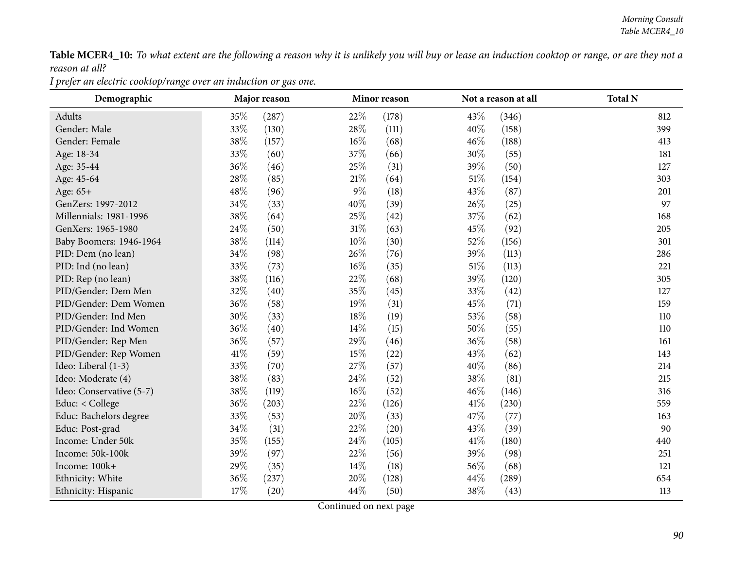Table MCER4\_10: To what extent are the following a reason why it is unlikely you will buy or lease an induction cooktop or range, or are they not a *reason at all?*

*<sup>I</sup> prefer an electric cooktop/range over an induction or gas one.*

| Demographic              | Major reason<br>Minor reason |                    |        | Not a reason at all | <b>Total N</b> |       |     |
|--------------------------|------------------------------|--------------------|--------|---------------------|----------------|-------|-----|
| Adults                   | 35%                          | (287)              | 22%    | (178)               | 43%            | (346) | 812 |
| Gender: Male             | 33%                          | (130)              | 28%    | (111)               | 40%            | (158) | 399 |
| Gender: Female           | 38%                          | (157)              | 16%    | (68)                | 46%            | (188) | 413 |
| Age: 18-34               | 33%                          | (60)               | 37%    | (66)                | 30%            | (55)  | 181 |
| Age: 35-44               | 36%                          | (46)               | 25%    | (31)                | 39%            | (50)  | 127 |
| Age: 45-64               | 28\%                         | (85)               | $21\%$ | (64)                | 51%            | (154) | 303 |
| Age: 65+                 | 48%                          | (96)               | $9\%$  | (18)                | 43%            | (87)  | 201 |
| GenZers: 1997-2012       | 34%                          | (33)               | 40%    | (39)                | 26%            | (25)  | 97  |
| Millennials: 1981-1996   | 38%                          | (64)               | 25%    | (42)                | 37%            | (62)  | 168 |
| GenXers: 1965-1980       | 24\%                         | (50)               | $31\%$ | (63)                | 45\%           | (92)  | 205 |
| Baby Boomers: 1946-1964  | 38%                          | (114)              | 10%    | (30)                | 52%            | (156) | 301 |
| PID: Dem (no lean)       | 34%                          | (98)               | 26%    | (76)                | 39%            | (113) | 286 |
| PID: Ind (no lean)       | 33%                          | (73)               | 16%    | (35)                | $51\%$         | (113) | 221 |
| PID: Rep (no lean)       | 38\%                         | (116)              | 22%    | (68)                | 39%            | (120) | 305 |
| PID/Gender: Dem Men      | 32%                          | (40)               | 35%    | (45)                | 33%            | (42)  | 127 |
| PID/Gender: Dem Women    | 36%                          | (58)               | 19%    | (31)                | 45%            | (71)  | 159 |
| PID/Gender: Ind Men      | 30%                          | (33)               | 18%    | (19)                | 53%            | (58)  | 110 |
| PID/Gender: Ind Women    | 36%                          | (40)               | 14\%   | (15)                | 50%            | (55)  | 110 |
| PID/Gender: Rep Men      | 36%                          | (57)               | 29%    | (46)                | 36%            | (58)  | 161 |
| PID/Gender: Rep Women    | 41\%                         | (59)               | 15%    | (22)                | 43%            | (62)  | 143 |
| Ideo: Liberal (1-3)      | 33%                          | (70)               | 27%    | (57)                | 40%            | (86)  | 214 |
| Ideo: Moderate (4)       | 38%                          | (83)               | 24\%   | (52)                | 38%            | (81)  | 215 |
| Ideo: Conservative (5-7) | 38%                          | (119)              | 16%    | (52)                | 46%            | (146) | 316 |
| Educ: < College          | 36%                          | (203)              | 22\%   | (126)               | 41%            | (230) | 559 |
| Educ: Bachelors degree   | 33%                          | (53)               | 20%    | (33)                | 47\%           | (77)  | 163 |
| Educ: Post-grad          | 34%                          | (31)               | 22%    | (20)                | 43%            | (39)  | 90  |
| Income: Under 50k        | 35%                          | (155)              | 24%    | (105)               | 41\%           | (180) | 440 |
| Income: 50k-100k         | 39%                          | (97)               | 22%    | (56)                | 39%            | (98)  | 251 |
| Income: 100k+            | 29%                          | (35)               | 14\%   | (18)                | 56%            | (68)  | 121 |
| Ethnicity: White         | 36\%                         | (237)              | 20%    | (128)               | 44%            | (289) | 654 |
| Ethnicity: Hispanic      | 17%                          | $\left( 20\right)$ | 44\%   | (50)                | 38%            | (43)  | 113 |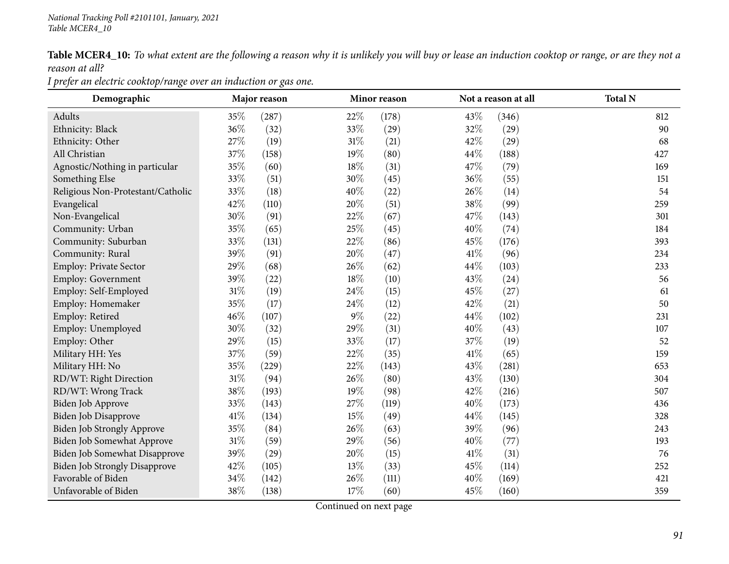Table MCER4\_10: To what extent are the following a reason why it is unlikely you will buy or lease an induction cooktop or range, or are they not a *reason at all?*

*<sup>I</sup> prefer an electric cooktop/range over an induction or gas one.*

| Demographic                          | Major reason |       | Minor reason | Not a reason at all | <b>Total N</b> |       |     |
|--------------------------------------|--------------|-------|--------------|---------------------|----------------|-------|-----|
| Adults                               | 35%          | (287) | 22%          | (178)               | 43%            | (346) | 812 |
| Ethnicity: Black                     | 36%          | (32)  | 33%          | (29)                | 32%            | (29)  | 90  |
| Ethnicity: Other                     | 27%          | (19)  | $31\%$       | (21)                | 42%            | (29)  | 68  |
| All Christian                        | 37%          | (158) | 19%          | (80)                | 44%            | (188) | 427 |
| Agnostic/Nothing in particular       | 35%          | (60)  | 18%          | (31)                | 47%            | (79)  | 169 |
| Something Else                       | 33%          | (51)  | 30%          | (45)                | 36%            | (55)  | 151 |
| Religious Non-Protestant/Catholic    | 33%          | (18)  | 40%          | (22)                | 26%            | (14)  | 54  |
| Evangelical                          | 42%          | (110) | 20%          | (51)                | 38%            | (99)  | 259 |
| Non-Evangelical                      | 30%          | (91)  | 22%          | (67)                | 47%            | (143) | 301 |
| Community: Urban                     | 35%          | (65)  | 25\%         | (45)                | 40%            | (74)  | 184 |
| Community: Suburban                  | 33%          | (131) | 22%          | (86)                | 45%            | (176) | 393 |
| Community: Rural                     | 39%          | (91)  | 20%          | (47)                | 41\%           | (96)  | 234 |
| Employ: Private Sector               | 29%          | (68)  | 26%          | (62)                | 44%            | (103) | 233 |
| <b>Employ: Government</b>            | 39%          | (22)  | 18%          | (10)                | 43%            | (24)  | 56  |
| Employ: Self-Employed                | 31%          | (19)  | 24\%         | (15)                | 45%            | (27)  | 61  |
| Employ: Homemaker                    | 35%          | (17)  | 24\%         | (12)                | 42%            | (21)  | 50  |
| Employ: Retired                      | 46%          | (107) | $9\%$        | (22)                | 44%            | (102) | 231 |
| Employ: Unemployed                   | 30%          | (32)  | 29%          | (31)                | 40%            | (43)  | 107 |
| Employ: Other                        | 29%          | (15)  | 33%          | (17)                | 37%            | (19)  | 52  |
| Military HH: Yes                     | 37%          | (59)  | 22%          | (35)                | 41%            | (65)  | 159 |
| Military HH: No                      | 35%          | (229) | 22\%         | (143)               | 43%            | (281) | 653 |
| RD/WT: Right Direction               | 31%          | (94)  | 26%          | (80)                | 43%            | (130) | 304 |
| RD/WT: Wrong Track                   | 38%          | (193) | 19%          | (98)                | 42%            | (216) | 507 |
| Biden Job Approve                    | 33%          | (143) | 27%          | (119)               | 40%            | (173) | 436 |
| Biden Job Disapprove                 | 41\%         | (134) | 15%          | (49)                | 44\%           | (145) | 328 |
| <b>Biden Job Strongly Approve</b>    | 35%          | (84)  | 26%          | (63)                | 39%            | (96)  | 243 |
| Biden Job Somewhat Approve           | 31%          | (59)  | 29%          | (56)                | 40%            | (77)  | 193 |
| Biden Job Somewhat Disapprove        | 39%          | (29)  | 20%          | (15)                | 41\%           | (31)  | 76  |
| <b>Biden Job Strongly Disapprove</b> | 42%          | (105) | 13%          | (33)                | 45%            | (114) | 252 |
| Favorable of Biden                   | 34%          | (142) | 26%          | (111)               | 40%            | (169) | 421 |
| Unfavorable of Biden                 | 38%          | (138) | 17%          | (60)                | 45%            | (160) | 359 |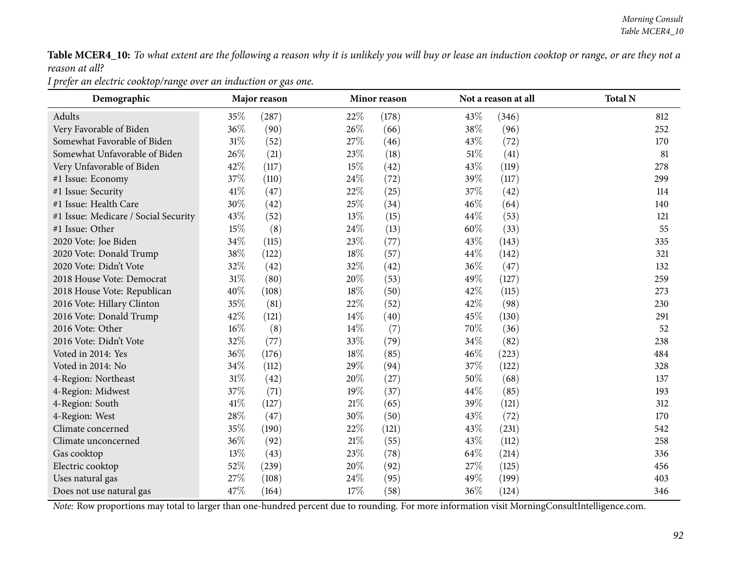Table MCER4\_10: To what extent are the following a reason why it is unlikely you will buy or lease an induction cooktop or range, or are they not a *reason at all?*

*<sup>I</sup> prefer an electric cooktop/range over an induction or gas one.*

| Demographic                          |        | Major reason |        | Minor reason |        | Not a reason at all | <b>Total N</b> |
|--------------------------------------|--------|--------------|--------|--------------|--------|---------------------|----------------|
| Adults                               | $35\%$ | (287)        | 22\%   | (178)        | 43%    | (346)               | 812            |
| Very Favorable of Biden              | 36%    | (90)         | 26%    | (66)         | 38%    | (96)                | 252            |
| Somewhat Favorable of Biden          | $31\%$ | (52)         | 27%    | (46)         | 43%    | (72)                | 170            |
| Somewhat Unfavorable of Biden        | 26\%   | (21)         | 23\%   | (18)         | $51\%$ | (41)                | 81             |
| Very Unfavorable of Biden            | 42%    | (117)        | 15%    | (42)         | 43\%   | (119)               | 278            |
| #1 Issue: Economy                    | 37%    | (110)        | 24%    | (72)         | 39%    | (117)               | 299            |
| #1 Issue: Security                   | 41%    | (47)         | 22%    | (25)         | 37%    | (42)                | 114            |
| #1 Issue: Health Care                | 30%    | (42)         | 25%    | (34)         | 46%    | (64)                | 140            |
| #1 Issue: Medicare / Social Security | 43%    | (52)         | 13%    | (15)         | 44%    | (53)                | 121            |
| #1 Issue: Other                      | 15%    | (8)          | 24\%   | (13)         | 60%    | (33)                | 55             |
| 2020 Vote: Joe Biden                 | 34%    | (115)        | 23\%   | (77)         | 43\%   | (143)               | 335            |
| 2020 Vote: Donald Trump              | 38\%   | (122)        | 18%    | (57)         | 44%    | (142)               | 321            |
| 2020 Vote: Didn't Vote               | 32%    | (42)         | 32%    | (42)         | 36%    | (47)                | 132            |
| 2018 House Vote: Democrat            | 31%    | (80)         | 20%    | (53)         | 49%    | (127)               | 259            |
| 2018 House Vote: Republican          | 40%    | (108)        | 18%    | (50)         | 42%    | (115)               | 273            |
| 2016 Vote: Hillary Clinton           | 35%    | (81)         | 22%    | (52)         | 42%    | (98)                | 230            |
| 2016 Vote: Donald Trump              | 42%    | (121)        | $14\%$ | (40)         | 45%    | (130)               | 291            |
| 2016 Vote: Other                     | $16\%$ | (8)          | 14%    | (7)          | 70%    | (36)                | 52             |
| 2016 Vote: Didn't Vote               | 32%    | (77)         | 33%    | (79)         | 34%    | (82)                | 238            |
| Voted in 2014: Yes                   | 36%    | (176)        | 18%    | (85)         | 46\%   | (223)               | 484            |
| Voted in 2014: No                    | 34%    | (112)        | 29%    | (94)         | 37%    | (122)               | 328            |
| 4-Region: Northeast                  | 31%    | (42)         | 20%    | (27)         | 50%    | (68)                | 137            |
| 4-Region: Midwest                    | 37%    | (71)         | 19%    | (37)         | 44\%   | (85)                | 193            |
| 4-Region: South                      | 41%    | (127)        | $21\%$ | (65)         | 39%    | (121)               | 312            |
| 4-Region: West                       | 28%    | (47)         | 30%    | (50)         | 43\%   | (72)                | 170            |
| Climate concerned                    | 35%    | (190)        | 22\%   | (121)        | 43%    | (231)               | 542            |
| Climate unconcerned                  | 36%    | (92)         | $21\%$ | (55)         | 43%    | (112)               | 258            |
| Gas cooktop                          | 13%    | (43)         | $23\%$ | (78)         | $64\%$ | (214)               | 336            |
| Electric cooktop                     | 52%    | (239)        | 20%    | (92)         | 27\%   | (125)               | 456            |
| Uses natural gas                     | 27%    | (108)        | 24\%   | (95)         | 49%    | (199)               | 403            |
| Does not use natural gas             | 47\%   | (164)        | 17%    | (58)         | 36%    | (124)               | 346            |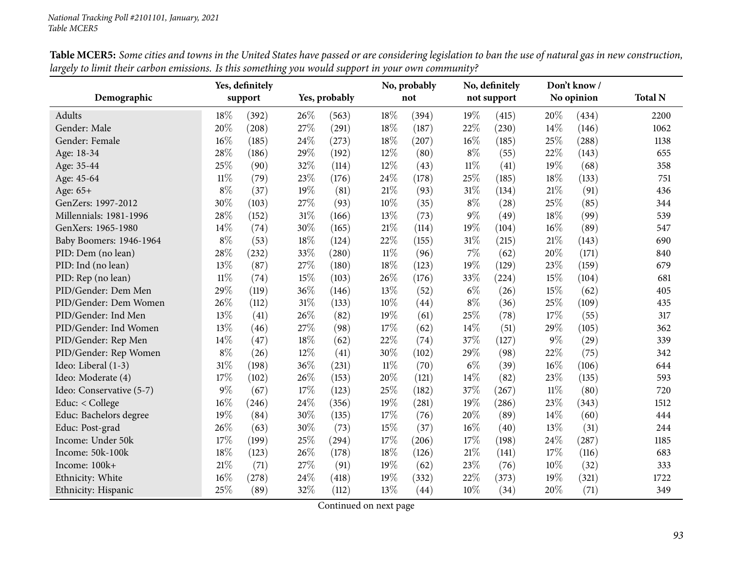|                          |        | Yes, definitely |        |               |        | No, probably |        | No, definitely |        | Don't know / |                |
|--------------------------|--------|-----------------|--------|---------------|--------|--------------|--------|----------------|--------|--------------|----------------|
| Demographic              |        | support         |        | Yes, probably |        | not          |        | not support    |        | No opinion   | <b>Total N</b> |
| <b>Adults</b>            | 18%    | (392)           | 26%    | (563)         | 18%    | (394)        | 19%    | (415)          | 20%    | (434)        | 2200           |
| Gender: Male             | 20%    | (208)           | 27%    | (291)         | 18%    | (187)        | 22%    | (230)          | 14%    | (146)        | 1062           |
| Gender: Female           | 16%    | (185)           | 24\%   | (273)         | 18%    | (207)        | 16%    | (185)          | 25%    | (288)        | 1138           |
| Age: 18-34               | 28%    | (186)           | 29%    | (192)         | 12%    | (80)         | $8\%$  | (55)           | 22%    | (143)        | 655            |
| Age: 35-44               | 25%    | (90)            | 32%    | (114)         | 12%    | (43)         | $11\%$ | (41)           | 19%    | (68)         | 358            |
| Age: 45-64               | $11\%$ | (79)            | 23%    | (176)         | 24%    | (178)        | 25%    | (185)          | 18%    | (133)        | 751            |
| Age: 65+                 | $8\%$  | (37)            | 19%    | (81)          | 21%    | (93)         | 31%    | (134)          | 21\%   | (91)         | 436            |
| GenZers: 1997-2012       | 30%    | (103)           | 27\%   | (93)          | 10%    | (35)         | $8\%$  | (28)           | 25%    | (85)         | 344            |
| Millennials: 1981-1996   | 28%    | (152)           | $31\%$ | (166)         | 13%    | (73)         | 9%     | (49)           | 18%    | (99)         | 539            |
| GenXers: 1965-1980       | 14%    | (74)            | 30%    | (165)         | 21\%   | (114)        | 19%    | (104)          | 16%    | (89)         | 547            |
| Baby Boomers: 1946-1964  | $8\%$  | (53)            | 18%    | (124)         | 22%    | (155)        | 31%    | (215)          | 21%    | (143)        | 690            |
| PID: Dem (no lean)       | 28%    | (232)           | 33%    | (280)         | $11\%$ | (96)         | 7%     | (62)           | 20%    | (171)        | 840            |
| PID: Ind (no lean)       | 13%    | (87)            | 27\%   | (180)         | 18%    | (123)        | 19%    | (129)          | 23%    | (159)        | 679            |
| PID: Rep (no lean)       | $11\%$ | (74)            | $15\%$ | (103)         | 26%    | (176)        | 33%    | (224)          | 15%    | (104)        | 681            |
| PID/Gender: Dem Men      | 29%    | (119)           | 36%    | (146)         | 13%    | (52)         | $6\%$  | (26)           | 15%    | (62)         | 405            |
| PID/Gender: Dem Women    | 26%    | (112)           | 31%    | (133)         | 10%    | (44)         | $8\%$  | (36)           | 25%    | (109)        | 435            |
| PID/Gender: Ind Men      | 13%    | (41)            | 26%    | (82)          | 19%    | (61)         | 25%    | (78)           | 17%    | (55)         | 317            |
| PID/Gender: Ind Women    | 13%    | (46)            | 27\%   | (98)          | 17%    | (62)         | 14%    | (51)           | 29%    | (105)        | 362            |
| PID/Gender: Rep Men      | 14%    | (47)            | $18\%$ | (62)          | 22%    | (74)         | 37%    | (127)          | $9\%$  | (29)         | 339            |
| PID/Gender: Rep Women    | $8\%$  | (26)            | $12\%$ | (41)          | 30%    | (102)        | 29%    | (98)           | 22%    | (75)         | 342            |
| Ideo: Liberal (1-3)      | 31%    | (198)           | 36%    | (231)         | $11\%$ | (70)         | $6\%$  | (39)           | 16%    | (106)        | 644            |
| Ideo: Moderate (4)       | 17%    | (102)           | 26%    | (153)         | 20%    | (121)        | 14%    | (82)           | 23%    | (135)        | 593            |
| Ideo: Conservative (5-7) | $9\%$  | (67)            | 17%    | (123)         | 25%    | (182)        | 37%    | (267)          | $11\%$ | (80)         | 720            |
| Educ: $<$ College        | 16%    | (246)           | 24\%   | (356)         | 19%    | (281)        | 19%    | (286)          | 23%    | (343)        | 1512           |
| Educ: Bachelors degree   | 19%    | (84)            | 30%    | (135)         | 17%    | (76)         | 20%    | (89)           | 14%    | (60)         | 444            |
| Educ: Post-grad          | 26%    | (63)            | 30%    | (73)          | 15%    | (37)         | 16%    | (40)           | 13%    | (31)         | 244            |
| Income: Under 50k        | 17%    | (199)           | 25%    | (294)         | 17%    | (206)        | 17%    | (198)          | 24%    | (287)        | 1185           |
| Income: 50k-100k         | 18%    | (123)           | $26\%$ | (178)         | $18\%$ | (126)        | 21\%   | (141)          | 17%    | (116)        | 683            |
| Income: 100k+            | 21\%   | (71)            | 27\%   | (91)          | 19%    | (62)         | 23%    | (76)           | 10%    | (32)         | 333            |
| Ethnicity: White         | 16%    | (278)           | 24%    | (418)         | 19%    | (332)        | 22%    | (373)          | 19%    | (321)        | 1722           |
| Ethnicity: Hispanic      | 25%    | (89)            | 32%    | (112)         | 13%    | (44)         | 10%    | (34)           | 20%    | (71)         | 349            |

Table MCER5: Some cities and towns in the United States have passed or are considering legislation to ban the use of natural gas in new construction, largely to limit their carbon emissions. Is this something you would support in your own community?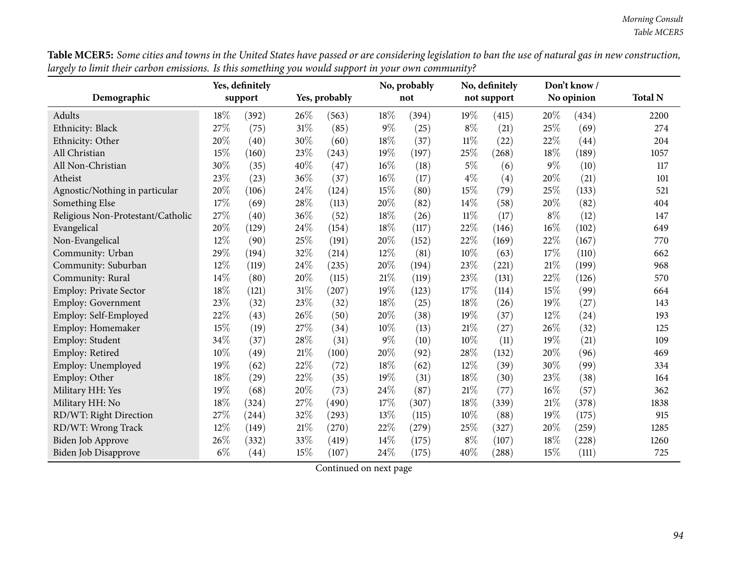Table MCER5: Some cities and towns in the United States have passed or are considering legislation to ban the use of natural gas in new construction, largely to limit their carbon emissions. Is this something you would support in your own community?

|                                   |       | Yes, definitely |        |               |        | No, probably |        | No, definitely |       | Don't know / |                |
|-----------------------------------|-------|-----------------|--------|---------------|--------|--------------|--------|----------------|-------|--------------|----------------|
| Demographic                       |       | support         |        | Yes, probably |        | not          |        | not support    |       | No opinion   | <b>Total N</b> |
| Adults                            | 18%   | (392)           | 26\%   | (563)         | 18%    | (394)        | 19%    | (415)          | 20%   | (434)        | 2200           |
| Ethnicity: Black                  | 27%   | (75)            | $31\%$ | (85)          | $9\%$  | (25)         | $8\%$  | (21)           | 25%   | (69)         | 274            |
| Ethnicity: Other                  | 20%   | (40)            | 30%    | (60)          | 18%    | (37)         | $11\%$ | (22)           | 22%   | (44)         | 204            |
| All Christian                     | 15%   | (160)           | 23%    | (243)         | 19%    | (197)        | 25%    | (268)          | 18%   | (189)        | 1057           |
| All Non-Christian                 | 30%   | (35)            | 40%    | (47)          | 16%    | (18)         | $5\%$  | (6)            | $9\%$ | (10)         | 117            |
| Atheist                           | 23%   | (23)            | 36%    | (37)          | 16%    | (17)         | $4\%$  | (4)            | 20%   | (21)         | 101            |
| Agnostic/Nothing in particular    | 20%   | (106)           | 24\%   | (124)         | 15%    | (80)         | 15%    | (79)           | 25%   | (133)        | 521            |
| Something Else                    | 17%   | (69)            | 28\%   | (113)         | $20\%$ | (82)         | 14%    | (58)           | 20%   | (82)         | 404            |
| Religious Non-Protestant/Catholic | 27%   | (40)            | $36\%$ | (52)          | 18%    | (26)         | $11\%$ | (17)           | $8\%$ | (12)         | 147            |
| Evangelical                       | 20%   | (129)           | 24\%   | (154)         | 18%    | (117)        | 22%    | (146)          | 16%   | (102)        | 649            |
| Non-Evangelical                   | 12%   | (90)            | 25%    | (191)         | 20%    | (152)        | 22%    | (169)          | 22%   | (167)        | 770            |
| Community: Urban                  | 29%   | (194)           | 32%    | (214)         | 12%    | (81)         | 10%    | (63)           | 17%   | (110)        | 662            |
| Community: Suburban               | 12%   | (119)           | 24%    | (235)         | 20%    | (194)        | 23%    | (221)          | 21%   | (199)        | 968            |
| Community: Rural                  | 14%   | (80)            | 20%    | (115)         | 21%    | (119)        | 23%    | (131)          | 22%   | (126)        | 570            |
| Employ: Private Sector            | 18%   | (121)           | $31\%$ | (207)         | 19%    | (123)        | 17%    | (114)          | 15%   | (99)         | 664            |
| Employ: Government                | 23%   | (32)            | 23\%   | (32)          | $18\%$ | (25)         | 18%    | (26)           | 19%   | (27)         | 143            |
| Employ: Self-Employed             | 22%   | (43)            | 26%    | (50)          | 20%    | (38)         | 19%    | (37)           | 12%   | (24)         | 193            |
| Employ: Homemaker                 | 15%   | (19)            | 27%    | (34)          | 10%    | (13)         | 21\%   | (27)           | 26%   | (32)         | 125            |
| Employ: Student                   | 34%   | (37)            | 28\%   | (31)          | $9\%$  | (10)         | 10%    | (11)           | 19%   | (21)         | 109            |
| Employ: Retired                   | 10%   | (49)            | $21\%$ | (100)         | 20%    | (92)         | 28%    | (132)          | 20%   | (96)         | 469            |
| Employ: Unemployed                | 19%   | (62)            | 22%    | (72)          | 18%    | (62)         | 12%    | (39)           | 30%   | (99)         | 334            |
| Employ: Other                     | 18%   | (29)            | 22%    | (35)          | 19%    | (31)         | 18%    | (30)           | 23%   | (38)         | 164            |
| Military HH: Yes                  | 19%   | (68)            | 20%    | (73)          | 24%    | (87)         | 21%    | (77)           | 16%   | (57)         | 362            |
| Military HH: No                   | 18%   | (324)           | 27%    | (490)         | 17%    | (307)        | 18%    | (339)          | 21%   | (378)        | 1838           |
| RD/WT: Right Direction            | 27%   | (244)           | 32%    | (293)         | 13%    | (115)        | 10%    | (88)           | 19%   | (175)        | 915            |
| RD/WT: Wrong Track                | 12%   | (149)           | $21\%$ | (270)         | 22%    | (279)        | 25%    | (327)          | 20%   | (259)        | 1285           |
| Biden Job Approve                 | 26%   | (332)           | 33%    | (419)         | 14%    | (175)        | $8\%$  | (107)          | 18%   | (228)        | 1260           |
| <b>Biden Job Disapprove</b>       | $6\%$ | (44)            | 15%    | (107)         | 24%    | (175)        | $40\%$ | (288)          | 15%   | (111)        | 725            |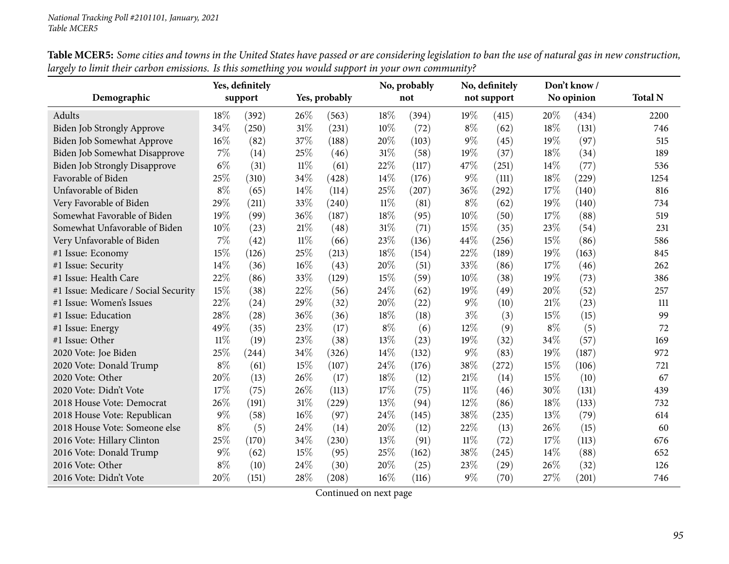|                                      | Yes, definitely |         |        |               | No, probably |       | No, definitely |             | Don't know / |            |                |
|--------------------------------------|-----------------|---------|--------|---------------|--------------|-------|----------------|-------------|--------------|------------|----------------|
| Demographic                          |                 | support |        | Yes, probably |              | not   |                | not support |              | No opinion | <b>Total N</b> |
| Adults                               | 18%             | (392)   | 26\%   | (563)         | 18%          | (394) | 19%            | (415)       | 20%          | (434)      | 2200           |
| Biden Job Strongly Approve           | 34\%            | (250)   | $31\%$ | (231)         | 10%          | (72)  | $8\%$          | (62)        | 18%          | (131)      | 746            |
| Biden Job Somewhat Approve           | 16%             | (82)    | 37%    | (188)         | 20%          | (103) | 9%             | (45)        | 19%          | (97)       | 515            |
| Biden Job Somewhat Disapprove        | $7\%$           | (14)    | 25%    | (46)          | 31%          | (58)  | 19%            | (37)        | 18%          | (34)       | 189            |
| <b>Biden Job Strongly Disapprove</b> | $6\%$           | (31)    | $11\%$ | (61)          | 22%          | (117) | 47%            | (251)       | 14%          | (77)       | 536            |
| Favorable of Biden                   | 25%             | (310)   | 34\%   | (428)         | 14%          | (176) | $9\%$          | (111)       | 18%          | (229)      | 1254           |
| Unfavorable of Biden                 | $8\%$           | (65)    | 14\%   | (114)         | 25%          | (207) | 36%            | (292)       | 17%          | (140)      | 816            |
| Very Favorable of Biden              | 29%             | (211)   | 33%    | (240)         | $11\%$       | (81)  | $8\%$          | (62)        | 19%          | (140)      | 734            |
| Somewhat Favorable of Biden          | 19%             | (99)    | 36%    | (187)         | 18%          | (95)  | 10%            | (50)        | 17%          | (88)       | 519            |
| Somewhat Unfavorable of Biden        | 10%             | (23)    | 21%    | (48)          | 31%          | (71)  | 15%            | (35)        | 23%          | (54)       | 231            |
| Very Unfavorable of Biden            | 7%              | (42)    | $11\%$ | (66)          | 23%          | (136) | 44%            | (256)       | 15%          | (86)       | 586            |
| #1 Issue: Economy                    | 15%             | (126)   | 25%    | (213)         | 18%          | (154) | 22%            | (189)       | 19%          | (163)      | 845            |
| #1 Issue: Security                   | 14%             | (36)    | $16\%$ | (43)          | 20%          | (51)  | 33%            | (86)        | 17%          | (46)       | 262            |
| #1 Issue: Health Care                | 22%             | (86)    | 33%    | (129)         | 15%          | (59)  | 10%            | (38)        | 19%          | (73)       | 386            |
| #1 Issue: Medicare / Social Security | 15%             | (38)    | 22%    | (56)          | 24%          | (62)  | 19%            | (49)        | 20%          | (52)       | 257            |
| #1 Issue: Women's Issues             | 22%             | (24)    | 29%    | (32)          | 20%          | (22)  | $9\%$          | (10)        | 21%          | (23)       | 111            |
| #1 Issue: Education                  | 28%             | (28)    | 36%    | (36)          | 18%          | (18)  | $3\%$          | (3)         | 15%          | (15)       | 99             |
| #1 Issue: Energy                     | 49%             | (35)    | 23%    | (17)          | $8\%$        | (6)   | 12%            | (9)         | $8\%$        | (5)        | 72             |
| #1 Issue: Other                      | $11\%$          | (19)    | 23%    | (38)          | 13%          | (23)  | 19%            | (32)        | 34%          | (57)       | 169            |
| 2020 Vote: Joe Biden                 | 25%             | (244)   | 34%    | (326)         | 14%          | (132) | 9%             | (83)        | 19%          | (187)      | 972            |
| 2020 Vote: Donald Trump              | $8\%$           | (61)    | $15\%$ | (107)         | 24%          | (176) | 38%            | (272)       | 15%          | (106)      | 721            |
| 2020 Vote: Other                     | 20%             | (13)    | 26%    | (17)          | 18%          | (12)  | 21\%           | (14)        | 15%          | (10)       | 67             |
| 2020 Vote: Didn't Vote               | 17%             | (75)    | 26%    | (113)         | 17%          | (75)  | $11\%$         | (46)        | 30%          | (131)      | 439            |
| 2018 House Vote: Democrat            | 26%             | (191)   | $31\%$ | (229)         | 13%          | (94)  | 12%            | (86)        | 18%          | (133)      | 732            |
| 2018 House Vote: Republican          | 9%              | (58)    | $16\%$ | (97)          | 24%          | (145) | 38%            | (235)       | 13\%         | (79)       | 614            |
| 2018 House Vote: Someone else        | $8\%$           | (5)     | 24\%   | (14)          | 20%          | (12)  | 22%            | (13)        | 26%          | (15)       | 60             |
| 2016 Vote: Hillary Clinton           | 25%             | (170)   | 34%    | (230)         | 13%          | (91)  | $11\%$         | (72)        | 17%          | (113)      | 676            |
| 2016 Vote: Donald Trump              | 9%              | (62)    | 15%    | (95)          | 25%          | (162) | 38%            | (245)       | $14\%$       | (88)       | 652            |
| 2016 Vote: Other                     | $8\%$           | (10)    | 24\%   | (30)          | 20%          | (25)  | 23%            | (29)        | 26%          | (32)       | 126            |
| 2016 Vote: Didn't Vote               | 20%             | (151)   | 28%    | (208)         | 16%          | (116) | $9\%$          | (70)        | 27%          | (201)      | 746            |

Table MCER5: Some cities and towns in the United States have passed or are considering legislation to ban the use of natural gas in new construction, largely to limit their carbon emissions. Is this something you would support in your own community?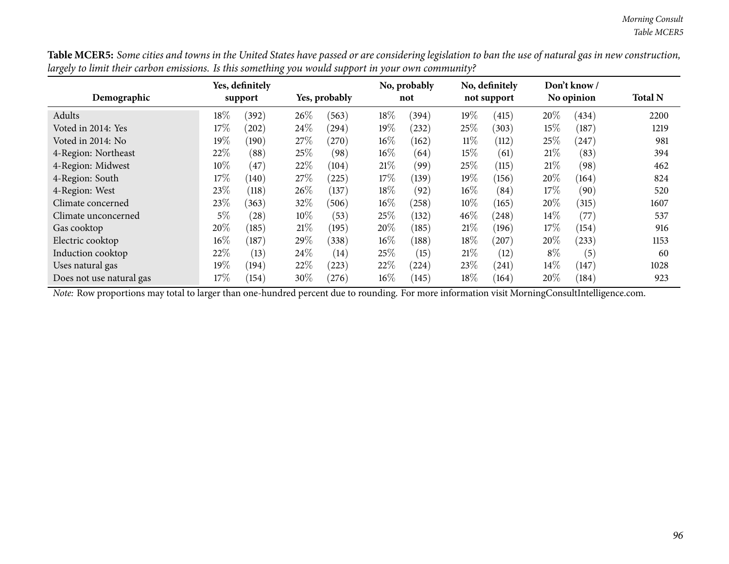Table MCER5: Some cities and towns in the United States have passed or are considering legislation to ban the use of natural gas in new construction, largely to limit their carbon emissions. Is this something you would support in your own community?

|                          | Yes, definitely |            |        |               | No, probably | No, definitely |        | Don't know/ |        |                   |                |
|--------------------------|-----------------|------------|--------|---------------|--------------|----------------|--------|-------------|--------|-------------------|----------------|
| Demographic              |                 | support    |        | Yes, probably |              | not            |        | not support |        | No opinion        | <b>Total N</b> |
| Adults                   | $18\%$          | (392)      | $26\%$ | (563)         | 18%          | (394)          | 19%    | (415)       | 20%    | (434)             | 2200           |
| Voted in 2014: Yes       | 17%             | $^{'}202$  | 24\%   | (294)         | 19%          | (232)          | 25%    | (303)       | 15%    | (187)             | 1219           |
| Voted in 2014: No        | 19%             | (190)      | 27\%   | $^{'}270)$    | $16\%$       | (162)          | $11\%$ | (112)       | 25%    | (247)             | 981            |
| 4-Region: Northeast      | 22%             | (88)       | 25%    | (98)          | $16\%$       | (64)           | 15%    | (61)        | $21\%$ | (83)              | 394            |
| 4-Region: Midwest        | $10\%$          | (47)       | 22\%   | (104)         | 21%          | (99)           | $25\%$ | (115)       | 21%    | (98)              | 462            |
| 4-Region: South          | 17%             | (140)      | 27\%   | (225)         | 17%          | (139)          | 19%    | (156)       | $20\%$ | (164)             | 824            |
| 4-Region: West           | 23%             | (118)      | 26%    | (137)         | 18%          | (92)           | 16%    | (84)        | $17\%$ | (90)              | 520            |
| Climate concerned        | 23\%            | (363)      | 32\%   | (506)         | $16\%$       | (258)          | 10%    | (165)       | 20%    | (315)             | 1607           |
| Climate unconcerned      | 5%              | (28)       | 10\%   | (53)          | 25%          | (132)          | 46\%   | (248)       | $14\%$ | (77)              | 537            |
| Gas cooktop              | 20%             | (185)      | 21%    | (195)         | 20%          | (185)          | 21\%   | (196)       | 17%    | (154)             | 916            |
| Electric cooktop         | $16\%$          | (187)      | 29%    | (338)         | 16%          | (188)          | 18%    | (207)       | 20%    | (233)             | 1153           |
| Induction cooktop        | 22%             | (13)       | 24\%   | (14)          | 25%          | (15)           | $21\%$ | (12)        | $8\%$  | $\left( 5\right)$ | 60             |
| Uses natural gas         | 19%             | $^{'}194)$ | 22%    | (223)         | 22%          | (224)          | 23\%   | (241)       | $14\%$ | (147)             | 1028           |
| Does not use natural gas | 17%             | (154)      | 30%    | $^{'}276)$    | 16%          | (145)          | 18%    | (164)       | 20%    | (184)             | 923            |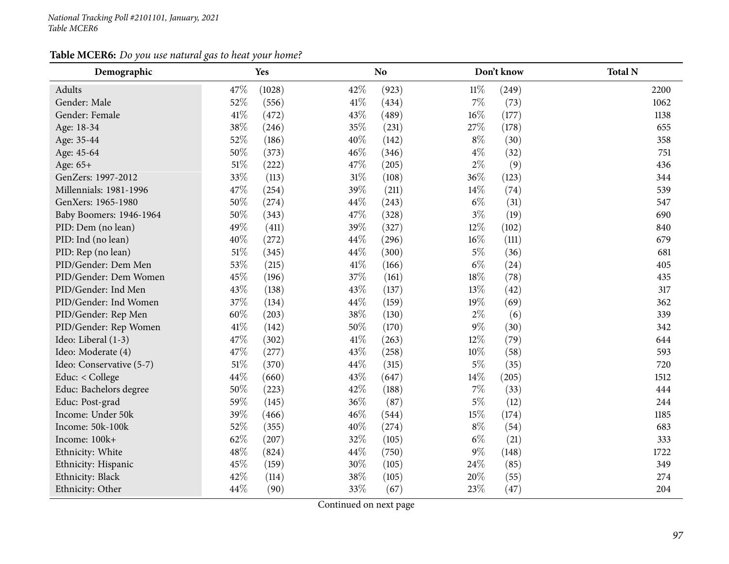#### *National Tracking Poll #2101101, January, <sup>2021</sup> Table MCER6*

## **Table MCER6:** *Do you use natural gas to heat your home?*

| Demographic              |        | Yes    |        | N <sub>o</sub> |        | Don't know | <b>Total N</b> |
|--------------------------|--------|--------|--------|----------------|--------|------------|----------------|
| Adults                   | 47%    | (1028) | 42%    | (923)          | $11\%$ | (249)      | 2200           |
| Gender: Male             | 52%    | (556)  | $41\%$ | (434)          | $7\%$  | (73)       | 1062           |
| Gender: Female           | $41\%$ | (472)  | 43%    | (489)          | $16\%$ | (177)      | 1138           |
| Age: 18-34               | 38%    | (246)  | 35%    | (231)          | 27%    | (178)      | 655            |
| Age: 35-44               | 52%    | (186)  | 40%    | (142)          | $8\%$  | (30)       | 358            |
| Age: 45-64               | 50%    | (373)  | 46%    | (346)          | $4\%$  | (32)       | 751            |
| Age: 65+                 | $51\%$ | (222)  | 47%    | (205)          | $2\%$  | (9)        | 436            |
| GenZers: 1997-2012       | 33%    | (113)  | $31\%$ | (108)          | 36%    | (123)      | 344            |
| Millennials: 1981-1996   | 47%    | (254)  | 39%    | (211)          | 14%    | (74)       | 539            |
| GenXers: 1965-1980       | $50\%$ | (274)  | $44\%$ | (243)          | $6\%$  | (31)       | 547            |
| Baby Boomers: 1946-1964  | $50\%$ | (343)  | $47\%$ | (328)          | $3\%$  | (19)       | 690            |
| PID: Dem (no lean)       | 49%    | (411)  | 39%    | (327)          | $12\%$ | (102)      | 840            |
| PID: Ind (no lean)       | 40%    | (272)  | 44\%   | (296)          | $16\%$ | (111)      | 679            |
| PID: Rep (no lean)       | $51\%$ | (345)  | 44\%   | (300)          | $5\%$  | (36)       | 681            |
| PID/Gender: Dem Men      | 53%    | (215)  | $41\%$ | (166)          | $6\%$  | (24)       | 405            |
| PID/Gender: Dem Women    | 45%    | (196)  | 37%    | (161)          | $18\%$ | (78)       | 435            |
| PID/Gender: Ind Men      | 43%    | (138)  | 43%    | (137)          | 13%    | (42)       | 317            |
| PID/Gender: Ind Women    | $37\%$ | (134)  | 44\%   | (159)          | 19%    | (69)       | 362            |
| PID/Gender: Rep Men      | $60\%$ | (203)  | $38\%$ | (130)          | $2\%$  | (6)        | 339            |
| PID/Gender: Rep Women    | $41\%$ | (142)  | $50\%$ | (170)          | $9\%$  | (30)       | 342            |
| Ideo: Liberal (1-3)      | 47%    | (302)  | $41\%$ | (263)          | 12%    | (79)       | 644            |
| Ideo: Moderate (4)       | 47%    | (277)  | 43%    | (258)          | $10\%$ | (58)       | 593            |
| Ideo: Conservative (5-7) | $51\%$ | (370)  | 44\%   | (315)          | $5\%$  | (35)       | 720            |
| Educ: < College          | 44%    | (660)  | 43%    | (647)          | 14%    | (205)      | 1512           |
| Educ: Bachelors degree   | 50%    | (223)  | 42\%   | (188)          | 7%     | (33)       | 444            |
| Educ: Post-grad          | 59%    | (145)  | $36\%$ | (87)           | $5\%$  | (12)       | 244            |
| Income: Under 50k        | 39%    | (466)  | $46\%$ | (544)          | $15\%$ | (174)      | 1185           |
| Income: 50k-100k         | 52%    | (355)  | $40\%$ | (274)          | $8\%$  | (54)       | 683            |
| Income: 100k+            | $62\%$ | (207)  | 32%    | (105)          | $6\%$  | (21)       | 333            |
| Ethnicity: White         | 48%    | (824)  | 44%    | (750)          | $9\%$  | (148)      | 1722           |
| Ethnicity: Hispanic      | 45%    | (159)  | 30%    | (105)          | 24%    | (85)       | 349            |
| Ethnicity: Black         | 42%    | (114)  | 38%    | (105)          | 20%    | (55)       | 274            |
| Ethnicity: Other         | 44%    | (90)   | 33%    | (67)           | 23%    | (47)       | 204            |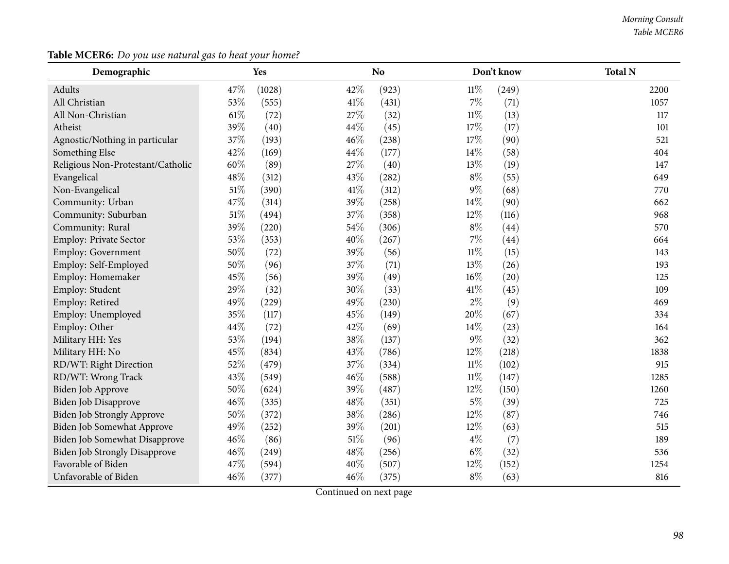#### *Morning Consult Table MCER6*

## **Table MCER6:** *Do you use natural gas to heat your home?*

| Demographic                          | Yes    |        |        | N <sub>o</sub> |        | Don't know | <b>Total N</b> |
|--------------------------------------|--------|--------|--------|----------------|--------|------------|----------------|
| Adults                               | 47%    | (1028) | 42%    | (923)          | $11\%$ | (249)      | 2200           |
| All Christian                        | 53%    | (555)  | $41\%$ | (431)          | 7%     | (71)       | 1057           |
| All Non-Christian                    | 61\%   | (72)   | 27%    | (32)           | $11\%$ | (13)       | 117            |
| Atheist                              | 39%    | (40)   | 44%    | (45)           | $17\%$ | (17)       | 101            |
| Agnostic/Nothing in particular       | 37%    | (193)  | 46%    | (238)          | 17%    | (90)       | 521            |
| Something Else                       | 42%    | (169)  | 44%    | (177)          | 14%    | (58)       | 404            |
| Religious Non-Protestant/Catholic    | 60%    | (89)   | 27%    | (40)           | 13%    | (19)       | 147            |
| Evangelical                          | 48%    | (312)  | 43%    | (282)          | $8\%$  | (55)       | 649            |
| Non-Evangelical                      | $51\%$ | (390)  | $41\%$ | (312)          | 9%     | (68)       | 770            |
| Community: Urban                     | 47%    | (314)  | 39%    | (258)          | 14%    | (90)       | 662            |
| Community: Suburban                  | $51\%$ | (494)  | 37%    | (358)          | 12%    | (116)      | 968            |
| Community: Rural                     | 39%    | (220)  | 54%    | (306)          | $8\%$  | (44)       | 570            |
| Employ: Private Sector               | 53%    | (353)  | 40%    | (267)          | $7\%$  | (44)       | 664            |
| Employ: Government                   | 50%    | (72)   | 39%    | (56)           | $11\%$ | (15)       | 143            |
| Employ: Self-Employed                | 50%    | (96)   | 37%    | (71)           | 13%    | (26)       | 193            |
| Employ: Homemaker                    | 45%    | (56)   | 39%    | (49)           | $16\%$ | (20)       | 125            |
| Employ: Student                      | 29%    | (32)   | 30%    | (33)           | 41%    | (45)       | 109            |
| Employ: Retired                      | 49%    | (229)  | 49%    | (230)          | $2\%$  | (9)        | 469            |
| Employ: Unemployed                   | 35%    | (117)  | 45%    | (149)          | 20%    | (67)       | 334            |
| Employ: Other                        | 44%    | (72)   | 42%    | (69)           | 14%    | (23)       | 164            |
| Military HH: Yes                     | 53%    | (194)  | 38%    | (137)          | $9\%$  | (32)       | 362            |
| Military HH: No                      | 45%    | (834)  | 43%    | (786)          | 12%    | (218)      | 1838           |
| RD/WT: Right Direction               | 52%    | (479)  | 37%    | (334)          | $11\%$ | (102)      | 915            |
| RD/WT: Wrong Track                   | 43%    | (549)  | 46%    | (588)          | $11\%$ | (147)      | 1285           |
| Biden Job Approve                    | 50%    | (624)  | 39%    | (487)          | 12%    | (150)      | 1260           |
| Biden Job Disapprove                 | 46%    | (335)  | 48%    | (351)          | $5\%$  | (39)       | 725            |
| <b>Biden Job Strongly Approve</b>    | 50%    | (372)  | $38\%$ | (286)          | 12%    | (87)       | 746            |
| Biden Job Somewhat Approve           | 49%    | (252)  | 39%    | (201)          | 12%    | (63)       | 515            |
| Biden Job Somewhat Disapprove        | 46%    | (86)   | $51\%$ | (96)           | $4\%$  | (7)        | 189            |
| <b>Biden Job Strongly Disapprove</b> | 46%    | (249)  | 48%    | (256)          | $6\%$  | (32)       | 536            |
| Favorable of Biden                   | 47%    | (594)  | 40%    | (507)          | 12%    | (152)      | 1254           |
| Unfavorable of Biden                 | 46%    | (377)  | 46%    | (375)          | $8\%$  | (63)       | 816            |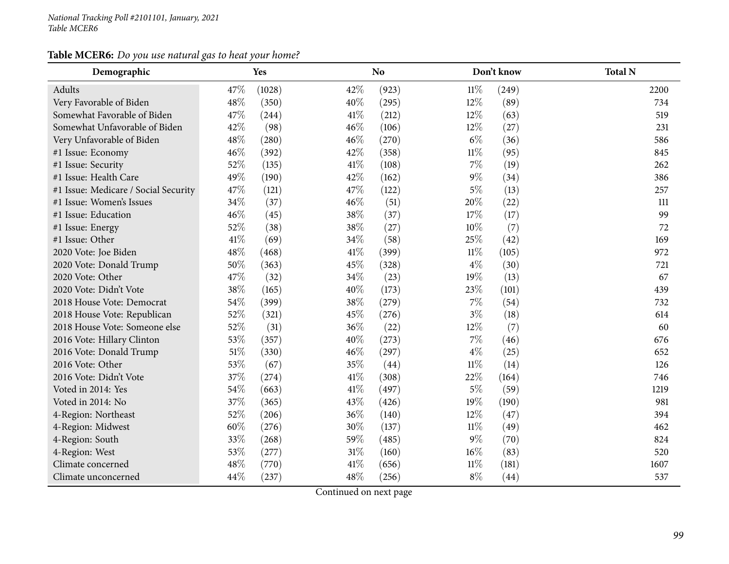## **Table MCER6:** *Do you use natural gas to heat your home?*

| Demographic                          |        | Yes    |        | <b>No</b> |        | Don't know | <b>Total N</b> |
|--------------------------------------|--------|--------|--------|-----------|--------|------------|----------------|
| Adults                               | 47%    | (1028) | 42%    | (923)     | $11\%$ | (249)      | 2200           |
| Very Favorable of Biden              | 48%    | (350)  | 40%    | (295)     | 12%    | (89)       | 734            |
| Somewhat Favorable of Biden          | 47%    | (244)  | 41\%   | (212)     | 12%    | (63)       | 519            |
| Somewhat Unfavorable of Biden        | 42%    | (98)   | 46%    | (106)     | $12\%$ | (27)       | 231            |
| Very Unfavorable of Biden            | 48%    | (280)  | 46%    | (270)     | $6\%$  | (36)       | 586            |
| #1 Issue: Economy                    | 46%    | (392)  | 42%    | (358)     | $11\%$ | (95)       | 845            |
| #1 Issue: Security                   | 52%    | (135)  | 41\%   | (108)     | $7\%$  | (19)       | 262            |
| #1 Issue: Health Care                | 49%    | (190)  | 42%    | (162)     | $9\%$  | (34)       | 386            |
| #1 Issue: Medicare / Social Security | 47%    | (121)  | 47%    | (122)     | $5\%$  | (13)       | 257            |
| #1 Issue: Women's Issues             | 34%    | (37)   | 46%    | (51)      | 20%    | (22)       | 111            |
| #1 Issue: Education                  | 46%    | (45)   | 38%    | (37)      | 17%    | (17)       | 99             |
| #1 Issue: Energy                     | 52%    | (38)   | 38%    | (27)      | 10%    | (7)        | 72             |
| #1 Issue: Other                      | 41\%   | (69)   | 34%    | (58)      | 25%    | (42)       | 169            |
| 2020 Vote: Joe Biden                 | 48%    | (468)  | 41\%   | (399)     | $11\%$ | (105)      | 972            |
| 2020 Vote: Donald Trump              | 50%    | (363)  | 45%    | (328)     | $4\%$  | (30)       | 721            |
| 2020 Vote: Other                     | 47%    | (32)   | 34%    | (23)      | 19%    | (13)       | 67             |
| 2020 Vote: Didn't Vote               | 38%    | (165)  | 40%    | (173)     | 23%    | (101)      | 439            |
| 2018 House Vote: Democrat            | 54%    | (399)  | 38%    | (279)     | $7\%$  | (54)       | 732            |
| 2018 House Vote: Republican          | 52%    | (321)  | 45%    | (276)     | $3\%$  | (18)       | 614            |
| 2018 House Vote: Someone else        | 52%    | (31)   | 36%    | (22)      | 12%    | (7)        | 60             |
| 2016 Vote: Hillary Clinton           | 53%    | (357)  | 40%    | (273)     | 7%     | (46)       | 676            |
| 2016 Vote: Donald Trump              | $51\%$ | (330)  | 46%    | (297)     | $4\%$  | (25)       | 652            |
| 2016 Vote: Other                     | 53%    | (67)   | 35%    | (44)      | $11\%$ | (14)       | 126            |
| 2016 Vote: Didn't Vote               | 37%    | (274)  | 41\%   | (308)     | 22%    | (164)      | 746            |
| Voted in 2014: Yes                   | 54%    | (663)  | 41\%   | (497)     | $5\%$  | (59)       | 1219           |
| Voted in 2014: No                    | 37%    | (365)  | 43%    | (426)     | 19%    | (190)      | 981            |
| 4-Region: Northeast                  | 52%    | (206)  | 36%    | (140)     | 12%    | (47)       | 394            |
| 4-Region: Midwest                    | 60%    | (276)  | 30%    | (137)     | $11\%$ | (49)       | 462            |
| 4-Region: South                      | 33%    | (268)  | 59%    | (485)     | $9\%$  | (70)       | 824            |
| 4-Region: West                       | 53%    | (277)  | $31\%$ | (160)     | $16\%$ | (83)       | 520            |
| Climate concerned                    | 48%    | (770)  | 41\%   | (656)     | 11%    | (181)      | 1607           |
| Climate unconcerned                  | 44%    | (237)  | 48%    | (256)     | $8\%$  | (44)       | 537            |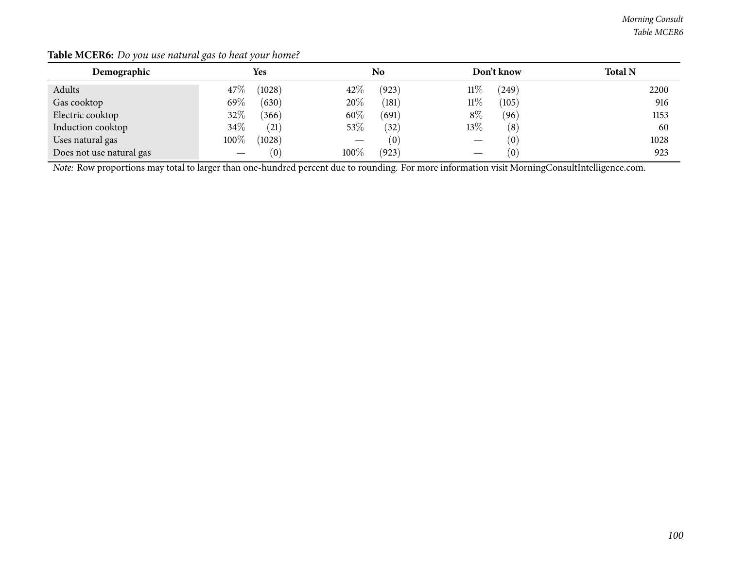| Demographic                                                                                                                                    |        | Yes                |        | No    |        | Don't know | <b>Total N</b> |  |  |  |
|------------------------------------------------------------------------------------------------------------------------------------------------|--------|--------------------|--------|-------|--------|------------|----------------|--|--|--|
| Adults                                                                                                                                         | $47\%$ | (1028)             | $42\%$ | (923) | 11%    | (249)      | 2200           |  |  |  |
| Gas cooktop                                                                                                                                    | 69\%   | (630)              | $20\%$ | (181) | $11\%$ | (105)      | 916            |  |  |  |
| Electric cooktop                                                                                                                               | $32\%$ | (366)              | 60\%   | (691) | $8\%$  | (96)       | 1153           |  |  |  |
| Induction cooktop                                                                                                                              | $34\%$ | (21)               | 53\%   | (32)  | $13\%$ | (8)        | 60             |  |  |  |
| Uses natural gas                                                                                                                               | 100%   | (1028)             |        | (0)   |        | (0)        | 1028           |  |  |  |
| Does not use natural gas                                                                                                                       |        | $\left( 0 \right)$ | 100\%  | (923) |        | (0)        | 923            |  |  |  |
| Note: Row proportions may total to larger than one-hundred percent due to rounding. For more information visit MorningConsultIntelligence.com. |        |                    |        |       |        |            |                |  |  |  |

#### **Table MCER6:** *Do you use natural gas to heat your home?*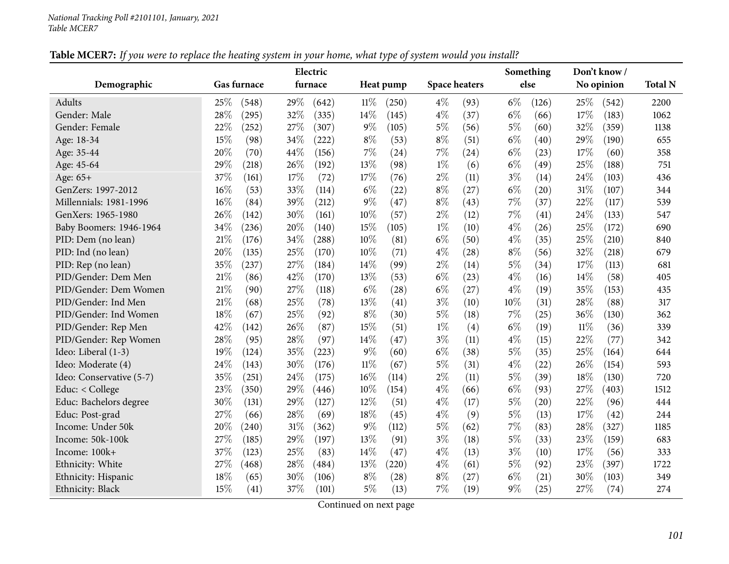|                          |     |             |      | Electric |        |           |       |                      |       | Something |        | Don't know / |                |
|--------------------------|-----|-------------|------|----------|--------|-----------|-------|----------------------|-------|-----------|--------|--------------|----------------|
| Demographic              |     | Gas furnace |      | furnace  |        | Heat pump |       | <b>Space heaters</b> |       | else      |        | No opinion   | <b>Total N</b> |
| <b>Adults</b>            | 25% | (548)       | 29%  | (642)    | $11\%$ | (250)     | $4\%$ | (93)                 | $6\%$ | (126)     | 25%    | (542)        | 2200           |
| Gender: Male             | 28% | (295)       | 32%  | (335)    | 14%    | (145)     | $4\%$ | (37)                 | $6\%$ | (66)      | 17%    | (183)        | 1062           |
| Gender: Female           | 22% | (252)       | 27%  | (307)    | 9%     | (105)     | $5\%$ | (56)                 | $5\%$ | (60)      | 32%    | (359)        | 1138           |
| Age: 18-34               | 15% | (98)        | 34%  | (222)    | $8\%$  | (53)      | $8\%$ | (51)                 | $6\%$ | (40)      | 29%    | (190)        | 655            |
| Age: 35-44               | 20% | (70)        | 44\% | (156)    | 7%     | (24)      | $7\%$ | (24)                 | $6\%$ | (23)      | 17%    | (60)         | 358            |
| Age: 45-64               | 29% | (218)       | 26\% | (192)    | 13%    | (98)      | $1\%$ | (6)                  | $6\%$ | (49)      | 25%    | (188)        | 751            |
| Age: 65+                 | 37% | (161)       | 17%  | (72)     | 17%    | (76)      | $2\%$ | (11)                 | $3\%$ | (14)      | 24%    | (103)        | 436            |
| GenZers: 1997-2012       | 16% | (53)        | 33%  | (114)    | $6\%$  | (22)      | $8\%$ | (27)                 | $6\%$ | (20)      | 31%    | (107)        | 344            |
| Millennials: 1981-1996   | 16% | (84)        | 39%  | (212)    | $9\%$  | (47)      | $8\%$ | (43)                 | 7%    | (37)      | 22%    | (117)        | 539            |
| GenXers: 1965-1980       | 26% | (142)       | 30%  | (161)    | 10%    | (57)      | $2\%$ | (12)                 | 7%    | (41)      | 24%    | (133)        | 547            |
| Baby Boomers: 1946-1964  | 34% | (236)       | 20%  | (140)    | 15%    | (105)     | $1\%$ | (10)                 | $4\%$ | (26)      | 25%    | (172)        | 690            |
| PID: Dem (no lean)       | 21% | (176)       | 34%  | (288)    | 10%    | (81)      | $6\%$ | (50)                 | $4\%$ | (35)      | 25%    | (210)        | 840            |
| PID: Ind (no lean)       | 20% | (135)       | 25%  | (170)    | 10%    | (71)      | $4\%$ | (28)                 | $8\%$ | (56)      | 32%    | (218)        | 679            |
| PID: Rep (no lean)       | 35% | (237)       | 27%  | (184)    | 14%    | (99)      | $2\%$ | (14)                 | $5\%$ | (34)      | 17%    | (113)        | 681            |
| PID/Gender: Dem Men      | 21% | (86)        | 42%  | (170)    | 13%    | (53)      | $6\%$ | (23)                 | $4\%$ | (16)      | 14\%   | (58)         | 405            |
| PID/Gender: Dem Women    | 21% | (90)        | 27%  | (118)    | $6\%$  | (28)      | $6\%$ | (27)                 | $4\%$ | (19)      | 35%    | (153)        | 435            |
| PID/Gender: Ind Men      | 21% | (68)        | 25%  | (78)     | 13%    | (41)      | $3\%$ | (10)                 | 10%   | (31)      | 28%    | (88)         | 317            |
| PID/Gender: Ind Women    | 18% | (67)        | 25%  | (92)     | $8\%$  | (30)      | $5\%$ | (18)                 | 7%    | (25)      | 36%    | (130)        | 362            |
| PID/Gender: Rep Men      | 42% | (142)       | 26%  | (87)     | 15%    | (51)      | $1\%$ | (4)                  | $6\%$ | (19)      | $11\%$ | (36)         | 339            |
| PID/Gender: Rep Women    | 28% | (95)        | 28%  | (97)     | 14%    | (47)      | $3\%$ | (11)                 | $4\%$ | (15)      | 22%    | (77)         | 342            |
| Ideo: Liberal (1-3)      | 19% | (124)       | 35%  | (223)    | 9%     | (60)      | $6\%$ | (38)                 | 5%    | (35)      | 25%    | (164)        | 644            |
| Ideo: Moderate (4)       | 24% | (143)       | 30%  | (176)    | $11\%$ | (67)      | $5\%$ | (31)                 | $4\%$ | (22)      | 26%    | (154)        | 593            |
| Ideo: Conservative (5-7) | 35% | (251)       | 24%  | (175)    | 16%    | (114)     | $2\%$ | (11)                 | $5\%$ | (39)      | 18%    | (130)        | 720            |
| Educ: < College          | 23% | (350)       | 29%  | (446)    | 10%    | (154)     | $4\%$ | (66)                 | $6\%$ | (93)      | 27%    | (403)        | 1512           |
| Educ: Bachelors degree   | 30% | (131)       | 29%  | (127)    | 12%    | (51)      | $4\%$ | (17)                 | $5\%$ | (20)      | 22%    | (96)         | 444            |
| Educ: Post-grad          | 27% | (66)        | 28%  | (69)     | 18%    | (45)      | $4\%$ | (9)                  | $5\%$ | (13)      | 17%    | (42)         | 244            |
| Income: Under 50k        | 20% | (240)       | 31%  | (362)    | 9%     | (112)     | $5\%$ | (62)                 | 7%    | (83)      | 28%    | (327)        | 1185           |
| Income: 50k-100k         | 27% | (185)       | 29%  | (197)    | 13%    | (91)      | $3\%$ | (18)                 | $5\%$ | (33)      | 23%    | (159)        | 683            |
| Income: 100k+            | 37% | (123)       | 25%  | (83)     | 14%    | (47)      | $4\%$ | (13)                 | $3\%$ | (10)      | 17%    | (56)         | 333            |
| Ethnicity: White         | 27% | (468)       | 28\% | (484)    | 13%    | (220)     | $4\%$ | (61)                 | $5\%$ | (92)      | 23%    | (397)        | 1722           |
| Ethnicity: Hispanic      | 18% | (65)        | 30%  | (106)    | $8\%$  | (28)      | $8\%$ | (27)                 | $6\%$ | (21)      | 30%    | (103)        | 349            |
| Ethnicity: Black         | 15% | (41)        | 37%  | (101)    | $5\%$  | (13)      | $7\%$ | (19)                 | 9%    | (25)      | 27%    | (74)         | 274            |

# Table MCER7: If you were to replace the heating system in your home, what type of system would you install?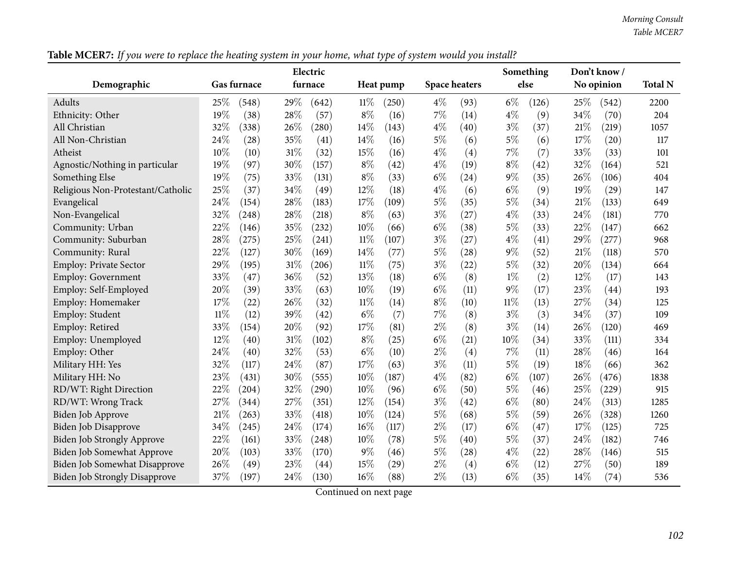|                                      |                 | Electric        | ╯▴              |                      | Something      | Don't know /  |                |
|--------------------------------------|-----------------|-----------------|-----------------|----------------------|----------------|---------------|----------------|
| Demographic                          | Gas furnace     | furnace         | Heat pump       | <b>Space heaters</b> | else           | No opinion    | <b>Total N</b> |
| Adults                               | 25\%<br>(548)   | 29%<br>(642)    | $11\%$<br>(250) | $4\%$<br>(93)        | $6\%$<br>(126) | 25%<br>(542)  | 2200           |
| Ethnicity: Other                     | 19%<br>(38)     | 28%<br>(57)     | $8\%$<br>(16)   | 7%<br>(14)           | $4\%$<br>(9)   | 34%<br>(70)   | 204            |
| All Christian                        | 32%<br>(338)    | 26\%<br>(280)   | 14%<br>(143)    | $4\%$<br>(40)        | $3\%$<br>(37)  | 21\%<br>(219) | 1057           |
| All Non-Christian                    | 24%<br>(28)     | 35%<br>(41)     | 14%<br>(16)     | $5\%$<br>(6)         | $5\%$<br>(6)   | 17%<br>(20)   | 117            |
| Atheist                              | 10%<br>(10)     | $31\%$<br>(32)  | 15%<br>(16)     | $4\%$<br>(4)         | 7%<br>(7)      | 33%<br>(33)   | 101            |
| Agnostic/Nothing in particular       | 19%<br>(97)     | 30%<br>(157)    | $8\%$<br>(42)   | 4%<br>(19)           | $8\%$<br>(42)  | 32%<br>(164)  | 521            |
| Something Else                       | 19%<br>(75)     | 33%<br>(131)    | $8\%$<br>(33)   | $6\%$<br>(24)        | $9\%$<br>(35)  | 26%<br>(106)  | 404            |
| Religious Non-Protestant/Catholic    | 25%<br>(37)     | 34%<br>(49)     | 12%<br>(18)     | $4\%$<br>(6)         | $6\%$<br>(9)   | 19%<br>(29)   | 147            |
| Evangelical                          | 24%<br>(154)    | 28%<br>(183)    | 17%<br>(109)    | 5%<br>(35)           | $5\%$<br>(34)  | 21%<br>(133)  | 649            |
| Non-Evangelical                      | 32%<br>(248)    | 28%<br>(218)    | $8\%$<br>(63)   | $3\%$<br>(27)        | $4\%$<br>(33)  | 24%<br>(181)  | 770            |
| Community: Urban                     | 22%<br>(146)    | 35%<br>(232)    | 10%<br>(66)     | $6\%$<br>(38)        | $5\%$<br>(33)  | 22%<br>(147)  | 662            |
| Community: Suburban                  | 28\%<br>(275)   | 25%<br>(241)    | 11%<br>(107)    | $3\%$<br>(27)        | $4\%$<br>(41)  | 29%<br>(277)  | 968            |
| Community: Rural                     | 22%<br>(127)    | 30%<br>(169)    | 14%<br>(77)     | $5\%$<br>(28)        | $9\%$<br>(52)  | 21%<br>(118)  | 570            |
| <b>Employ: Private Sector</b>        | 29%<br>(195)    | $31\%$<br>(206) | $11\%$<br>(75)  | $3\%$<br>(22)        | $5\%$<br>(32)  | 20%<br>(134)  | 664            |
| Employ: Government                   | 33%<br>(47)     | 36%<br>(52)     | 13%<br>(18)     | $6\%$<br>(8)         | $1\%$<br>(2)   | 12%<br>(17)   | 143            |
| Employ: Self-Employed                | 20%<br>(39)     | 33%<br>(63)     | 10%<br>(19)     | $6\%$<br>(11)        | $9\%$<br>(17)  | 23%<br>(44)   | 193            |
| Employ: Homemaker                    | 17%<br>(22)     | 26%<br>(32)     | 11%<br>(14)     | $8\%$<br>(10)        | $11\%$<br>(13) | 27%<br>(34)   | 125            |
| Employ: Student                      | $11\%$<br>(12)  | 39%<br>(42)     | $6\%$<br>(7)    | 7%<br>(8)            | $3\%$<br>(3)   | 34%<br>(37)   | 109            |
| Employ: Retired                      | 33%<br>(154)    | 20%<br>(92)     | 17%<br>(81)     | $2\%$<br>(8)         | $3\%$<br>(14)  | 26%<br>(120)  | 469            |
| Employ: Unemployed                   | 12%<br>(40)     | 31%<br>(102)    | $8\%$<br>(25)   | $6\%$<br>(21)        | 10%<br>(34)    | 33%<br>(111)  | 334            |
| Employ: Other                        | 24\%<br>(40)    | 32%<br>(53)     | $6\%$<br>(10)   | $2\%$<br>(4)         | 7%<br>(11)     | 28%<br>(46)   | 164            |
| Military HH: Yes                     | 32%<br>(117)    | 24\%<br>(87)    | 17%<br>(63)     | $3\%$<br>(11)        | $5\%$<br>(19)  | 18%<br>(66)   | 362            |
| Military HH: No                      | 23%<br>(431)    | 30%<br>(555)    | 10%<br>(187)    | $4\%$<br>(82)        | $6\%$<br>(107) | 26%<br>(476)  | 1838           |
| RD/WT: Right Direction               | 22%<br>(204)    | 32%<br>(290)    | 10%<br>(96)     | $6\%$<br>(50)        | $5\%$<br>(46)  | 25%<br>(229)  | 915            |
| RD/WT: Wrong Track                   | 27\%<br>(344)   | 27%<br>(351)    | 12%<br>(154)    | $3\%$<br>(42)        | $6\%$<br>(80)  | 24%<br>(313)  | 1285           |
| Biden Job Approve                    | $21\%$<br>(263) | 33%<br>(418)    | 10%<br>(124)    | 5%<br>(68)           | $5\%$<br>(59)  | 26%<br>(328)  | 1260           |
| Biden Job Disapprove                 | 34%<br>(245)    | 24\%<br>(174)   | 16%<br>(117)    | $2\%$<br>(17)        | $6\%$<br>(47)  | 17%<br>(125)  | 725            |
| <b>Biden Job Strongly Approve</b>    | 22%<br>(161)    | 33%<br>(248)    | 10%<br>(78)     | $5\%$<br>(40)        | $5\%$<br>(37)  | 24%<br>(182)  | 746            |
| <b>Biden Job Somewhat Approve</b>    | 20%<br>(103)    | 33%<br>(170)    | $9\%$<br>(46)   | $5\%$<br>(28)        | $4\%$<br>(22)  | 28%<br>(146)  | 515            |
| Biden Job Somewhat Disapprove        | 26%<br>(49)     | 23%<br>(44)     | 15%<br>(29)     | $2\%$<br>(4)         | $6\%$<br>(12)  | 27%<br>(50)   | 189            |
| <b>Biden Job Strongly Disapprove</b> | 37%<br>(197)    | 24\%<br>(130)   | 16%<br>(88)     | $2\%$<br>(13)        | $6\%$<br>(35)  | 14%<br>(74)   | 536            |

Table MCER7: If you were to replace the heating system in your home, what type of system would you install?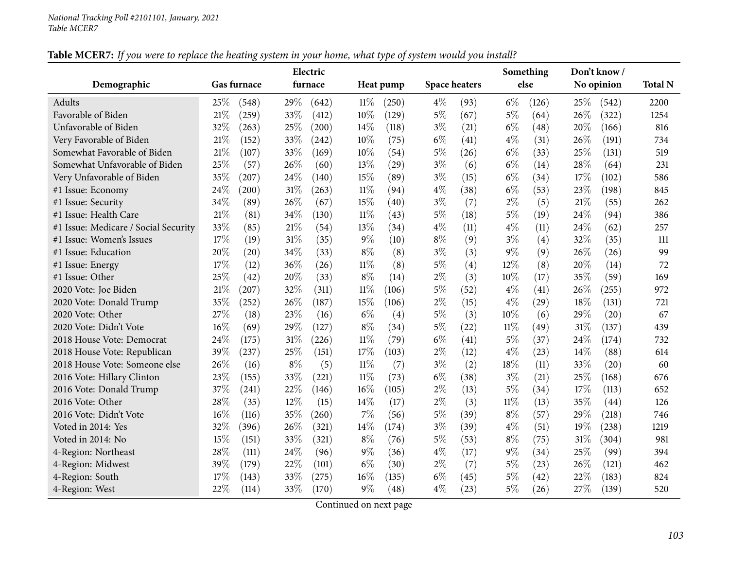|                                      |             |       |       | Electric |        |           |       |                      |        | Something          |        | Don't know / |                |
|--------------------------------------|-------------|-------|-------|----------|--------|-----------|-------|----------------------|--------|--------------------|--------|--------------|----------------|
| Demographic                          | Gas furnace |       |       | furnace  |        | Heat pump |       | <b>Space heaters</b> |        | else               |        | No opinion   | <b>Total N</b> |
| <b>Adults</b>                        | 25\%        | (548) | 29%   | (642)    | 11%    | (250)     | $4\%$ | (93)                 | $6\%$  | (126)              | 25\%   | (542)        | 2200           |
| Favorable of Biden                   | $21\%$      | (259) | 33%   | (412)    | 10%    | (129)     | $5\%$ | (67)                 | $5\%$  | (64)               | 26%    | (322)        | 1254           |
| Unfavorable of Biden                 | 32%         | (263) | 25%   | (200)    | 14%    | (118)     | $3\%$ | (21)                 | $6\%$  | (48)               | 20%    | (166)        | 816            |
| Very Favorable of Biden              | 21%         | (152) | 33%   | (242)    | 10%    | (75)      | $6\%$ | (41)                 | $4\%$  | (31)               | 26%    | (191)        | 734            |
| Somewhat Favorable of Biden          | $21\%$      | (107) | 33%   | (169)    | 10%    | (54)      | $5\%$ | (26)                 | $6\%$  | (33)               | 25%    | (131)        | 519            |
| Somewhat Unfavorable of Biden        | 25%         | (57)  | 26%   | (60)     | 13%    | (29)      | $3\%$ | (6)                  | $6\%$  | (14)               | 28%    | (64)         | 231            |
| Very Unfavorable of Biden            | 35%         | (207) | 24%   | (140)    | 15%    | (89)      | $3\%$ | (15)                 | $6\%$  | (34)               | 17%    | (102)        | 586            |
| #1 Issue: Economy                    | 24\%        | (200) | 31%   | (263)    | 11%    | (94)      | $4\%$ | (38)                 | $6\%$  | (53)               | 23%    | (198)        | 845            |
| #1 Issue: Security                   | 34%         | (89)  | 26%   | (67)     | 15%    | (40)      | $3\%$ | (7)                  | $2\%$  | (5)                | 21%    | (55)         | 262            |
| #1 Issue: Health Care                | $21\%$      | (81)  | 34%   | (130)    | 11%    | (43)      | $5\%$ | (18)                 | $5\%$  | (19)               | 24\%   | (94)         | 386            |
| #1 Issue: Medicare / Social Security | 33%         | (85)  | 21%   | (54)     | 13%    | (34)      | $4\%$ | (11)                 | $4\%$  | (11)               | 24%    | (62)         | 257            |
| #1 Issue: Women's Issues             | 17%         | (19)  | 31%   | (35)     | $9\%$  | (10)      | $8\%$ | (9)                  | $3\%$  | (4)                | 32%    | (35)         | 111            |
| #1 Issue: Education                  | 20%         | (20)  | 34%   | (33)     | $8\%$  | (8)       | $3\%$ | (3)                  | $9\%$  | (9)                | 26%    | (26)         | 99             |
| #1 Issue: Energy                     | 17%         | (12)  | 36%   | (26)     | 11%    | (8)       | $5\%$ | (4)                  | 12%    | (8)                | 20%    | (14)         | 72             |
| #1 Issue: Other                      | 25%         | (42)  | 20%   | (33)     | $8\%$  | (14)      | $2\%$ | (3)                  | 10%    | (17)               | 35%    | (59)         | 169            |
| 2020 Vote: Joe Biden                 | 21%         | (207) | 32%   | (311)    | 11%    | (106)     | $5\%$ | (52)                 | $4\%$  | (41)               | 26%    | (255)        | 972            |
| 2020 Vote: Donald Trump              | 35%         | (252) | 26%   | (187)    | 15%    | (106)     | $2\%$ | (15)                 | $4\%$  | (29)               | 18%    | (131)        | 721            |
| 2020 Vote: Other                     | 27%         | (18)  | 23%   | (16)     | $6\%$  | (4)       | $5\%$ | (3)                  | 10%    | (6)                | 29%    | (20)         | 67             |
| 2020 Vote: Didn't Vote               | 16%         | (69)  | 29%   | (127)    | $8\%$  | (34)      | $5\%$ | (22)                 | 11%    | (49)               | $31\%$ | (137)        | 439            |
| 2018 House Vote: Democrat            | 24\%        | (175) | 31%   | (226)    | $11\%$ | (79)      | $6\%$ | (41)                 | $5\%$  | (37)               | 24%    | (174)        | 732            |
| 2018 House Vote: Republican          | 39%         | (237) | 25%   | (151)    | 17%    | (103)     | $2\%$ | (12)                 | $4\%$  | (23)               | 14%    | (88)         | 614            |
| 2018 House Vote: Someone else        | 26%         | (16)  | $8\%$ | (5)      | $11\%$ | (7)       | $3\%$ | (2)                  | 18%    | (11)               | 33%    | (20)         | 60             |
| 2016 Vote: Hillary Clinton           | 23%         | (155) | 33%   | (221)    | $11\%$ | (73)      | $6\%$ | (38)                 | $3\%$  | (21)               | 25%    | (168)        | 676            |
| 2016 Vote: Donald Trump              | 37%         | (241) | 22%   | (146)    | 16%    | (105)     | $2\%$ | (13)                 | $5\%$  | (34)               | 17%    | (113)        | 652            |
| 2016 Vote: Other                     | 28%         | (35)  | 12%   | (15)     | 14\%   | (17)      | $2\%$ | (3)                  | $11\%$ | (13)               | 35%    | (44)         | 126            |
| 2016 Vote: Didn't Vote               | 16%         | (116) | 35%   | (260)    | 7%     | (56)      | $5\%$ | (39)                 | $8\%$  | (57)               | 29%    | (218)        | 746            |
| Voted in 2014: Yes                   | 32%         | (396) | 26%   | (321)    | 14\%   | (174)     | $3\%$ | (39)                 | $4\%$  | (51)               | 19%    | (238)        | 1219           |
| Voted in 2014: No                    | 15%         | (151) | 33%   | (321)    | $8\%$  | (76)      | $5\%$ | (53)                 | $8\%$  | (75)               | 31%    | (304)        | 981            |
| 4-Region: Northeast                  | 28%         | (111) | 24%   | (96)     | $9\%$  | (36)      | $4\%$ | (17)                 | $9\%$  | (34)               | 25%    | (99)         | 394            |
| 4-Region: Midwest                    | 39%         | (179) | 22%   | (101)    | $6\%$  | (30)      | $2\%$ | (7)                  | 5%     | (23)               | 26%    | (121)        | 462            |
| 4-Region: South                      | 17%         | (143) | 33%   | (275)    | 16%    | (135)     | $6\%$ | (45)                 | $5\%$  | $\left( 42\right)$ | 22%    | (183)        | 824            |
| 4-Region: West                       | 22\%        | (114) | 33%   | (170)    | $9\%$  | (48)      | $4\%$ | (23)                 | $5\%$  | (26)               | 27\%   | (139)        | 520            |

#### Table MCER7: If you were to replace the heating system in your home, what type of system would you install?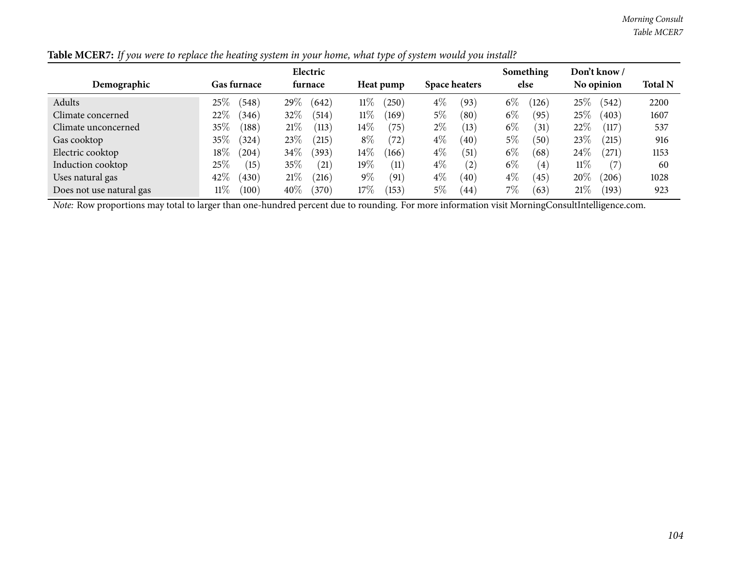*Morning Consult Table MCER7*

|                          |                              | Electric          |                     |                      | Something      | Don't know /    |                |
|--------------------------|------------------------------|-------------------|---------------------|----------------------|----------------|-----------------|----------------|
| Demographic              | <b>Gas furnace</b>           | <b>furnace</b>    | Heat pump           | <b>Space heaters</b> | else           | No opinion      | <b>Total N</b> |
| Adults                   | $25\%$<br>(548)              | 29\%<br>(642)     | $11\%$<br>$^{'}250$ | $4\%$<br>(93)        | $6\%$<br>(126) | $25\%$<br>(542) | 2200           |
| Climate concerned        | 22%<br>(346)                 | $32\%$<br>(514)   | $11\%$<br>(169)     | 5%<br>(80)           | $6\%$<br>(95)  | $25\%$<br>(403) | 1607           |
| Climate unconcerned      | $35\%$<br>(188)              | 21%<br>(113)      | $14\%$<br>75        | $2\%$<br>(13)        | $6\%$<br>(31)  | $22\%$<br>(117) | 537            |
| Gas cooktop              | $35\%$<br>324)               | 23\%<br>(215)     | $8\%$<br>72         | $4\%$<br>(40)        | 5%<br>50       | $23\%$<br>(215) | 916            |
| Electric cooktop         | $18\%$<br>(204)              | $34\%$<br>(393)   | $14\%$<br>166       | $4\%$<br>(51)        | $6\%$<br>(68)  | 24%<br>271      | 1153           |
| Induction cooktop        | 25%<br>(15)                  | 35%<br>(21)       | $19\%$<br>(11)      | $4\%$<br>(2)         | $6\%$<br>(4)   | $11\%$          | 60             |
| Uses natural gas         | 42%<br>(430)                 | 21%<br>$^{(216)}$ | $9\%$<br>(91)       | $4\%$<br>(40)        | $4\%$<br>(45)  | 20%<br>206      | 1028           |
| Does not use natural gas | $11\%$<br>$\left(100\right)$ | $40\%$<br>(370)   | $17\%$<br>153       | $5\%$<br>(44)        | 7%<br>63       | 21%<br>(193)    | 923            |

Table MCER7: If you were to replace the heating system in your home, what type of system would you install?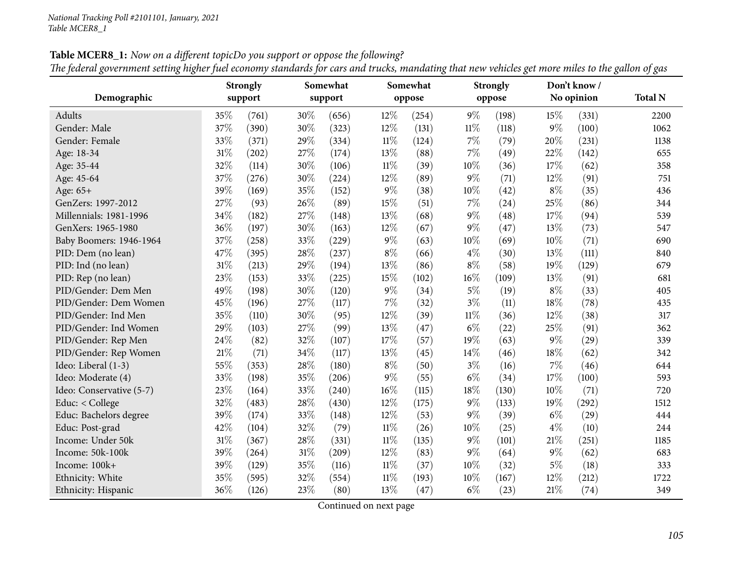Table MCER8\_1: Now on a different topicDo you support or oppose the following? The federal government setting higher fuel economy standards for cars and trucks, mandating that new vehicles get more miles to the gallon of gas

| Demographic              | <b>Strongly</b><br>support |       | Somewhat<br>support |       |        | Somewhat<br>oppose |        | <b>Strongly</b><br>oppose |       | Don't know/<br>No opinion | <b>Total N</b> |
|--------------------------|----------------------------|-------|---------------------|-------|--------|--------------------|--------|---------------------------|-------|---------------------------|----------------|
| Adults                   | 35%                        | (761) | 30%                 | (656) | 12%    | (254)              | 9%     | (198)                     | 15%   | (331)                     | 2200           |
| Gender: Male             | 37%                        | (390) | 30%                 | (323) | 12%    | (131)              | $11\%$ | (118)                     | $9\%$ | (100)                     | 1062           |
| Gender: Female           | 33%                        | (371) | 29%                 | (334) | $11\%$ | (124)              | 7%     | (79)                      | 20%   | (231)                     | 1138           |
| Age: 18-34               | $31\%$                     | (202) | 27%                 | (174) | 13%    | (88)               | 7%     | (49)                      | 22%   | (142)                     | 655            |
| Age: 35-44               | 32%                        | (114) | 30%                 | (106) | $11\%$ | (39)               | 10%    | (36)                      | 17%   | (62)                      | 358            |
| Age: 45-64               | 37%                        | (276) | 30%                 | (224) | 12%    | (89)               | $9\%$  | (71)                      | 12%   | (91)                      | 751            |
| Age: 65+                 | 39%                        | (169) | 35%                 | (152) | $9\%$  | (38)               | $10\%$ | (42)                      | $8\%$ | (35)                      | 436            |
| GenZers: 1997-2012       | 27%                        | (93)  | 26%                 | (89)  | 15%    | (51)               | 7%     | (24)                      | 25%   | (86)                      | 344            |
| Millennials: 1981-1996   | 34%                        | (182) | 27%                 | (148) | 13%    | (68)               | 9%     | (48)                      | 17%   | (94)                      | 539            |
| GenXers: 1965-1980       | 36%                        | (197) | 30%                 | (163) | 12%    | (67)               | $9\%$  | (47)                      | 13%   | (73)                      | 547            |
| Baby Boomers: 1946-1964  | 37%                        | (258) | 33%                 | (229) | $9\%$  | (63)               | 10%    | (69)                      | 10%   | (71)                      | 690            |
| PID: Dem (no lean)       | 47%                        | (395) | 28%                 | (237) | $8\%$  | (66)               | $4\%$  | (30)                      | 13%   | (111)                     | 840            |
| PID: Ind (no lean)       | 31%                        | (213) | 29%                 | (194) | 13%    | (86)               | $8\%$  | (58)                      | 19%   | (129)                     | 679            |
| PID: Rep (no lean)       | 23%                        | (153) | 33%                 | (225) | 15%    | (102)              | $16\%$ | (109)                     | 13%   | (91)                      | 681            |
| PID/Gender: Dem Men      | 49%                        | (198) | 30%                 | (120) | $9\%$  | (34)               | $5\%$  | (19)                      | $8\%$ | (33)                      | 405            |
| PID/Gender: Dem Women    | 45%                        | (196) | 27%                 | (117) | $7\%$  | (32)               | $3\%$  | (11)                      | 18%   | (78)                      | 435            |
| PID/Gender: Ind Men      | 35%                        | (110) | 30%                 | (95)  | 12%    | (39)               | $11\%$ | (36)                      | 12%   | (38)                      | 317            |
| PID/Gender: Ind Women    | 29%                        | (103) | 27%                 | (99)  | 13%    | (47)               | $6\%$  | (22)                      | 25%   | (91)                      | 362            |
| PID/Gender: Rep Men      | 24%                        | (82)  | 32%                 | (107) | 17%    | (57)               | 19%    | (63)                      | $9\%$ | (29)                      | 339            |
| PID/Gender: Rep Women    | 21%                        | (71)  | 34%                 | (117) | 13%    | (45)               | 14%    | (46)                      | 18%   | (62)                      | 342            |
| Ideo: Liberal (1-3)      | 55%                        | (353) | 28%                 | (180) | $8\%$  | (50)               | $3\%$  | (16)                      | 7%    | (46)                      | 644            |
| Ideo: Moderate (4)       | 33%                        | (198) | 35%                 | (206) | $9\%$  | (55)               | $6\%$  | (34)                      | 17%   | (100)                     | 593            |
| Ideo: Conservative (5-7) | 23%                        | (164) | 33%                 | (240) | 16%    | (115)              | 18%    | (130)                     | 10%   | (71)                      | 720            |
| Educ: < College          | 32%                        | (483) | 28%                 | (430) | 12%    | (175)              | $9\%$  | (133)                     | 19%   | (292)                     | 1512           |
| Educ: Bachelors degree   | 39%                        | (174) | 33%                 | (148) | 12%    | (53)               | $9\%$  | (39)                      | $6\%$ | (29)                      | 444            |
| Educ: Post-grad          | 42%                        | (104) | 32%                 | (79)  | $11\%$ | (26)               | 10%    | (25)                      | $4\%$ | (10)                      | 244            |
| Income: Under 50k        | $31\%$                     | (367) | 28%                 | (331) | $11\%$ | (135)              | $9\%$  | (101)                     | 21%   | (251)                     | 1185           |
| Income: 50k-100k         | 39%                        | (264) | 31%                 | (209) | 12%    | (83)               | 9%     | (64)                      | $9\%$ | (62)                      | 683            |
| Income: 100k+            | 39%                        | (129) | 35%                 | (116) | $11\%$ | (37)               | 10%    | (32)                      | $5\%$ | (18)                      | 333            |
| Ethnicity: White         | 35%                        | (595) | 32%                 | (554) | $11\%$ | (193)              | 10%    | (167)                     | 12%   | (212)                     | 1722           |
| Ethnicity: Hispanic      | 36%                        | (126) | 23%                 | (80)  | 13%    | (47)               | $6\%$  | (23)                      | 21%   | (74)                      | 349            |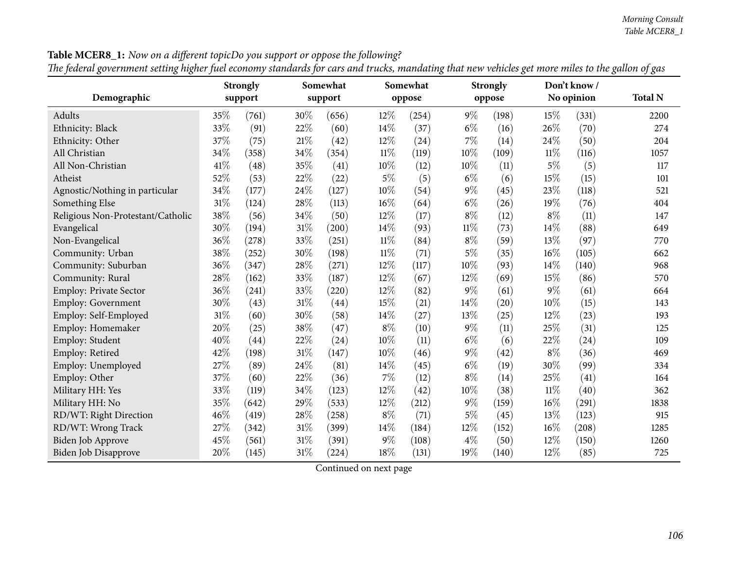|                                   |         | <b>Strongly</b> | Somewhat |       |        | Somewhat |        | <b>Strongly</b> |        | Don't know/ |                |
|-----------------------------------|---------|-----------------|----------|-------|--------|----------|--------|-----------------|--------|-------------|----------------|
| Demographic                       | support |                 | support  |       |        | oppose   |        | oppose          |        | No opinion  | <b>Total N</b> |
| Adults                            | 35\%    | (761)           | 30%      | (656) | 12%    | (254)    | $9\%$  | (198)           | 15%    | (331)       | 2200           |
| Ethnicity: Black                  | 33%     | (91)            | 22%      | (60)  | 14%    | (37)     | $6\%$  | (16)            | 26%    | (70)        | 274            |
| Ethnicity: Other                  | 37%     | (75)            | 21%      | (42)  | 12%    | (24)     | 7%     | (14)            | 24%    | (50)        | 204            |
| All Christian                     | 34%     | (358)           | 34%      | (354) | $11\%$ | (119)    | 10%    | (109)           | 11%    | (116)       | 1057           |
| All Non-Christian                 | 41\%    | (48)            | 35%      | (41)  | 10%    | (12)     | 10%    | (11)            | $5\%$  | (5)         | 117            |
| Atheist                           | 52%     | (53)            | 22%      | (22)  | $5\%$  | (5)      | $6\%$  | (6)             | 15%    | (15)        | 101            |
| Agnostic/Nothing in particular    | 34%     | (177)           | 24\%     | (127) | $10\%$ | (54)     | $9\%$  | (45)            | 23%    | (118)       | 521            |
| Something Else                    | 31%     | (124)           | $28\%$   | (113) | 16%    | (64)     | $6\%$  | (26)            | 19%    | (76)        | 404            |
| Religious Non-Protestant/Catholic | 38%     | (56)            | 34%      | (50)  | 12%    | (17)     | $8\%$  | (12)            | $8\%$  | (11)        | 147            |
| Evangelical                       | 30%     | (194)           | $31\%$   | (200) | 14%    | (93)     | $11\%$ | (73)            | 14%    | (88)        | 649            |
| Non-Evangelical                   | 36%     | (278)           | 33%      | (251) | $11\%$ | (84)     | $8\%$  | (59)            | 13%    | (97)        | 770            |
| Community: Urban                  | 38%     | (252)           | 30%      | (198) | $11\%$ | (71)     | $5\%$  | (35)            | 16%    | (105)       | 662            |
| Community: Suburban               | 36%     | (347)           | 28%      | (271) | 12%    | (117)    | 10%    | (93)            | 14%    | (140)       | 968            |
| Community: Rural                  | 28%     | (162)           | 33%      | (187) | 12%    | (67)     | 12%    | (69)            | 15%    | (86)        | 570            |
| Employ: Private Sector            | 36%     | (241)           | 33%      | (220) | 12%    | (82)     | 9%     | (61)            | $9\%$  | (61)        | 664            |
| Employ: Government                | 30%     | (43)            | $31\%$   | (44)  | 15%    | (21)     | 14%    | (20)            | 10%    | (15)        | 143            |
| Employ: Self-Employed             | 31%     | (60)            | 30%      | (58)  | 14%    | (27)     | 13%    | (25)            | 12%    | (23)        | 193            |
| Employ: Homemaker                 | 20%     | (25)            | 38%      | (47)  | $8\%$  | (10)     | $9\%$  | (11)            | 25%    | (31)        | 125            |
| Employ: Student                   | 40%     | (44)            | 22%      | (24)  | 10%    | (11)     | $6\%$  | (6)             | 22%    | (24)        | 109            |
| Employ: Retired                   | 42%     | (198)           | $31\%$   | (147) | 10%    | (46)     | 9%     | (42)            | $8\%$  | (36)        | 469            |
| Employ: Unemployed                | 27%     | (89)            | $24\%$   | (81)  | 14%    | (45)     | $6\%$  | (19)            | 30%    | (99)        | 334            |
| Employ: Other                     | 37%     | (60)            | 22%      | (36)  | 7%     | (12)     | $8\%$  | (14)            | 25%    | (41)        | 164            |
| Military HH: Yes                  | 33%     | (119)           | 34%      | (123) | 12%    | (42)     | 10%    | (38)            | $11\%$ | (40)        | 362            |
| Military HH: No                   | 35%     | (642)           | 29%      | (533) | 12%    | (212)    | $9\%$  | (159)           | 16%    | (291)       | 1838           |
| RD/WT: Right Direction            | 46%     | (419)           | 28%      | (258) | $8\%$  | (71)     | 5%     | (45)            | 13%    | (123)       | 915            |
| RD/WT: Wrong Track                | 27\%    | (342)           | $31\%$   | (399) | 14%    | (184)    | 12%    | (152)           | 16%    | (208)       | 1285           |
| <b>Biden Job Approve</b>          | 45%     | (561)           | $31\%$   | (391) | $9\%$  | (108)    | $4\%$  | (50)            | 12%    | (150)       | 1260           |
| <b>Biden Job Disapprove</b>       | 20%     | (145)           | $31\%$   | (224) | 18%    | (131)    | 19%    | (140)           | 12%    | (85)        | 725            |

**Table MCER8\_1:** Now on a different topicDo you support or oppose the following? The federal government setting higher fuel economy standards for cars and trucks, mandating that new vehicles get more miles to the gallon of gas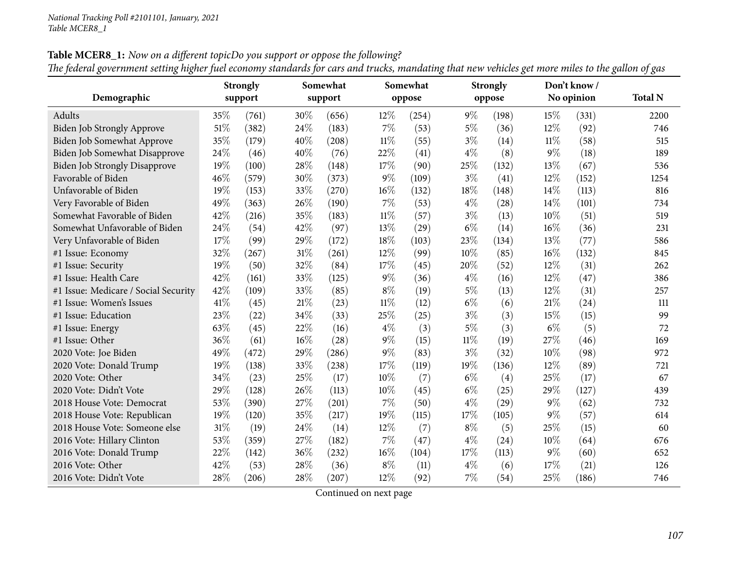**Table MCER8\_1:** Now on a different topicDo you support or oppose the following?

|                                      |      | <b>Strongly</b> | Somewhat |         |        | Somewhat |        | <b>Strongly</b> |        | Don't know / |                |
|--------------------------------------|------|-----------------|----------|---------|--------|----------|--------|-----------------|--------|--------------|----------------|
| Demographic                          |      | support         |          | support |        | oppose   |        | oppose          |        | No opinion   | <b>Total N</b> |
| Adults                               | 35%  | (761)           | 30%      | (656)   | 12%    | (254)    | $9\%$  | (198)           | 15%    | (331)        | 2200           |
| Biden Job Strongly Approve           | 51%  | (382)           | 24%      | (183)   | 7%     | (53)     | $5\%$  | (36)            | 12%    | (92)         | 746            |
| Biden Job Somewhat Approve           | 35%  | (179)           | 40%      | (208)   | $11\%$ | (55)     | $3\%$  | (14)            | $11\%$ | (58)         | 515            |
| Biden Job Somewhat Disapprove        | 24%  | (46)            | 40%      | (76)    | 22%    | (41)     | $4\%$  | (8)             | $9\%$  | (18)         | 189            |
| <b>Biden Job Strongly Disapprove</b> | 19%  | (100)           | 28%      | (148)   | 17%    | (90)     | 25%    | (132)           | 13%    | (67)         | 536            |
| Favorable of Biden                   | 46%  | (579)           | 30%      | (373)   | $9\%$  | (109)    | $3\%$  | (41)            | 12%    | (152)        | 1254           |
| Unfavorable of Biden                 | 19%  | (153)           | 33%      | (270)   | 16%    | (132)    | 18%    | (148)           | 14%    | (113)        | 816            |
| Very Favorable of Biden              | 49%  | (363)           | 26%      | (190)   | 7%     | (53)     | $4\%$  | (28)            | 14%    | (101)        | 734            |
| Somewhat Favorable of Biden          | 42\% | (216)           | 35%      | (183)   | $11\%$ | (57)     | $3\%$  | (13)            | 10%    | (51)         | 519            |
| Somewhat Unfavorable of Biden        | 24\% | (54)            | 42%      | (97)    | 13%    | (29)     | $6\%$  | (14)            | 16%    | (36)         | 231            |
| Very Unfavorable of Biden            | 17%  | (99)            | 29%      | (172)   | 18%    | (103)    | 23%    | (134)           | 13%    | (77)         | 586            |
| #1 Issue: Economy                    | 32%  | (267)           | 31%      | (261)   | 12%    | (99)     | 10%    | (85)            | 16%    | (132)        | 845            |
| #1 Issue: Security                   | 19%  | (50)            | 32%      | (84)    | 17%    | (45)     | 20%    | (52)            | 12%    | (31)         | 262            |
| #1 Issue: Health Care                | 42%  | (161)           | 33%      | (125)   | $9\%$  | (36)     | $4\%$  | (16)            | 12%    | (47)         | 386            |
| #1 Issue: Medicare / Social Security | 42%  | (109)           | 33%      | (85)    | $8\%$  | (19)     | $5\%$  | (13)            | 12%    | (31)         | 257            |
| #1 Issue: Women's Issues             | 41\% | (45)            | 21%      | (23)    | $11\%$ | (12)     | $6\%$  | (6)             | 21%    | (24)         | 111            |
| #1 Issue: Education                  | 23%  | (22)            | 34%      | (33)    | 25%    | (25)     | $3\%$  | (3)             | 15%    | (15)         | 99             |
| #1 Issue: Energy                     | 63%  | (45)            | 22%      | (16)    | $4\%$  | (3)      | $5\%$  | (3)             | $6\%$  | (5)          | 72             |
| #1 Issue: Other                      | 36%  | (61)            | 16%      | (28)    | $9\%$  | (15)     | $11\%$ | (19)            | 27%    | (46)         | 169            |
| 2020 Vote: Joe Biden                 | 49%  | (472)           | 29%      | (286)   | $9\%$  | (83)     | $3\%$  | (32)            | 10%    | (98)         | 972            |
| 2020 Vote: Donald Trump              | 19%  | (138)           | 33%      | (238)   | 17%    | (119)    | 19%    | (136)           | $12\%$ | (89)         | 721            |
| 2020 Vote: Other                     | 34%  | (23)            | 25%      | (17)    | 10%    | (7)      | $6\%$  | (4)             | 25%    | (17)         | 67             |
| 2020 Vote: Didn't Vote               | 29%  | (128)           | 26%      | (113)   | 10%    | (45)     | $6\%$  | (25)            | 29%    | (127)        | 439            |
| 2018 House Vote: Democrat            | 53%  | (390)           | 27%      | (201)   | $7\%$  | (50)     | $4\%$  | (29)            | $9\%$  | (62)         | 732            |
| 2018 House Vote: Republican          | 19%  | (120)           | 35%      | (217)   | 19%    | (115)    | 17%    | (105)           | $9\%$  | (57)         | 614            |
| 2018 House Vote: Someone else        | 31%  | (19)            | 24%      | (14)    | 12%    | (7)      | $8\%$  | (5)             | 25%    | (15)         | 60             |
| 2016 Vote: Hillary Clinton           | 53%  | (359)           | 27%      | (182)   | $7\%$  | (47)     | $4\%$  | (24)            | 10%    | (64)         | 676            |
| 2016 Vote: Donald Trump              | 22%  | (142)           | 36%      | (232)   | $16\%$ | (104)    | 17%    | (113)           | $9\%$  | (60)         | 652            |
| 2016 Vote: Other                     | 42%  | (53)            | 28%      | (36)    | $8\%$  | (11)     | $4\%$  | (6)             | 17%    | (21)         | 126            |
| 2016 Vote: Didn't Vote               | 28%  | (206)           | 28%      | (207)   | 12%    | (92)     | 7%     | (54)            | 25%    | (186)        | 746            |

The federal government setting higher fuel economy standards for cars and trucks, mandating that new vehicles get more miles to the gallon of gas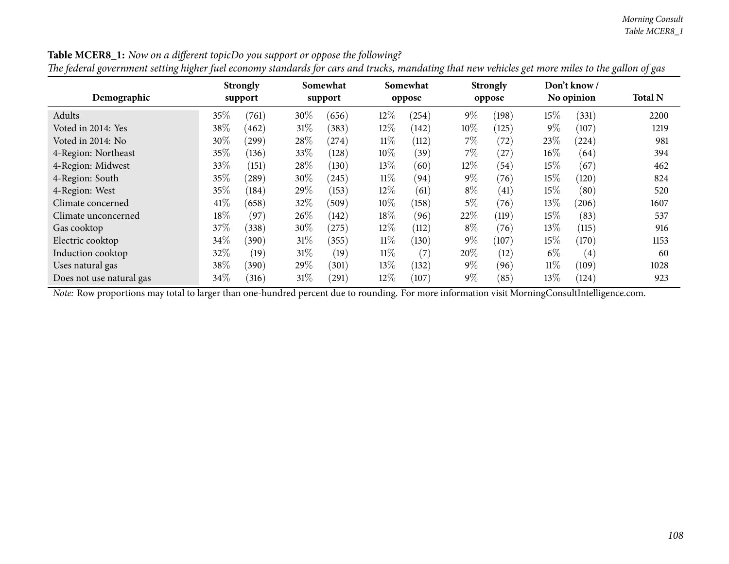| Demographic              | <b>Strongly</b><br>support |            | Somewhat<br>support |       |        | Somewhat<br>oppose |       | <b>Strongly</b><br>oppose |        | Don't know/<br>No opinion | <b>Total N</b> |
|--------------------------|----------------------------|------------|---------------------|-------|--------|--------------------|-------|---------------------------|--------|---------------------------|----------------|
| Adults                   | 35%                        | (761)      | 30%                 | (656) | 12%    | (254)              | $9\%$ | (198)                     | $15\%$ | (331)                     | 2200           |
| Voted in 2014: Yes       | 38\%                       | 462        | $31\%$              | (383) | 12%    | (142)              | 10%   | (125)                     | $9\%$  | (107)                     | 1219           |
| Voted in 2014: No        | 30\%                       | $^{'}299)$ | $28\%$              | (274) | $11\%$ | (112)              | $7\%$ | (72)                      | 23%    | (224)                     | 981            |
| 4-Region: Northeast      | 35%                        | (136)      | 33\%                | (128) | $10\%$ | (39)               | $7\%$ | (27)                      | $16\%$ | (64)                      | 394            |
| 4-Region: Midwest        | 33\%                       | (151)      | 28%                 | (130) | 13\%   | (60)               | 12%   | (54)                      | $15\%$ | (67)                      | 462            |
| 4-Region: South          | 35%                        | $^{'}289$  | 30%                 | (245) | $11\%$ | (94)               | $9\%$ | (76)                      | $15\%$ | (120)                     | 824            |
| 4-Region: West           | 35%                        | (184)      | 29%                 | (153) | 12%    | (61)               | $8\%$ | (41)                      | $15\%$ | (80)                      | 520            |
| Climate concerned        | 41\%                       | (658)      | 32\%                | (509) | $10\%$ | (158)              | 5%    | (76)                      | $13\%$ | (206)                     | 1607           |
| Climate unconcerned      | 18%                        | (97)       | 26\%                | (142) | 18%    | (96)               | 22%   | (119)                     | $15\%$ | (83)                      | 537            |
| Gas cooktop              | 37\%                       | (338)      | 30%                 | (275) | 12%    | (112)              | $8\%$ | (76)                      | $13\%$ | (115)                     | 916            |
| Electric cooktop         | $34\%$                     | (390)      | $31\%$              | (355) | $11\%$ | (130)              | $9\%$ | (107)                     | $15\%$ | (170)                     | 1153           |
| Induction cooktop        | $32\%$                     | (19)       | $31\%$              | (19)  | $11\%$ | (7)                | 20%   | (12)                      | $6\%$  | $\left( 4\right)$         | 60             |
| Uses natural gas         | 38\%                       | (390)      | 29%                 | (301) | 13%    | (132)              | $9\%$ | (96)                      | $11\%$ | (109)                     | 1028           |
| Does not use natural gas | $34\%$                     | (316)      | $31\%$              | (291) | 12%    | (107)              | $9\%$ | (85)                      | 13\%   | (124)                     | 923            |

Table MCER8\_1: Now on a different topicDo you support or oppose the following? The federal government setting higher fuel economy standards for cars and trucks, mandating that new vehicles get more miles to the gallon of gas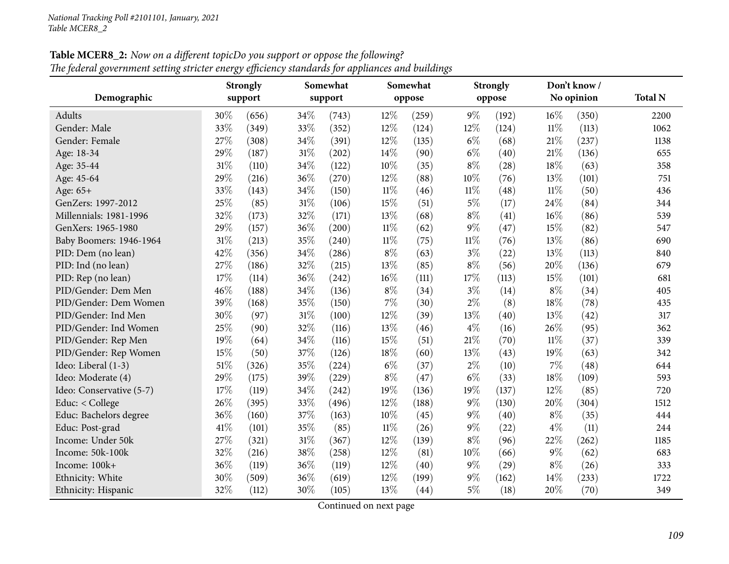| Table MCER8_2: Now on a different topicDo you support or oppose the following?                   |  |
|--------------------------------------------------------------------------------------------------|--|
| The federal government setting stricter energy efficiency standards for appliances and buildings |  |

|                          | ້    | ◡<br><b>Strongly</b> |        | 1 T<br>Somewhat |        | Somewhat | $\cdot$ | <b>Strongly</b> |        | Don't know / |                |
|--------------------------|------|----------------------|--------|-----------------|--------|----------|---------|-----------------|--------|--------------|----------------|
| Demographic              |      | support              |        | support         |        | oppose   |         | oppose          |        | No opinion   | <b>Total N</b> |
| Adults                   | 30%  | (656)                | 34\%   | (743)           | 12%    | (259)    | $9\%$   | (192)           | $16\%$ | (350)        | 2200           |
| Gender: Male             | 33%  | (349)                | 33%    | (352)           | 12%    | (124)    | 12%     | (124)           | $11\%$ | (113)        | 1062           |
| Gender: Female           | 27%  | (308)                | 34%    | (391)           | 12%    | (135)    | $6\%$   | (68)            | 21%    | (237)        | 1138           |
| Age: 18-34               | 29%  | (187)                | 31%    | (202)           | 14%    | (90)     | $6\%$   | (40)            | 21%    | (136)        | 655            |
| Age: 35-44               | 31%  | (110)                | 34%    | (122)           | 10%    | (35)     | $8\%$   | (28)            | 18%    | (63)         | 358            |
| Age: 45-64               | 29%  | (216)                | 36%    | (270)           | 12%    | (88)     | 10%     | (76)            | 13%    | (101)        | 751            |
| Age: 65+                 | 33%  | (143)                | 34%    | (150)           | $11\%$ | (46)     | $11\%$  | (48)            | $11\%$ | (50)         | 436            |
| GenZers: 1997-2012       | 25%  | (85)                 | 31%    | (106)           | 15%    | (51)     | $5\%$   | (17)            | 24%    | (84)         | 344            |
| Millennials: 1981-1996   | 32%  | (173)                | 32%    | (171)           | 13%    | (68)     | $8\%$   | (41)            | 16%    | (86)         | 539            |
| GenXers: 1965-1980       | 29%  | (157)                | 36%    | (200)           | $11\%$ | (62)     | $9\%$   | (47)            | 15%    | (82)         | 547            |
| Baby Boomers: 1946-1964  | 31%  | (213)                | 35%    | (240)           | $11\%$ | (75)     | $11\%$  | (76)            | 13%    | (86)         | 690            |
| PID: Dem (no lean)       | 42%  | (356)                | 34%    | (286)           | $8\%$  | (63)     | $3\%$   | (22)            | 13%    | (113)        | 840            |
| PID: Ind (no lean)       | 27%  | (186)                | 32%    | (215)           | 13%    | (85)     | $8\%$   | (56)            | 20%    | (136)        | 679            |
| PID: Rep (no lean)       | 17%  | (114)                | 36%    | (242)           | 16%    | (111)    | 17%     | (113)           | 15%    | (101)        | 681            |
| PID/Gender: Dem Men      | 46%  | (188)                | 34%    | (136)           | $8\%$  | (34)     | $3\%$   | (14)            | $8\%$  | (34)         | 405            |
| PID/Gender: Dem Women    | 39%  | (168)                | 35%    | (150)           | 7%     | (30)     | $2\%$   | (8)             | 18%    | (78)         | 435            |
| PID/Gender: Ind Men      | 30%  | (97)                 | $31\%$ | (100)           | 12%    | (39)     | 13%     | (40)            | 13%    | (42)         | 317            |
| PID/Gender: Ind Women    | 25%  | (90)                 | 32%    | (116)           | 13%    | (46)     | $4\%$   | (16)            | 26%    | (95)         | 362            |
| PID/Gender: Rep Men      | 19%  | (64)                 | 34%    | (116)           | 15%    | (51)     | 21%     | (70)            | $11\%$ | (37)         | 339            |
| PID/Gender: Rep Women    | 15%  | (50)                 | 37%    | (126)           | 18%    | (60)     | 13%     | (43)            | 19%    | (63)         | 342            |
| Ideo: Liberal (1-3)      | 51%  | (326)                | 35%    | (224)           | $6\%$  | (37)     | $2\%$   | (10)            | 7%     | (48)         | 644            |
| Ideo: Moderate (4)       | 29%  | (175)                | 39%    | (229)           | 8%     | (47)     | $6\%$   | (33)            | 18%    | (109)        | 593            |
| Ideo: Conservative (5-7) | 17%  | (119)                | 34%    | (242)           | 19%    | (136)    | 19%     | (137)           | 12%    | (85)         | 720            |
| Educ: < College          | 26%  | (395)                | 33%    | (496)           | 12%    | (188)    | $9\%$   | (130)           | 20%    | (304)        | 1512           |
| Educ: Bachelors degree   | 36%  | (160)                | 37%    | (163)           | 10%    | (45)     | $9\%$   | (40)            | $8\%$  | (35)         | 444            |
| Educ: Post-grad          | 41\% | (101)                | 35%    | (85)            | $11\%$ | (26)     | $9\%$   | (22)            | $4\%$  | (11)         | 244            |
| Income: Under 50k        | 27%  | (321)                | 31%    | (367)           | 12%    | (139)    | $8\%$   | (96)            | 22%    | (262)        | 1185           |
| Income: 50k-100k         | 32%  | (216)                | 38%    | (258)           | 12%    | (81)     | 10%     | (66)            | $9\%$  | (62)         | 683            |
| Income: 100k+            | 36%  | (119)                | 36%    | (119)           | 12%    | (40)     | $9\%$   | (29)            | $8\%$  | (26)         | 333            |
| Ethnicity: White         | 30%  | (509)                | 36%    | (619)           | 12%    | (199)    | $9\%$   | (162)           | 14%    | (233)        | 1722           |
| Ethnicity: Hispanic      | 32%  | (112)                | 30%    | (105)           | 13%    | (44)     | $5\%$   | (18)            | 20%    | (70)         | 349            |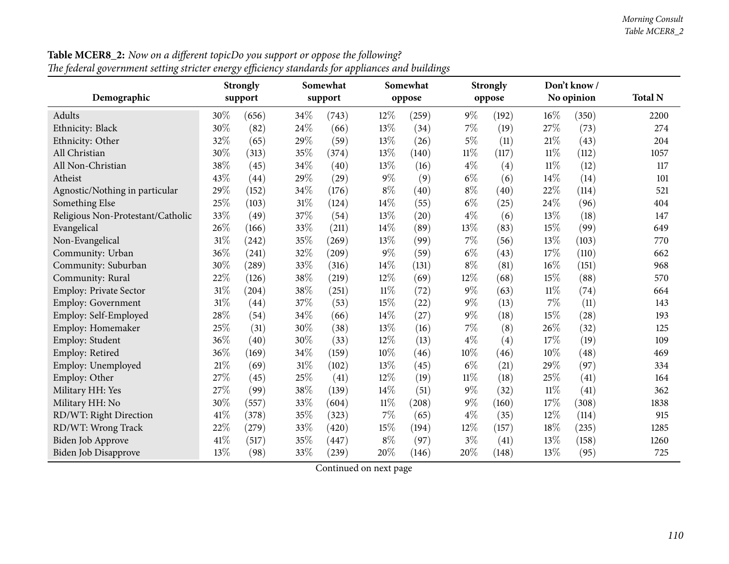| The federal government setting stricter energy efficiency standards for appliances and buildings |        |                 |        |          |        |          |        |                 |        |              |                |
|--------------------------------------------------------------------------------------------------|--------|-----------------|--------|----------|--------|----------|--------|-----------------|--------|--------------|----------------|
|                                                                                                  |        | <b>Strongly</b> |        | Somewhat |        | Somewhat |        | <b>Strongly</b> |        | Don't know / |                |
| Demographic                                                                                      |        | support         |        | support  |        | oppose   |        | oppose          |        | No opinion   | <b>Total N</b> |
| Adults                                                                                           | 30%    | (656)           | 34\%   | (743)    | 12%    | (259)    | $9\%$  | (192)           | 16%    | (350)        | 2200           |
| Ethnicity: Black                                                                                 | 30%    | (82)            | 24\%   | (66)     | 13%    | (34)     | 7%     | (19)            | 27%    | (73)         | 274            |
| Ethnicity: Other                                                                                 | 32%    | (65)            | 29%    | (59)     | 13%    | (26)     | $5\%$  | (11)            | 21%    | (43)         | 204            |
| All Christian                                                                                    | 30%    | (313)           | 35%    | (374)    | 13%    | (140)    | $11\%$ | (117)           | $11\%$ | (112)        | 1057           |
| All Non-Christian                                                                                | 38%    | (45)            | 34%    | (40)     | 13%    | (16)     | $4\%$  | (4)             | $11\%$ | (12)         | 117            |
| Atheist                                                                                          | 43%    | (44)            | 29%    | (29)     | $9\%$  | (9)      | $6\%$  | (6)             | 14\%   | (14)         | 101            |
| Agnostic/Nothing in particular                                                                   | 29%    | (152)           | 34%    | (176)    | $8\%$  | (40)     | $8\%$  | (40)            | 22%    | (114)        | 521            |
| Something Else                                                                                   | 25%    | (103)           | $31\%$ | (124)    | 14%    | (55)     | $6\%$  | (25)            | 24\%   | (96)         | 404            |
| Religious Non-Protestant/Catholic                                                                | 33%    | (49)            | 37%    | (54)     | 13%    | (20)     | $4\%$  | (6)             | 13%    | (18)         | 147            |
| Evangelical                                                                                      | 26%    | (166)           | 33%    | (211)    | 14%    | (89)     | 13%    | (83)            | 15%    | (99)         | 649            |
| Non-Evangelical                                                                                  | $31\%$ | (242)           | 35%    | (269)    | 13%    | (99)     | 7%     | (56)            | 13%    | (103)        | 770            |
| Community: Urban                                                                                 | 36%    | (241)           | 32%    | (209)    | $9\%$  | (59)     | $6\%$  | (43)            | 17%    | (110)        | 662            |
| Community: Suburban                                                                              | 30%    | (289)           | 33%    | (316)    | $14\%$ | (131)    | $8\%$  | (81)            | 16%    | (151)        | 968            |
| Community: Rural                                                                                 | 22%    | (126)           | 38\%   | (219)    | 12%    | (69)     | 12%    | (68)            | 15%    | (88)         | 570            |
| Employ: Private Sector                                                                           | 31%    | (204)           | 38%    | (251)    | $11\%$ | (72)     | $9\%$  | (63)            | $11\%$ | (74)         | 664            |
| Employ: Government                                                                               | 31%    | (44)            | 37%    | (53)     | 15%    | (22)     | $9\%$  | (13)            | 7%     | (11)         | 143            |
| Employ: Self-Employed                                                                            | 28%    | (54)            | 34%    | (66)     | $14\%$ | (27)     | 9%     | (18)            | 15%    | (28)         | 193            |
| Employ: Homemaker                                                                                | 25%    | (31)            | 30%    | (38)     | 13%    | (16)     | 7%     | (8)             | 26%    | (32)         | 125            |
| Employ: Student                                                                                  | 36%    | (40)            | 30%    | (33)     | 12%    | (13)     | $4\%$  | (4)             | 17%    | (19)         | 109            |
| Employ: Retired                                                                                  | 36%    | (169)           | $34\%$ | (159)    | 10%    | (46)     | 10%    | (46)            | $10\%$ | (48)         | 469            |
| Employ: Unemployed                                                                               | 21%    | (69)            | $31\%$ | (102)    | 13%    | (45)     | $6\%$  | (21)            | 29%    | (97)         | 334            |
| Employ: Other                                                                                    | 27%    | (45)            | 25%    | (41)     | 12%    | (19)     | 11%    | (18)            | 25%    | (41)         | 164            |
| Military HH: Yes                                                                                 | 27%    | (99)            | 38%    | (139)    | 14%    | (51)     | $9\%$  | (32)            | 11%    | (41)         | 362            |
| Military HH: No                                                                                  | 30%    | (557)           | 33%    | (604)    | $11\%$ | (208)    | 9%     | (160)           | 17%    | (308)        | 1838           |
| RD/WT: Right Direction                                                                           | 41\%   | (378)           | 35%    | (323)    | $7\%$  | (65)     | $4\%$  | (35)            | 12%    | (114)        | 915            |
| RD/WT: Wrong Track                                                                               | 22%    | (279)           | 33%    | (420)    | 15%    | (194)    | 12%    | (157)           | 18%    | (235)        | 1285           |
| Biden Job Approve                                                                                | 41\%   | (517)           | 35%    | (447)    | $8\%$  | (97)     | $3\%$  | (41)            | 13%    | (158)        | 1260           |
| Biden Job Disapprove                                                                             | 13%    | (98)            | 33%    | (239)    | 20%    | (146)    | 20%    | (148)           | 13%    | (95)         | 725            |

**Table MCER8\_2:** Now on a different topicDo you support or oppose the following?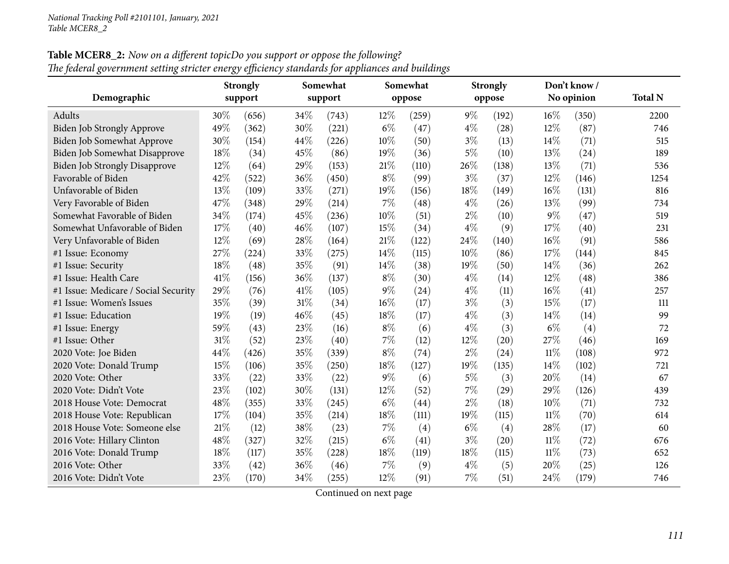**Table MCER8\_2:** Now on a different topicDo you support or oppose the following? The federal government setting stricter energy efficiency standards for appliances and buildings

|                                      |      | <b>Strongly</b> |      | Somewhat |       | Somewhat |       | <b>Strongly</b> |        | Don't know / |                |
|--------------------------------------|------|-----------------|------|----------|-------|----------|-------|-----------------|--------|--------------|----------------|
| Demographic                          |      | support         |      | support  |       | oppose   |       | oppose          |        | No opinion   | <b>Total N</b> |
| Adults                               | 30%  | (656)           | 34\% | (743)    | 12%   | (259)    | $9\%$ | (192)           | $16\%$ | (350)        | 2200           |
| Biden Job Strongly Approve           | 49%  | (362)           | 30%  | (221)    | $6\%$ | (47)     | $4\%$ | (28)            | 12%    | (87)         | 746            |
| Biden Job Somewhat Approve           | 30%  | (154)           | 44%  | (226)    | 10%   | (50)     | $3\%$ | (13)            | 14\%   | (71)         | 515            |
| <b>Biden Job Somewhat Disapprove</b> | 18%  | (34)            | 45%  | (86)     | 19%   | (36)     | $5\%$ | (10)            | 13%    | (24)         | 189            |
| <b>Biden Job Strongly Disapprove</b> | 12%  | (64)            | 29%  | (153)    | 21%   | (110)    | 26%   | (138)           | 13%    | (71)         | 536            |
| Favorable of Biden                   | 42%  | (522)           | 36%  | (450)    | $8\%$ | (99)     | $3\%$ | (37)            | 12%    | (146)        | 1254           |
| Unfavorable of Biden                 | 13%  | (109)           | 33%  | (271)    | 19%   | (156)    | 18%   | (149)           | $16\%$ | (131)        | 816            |
| Very Favorable of Biden              | 47%  | (348)           | 29%  | (214)    | 7%    | (48)     | $4\%$ | (26)            | 13%    | (99)         | 734            |
| Somewhat Favorable of Biden          | 34%  | (174)           | 45%  | (236)    | 10%   | (51)     | $2\%$ | (10)            | 9%     | (47)         | 519            |
| Somewhat Unfavorable of Biden        | 17%  | (40)            | 46%  | (107)    | 15%   | (34)     | $4\%$ | (9)             | 17%    | (40)         | 231            |
| Very Unfavorable of Biden            | 12%  | (69)            | 28%  | (164)    | 21%   | (122)    | 24\%  | (140)           | 16%    | (91)         | 586            |
| #1 Issue: Economy                    | 27%  | (224)           | 33%  | (275)    | 14%   | (115)    | 10%   | (86)            | 17%    | (144)        | 845            |
| #1 Issue: Security                   | 18%  | (48)            | 35%  | (91)     | 14%   | (38)     | 19%   | (50)            | 14\%   | (36)         | 262            |
| #1 Issue: Health Care                | 41\% | (156)           | 36%  | (137)    | $8\%$ | (30)     | $4\%$ | (14)            | 12%    | (48)         | 386            |
| #1 Issue: Medicare / Social Security | 29%  | (76)            | 41\% | (105)    | $9\%$ | (24)     | $4\%$ | (11)            | $16\%$ | (41)         | 257            |
| #1 Issue: Women's Issues             | 35%  | (39)            | 31%  | (34)     | 16%   | (17)     | $3\%$ | (3)             | 15%    | (17)         | 111            |
| #1 Issue: Education                  | 19%  | (19)            | 46%  | (45)     | 18%   | (17)     | $4\%$ | (3)             | 14\%   | (14)         | 99             |
| #1 Issue: Energy                     | 59%  | (43)            | 23%  | (16)     | $8\%$ | (6)      | $4\%$ | (3)             | $6\%$  | (4)          | 72             |
| #1 Issue: Other                      | 31%  | (52)            | 23%  | (40)     | 7%    | (12)     | 12%   | (20)            | 27%    | (46)         | 169            |
| 2020 Vote: Joe Biden                 | 44%  | (426)           | 35%  | (339)    | $8\%$ | (74)     | $2\%$ | (24)            | $11\%$ | (108)        | 972            |
| 2020 Vote: Donald Trump              | 15%  | (106)           | 35%  | (250)    | 18%   | (127)    | 19%   | (135)           | 14%    | (102)        | 721            |
| 2020 Vote: Other                     | 33%  | (22)            | 33%  | (22)     | $9\%$ | (6)      | $5\%$ | (3)             | 20%    | (14)         | 67             |
| 2020 Vote: Didn't Vote               | 23%  | (102)           | 30%  | (131)    | 12%   | (52)     | 7%    | (29)            | 29%    | (126)        | 439            |
| 2018 House Vote: Democrat            | 48%  | (355)           | 33%  | (245)    | $6\%$ | (44)     | $2\%$ | (18)            | 10%    | (71)         | 732            |
| 2018 House Vote: Republican          | 17%  | (104)           | 35%  | (214)    | 18%   | (111)    | 19%   | (115)           | $11\%$ | (70)         | 614            |
| 2018 House Vote: Someone else        | 21%  | (12)            | 38%  | (23)     | 7%    | (4)      | $6\%$ | (4)             | 28%    | (17)         | 60             |
| 2016 Vote: Hillary Clinton           | 48%  | (327)           | 32%  | (215)    | $6\%$ | (41)     | $3\%$ | (20)            | $11\%$ | (72)         | 676            |
| 2016 Vote: Donald Trump              | 18%  | (117)           | 35%  | (228)    | 18%   | (119)    | 18%   | (115)           | $11\%$ | (73)         | 652            |
| 2016 Vote: Other                     | 33%  | (42)            | 36%  | (46)     | 7%    | (9)      | $4\%$ | (5)             | 20%    | (25)         | 126            |
| 2016 Vote: Didn't Vote               | 23%  | (170)           | 34%  | (255)    | 12%   | (91)     | 7%    | (51)            | 24%    | (179)        | 746            |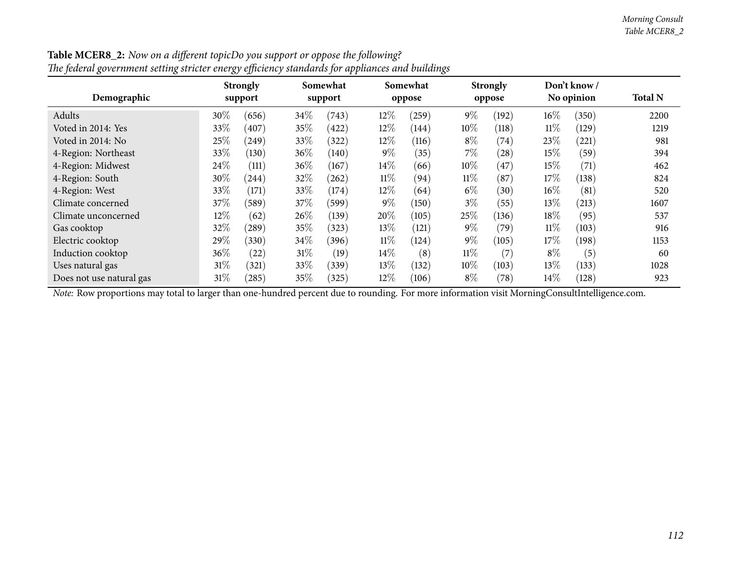| The federal government setting stricter energy efficiency standards for appliances and buildings |        |                            |        |                     |        |                    |        |                           |        |                           |                |
|--------------------------------------------------------------------------------------------------|--------|----------------------------|--------|---------------------|--------|--------------------|--------|---------------------------|--------|---------------------------|----------------|
| Demographic                                                                                      |        | <b>Strongly</b><br>support |        | Somewhat<br>support |        | Somewhat<br>oppose |        | <b>Strongly</b><br>oppose |        | Don't know/<br>No opinion | <b>Total N</b> |
| Adults                                                                                           | 30%    | (656)                      | 34\%   | (743)               | 12%    | (259)              | $9\%$  | (192)                     | $16\%$ | (350)                     | 2200           |
| Voted in 2014: Yes                                                                               | 33\%   | (407)                      | $35\%$ | (422)               | 12%    | (144)              | 10%    | (118)                     | $11\%$ | (129)                     | 1219           |
| Voted in 2014: No                                                                                | 25\%   | (249)                      | 33\%   | (322)               | 12\%   | (116)              | $8\%$  | (74)                      | 23\%   | (221)                     | 981            |
| 4-Region: Northeast                                                                              | 33\%   | (130)                      | $36\%$ | (140)               | $9\%$  | (35)               | $7\%$  | (28)                      | $15\%$ | (59)                      | 394            |
| 4-Region: Midwest                                                                                | 24\%   | (111)                      | 36\%   | (167)               | 14\%   | (66)               | 10%    | $^{'}47)$                 | $15\%$ | (71)                      | 462            |
| 4-Region: South                                                                                  | 30\%   | (244)                      | $32\%$ | (262)               | $11\%$ | (94)               | $11\%$ | (87)                      | 17%    | (138)                     | 824            |
| 4-Region: West                                                                                   | 33\%   | (171)                      | 33\%   | (174)               | 12\%   | (64)               | $6\%$  | (30)                      | $16\%$ | (81)                      | 520            |
| Climate concerned                                                                                | 37\%   | (589)                      | $37\%$ | (599)               | $9\%$  | (150)              | $3\%$  | (55)                      | $13\%$ | (213)                     | 1607           |
| Climate unconcerned                                                                              | 12\%   | (62)                       | 26%    | (139)               | 20%    | (105)              | 25%    | (136)                     | 18%    | (95)                      | 537            |
| Gas cooktop                                                                                      | 32%    | $^{'}289)$                 | $35\%$ | (323)               | 13\%   | (121)              | $9\%$  | (79)                      | $11\%$ | (103)                     | 916            |
| Electric cooktop                                                                                 | 29%    | (330)                      | 34\%   | (396)               | $11\%$ | (124)              | $9\%$  | (105)                     | $17\%$ | (198)                     | 1153           |
| Induction cooktop                                                                                | 36\%   | (22)                       | $31\%$ | (19)                | $14\%$ | (8)                | $11\%$ | (7)                       | $8\%$  | (5)                       | 60             |
| Uses natural gas                                                                                 | $31\%$ | (321)                      | 33\%   | (339)               | 13%    | (132)              | $10\%$ | (103)                     | $13\%$ | (133)                     | 1028           |
| Does not use natural gas                                                                         | 31\%   | (285)                      | $35\%$ | (325)               | 12\%   | (106)              | $8\%$  | (78)                      | $14\%$ | (128)                     | 923            |

**Table MCER8\_2:** Now on a different topicDo you support or oppose the following?

*Note:* Row proportions may total to larger than one-hundred percen<sup>t</sup> due to rounding. For more information visit [MorningConsultIntelligence.com](https://morningconsultintelligence.com).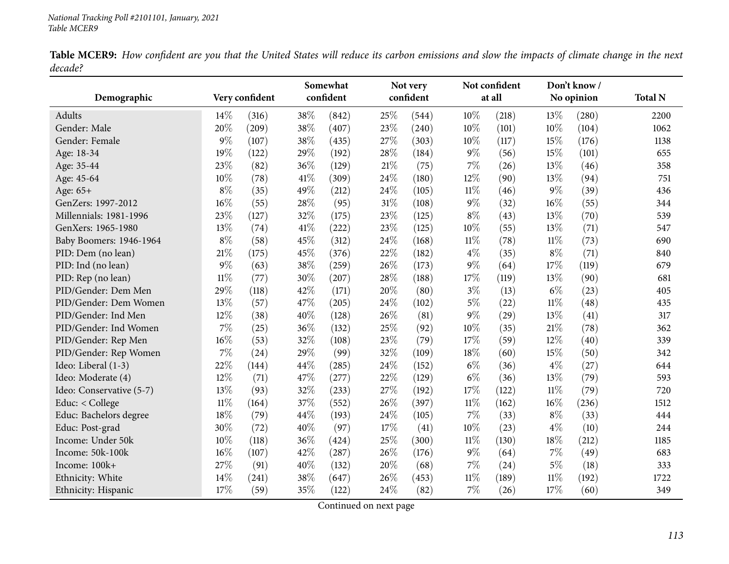|         | <b>Table MCER9:</b> How confident are you that the United States will reduce its carbon emissions and slow the impacts of climate change in the next |  |  |  |  |  |  |
|---------|------------------------------------------------------------------------------------------------------------------------------------------------------|--|--|--|--|--|--|
| decade? |                                                                                                                                                      |  |  |  |  |  |  |

|                          |        |                |        | Somewhat  |        | Not very  |        | Not confident |        | Don't know/ |                |
|--------------------------|--------|----------------|--------|-----------|--------|-----------|--------|---------------|--------|-------------|----------------|
| Demographic              |        | Very confident |        | confident |        | confident |        | at all        |        | No opinion  | <b>Total N</b> |
| <b>Adults</b>            | 14\%   | (316)          | 38%    | (842)     | 25%    | (544)     | 10%    | (218)         | 13%    | (280)       | 2200           |
| Gender: Male             | 20%    | (209)          | 38%    | (407)     | 23%    | (240)     | 10%    | (101)         | 10%    | (104)       | 1062           |
| Gender: Female           | $9\%$  | (107)          | 38%    | (435)     | 27%    | (303)     | 10%    | (117)         | 15%    | (176)       | 1138           |
| Age: 18-34               | 19%    | (122)          | 29%    | (192)     | 28%    | (184)     | $9\%$  | (56)          | 15%    | (101)       | 655            |
| Age: 35-44               | 23%    | (82)           | 36%    | (129)     | 21%    | (75)      | 7%     | (26)          | 13%    | (46)        | 358            |
| Age: 45-64               | 10%    | (78)           | 41\%   | (309)     | 24%    | (180)     | 12%    | (90)          | 13%    | (94)        | 751            |
| Age: 65+                 | $8\%$  | (35)           | 49%    | (212)     | 24%    | (105)     | $11\%$ | (46)          | $9\%$  | (39)        | 436            |
| GenZers: 1997-2012       | 16%    | (55)           | 28\%   | (95)      | $31\%$ | (108)     | $9\%$  | (32)          | 16%    | (55)        | 344            |
| Millennials: 1981-1996   | 23%    | (127)          | 32%    | (175)     | 23%    | (125)     | $8\%$  | (43)          | 13%    | (70)        | 539            |
| GenXers: 1965-1980       | 13%    | (74)           | $41\%$ | (222)     | 23%    | (125)     | 10%    | (55)          | 13%    | (71)        | 547            |
| Baby Boomers: 1946-1964  | $8\%$  | (58)           | 45%    | (312)     | 24%    | (168)     | $11\%$ | (78)          | $11\%$ | (73)        | 690            |
| PID: Dem (no lean)       | 21%    | (175)          | 45%    | (376)     | 22%    | (182)     | $4\%$  | (35)          | $8\%$  | (71)        | 840            |
| PID: Ind (no lean)       | $9\%$  | (63)           | 38%    | (259)     | 26%    | (173)     | $9\%$  | (64)          | 17%    | (119)       | 679            |
| PID: Rep (no lean)       | $11\%$ | (77)           | 30%    | (207)     | 28%    | (188)     | 17%    | (119)         | 13%    | (90)        | 681            |
| PID/Gender: Dem Men      | 29%    | (118)          | 42%    | (171)     | 20%    | (80)      | $3\%$  | (13)          | $6\%$  | (23)        | 405            |
| PID/Gender: Dem Women    | 13%    | (57)           | 47%    | (205)     | 24%    | (102)     | $5\%$  | (22)          | $11\%$ | (48)        | 435            |
| PID/Gender: Ind Men      | 12%    | (38)           | 40%    | (128)     | 26%    | (81)      | $9\%$  | (29)          | 13%    | (41)        | 317            |
| PID/Gender: Ind Women    | 7%     | (25)           | 36%    | (132)     | 25%    | (92)      | 10%    | (35)          | 21%    | (78)        | 362            |
| PID/Gender: Rep Men      | 16%    | (53)           | 32%    | (108)     | 23%    | (79)      | 17%    | (59)          | 12%    | (40)        | 339            |
| PID/Gender: Rep Women    | 7%     | (24)           | 29%    | (99)      | 32%    | (109)     | 18%    | (60)          | 15%    | (50)        | 342            |
| Ideo: Liberal (1-3)      | 22%    | (144)          | 44%    | (285)     | 24%    | (152)     | $6\%$  | (36)          | $4\%$  | (27)        | 644            |
| Ideo: Moderate (4)       | 12%    | (71)           | 47\%   | (277)     | 22%    | (129)     | $6\%$  | (36)          | 13%    | (79)        | 593            |
| Ideo: Conservative (5-7) | 13%    | (93)           | 32\%   | (233)     | 27%    | (192)     | 17%    | (122)         | $11\%$ | (79)        | 720            |
| Educ: < College          | $11\%$ | (164)          | 37%    | (552)     | 26%    | (397)     | $11\%$ | (162)         | 16%    | (236)       | 1512           |
| Educ: Bachelors degree   | 18%    | (79)           | 44%    | (193)     | 24%    | (105)     | 7%     | (33)          | $8\%$  | (33)        | 444            |
| Educ: Post-grad          | 30%    | (72)           | 40%    | (97)      | 17%    | (41)      | 10%    | (23)          | $4\%$  | (10)        | 244            |
| Income: Under 50k        | 10%    | (118)          | 36%    | (424)     | 25%    | (300)     | $11\%$ | (130)         | 18%    | (212)       | 1185           |
| Income: 50k-100k         | 16%    | (107)          | 42%    | (287)     | 26%    | (176)     | $9\%$  | (64)          | 7%     | (49)        | 683            |
| Income: 100k+            | 27\%   | (91)           | 40%    | (132)     | 20%    | (68)      | 7%     | (24)          | $5\%$  | (18)        | 333            |
| Ethnicity: White         | 14%    | (241)          | 38%    | (647)     | 26%    | (453)     | $11\%$ | (189)         | 11%    | (192)       | 1722           |
| Ethnicity: Hispanic      | 17%    | (59)           | 35%    | (122)     | 24%    | (82)      | 7%     | (26)          | 17%    | (60)        | 349            |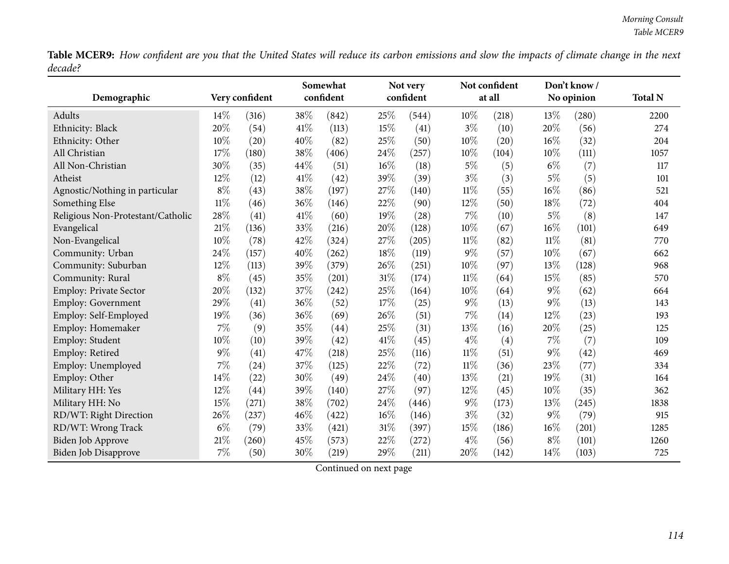Table MCER9: How confident are you that the United States will reduce its carbon emissions and slow the impacts of climate change in the next *decade?*

|                                   |        |                |        | Somewhat  |        | Not very  |        | Not confident |        | Don't know/ |                |
|-----------------------------------|--------|----------------|--------|-----------|--------|-----------|--------|---------------|--------|-------------|----------------|
| Demographic                       |        | Very confident |        | confident |        | confident |        | at all        |        | No opinion  | <b>Total N</b> |
| Adults                            | $14\%$ | (316)          | 38%    | (842)     | 25%    | (544)     | 10%    | (218)         | 13\%   | (280)       | 2200           |
| Ethnicity: Black                  | 20%    | (54)           | $41\%$ | (113)     | $15\%$ | (41)      | $3\%$  | (10)          | 20%    | (56)        | 274            |
| Ethnicity: Other                  | 10%    | (20)           | 40%    | (82)      | 25%    | (50)      | 10%    | (20)          | 16%    | (32)        | 204            |
| All Christian                     | 17%    | (180)          | 38%    | (406)     | 24%    | (257)     | 10%    | (104)         | 10%    | (111)       | 1057           |
| All Non-Christian                 | 30%    | (35)           | 44%    | (51)      | 16%    | (18)      | 5%     | (5)           | $6\%$  | (7)         | 117            |
| Atheist                           | 12%    | (12)           | 41\%   | (42)      | 39%    | (39)      | $3\%$  | (3)           | $5\%$  | (5)         | 101            |
| Agnostic/Nothing in particular    | $8\%$  | (43)           | $38\%$ | (197)     | 27%    | (140)     | $11\%$ | (55)          | 16%    | (86)        | 521            |
| Something Else                    | $11\%$ | (46)           | 36%    | (146)     | 22%    | (90)      | 12%    | (50)          | 18%    | (72)        | 404            |
| Religious Non-Protestant/Catholic | 28%    | (41)           | 41\%   | (60)      | 19%    | (28)      | 7%     | (10)          | $5\%$  | (8)         | 147            |
| Evangelical                       | 21%    | (136)          | 33%    | (216)     | 20%    | (128)     | 10%    | (67)          | 16%    | (101)       | 649            |
| Non-Evangelical                   | 10%    | (78)           | 42%    | (324)     | 27%    | (205)     | $11\%$ | (82)          | $11\%$ | (81)        | 770            |
| Community: Urban                  | 24%    | (157)          | 40%    | (262)     | 18%    | (119)     | 9%     | (57)          | 10%    | (67)        | 662            |
| Community: Suburban               | 12%    | (113)          | 39%    | (379)     | 26%    | (251)     | 10%    | (97)          | 13%    | (128)       | 968            |
| Community: Rural                  | $8\%$  | (45)           | 35%    | (201)     | 31%    | (174)     | $11\%$ | (64)          | 15%    | (85)        | 570            |
| Employ: Private Sector            | 20%    | (132)          | 37%    | (242)     | 25%    | (164)     | 10%    | (64)          | $9\%$  | (62)        | 664            |
| Employ: Government                | 29%    | (41)           | $36\%$ | (52)      | $17\%$ | (25)      | $9\%$  | (13)          | $9\%$  | (13)        | 143            |
| Employ: Self-Employed             | 19%    | (36)           | 36%    | (69)      | 26%    | (51)      | 7%     | (14)          | 12%    | (23)        | 193            |
| Employ: Homemaker                 | 7%     | (9)            | 35%    | (44)      | 25%    | (31)      | 13%    | (16)          | 20%    | (25)        | 125            |
| Employ: Student                   | 10%    | (10)           | 39%    | (42)      | 41%    | (45)      | $4\%$  | (4)           | 7%     | (7)         | 109            |
| Employ: Retired                   | $9\%$  | (41)           | 47%    | (218)     | 25%    | (116)     | $11\%$ | (51)          | $9\%$  | (42)        | 469            |
| Employ: Unemployed                | $7\%$  | (24)           | 37%    | (125)     | 22%    | (72)      | $11\%$ | (36)          | 23%    | (77)        | 334            |
| Employ: Other                     | 14%    | (22)           | $30\%$ | (49)      | 24%    | (40)      | 13%    | (21)          | 19%    | (31)        | 164            |
| Military HH: Yes                  | 12%    | (44)           | 39%    | (140)     | 27%    | (97)      | 12%    | (45)          | 10%    | (35)        | 362            |
| Military HH: No                   | 15%    | (271)          | 38%    | (702)     | 24%    | (446)     | $9\%$  | (173)         | 13%    | (245)       | 1838           |
| RD/WT: Right Direction            | 26%    | (237)          | 46%    | (422)     | $16\%$ | (146)     | $3\%$  | (32)          | $9\%$  | (79)        | 915            |
| RD/WT: Wrong Track                | $6\%$  | (79)           | 33%    | (421)     | 31%    | (397)     | 15%    | (186)         | 16%    | (201)       | 1285           |
| <b>Biden Job Approve</b>          | 21%    | (260)          | 45%    | (573)     | 22%    | (272)     | $4\%$  | (56)          | $8\%$  | (101)       | 1260           |
| Biden Job Disapprove              | $7\%$  | (50)           | 30%    | (219)     | 29%    | (211)     | 20%    | (142)         | 14%    | (103)       | 725            |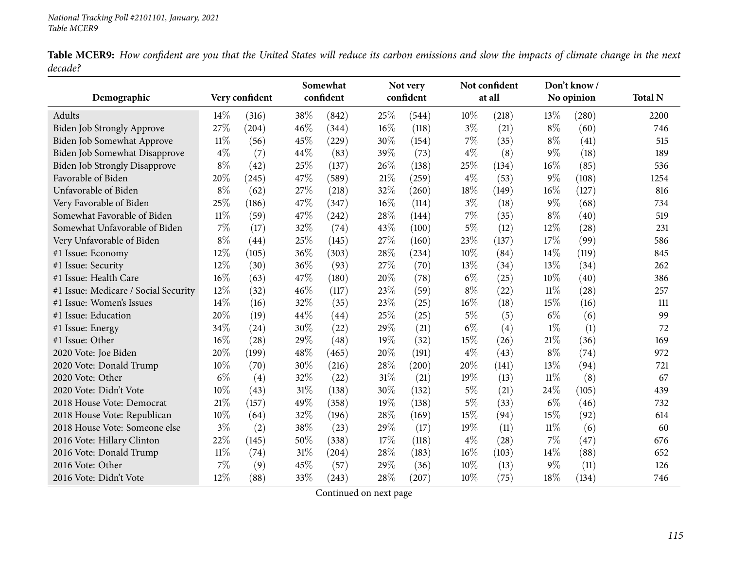Table MCER9: How confident are you that the United States will reduce its carbon emissions and slow the impacts of climate change in the next *decade?*

|                                      |        |                |        | Somewhat  |     | Not very  |       | Not confident |        | Don't know/ |                |
|--------------------------------------|--------|----------------|--------|-----------|-----|-----------|-------|---------------|--------|-------------|----------------|
| Demographic                          |        | Very confident |        | confident |     | confident |       | at all        |        | No opinion  | <b>Total N</b> |
| Adults                               | 14%    | (316)          | 38%    | (842)     | 25% | (544)     | 10%   | (218)         | 13\%   | (280)       | 2200           |
| Biden Job Strongly Approve           | 27%    | (204)          | 46%    | (344)     | 16% | (118)     | $3\%$ | (21)          | $8\%$  | (60)        | 746            |
| Biden Job Somewhat Approve           | $11\%$ | (56)           | 45%    | (229)     | 30% | (154)     | 7%    | (35)          | $8\%$  | (41)        | 515            |
| Biden Job Somewhat Disapprove        | $4\%$  | (7)            | 44\%   | (83)      | 39% | (73)      | $4\%$ | (8)           | $9\%$  | (18)        | 189            |
| <b>Biden Job Strongly Disapprove</b> | $8\%$  | (42)           | 25%    | (137)     | 26% | (138)     | 25%   | (134)         | 16%    | (85)        | 536            |
| Favorable of Biden                   | 20%    | (245)          | 47%    | (589)     | 21% | (259)     | $4\%$ | (53)          | $9\%$  | (108)       | 1254           |
| Unfavorable of Biden                 | $8\%$  | (62)           | 27%    | (218)     | 32% | (260)     | 18%   | (149)         | 16%    | (127)       | 816            |
| Very Favorable of Biden              | 25%    | (186)          | 47%    | (347)     | 16% | (114)     | $3\%$ | (18)          | $9\%$  | (68)        | 734            |
| Somewhat Favorable of Biden          | $11\%$ | (59)           | 47%    | (242)     | 28% | (144)     | 7%    | (35)          | $8\%$  | (40)        | 519            |
| Somewhat Unfavorable of Biden        | 7%     | (17)           | 32%    | (74)      | 43% | (100)     | $5\%$ | (12)          | 12%    | (28)        | 231            |
| Very Unfavorable of Biden            | $8\%$  | (44)           | 25%    | (145)     | 27% | (160)     | 23%   | (137)         | 17%    | (99)        | 586            |
| #1 Issue: Economy                    | 12%    | (105)          | 36%    | (303)     | 28% | (234)     | 10%   | (84)          | 14%    | (119)       | 845            |
| #1 Issue: Security                   | 12%    | (30)           | 36%    | (93)      | 27% | (70)      | 13%   | (34)          | 13%    | (34)        | 262            |
| #1 Issue: Health Care                | $16\%$ | (63)           | 47%    | (180)     | 20% | (78)      | $6\%$ | (25)          | 10%    | (40)        | 386            |
| #1 Issue: Medicare / Social Security | 12%    | (32)           | 46%    | (117)     | 23% | (59)      | $8\%$ | (22)          | $11\%$ | (28)        | 257            |
| #1 Issue: Women's Issues             | 14%    | (16)           | 32%    | (35)      | 23% | (25)      | 16%   | (18)          | 15%    | (16)        | 111            |
| #1 Issue: Education                  | 20%    | (19)           | 44%    | (44)      | 25% | (25)      | $5\%$ | (5)           | $6\%$  | (6)         | 99             |
| #1 Issue: Energy                     | 34%    | (24)           | 30%    | (22)      | 29% | (21)      | $6\%$ | (4)           | $1\%$  | (1)         | 72             |
| #1 Issue: Other                      | 16%    | (28)           | 29%    | (48)      | 19% | (32)      | 15%   | (26)          | 21%    | (36)        | 169            |
| 2020 Vote: Joe Biden                 | 20%    | (199)          | 48%    | (465)     | 20% | (191)     | $4\%$ | (43)          | $8\%$  | (74)        | 972            |
| 2020 Vote: Donald Trump              | 10%    | (70)           | 30%    | (216)     | 28% | (200)     | 20%   | (141)         | 13%    | (94)        | 721            |
| 2020 Vote: Other                     | $6\%$  | (4)            | 32%    | (22)      | 31% | (21)      | 19%   | (13)          | $11\%$ | (8)         | 67             |
| 2020 Vote: Didn't Vote               | 10%    | (43)           | $31\%$ | (138)     | 30% | (132)     | $5\%$ | (21)          | 24\%   | (105)       | 439            |
| 2018 House Vote: Democrat            | 21%    | (157)          | 49%    | (358)     | 19% | (138)     | $5\%$ | (33)          | $6\%$  | (46)        | 732            |
| 2018 House Vote: Republican          | 10%    | (64)           | 32%    | (196)     | 28% | (169)     | 15%   | (94)          | 15%    | (92)        | 614            |
| 2018 House Vote: Someone else        | $3\%$  | (2)            | 38%    | (23)      | 29% | (17)      | 19%   | (11)          | $11\%$ | (6)         | 60             |
| 2016 Vote: Hillary Clinton           | $22\%$ | (145)          | 50%    | (338)     | 17% | (118)     | $4\%$ | (28)          | 7%     | (47)        | 676            |
| 2016 Vote: Donald Trump              | $11\%$ | (74)           | $31\%$ | (204)     | 28% | (183)     | 16%   | (103)         | 14%    | (88)        | 652            |
| 2016 Vote: Other                     | 7%     | (9)            | 45%    | (57)      | 29% | (36)      | 10%   | (13)          | 9%     | (11)        | 126            |
| 2016 Vote: Didn't Vote               | 12%    | (88)           | 33%    | (243)     | 28% | (207)     | 10%   | (75)          | 18%    | (134)       | 746            |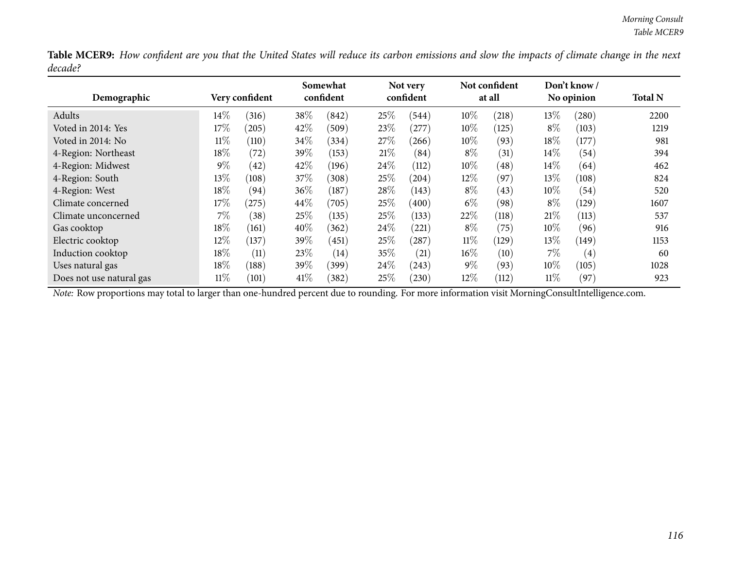Table MCER9: How confident are you that the United States will reduce its carbon emissions and slow the impacts of climate change in the next *decade?*

| Demographic              |        | Very confident  |        | Somewhat<br>confident |      | Not very<br>confident |        | Not confident<br>at all |        | Don't know/<br>No opinion | <b>Total N</b> |
|--------------------------|--------|-----------------|--------|-----------------------|------|-----------------------|--------|-------------------------|--------|---------------------------|----------------|
| Adults                   | $14\%$ | (316)           | $38\%$ | (842)                 | 25%  | (544)                 | 10%    | (218)                   | 13%    | (280)                     | 2200           |
| Voted in 2014: Yes       | $17\%$ | (205)           | 42\%   | (509)                 | 23%  | (277)                 | 10%    | (125)                   | $8\%$  | (103)                     | 1219           |
| Voted in 2014: No        | $11\%$ | (110)           | 34\%   | (334)                 | 27\% | (266)                 | 10%    | (93)                    | 18%    | (177)                     | 981            |
| 4-Region: Northeast      | $18\%$ | (72)            | 39\%   | (153)                 | 21%  | (84)                  | $8\%$  | (31)                    | 14\%   | (54)                      | 394            |
| 4-Region: Midwest        | $9\%$  | (42)            | 42\%   | (196)                 | 24%  | (112)                 | 10%    | (48)                    | $14\%$ | (64)                      | 462            |
| 4-Region: South          | $13\%$ | (108)           | 37\%   | (308)                 | 25%  | (204)                 | 12%    | (97)                    | $13\%$ | (108)                     | 824            |
| 4-Region: West           | 18%    | (94)            | 36%    | (187)                 | 28%  | (143)                 | $8\%$  | (43)                    | 10%    | (54)                      | 520            |
| Climate concerned        | $17\%$ | (275)           | $44\%$ | (705)                 | 25\% | (400)                 | $6\%$  | (98)                    | $8\%$  | (129)                     | 1607           |
| Climate unconcerned      | $7\%$  | (38)            | 25%    | (135)                 | 25\% | (133)                 | 22%    | (118)                   | 21%    | (113)                     | 537            |
| Gas cooktop              | $18\%$ | (161)           | $40\%$ | (362)                 | 24\% | (221)                 | $8\%$  | (75)                    | $10\%$ | (96)                      | 916            |
| Electric cooktop         | 12\%   | (137)           | 39%    | (451)                 | 25%  | (287)                 | $11\%$ | (129)                   | 13\%   | (149)                     | 1153           |
| Induction cooktop        | 18%    | (11)            | 23\%   | (14)                  | 35\% | (21)                  | 16%    | (10)                    | $7\%$  | $\left( 4\right)$         | 60             |
| Uses natural gas         | $18\%$ | (188)           | 39\%   | (399)                 | 24\% | (243)                 | $9\%$  | (93)                    | 10%    | (105)                     | 1028           |
| Does not use natural gas | $11\%$ | $^{\prime}101)$ | 41\%   | (382)                 | 25%  | (230)                 | 12%    | (112)                   | $11\%$ | (97)                      | 923            |

*Note:* Row proportions may total to larger than one-hundred percen<sup>t</sup> due to rounding. For more information visit [MorningConsultIntelligence.com](https://morningconsultintelligence.com).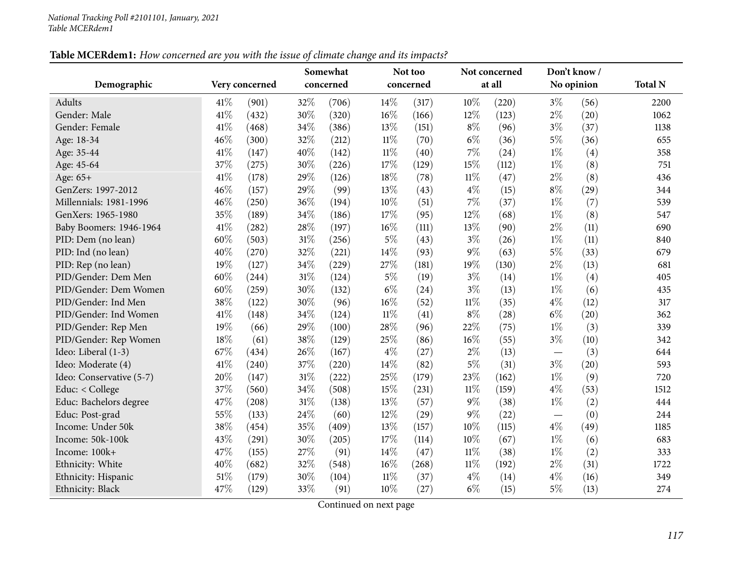## Table MCERdem1: How concerned are you with the issue of climate change and its impacts?

|                          |      |                |        | Somewhat  |        | Not too   |        | Not concerned |                                   | Don't know/ |                |
|--------------------------|------|----------------|--------|-----------|--------|-----------|--------|---------------|-----------------------------------|-------------|----------------|
| Demographic              |      | Very concerned |        | concerned |        | concerned |        | at all        |                                   | No opinion  | <b>Total N</b> |
| <b>Adults</b>            | 41\% | (901)          | 32%    | (706)     | 14\%   | (317)     | 10%    | (220)         | $3\%$                             | (56)        | 2200           |
| Gender: Male             | 41\% | (432)          | 30%    | (320)     | 16%    | (166)     | 12%    | (123)         | $2\%$                             | (20)        | 1062           |
| Gender: Female           | 41\% | (468)          | 34%    | (386)     | 13%    | (151)     | $8\%$  | (96)          | $3\%$                             | (37)        | 1138           |
| Age: 18-34               | 46%  | (300)          | 32%    | (212)     | $11\%$ | (70)      | $6\%$  | (36)          | $5\%$                             | (36)        | 655            |
| Age: 35-44               | 41\% | (147)          | 40%    | (142)     | $11\%$ | (40)      | 7%     | (24)          | $1\%$                             | (4)         | 358            |
| Age: 45-64               | 37%  | (275)          | 30%    | (226)     | 17%    | (129)     | 15%    | (112)         | $1\%$                             | (8)         | 751            |
| Age: 65+                 | 41\% | (178)          | 29%    | (126)     | 18%    | (78)      | $11\%$ | (47)          | $2\%$                             | (8)         | 436            |
| GenZers: 1997-2012       | 46%  | (157)          | 29%    | (99)      | 13%    | (43)      | $4\%$  | (15)          | $8\%$                             | (29)        | 344            |
| Millennials: 1981-1996   | 46%  | (250)          | 36%    | (194)     | 10%    | (51)      | 7%     | (37)          | $1\%$                             | (7)         | 539            |
| GenXers: 1965-1980       | 35%  | (189)          | 34%    | (186)     | 17%    | (95)      | 12%    | (68)          | $1\%$                             | (8)         | 547            |
| Baby Boomers: 1946-1964  | 41%  | (282)          | 28\%   | (197)     | 16%    | (111)     | 13%    | (90)          | $2\%$                             | (11)        | 690            |
| PID: Dem (no lean)       | 60%  | (503)          | $31\%$ | (256)     | $5\%$  | (43)      | $3\%$  | (26)          | $1\%$                             | (11)        | 840            |
| PID: Ind (no lean)       | 40%  | (270)          | 32%    | (221)     | 14%    | (93)      | $9\%$  | (63)          | $5\%$                             | (33)        | 679            |
| PID: Rep (no lean)       | 19%  | (127)          | 34%    | (229)     | 27%    | (181)     | 19%    | (130)         | $2\%$                             | (13)        | 681            |
| PID/Gender: Dem Men      | 60%  | (244)          | $31\%$ | (124)     | $5\%$  | (19)      | $3\%$  | (14)          | $1\%$                             | (4)         | 405            |
| PID/Gender: Dem Women    | 60%  | (259)          | 30%    | (132)     | $6\%$  | (24)      | $3\%$  | (13)          | $1\%$                             | (6)         | 435            |
| PID/Gender: Ind Men      | 38%  | (122)          | 30%    | (96)      | 16%    | (52)      | $11\%$ | (35)          | $4\%$                             | (12)        | 317            |
| PID/Gender: Ind Women    | 41%  | (148)          | 34%    | (124)     | $11\%$ | (41)      | $8\%$  | (28)          | $6\%$                             | (20)        | 362            |
| PID/Gender: Rep Men      | 19%  | (66)           | 29%    | (100)     | 28%    | (96)      | 22%    | (75)          | $1\%$                             | (3)         | 339            |
| PID/Gender: Rep Women    | 18%  | (61)           | 38%    | (129)     | 25%    | (86)      | $16\%$ | (55)          | $3\%$                             | (10)        | 342            |
| Ideo: Liberal (1-3)      | 67%  | (434)          | 26%    | (167)     | $4\%$  | (27)      | $2\%$  | (13)          |                                   | (3)         | 644            |
| Ideo: Moderate (4)       | 41\% | (240)          | 37%    | (220)     | 14%    | (82)      | $5\%$  | (31)          | $3\%$                             | (20)        | 593            |
| Ideo: Conservative (5-7) | 20%  | (147)          | $31\%$ | (222)     | 25%    | (179)     | 23%    | (162)         | $1\%$                             | (9)         | 720            |
| Educ: < College          | 37%  | (560)          | 34%    | (508)     | 15%    | (231)     | $11\%$ | (159)         | $4\%$                             | (53)        | 1512           |
| Educ: Bachelors degree   | 47%  | (208)          | 31%    | (138)     | 13%    | (57)      | $9\%$  | (38)          | $1\%$                             | (2)         | 444            |
| Educ: Post-grad          | 55%  | (133)          | 24\%   | (60)      | 12%    | (29)      | $9\%$  | (22)          | $\overbrace{\phantom{123221111}}$ | (0)         | 244            |
| Income: Under 50k        | 38%  | (454)          | 35%    | (409)     | 13%    | (157)     | $10\%$ | (115)         | $4\%$                             | (49)        | 1185           |
| Income: 50k-100k         | 43%  | (291)          | 30%    | (205)     | 17%    | (114)     | 10%    | (67)          | $1\%$                             | (6)         | 683            |
| Income: 100k+            | 47%  | (155)          | 27%    | (91)      | 14%    | (47)      | $11\%$ | (38)          | $1\%$                             | (2)         | 333            |
| Ethnicity: White         | 40%  | (682)          | 32%    | (548)     | 16%    | (268)     | $11\%$ | (192)         | $2\%$                             | (31)        | 1722           |
| Ethnicity: Hispanic      | 51%  | (179)          | 30%    | (104)     | $11\%$ | (37)      | $4\%$  | (14)          | $4\%$                             | (16)        | 349            |
| Ethnicity: Black         | 47%  | (129)          | 33%    | (91)      | 10%    | (27)      | $6\%$  | (15)          | $5\%$                             | (13)        | 274            |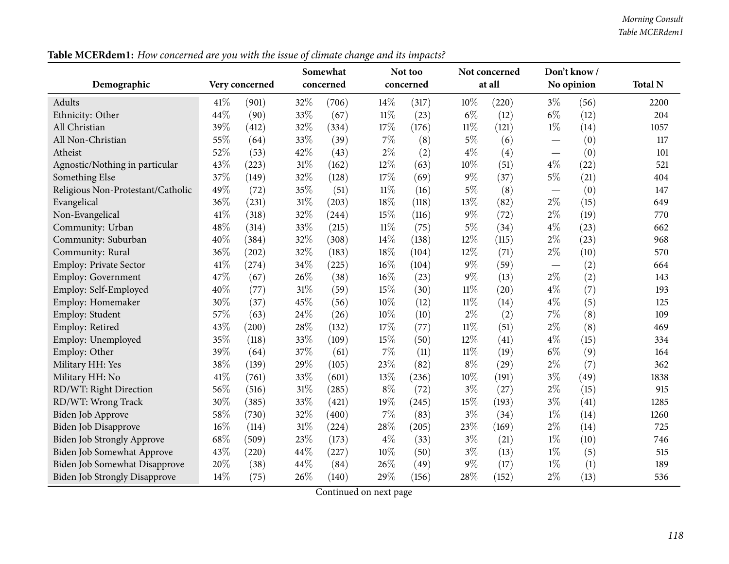Table MCERdem1: How concerned are you with the issue of climate change and its impacts?

|                                      |      |                |        | Somewhat  |        | Not too   |        | Not concerned |                                 | Don't know / |                |
|--------------------------------------|------|----------------|--------|-----------|--------|-----------|--------|---------------|---------------------------------|--------------|----------------|
| Demographic                          |      | Very concerned |        | concerned |        | concerned |        | at all        |                                 | No opinion   | <b>Total N</b> |
| Adults                               | 41\% | (901)          | 32%    | (706)     | 14\%   | (317)     | 10%    | (220)         | $3\%$                           | (56)         | 2200           |
| Ethnicity: Other                     | 44%  | (90)           | 33%    | (67)      | $11\%$ | (23)      | $6\%$  | (12)          | $6\%$                           | (12)         | 204            |
| All Christian                        | 39%  | (412)          | 32%    | (334)     | 17%    | (176)     | $11\%$ | (121)         | $1\%$                           | (14)         | 1057           |
| All Non-Christian                    | 55%  | (64)           | 33%    | (39)      | 7%     | (8)       | $5\%$  | (6)           | $\hspace{0.1mm}-\hspace{0.1mm}$ | (0)          | 117            |
| Atheist                              | 52%  | (53)           | 42%    | (43)      | $2\%$  | (2)       | $4\%$  | (4)           | $\hspace{0.1mm}-\hspace{0.1mm}$ | (0)          | 101            |
| Agnostic/Nothing in particular       | 43%  | (223)          | 31%    | (162)     | 12%    | (63)      | 10%    | (51)          | $4\%$                           | (22)         | 521            |
| Something Else                       | 37%  | (149)          | 32%    | (128)     | 17%    | (69)      | $9\%$  | (37)          | $5\%$                           | (21)         | 404            |
| Religious Non-Protestant/Catholic    | 49%  | (72)           | 35%    | (51)      | $11\%$ | (16)      | $5\%$  | (8)           |                                 | (0)          | 147            |
| Evangelical                          | 36%  | (231)          | 31%    | (203)     | 18%    | (118)     | 13%    | (82)          | $2\%$                           | (15)         | 649            |
| Non-Evangelical                      | 41\% | (318)          | 32%    | (244)     | 15%    | (116)     | $9\%$  | (72)          | $2\%$                           | (19)         | 770            |
| Community: Urban                     | 48%  | (314)          | 33%    | (215)     | $11\%$ | (75)      | $5\%$  | (34)          | $4\%$                           | (23)         | 662            |
| Community: Suburban                  | 40%  | (384)          | 32%    | (308)     | 14%    | (138)     | 12%    | (115)         | $2\%$                           | (23)         | 968            |
| Community: Rural                     | 36%  | (202)          | 32%    | (183)     | 18%    | (104)     | 12%    | (71)          | $2\%$                           | (10)         | 570            |
| Employ: Private Sector               | 41%  | (274)          | 34%    | (225)     | 16%    | (104)     | $9\%$  | (59)          | $\overbrace{\phantom{12333}}$   | (2)          | 664            |
| <b>Employ: Government</b>            | 47%  | (67)           | 26%    | (38)      | 16%    | (23)      | $9\%$  | (13)          | $2\%$                           | (2)          | 143            |
| Employ: Self-Employed                | 40%  | (77)           | 31%    | (59)      | 15%    | (30)      | $11\%$ | (20)          | $4\%$                           | (7)          | 193            |
| Employ: Homemaker                    | 30%  | (37)           | 45%    | (56)      | 10%    | (12)      | $11\%$ | (14)          | $4\%$                           | (5)          | 125            |
| Employ: Student                      | 57%  | (63)           | 24%    | (26)      | 10%    | (10)      | $2\%$  | (2)           | 7%                              | (8)          | 109            |
| Employ: Retired                      | 43%  | (200)          | 28%    | (132)     | 17%    | (77)      | $11\%$ | (51)          | $2\%$                           | (8)          | 469            |
| Employ: Unemployed                   | 35%  | (118)          | 33%    | (109)     | 15%    | (50)      | 12%    | (41)          | $4\%$                           | (15)         | 334            |
| Employ: Other                        | 39%  | (64)           | 37%    | (61)      | $7\%$  | (11)      | $11\%$ | (19)          | $6\%$                           | (9)          | 164            |
| Military HH: Yes                     | 38%  | (139)          | 29%    | (105)     | 23%    | (82)      | $8\%$  | (29)          | $2\%$                           | (7)          | 362            |
| Military HH: No                      | 41%  | (761)          | 33%    | (601)     | 13%    | (236)     | 10%    | (191)         | $3\%$                           | (49)         | 1838           |
| RD/WT: Right Direction               | 56%  | (516)          | 31%    | (285)     | $8\%$  | (72)      | $3\%$  | (27)          | $2\%$                           | (15)         | 915            |
| RD/WT: Wrong Track                   | 30%  | (385)          | 33%    | (421)     | 19%    | (245)     | 15%    | (193)         | $3\%$                           | (41)         | 1285           |
| <b>Biden Job Approve</b>             | 58%  | (730)          | 32%    | (400)     | $7\%$  | (83)      | $3\%$  | (34)          | $1\%$                           | (14)         | 1260           |
| <b>Biden Job Disapprove</b>          | 16%  | (114)          | $31\%$ | (224)     | 28%    | (205)     | 23%    | (169)         | $2\%$                           | (14)         | 725            |
| <b>Biden Job Strongly Approve</b>    | 68\% | (509)          | 23%    | (173)     | $4\%$  | (33)      | $3\%$  | (21)          | $1\%$                           | (10)         | 746            |
| Biden Job Somewhat Approve           | 43%  | (220)          | 44%    | (227)     | 10%    | (50)      | $3\%$  | (13)          | $1\%$                           | (5)          | 515            |
| Biden Job Somewhat Disapprove        | 20%  | (38)           | 44\%   | (84)      | 26%    | (49)      | $9\%$  | (17)          | $1\%$                           | (1)          | 189            |
| <b>Biden Job Strongly Disapprove</b> | 14%  | (75)           | 26%    | (140)     | 29%    | (156)     | 28%    | (152)         | $2\%$                           | (13)         | 536            |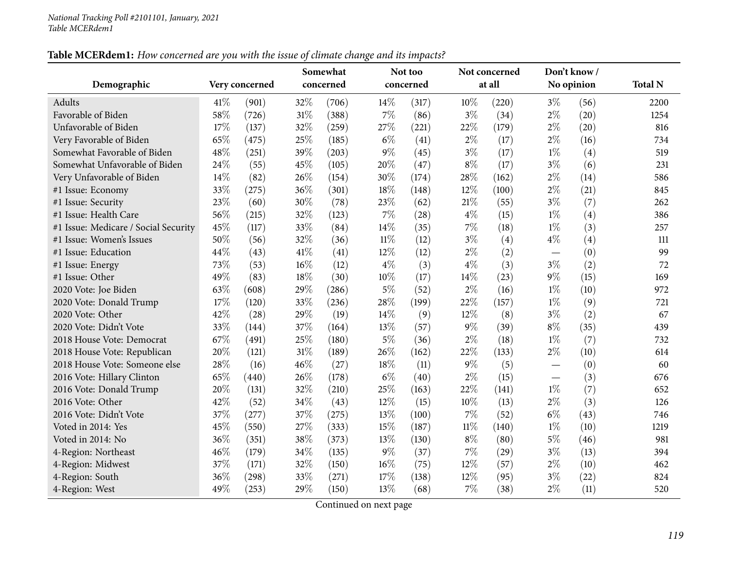# Table MCERdem1: How concerned are you with the issue of climate change and its impacts?

|                                      |     |                |        | Somewhat  |        | Not too   |        | Not concerned |       | Don't know/ |                |
|--------------------------------------|-----|----------------|--------|-----------|--------|-----------|--------|---------------|-------|-------------|----------------|
| Demographic                          |     | Very concerned |        | concerned |        | concerned |        | at all        |       | No opinion  | <b>Total N</b> |
| Adults                               | 41% | (901)          | 32%    | (706)     | 14%    | (317)     | 10%    | (220)         | $3\%$ | (56)        | 2200           |
| Favorable of Biden                   | 58% | (726)          | $31\%$ | (388)     | 7%     | (86)      | $3\%$  | (34)          | $2\%$ | (20)        | 1254           |
| Unfavorable of Biden                 | 17% | (137)          | 32%    | (259)     | 27%    | (221)     | 22%    | (179)         | $2\%$ | (20)        | 816            |
| Very Favorable of Biden              | 65% | (475)          | 25%    | (185)     | $6\%$  | (41)      | $2\%$  | (17)          | $2\%$ | (16)        | 734            |
| Somewhat Favorable of Biden          | 48% | (251)          | 39%    | (203)     | 9%     | (45)      | $3\%$  | (17)          | $1\%$ | (4)         | 519            |
| Somewhat Unfavorable of Biden        | 24% | (55)           | 45%    | (105)     | 20%    | (47)      | $8\%$  | (17)          | $3\%$ | (6)         | 231            |
| Very Unfavorable of Biden            | 14% | (82)           | 26%    | (154)     | 30%    | (174)     | 28%    | (162)         | $2\%$ | (14)        | 586            |
| #1 Issue: Economy                    | 33% | (275)          | 36%    | (301)     | 18%    | (148)     | 12%    | (100)         | $2\%$ | (21)        | 845            |
| #1 Issue: Security                   | 23% | (60)           | 30%    | (78)      | 23%    | (62)      | 21%    | (55)          | $3\%$ | (7)         | 262            |
| #1 Issue: Health Care                | 56% | (215)          | 32%    | (123)     | 7%     | (28)      | $4\%$  | (15)          | $1\%$ | (4)         | 386            |
| #1 Issue: Medicare / Social Security | 45% | (117)          | 33%    | (84)      | 14%    | (35)      | 7%     | (18)          | $1\%$ | (3)         | 257            |
| #1 Issue: Women's Issues             | 50% | (56)           | 32%    | (36)      | $11\%$ | (12)      | $3\%$  | (4)           | $4\%$ | (4)         | 111            |
| #1 Issue: Education                  | 44% | (43)           | 41\%   | (41)      | 12%    | (12)      | $2\%$  | (2)           |       | (0)         | 99             |
| #1 Issue: Energy                     | 73% | (53)           | 16%    | (12)      | $4\%$  | (3)       | $4\%$  | (3)           | $3\%$ | (2)         | 72             |
| #1 Issue: Other                      | 49% | (83)           | $18\%$ | (30)      | $10\%$ | (17)      | 14%    | (23)          | $9\%$ | (15)        | 169            |
| 2020 Vote: Joe Biden                 | 63% | (608)          | 29%    | (286)     | 5%     | (52)      | 2%     | (16)          | $1\%$ | (10)        | 972            |
| 2020 Vote: Donald Trump              | 17% | (120)          | 33%    | (236)     | 28%    | (199)     | 22%    | (157)         | $1\%$ | (9)         | 721            |
| 2020 Vote: Other                     | 42% | (28)           | 29%    | (19)      | 14\%   | (9)       | 12%    | (8)           | $3\%$ | (2)         | 67             |
| 2020 Vote: Didn't Vote               | 33% | (144)          | 37%    | (164)     | 13%    | (57)      | $9\%$  | (39)          | $8\%$ | (35)        | 439            |
| 2018 House Vote: Democrat            | 67% | (491)          | 25%    | (180)     | $5\%$  | (36)      | $2\%$  | (18)          | $1\%$ | (7)         | 732            |
| 2018 House Vote: Republican          | 20% | (121)          | $31\%$ | (189)     | 26%    | (162)     | 22%    | (133)         | $2\%$ | (10)        | 614            |
| 2018 House Vote: Someone else        | 28% | (16)           | 46%    | (27)      | 18%    | (11)      | 9%     | (5)           |       | (0)         | 60             |
| 2016 Vote: Hillary Clinton           | 65% | (440)          | 26%    | (178)     | $6\%$  | (40)      | $2\%$  | (15)          |       | (3)         | 676            |
| 2016 Vote: Donald Trump              | 20% | (131)          | 32%    | (210)     | 25%    | (163)     | 22%    | (141)         | $1\%$ | (7)         | 652            |
| 2016 Vote: Other                     | 42% | (52)           | 34\%   | (43)      | 12%    | (15)      | 10%    | (13)          | $2\%$ | (3)         | 126            |
| 2016 Vote: Didn't Vote               | 37% | (277)          | 37%    | (275)     | 13%    | (100)     | 7%     | (52)          | $6\%$ | (43)        | 746            |
| Voted in 2014: Yes                   | 45% | (550)          | $27\%$ | (333)     | 15%    | (187)     | $11\%$ | (140)         | $1\%$ | (10)        | 1219           |
| Voted in 2014: No                    | 36% | (351)          | 38%    | (373)     | 13%    | (130)     | $8\%$  | (80)          | $5\%$ | (46)        | 981            |
| 4-Region: Northeast                  | 46% | (179)          | 34\%   | (135)     | 9%     | (37)      | 7%     | (29)          | $3\%$ | (13)        | 394            |
| 4-Region: Midwest                    | 37% | (171)          | 32%    | (150)     | 16%    | (75)      | 12%    | (57)          | $2\%$ | (10)        | 462            |
| 4-Region: South                      | 36% | (298)          | 33%    | (271)     | 17\%   | (138)     | 12%    | (95)          | $3\%$ | (22)        | 824            |
| 4-Region: West                       | 49% | (253)          | 29%    | (150)     | 13%    | (68)      | 7%     | (38)          | $2\%$ | (11)        | 520            |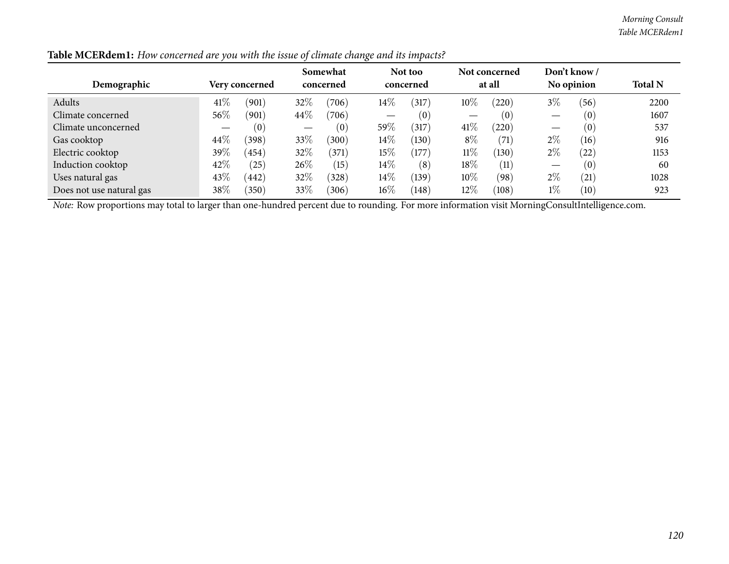| Demographic              |         | Very concerned |        | Somewhat<br>concerned | ັ      | Not too<br>concerned |        | Not concerned<br>at all |       | Don't know /<br>No opinion | <b>Total N</b> |
|--------------------------|---------|----------------|--------|-----------------------|--------|----------------------|--------|-------------------------|-------|----------------------------|----------------|
| Adults                   | 41\%    | (901)          | 32%    | (706)                 | 14%    | (317)                | $10\%$ | (220)                   | $3\%$ | (56)                       | 2200           |
| Climate concerned        | 56%     | (901)          | $44\%$ | (706)                 | __     | (0)                  |        | (0)                     |       | (0)                        | 1607           |
| Climate unconcerned      |         | (0)            |        | (0)                   | 59%    | (317)                | 41\%   | (220)                   |       | (0)                        | 537            |
| Gas cooktop              | 44\%    | (398)          | 33\%   | (300)                 | 14%    | (130)                | $8\%$  | (71)                    | $2\%$ | (16)                       | 916            |
| Electric cooktop         | 39 $\%$ | (454)          | 32%    | (371)                 | 15%    | (177)                | $11\%$ | (130)                   | $2\%$ | (22)                       | 1153           |
| Induction cooktop        | 42%     | (25)           | $26\%$ | (15)                  | $14\%$ | (8)                  | $18\%$ | (11)                    |       | (0)                        | 60             |
| Uses natural gas         | 43%     | (442)          | 32%    | (328)                 | 14%    | (139)                | $10\%$ | (98)                    | $2\%$ | (21)                       | 1028           |
| Does not use natural gas | $38\%$  | 350)           | 33\%   | (306)                 | $16\%$ | (148)                | $12\%$ | (108)                   | $1\%$ | (10)                       | 923            |

Table MCERdem1: How concerned are you with the issue of climate change and its impacts?

*Note:* Row proportions may total to larger than one-hundred percen<sup>t</sup> due to rounding. For more information visit [MorningConsultIntelligence.com](https://morningconsultintelligence.com).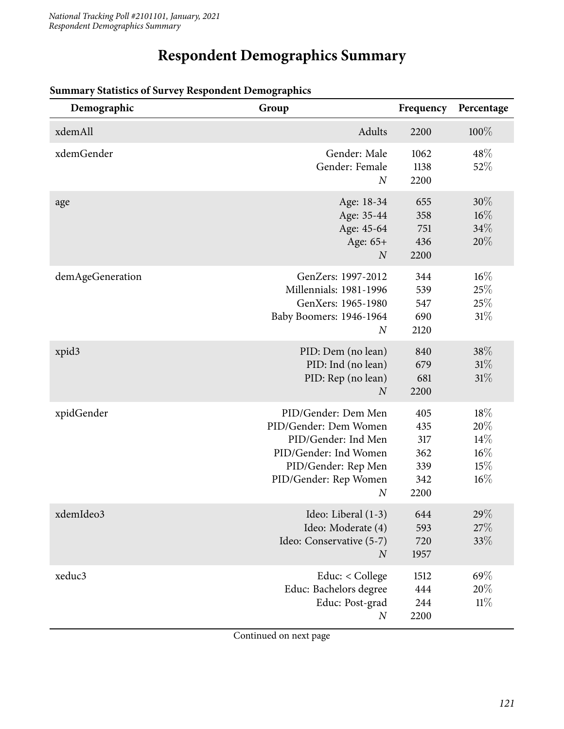# **Respondent Demographics Summary**

| Demographic       | Group                                                                                                                                                            | Frequency                                      | Percentage                                   |
|-------------------|------------------------------------------------------------------------------------------------------------------------------------------------------------------|------------------------------------------------|----------------------------------------------|
| xdemAll           | Adults                                                                                                                                                           | 2200                                           | $100\%$                                      |
| xdemGender        | Gender: Male<br>Gender: Female<br>$\overline{N}$                                                                                                                 | 1062<br>1138<br>2200                           | 48\%<br>52%                                  |
| age               | Age: 18-34<br>Age: 35-44<br>Age: 45-64<br>Age: 65+<br>$\boldsymbol{N}$                                                                                           | 655<br>358<br>751<br>436<br>2200               | $30\%$<br>$16\%$<br>34%<br>20%               |
| demAgeGeneration  | GenZers: 1997-2012<br>Millennials: 1981-1996<br>GenXers: 1965-1980<br>Baby Boomers: 1946-1964<br>$\boldsymbol{N}$                                                | 344<br>539<br>547<br>690<br>2120               | $16\%$<br>25%<br>25%<br>31%                  |
| xpid <sub>3</sub> | PID: Dem (no lean)<br>PID: Ind (no lean)<br>PID: Rep (no lean)<br>$\overline{N}$                                                                                 | 840<br>679<br>681<br>2200                      | 38%<br>$31\%$<br>31%                         |
| xpidGender        | PID/Gender: Dem Men<br>PID/Gender: Dem Women<br>PID/Gender: Ind Men<br>PID/Gender: Ind Women<br>PID/Gender: Rep Men<br>PID/Gender: Rep Women<br>$\boldsymbol{N}$ | 405<br>435<br>317<br>362<br>339<br>342<br>2200 | 18%<br>20%<br>14%<br>$16\%$<br>15%<br>$16\%$ |
| xdemIdeo3         | Ideo: Liberal (1-3)<br>Ideo: Moderate (4)<br>Ideo: Conservative (5-7)<br>$\boldsymbol{N}$                                                                        | 644<br>593<br>720<br>1957                      | 29\%<br>27%<br>33\%                          |
| xeduc3            | Educ: < College<br>Educ: Bachelors degree<br>Educ: Post-grad<br>$\boldsymbol{N}$                                                                                 | 1512<br>444<br>244<br>2200                     | 69%<br>20%<br>11%                            |

## **Summary Statistics of Survey Respondent Demographics**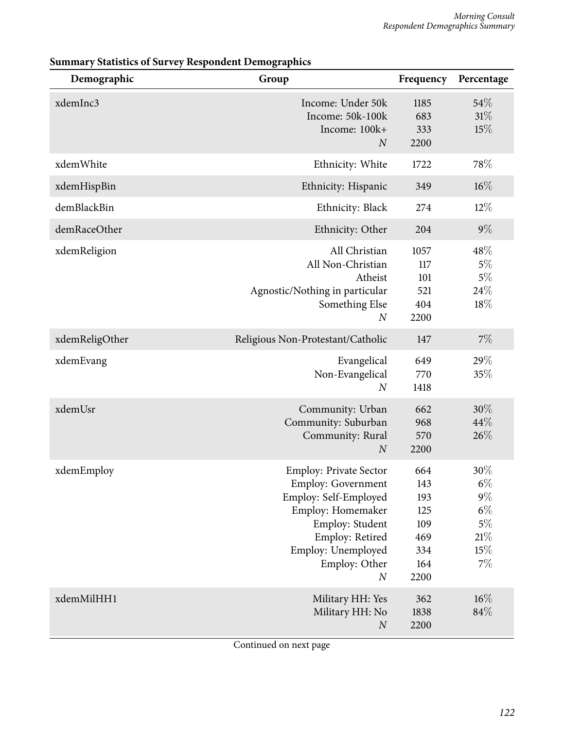| Demographic    | Group                                                                                                                                                                                                     | Frequency                                                    | Percentage                                                        |
|----------------|-----------------------------------------------------------------------------------------------------------------------------------------------------------------------------------------------------------|--------------------------------------------------------------|-------------------------------------------------------------------|
| xdemInc3       | Income: Under 50k<br>Income: 50k-100k<br>Income: 100k+<br>$\boldsymbol{N}$                                                                                                                                | 1185<br>683<br>333<br>2200                                   | 54%<br>31%<br>15%                                                 |
| xdemWhite      | Ethnicity: White                                                                                                                                                                                          | 1722                                                         | 78%                                                               |
| xdemHispBin    | Ethnicity: Hispanic                                                                                                                                                                                       | 349                                                          | $16\%$                                                            |
| demBlackBin    | Ethnicity: Black                                                                                                                                                                                          | 274                                                          | $12\%$                                                            |
| demRaceOther   | Ethnicity: Other                                                                                                                                                                                          | 204                                                          | $9\%$                                                             |
| xdemReligion   | All Christian<br>All Non-Christian<br>Atheist<br>Agnostic/Nothing in particular<br>Something Else<br>$\boldsymbol{N}$                                                                                     | 1057<br>117<br>101<br>521<br>404<br>2200                     | 48\%<br>$5\%$<br>$5\%$<br>24\%<br>18%                             |
| xdemReligOther | Religious Non-Protestant/Catholic                                                                                                                                                                         | 147                                                          | 7%                                                                |
| xdemEvang      | Evangelical<br>Non-Evangelical<br>$\boldsymbol{N}$                                                                                                                                                        | 649<br>770<br>1418                                           | 29%<br>35%                                                        |
| xdemUsr        | Community: Urban<br>Community: Suburban<br>Community: Rural<br>$\boldsymbol{N}$                                                                                                                           | 662<br>968<br>570<br>2200                                    | 30%<br>44%<br>26%                                                 |
| xdemEmploy     | <b>Employ: Private Sector</b><br><b>Employ: Government</b><br>Employ: Self-Employed<br>Employ: Homemaker<br>Employ: Student<br>Employ: Retired<br>Employ: Unemployed<br>Employ: Other<br>$\boldsymbol{N}$ | 664<br>143<br>193<br>125<br>109<br>469<br>334<br>164<br>2200 | 30%<br>$6\%$<br>$9\%$<br>$6\%$<br>$5\%$<br>$21\%$<br>15%<br>$7\%$ |
| xdemMilHH1     | Military HH: Yes<br>Military HH: No<br>$\boldsymbol{N}$                                                                                                                                                   | 362<br>1838<br>2200                                          | $16\%$<br>84%                                                     |

## **Summary Statistics of Survey Respondent Demographics**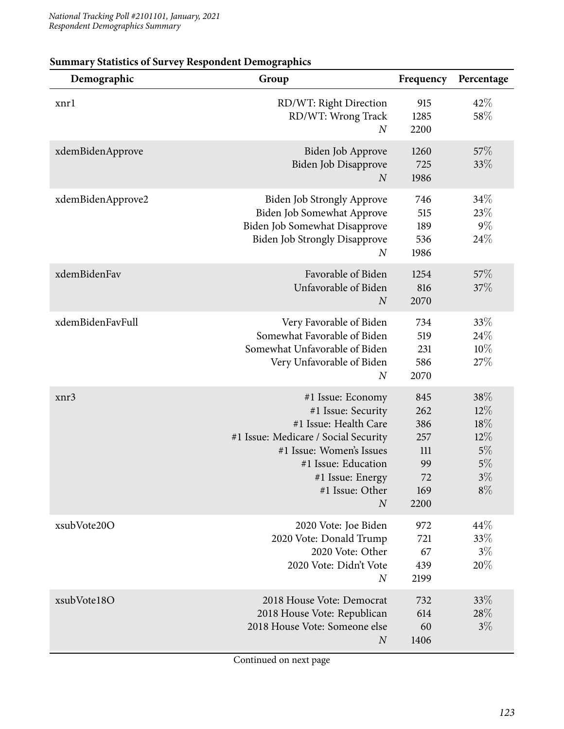| Demographic       | Group                                                                                                                                                                                                                  | Frequency                                                  | Percentage                                                      |
|-------------------|------------------------------------------------------------------------------------------------------------------------------------------------------------------------------------------------------------------------|------------------------------------------------------------|-----------------------------------------------------------------|
| xnrl              | RD/WT: Right Direction<br>RD/WT: Wrong Track<br>$\boldsymbol{N}$                                                                                                                                                       | 915<br>1285<br>2200                                        | 42%<br>58%                                                      |
| xdemBidenApprove  | Biden Job Approve<br>Biden Job Disapprove<br>$\boldsymbol{N}$                                                                                                                                                          | 1260<br>725<br>1986                                        | 57\%<br>33%                                                     |
| xdemBidenApprove2 | <b>Biden Job Strongly Approve</b><br>Biden Job Somewhat Approve<br>Biden Job Somewhat Disapprove<br><b>Biden Job Strongly Disapprove</b><br>$\boldsymbol{N}$                                                           | 746<br>515<br>189<br>536<br>1986                           | 34%<br>23\%<br>$9\%$<br>24%                                     |
| xdemBidenFav      | Favorable of Biden<br>Unfavorable of Biden<br>$\boldsymbol{N}$                                                                                                                                                         | 1254<br>816<br>2070                                        | 57\%<br>37%                                                     |
| xdemBidenFavFull  | Very Favorable of Biden<br>Somewhat Favorable of Biden<br>Somewhat Unfavorable of Biden<br>Very Unfavorable of Biden<br>$\boldsymbol{N}$                                                                               | 734<br>519<br>231<br>586<br>2070                           | 33%<br>24\%<br>10%<br>27%                                       |
| xnr3              | #1 Issue: Economy<br>#1 Issue: Security<br>#1 Issue: Health Care<br>#1 Issue: Medicare / Social Security<br>#1 Issue: Women's Issues<br>#1 Issue: Education<br>#1 Issue: Energy<br>#1 Issue: Other<br>$\boldsymbol{N}$ | 845<br>262<br>386<br>257<br>111<br>99<br>72<br>169<br>2200 | 38%<br>$12\%$<br>18%<br>$12\%$<br>5%<br>$5\%$<br>$3\%$<br>$8\%$ |
| xsubVote20O       | 2020 Vote: Joe Biden<br>2020 Vote: Donald Trump<br>2020 Vote: Other<br>2020 Vote: Didn't Vote<br>$\boldsymbol{N}$                                                                                                      | 972<br>721<br>67<br>439<br>2199                            | 44\%<br>33%<br>$3\%$<br>20%                                     |
| xsubVote18O       | 2018 House Vote: Democrat<br>2018 House Vote: Republican<br>2018 House Vote: Someone else<br>$\boldsymbol{N}$                                                                                                          | 732<br>614<br>60<br>1406                                   | 33\%<br>28%<br>$3\%$                                            |

#### **Summary Statistics of Survey Respondent Demographics**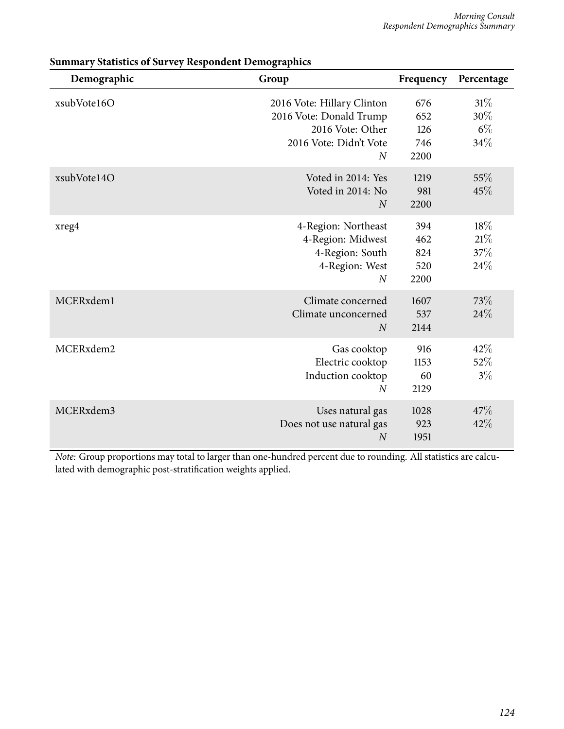| Demographic | Group                                                                                                                 | Frequency                        | Percentage                     |
|-------------|-----------------------------------------------------------------------------------------------------------------------|----------------------------------|--------------------------------|
| xsubVote16O | 2016 Vote: Hillary Clinton<br>2016 Vote: Donald Trump<br>2016 Vote: Other<br>2016 Vote: Didn't Vote<br>$\overline{N}$ | 676<br>652<br>126<br>746<br>2200 | 31%<br>30%<br>$6\%$<br>34%     |
| xsubVote14O | Voted in 2014: Yes<br>Voted in 2014: No<br>$\overline{N}$                                                             | 1219<br>981<br>2200              | 55%<br>45%                     |
| xreg4       | 4-Region: Northeast<br>4-Region: Midwest<br>4-Region: South<br>4-Region: West<br>$\overline{N}$                       | 394<br>462<br>824<br>520<br>2200 | $18\%$<br>$21\%$<br>37%<br>24% |
| MCERxdem1   | Climate concerned<br>Climate unconcerned<br>$\overline{N}$                                                            | 1607<br>537<br>2144              | 73%<br>24%                     |
| MCERxdem2   | Gas cooktop<br>Electric cooktop<br>Induction cooktop<br>$\overline{N}$                                                | 916<br>1153<br>60<br>2129        | 42%<br>52%<br>$3\%$            |
| MCERxdem3   | Uses natural gas<br>Does not use natural gas<br>$\overline{N}$                                                        | 1028<br>923<br>1951              | 47\%<br>42%                    |

**Summary Statistics of Survey Respondent Demographics**

*Note:* Group proportions may total to larger than one-hundred percent due to rounding. All statistics are calculated with demographic post-stratification weights applied.